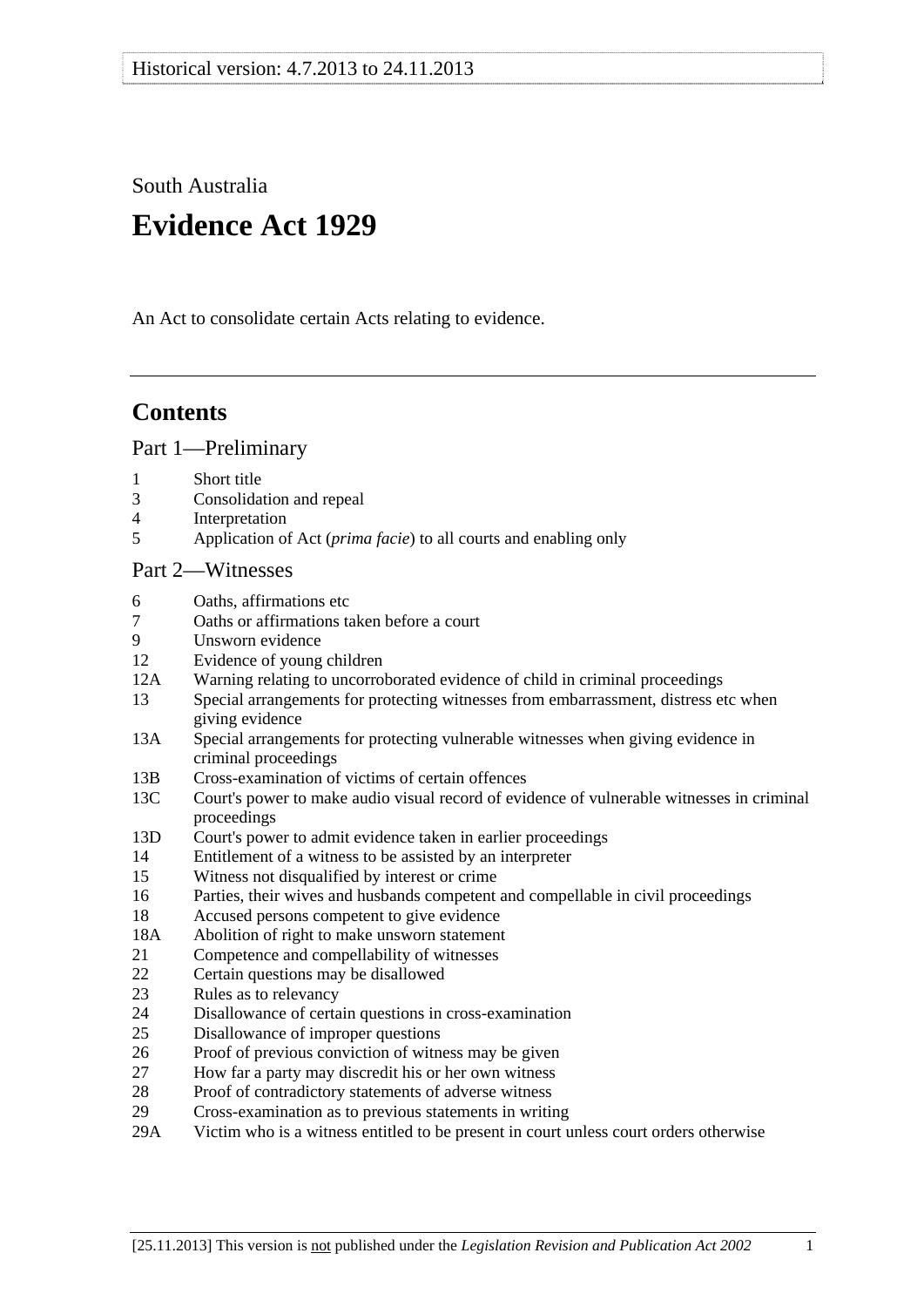South Australia

# **Evidence Act 1929**

An Act to consolidate certain Acts relating to evidence.

# **Contents**

[Part 1—Preliminary](#page-6-0)

- [1 Short title](#page-6-0)
- [3 Consolidation and repeal](#page-6-0)
- [4 Interpretation](#page-6-0)
- [5 Application of Act \(](#page-8-0)*prima facie*) to all courts and enabling only

# [Part 2—Witnesses](#page-10-0)

- [6 Oaths, affirmations etc](#page-10-0)
- [7 Oaths or affirmations taken before a court](#page-10-0)
- [9 Unsworn evidence](#page-10-0)
- [12 Evidence of young children](#page-11-0)
- [12A Warning relating to uncorroborated evidence of child in criminal proceedings](#page-11-0)
- [13 Special arrangements for protecting witnesses from embarrassment, distress etc when](#page-11-0)  [giving evidence](#page-11-0)
- [13A Special arrangements for protecting vulnerable witnesses when giving evidence in](#page-13-0)  [criminal proceedings](#page-13-0)
- [13B Cross-examination of victims of certain offences](#page-15-0)
- [13C Court's power to make audio visual record of evidence of vulnerable witnesses in criminal](#page-16-0)  [proceedings](#page-16-0)
- [13D Court's power to admit evidence taken in earlier proceedings](#page-17-0)
- [14 Entitlement of a witness to be assisted by an interpreter](#page-18-0)
- [15 Witness not disqualified by interest or crime](#page-18-0)
- [16 Parties, their wives and husbands competent and compellable in civil proceedings](#page-18-0)
- [18 Accused persons competent to give evidence](#page-18-0)
- [18A Abolition of right to make unsworn statement](#page-19-0)
- [21 Competence and compellability of witnesses](#page-20-0)
- [22 Certain questions may be disallowed](#page-21-0)
- [23 Rules as to relevancy](#page-21-0)
- [24 Disallowance of certain questions in cross-examination](#page-21-0)
- [25 Disallowance of improper questions](#page-21-0)
- [26 Proof of previous conviction of witness may be given](#page-22-0)
- [27 How far a party may discredit his or her own witness](#page-22-0)
- [28 Proof of contradictory statements of adverse witness](#page-23-0)
- [29 Cross-examination as to previous statements in writing](#page-23-0)
- [29A Victim who is a witness entitled to be present in court unless court orders otherwise](#page-23-0)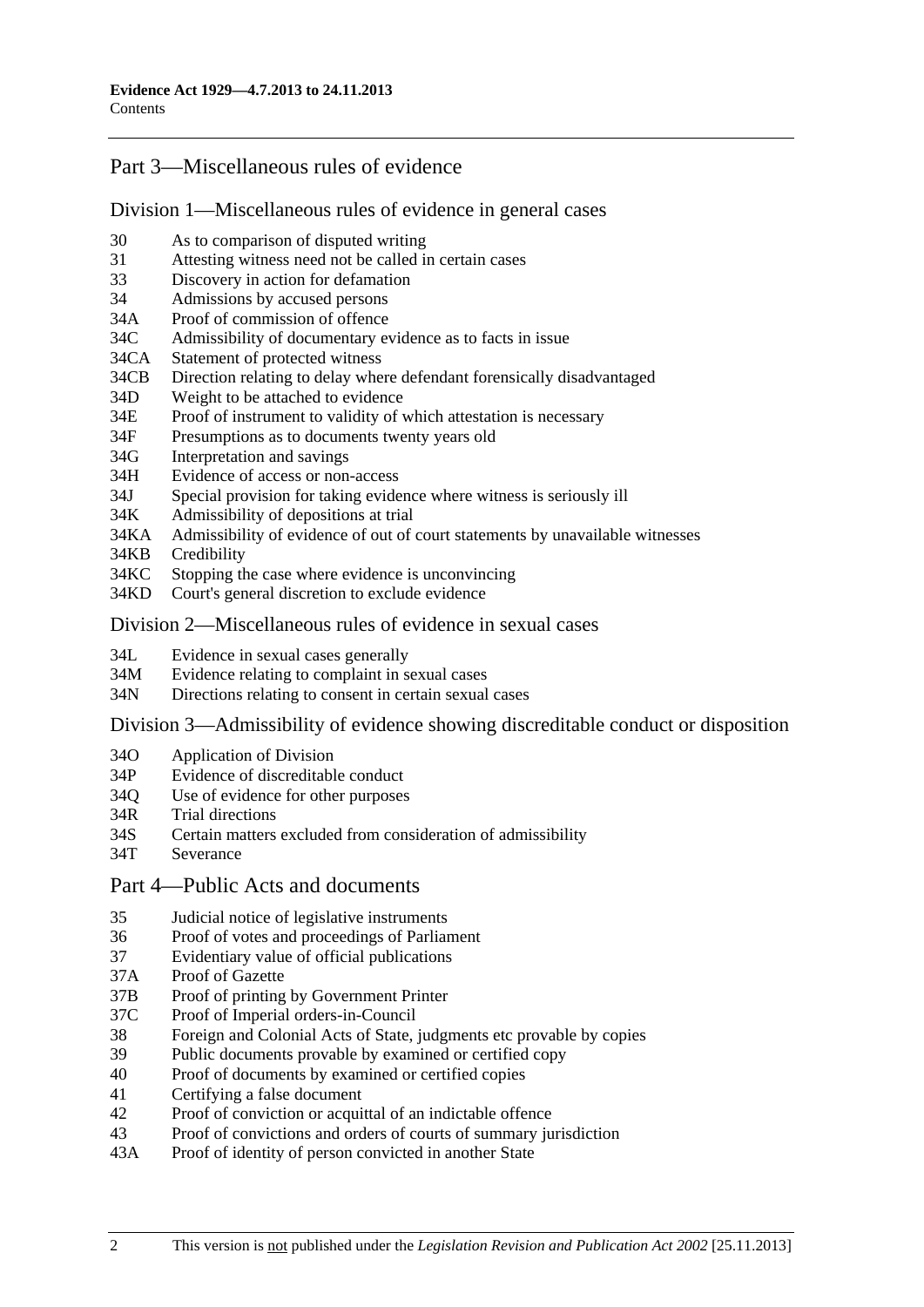# [Part 3—Miscellaneous rules of evidence](#page-24-0)

#### [Division 1—Miscellaneous rules of evidence in general cases](#page-24-0)

- [30 As to comparison of disputed writing](#page-24-0)
- [31 Attesting witness need not be called in certain cases](#page-24-0)
- [33 Discovery in action for defamation](#page-24-0)
- [34 Admissions by accused persons](#page-24-0)
- [34A Proof of commission of offence](#page-24-0)
- [34C Admissibility of documentary evidence as to facts in issue](#page-24-0)
- [34CA Statement of protected witness](#page-26-0)
- [34CB Direction relating to delay where defendant forensically disadvantaged](#page-26-0)
- [34D Weight to be attached to evidence](#page-27-0)
- [34E Proof of instrument to validity of which attestation is necessary](#page-27-0)
- [34F Presumptions as to documents twenty years old](#page-27-0)
- [34G Interpretation and savings](#page-27-0)
- [34H Evidence of access or non-access](#page-28-0)
- [34J Special provision for taking evidence where witness is seriously ill](#page-28-0)
- [34K Admissibility of depositions at trial](#page-28-0)
- [34KA Admissibility of evidence of out of court statements by unavailable witnesses](#page-28-0)
- [34KB Credibility](#page-30-0)
- [34KC Stopping the case where evidence is unconvincing](#page-30-0)
- [34KD Court's general discretion to exclude evidence](#page-31-0)

#### [Division 2—Miscellaneous rules of evidence in sexual cases](#page-31-0)

- [34L Evidence in sexual cases generally](#page-31-0)
- [34M Evidence relating to complaint in sexual cases](#page-32-0)
- [34N Directions relating to consent in certain sexual cases](#page-33-0)

#### [Division 3—Admissibility of evidence showing discreditable conduct or disposition](#page-34-0)

- [34O Application of Division](#page-34-0)
- [34P Evidence of discreditable conduct](#page-34-0)
- [34Q Use of evidence for other purposes](#page-35-0)
- [34R Trial directions](#page-35-0)
- [34S Certain matters excluded from consideration of admissibility](#page-35-0)
- [34T Severance](#page-35-0)
- [Part 4—Public Acts and documents](#page-36-0)
- [35 Judicial notice of legislative instruments](#page-36-0)
- [36 Proof of votes and proceedings of Parliament](#page-36-0)
- [37 Evidentiary value of official publications](#page-36-0)
- [37A Proof of Gazette](#page-36-0)
- [37B Proof of printing by Government Printer](#page-36-0)
- [37C Proof of Imperial orders-in-Council](#page-37-0)
- [38 Foreign and Colonial Acts of State, judgments etc provable by copies](#page-37-0)
- [39 Public documents provable by examined or certified copy](#page-37-0)
- [40 Proof of documents by examined or certified copies](#page-38-0)
- [41 Certifying a false document](#page-38-0)
- [42 Proof of conviction or acquittal of an indictable offence](#page-38-0)
- [43 Proof of convictions and orders of courts of summary jurisdiction](#page-38-0)
- [43A Proof of identity of person convicted in another State](#page-39-0)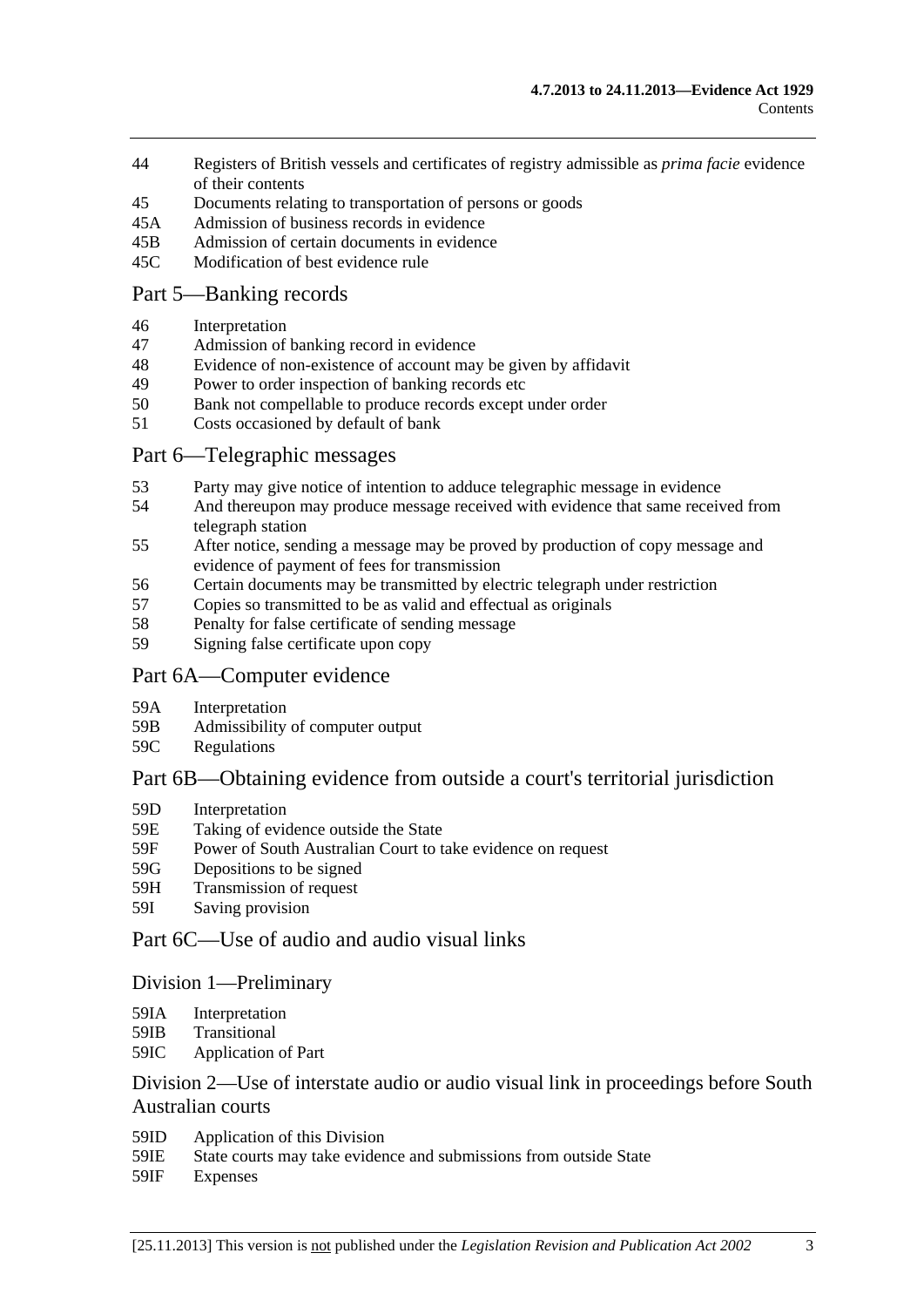- [44 Registers of British vessels and certificates of registry admissible as](#page-39-0) *prima facie* evidence of their contents
- [45 Documents relating to transportation of persons or goods](#page-39-0)
- [45A Admission of business records in evidence](#page-40-0)
- [45B Admission of certain documents in evidence](#page-41-0)
- [45C Modification of best evidence rule](#page-41-0)

### [Part 5—Banking records](#page-44-0)

- [46 Interpretation](#page-44-0)
- [47 Admission of banking record in evidence](#page-44-0)
- [48 Evidence of non-existence of account may be given by affidavit](#page-44-0)
- [49 Power to order inspection of banking records etc](#page-45-0)
- [50 Bank not compellable to produce records except under order](#page-46-0)
- [51 Costs occasioned by default of bank](#page-46-0)

#### [Part 6—Telegraphic messages](#page-48-0)

- [53 Party may give notice of intention to adduce telegraphic message in evidence](#page-48-0)
- [54 And thereupon may produce message received with evidence that same received from](#page-48-0)  [telegraph station](#page-48-0)
- [55 After notice, sending a message may be proved by production of copy message and](#page-48-0)  [evidence of payment of fees for transmission](#page-48-0)
- [56 Certain documents may be transmitted by electric telegraph under restriction](#page-49-0)
- [57 Copies so transmitted to be as valid and effectual as originals](#page-50-0)
- [58 Penalty for false certificate of sending message](#page-50-0)
- [59 Signing false certificate upon copy](#page-50-0)

#### [Part 6A—Computer evidence](#page-52-0)

- [59A Interpretation](#page-52-0)
- [59B Admissibility of computer output](#page-52-0)
- [59C Regulations](#page-53-0)

# [Part 6B—Obtaining evidence from outside a court's territorial jurisdiction](#page-54-0)

- [59D Interpretation](#page-54-0)
- [59E Taking of evidence outside the State](#page-54-0)
- [59F Power of South Australian Court to take evidence on request](#page-55-0)
- [59G Depositions to be signed](#page-55-0)
- [59H Transmission of request](#page-55-0)
- [59I Saving provision](#page-56-0)

# [Part 6C—Use of audio and audio visual links](#page-58-0)

#### [Division 1—Preliminary](#page-58-0)

- [59IA Interpretation](#page-58-0)
- [59IB Transitional](#page-58-0)
- [59IC Application of Part](#page-58-0)

# [Division 2—Use of interstate audio or audio visual link in proceedings before South](#page-59-0)  [Australian courts](#page-59-0)

- [59ID Application of this Division](#page-59-0)
- [59IE State courts may take evidence and submissions from outside State](#page-59-0)
- [59IF Expenses](#page-59-0)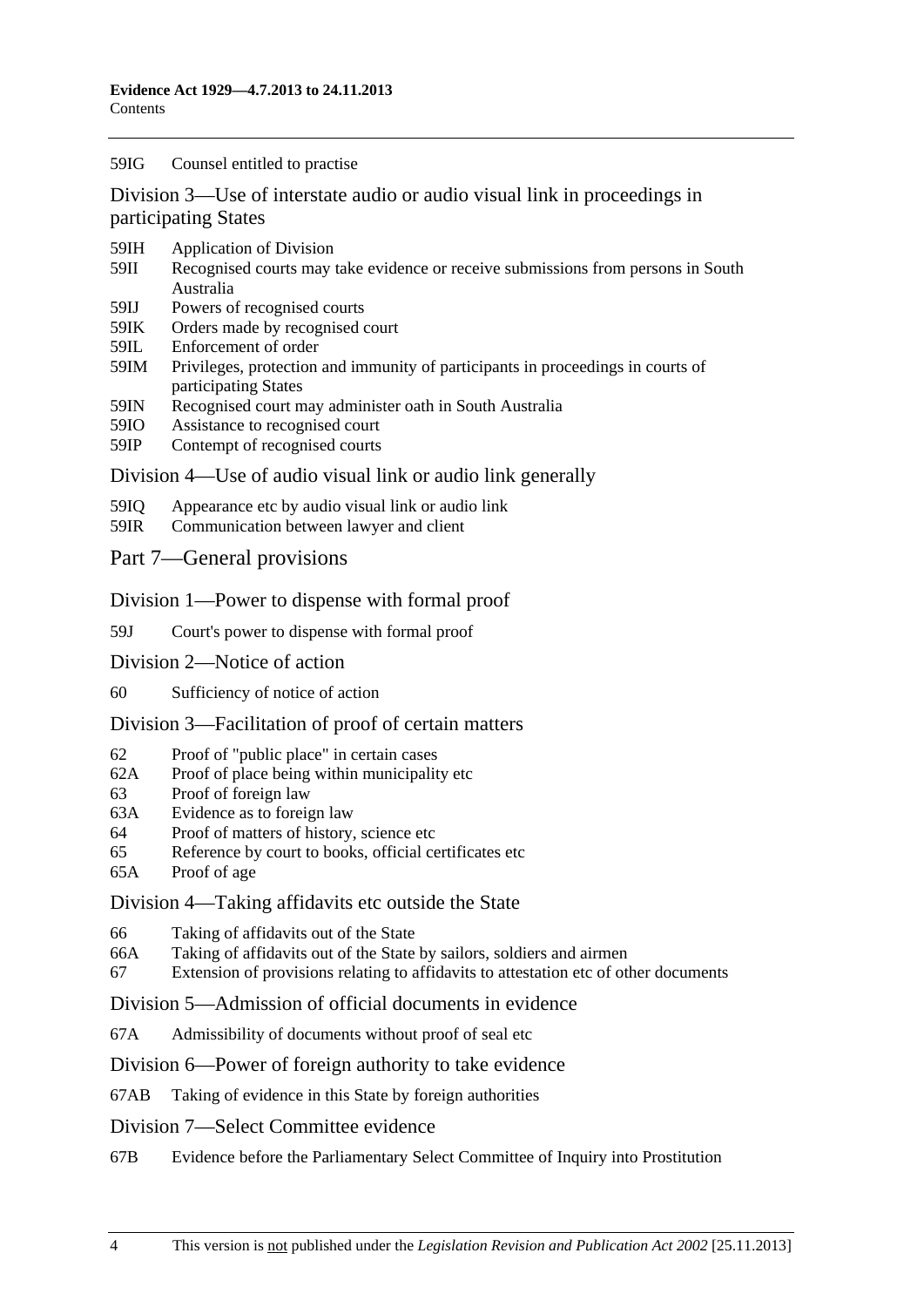#### [59IG Counsel entitled to practise](#page-59-0)

[Division 3—Use of interstate audio or audio visual link in proceedings in](#page-60-0)  [participating States](#page-60-0)

- [59IH Application of Division](#page-60-0)
- [59II Recognised courts may take evidence or receive submissions from persons in South](#page-60-0)  [Australia](#page-60-0)
- [59IJ Powers of recognised courts](#page-60-0)
- [59IK Orders made by recognised court](#page-60-0)
- [59IL Enforcement of order](#page-60-0)
- [59IM Privileges, protection and immunity of participants in proceedings in courts of](#page-61-0)  [participating States](#page-61-0)
- [59IN Recognised court may administer oath in South Australia](#page-61-0)
- [59IO Assistance to recognised court](#page-61-0)
- [59IP Contempt of recognised courts](#page-61-0)

#### [Division 4—Use of audio visual link or audio link generally](#page-62-0)

- [59IQ Appearance etc by audio visual link or audio link](#page-62-0)
- [59IR Communication between lawyer and client](#page-63-0)
- [Part 7—General provisions](#page-66-0)

#### [Division 1—Power to dispense with formal proof](#page-66-0)

- [59J Court's power to dispense with formal proof](#page-66-0)
- [Division 2—Notice of action](#page-66-0)
- [60 Sufficiency of notice of action](#page-66-0)

#### [Division 3—Facilitation of proof of certain matters](#page-66-0)

- [62 Proof of "public place" in certain cases](#page-66-0)
- [62A Proof of place being within municipality etc](#page-66-0)
- [63 Proof of foreign law](#page-67-0)
- [63A Evidence as to foreign law](#page-67-0)
- [64 Proof of matters of history, science etc](#page-67-0)
- [65 Reference by court to books, official certificates etc](#page-67-0)
- [65A Proof of age](#page-68-0)

#### [Division 4—Taking affidavits etc outside the State](#page-68-0)

- [66 Taking of affidavits out of the State](#page-68-0)
- [66A Taking of affidavits out of the State by sailors, soldiers and airmen](#page-69-0)
- [67 Extension of provisions relating to affidavits to attestation etc of other documents](#page-70-0)

#### [Division 5—Admission of official documents in evidence](#page-70-0)

[67A Admissibility of documents without proof of seal etc](#page-70-0)

#### [Division 6—Power of foreign authority to take evidence](#page-71-0)

[67AB Taking of evidence in this State by foreign authorities](#page-71-0) 

#### [Division 7—Select Committee evidence](#page-71-0)

[67B Evidence before the Parliamentary Select Committee of Inquiry into Prostitution](#page-71-0)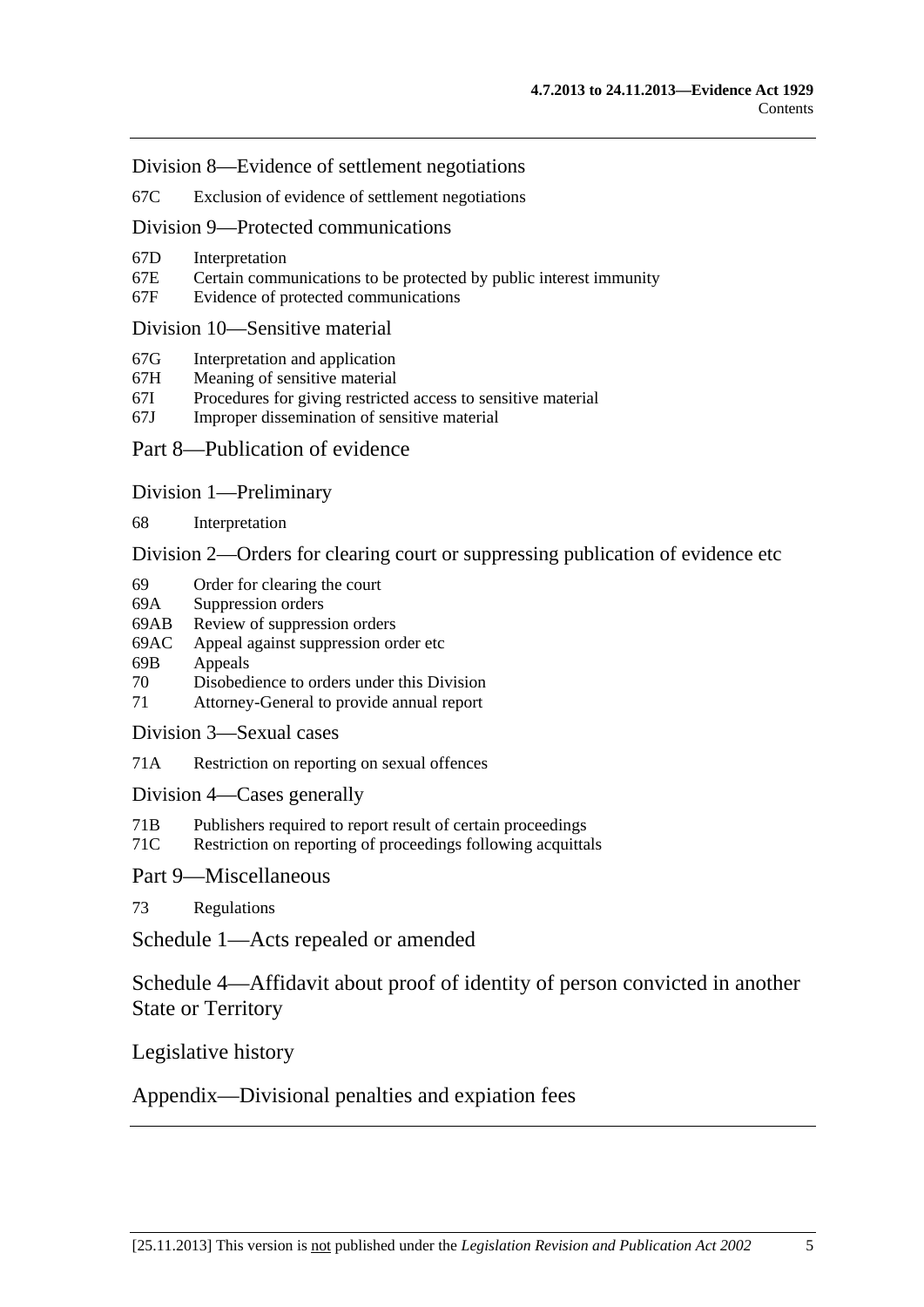[Division 8—Evidence of settlement negotiations](#page-72-0) 

[67C Exclusion of evidence of settlement negotiations](#page-72-0) 

#### [Division 9—Protected communications](#page-73-0)

- [67D Interpretation](#page-73-0)
- [67E Certain communications to be protected by public interest immunity](#page-73-0)
- [67F Evidence of protected communications](#page-74-0)

#### [Division 10—Sensitive material](#page-75-0)

- [67G Interpretation and application](#page-75-0)
- [67H Meaning of sensitive material](#page-77-0)
- [67I Procedures for giving restricted access to sensitive material](#page-77-0)
- [67J Improper dissemination of sensitive material](#page-78-0)

#### [Part 8—Publication of evidence](#page-80-0)

[Division 1—Preliminary](#page-80-0)

[68 Interpretation](#page-80-0) 

[Division 2—Orders for clearing court or suppressing publication of evidence etc](#page-80-0) 

- [69 Order for clearing the court](#page-80-0)
- [69A Suppression orders](#page-81-0)
- [69AB Review of suppression orders](#page-83-0)
- [69AC Appeal against suppression order etc](#page-84-0)
- [69B Appeals](#page-84-0)
- [70 Disobedience to orders under this Division](#page-85-0)
- [71 Attorney-General to provide annual report](#page-85-0)
- [Division 3—Sexual cases](#page-86-0)
- [71A Restriction on reporting on sexual offences](#page-86-0)

[Division 4—Cases generally](#page-88-0) 

- [71B Publishers required to report result of certain proceedings](#page-88-0)
- [71C Restriction on reporting of proceedings following acquittals](#page-89-0)
- [Part 9—Miscellaneous](#page-90-0)
- [73 Regulations](#page-90-0)

[Schedule 1—Acts repealed or amended](#page-92-0) 

[Schedule 4—Affidavit about proof of identity of person convicted in another](#page-93-0)  [State or Territory](#page-93-0)

[Legislative history](#page-94-0) 

[Appendix—Divisional penalties and expiation fees](#page-106-0)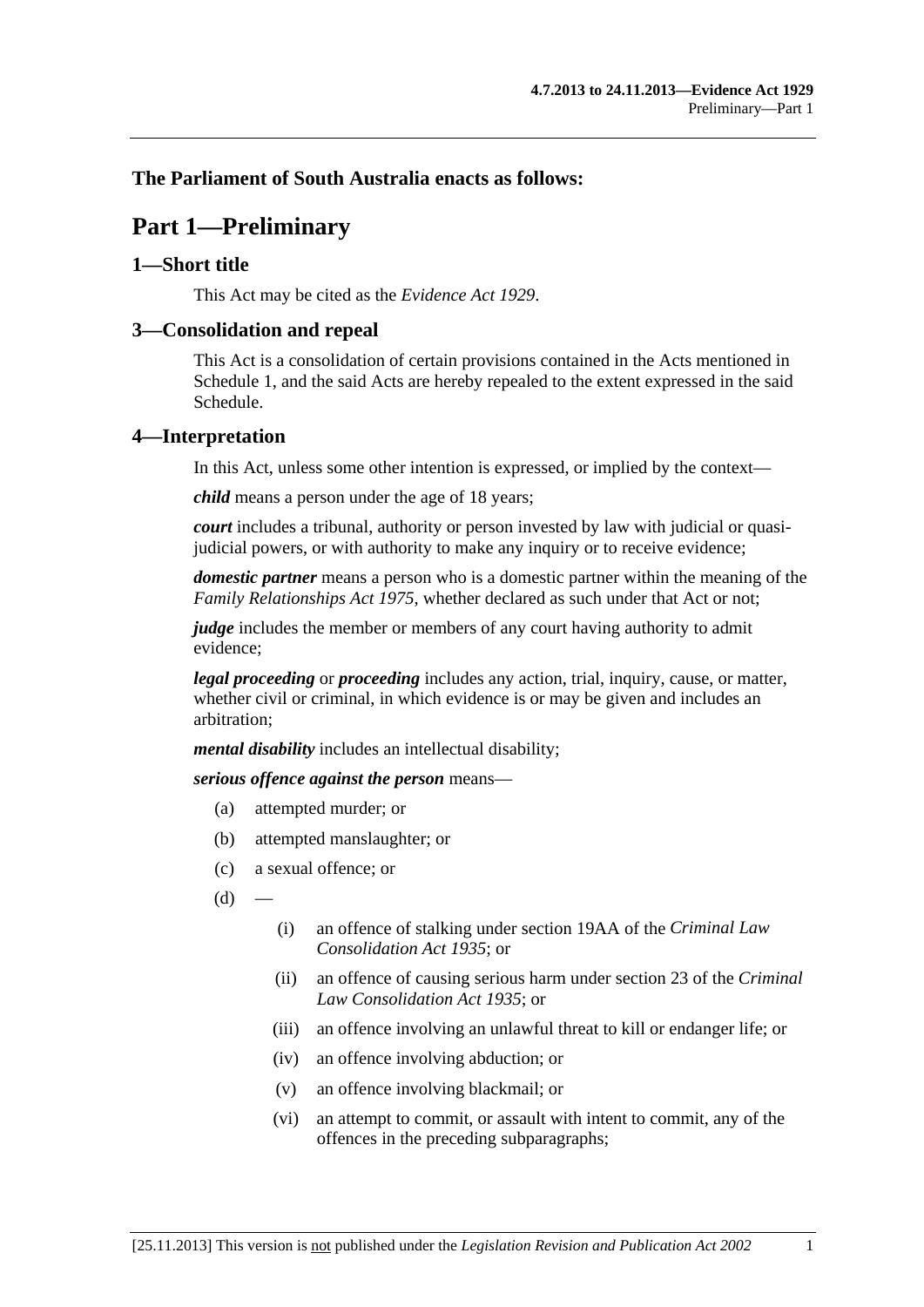# <span id="page-6-0"></span>**The Parliament of South Australia enacts as follows:**

# **Part 1—Preliminary**

#### **1—Short title**

This Act may be cited as the *Evidence Act 1929*.

# **3—Consolidation and repeal**

This Act is a consolidation of certain provisions contained in the Acts mentioned in [Schedule 1,](#page-92-0) and the said Acts are hereby repealed to the extent expressed in the said Schedule.

#### **4—Interpretation**

In this Act, unless some other intention is expressed, or implied by the context—

*child* means a person under the age of 18 years;

*court* includes a tribunal, authority or person invested by law with judicial or quasijudicial powers, or with authority to make any inquiry or to receive evidence;

*domestic partner* means a person who is a domestic partner within the meaning of the *[Family Relationships Act 1975](http://www.legislation.sa.gov.au/index.aspx?action=legref&type=act&legtitle=Family%20Relationships%20Act%201975)*, whether declared as such under that Act or not;

*judge* includes the member or members of any court having authority to admit evidence;

*legal proceeding* or *proceeding* includes any action, trial, inquiry, cause, or matter, whether civil or criminal, in which evidence is or may be given and includes an arbitration;

*mental disability* includes an intellectual disability;

*serious offence against the person* means—

- (a) attempted murder; or
- (b) attempted manslaughter; or
- (c) a sexual offence; or
- $(d)$
- (i) an offence of stalking under section 19AA of the *[Criminal Law](http://www.legislation.sa.gov.au/index.aspx?action=legref&type=act&legtitle=Criminal%20Law%20Consolidation%20Act%201935)  [Consolidation Act 1935](http://www.legislation.sa.gov.au/index.aspx?action=legref&type=act&legtitle=Criminal%20Law%20Consolidation%20Act%201935)*; or
- (ii) an offence of causing serious harm under section 23 of the *[Criminal](http://www.legislation.sa.gov.au/index.aspx?action=legref&type=act&legtitle=Criminal%20Law%20Consolidation%20Act%201935)  [Law Consolidation Act 1935](http://www.legislation.sa.gov.au/index.aspx?action=legref&type=act&legtitle=Criminal%20Law%20Consolidation%20Act%201935)*; or
- (iii) an offence involving an unlawful threat to kill or endanger life; or
- (iv) an offence involving abduction; or
- (v) an offence involving blackmail; or
- (vi) an attempt to commit, or assault with intent to commit, any of the offences in the preceding subparagraphs;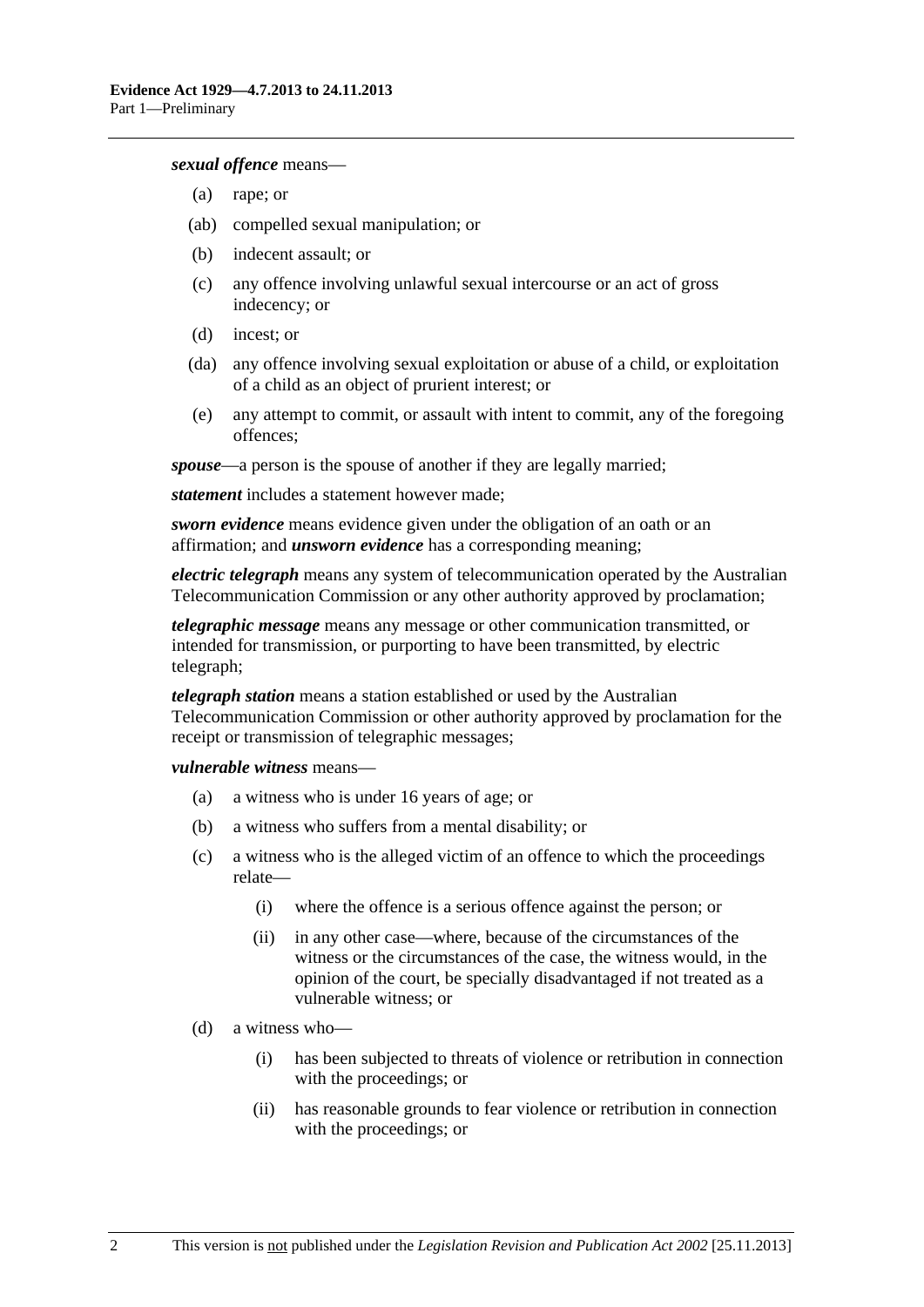#### *sexual offence* means—

- (a) rape; or
- (ab) compelled sexual manipulation; or
- (b) indecent assault; or
- (c) any offence involving unlawful sexual intercourse or an act of gross indecency; or
- (d) incest; or
- (da) any offence involving sexual exploitation or abuse of a child, or exploitation of a child as an object of prurient interest; or
- (e) any attempt to commit, or assault with intent to commit, any of the foregoing offences;

*spouse*—a person is the spouse of another if they are legally married;

*statement* includes a statement however made;

*sworn evidence* means evidence given under the obligation of an oath or an affirmation; and *unsworn evidence* has a corresponding meaning;

*electric telegraph* means any system of telecommunication operated by the Australian Telecommunication Commission or any other authority approved by proclamation;

*telegraphic message* means any message or other communication transmitted, or intended for transmission, or purporting to have been transmitted, by electric telegraph;

*telegraph station* means a station established or used by the Australian Telecommunication Commission or other authority approved by proclamation for the receipt or transmission of telegraphic messages;

*vulnerable witness* means—

- (a) a witness who is under 16 years of age; or
- (b) a witness who suffers from a mental disability; or
- (c) a witness who is the alleged victim of an offence to which the proceedings relate—
	- (i) where the offence is a serious offence against the person; or
	- (ii) in any other case—where, because of the circumstances of the witness or the circumstances of the case, the witness would, in the opinion of the court, be specially disadvantaged if not treated as a vulnerable witness; or
- (d) a witness who—
	- (i) has been subjected to threats of violence or retribution in connection with the proceedings; or
	- (ii) has reasonable grounds to fear violence or retribution in connection with the proceedings; or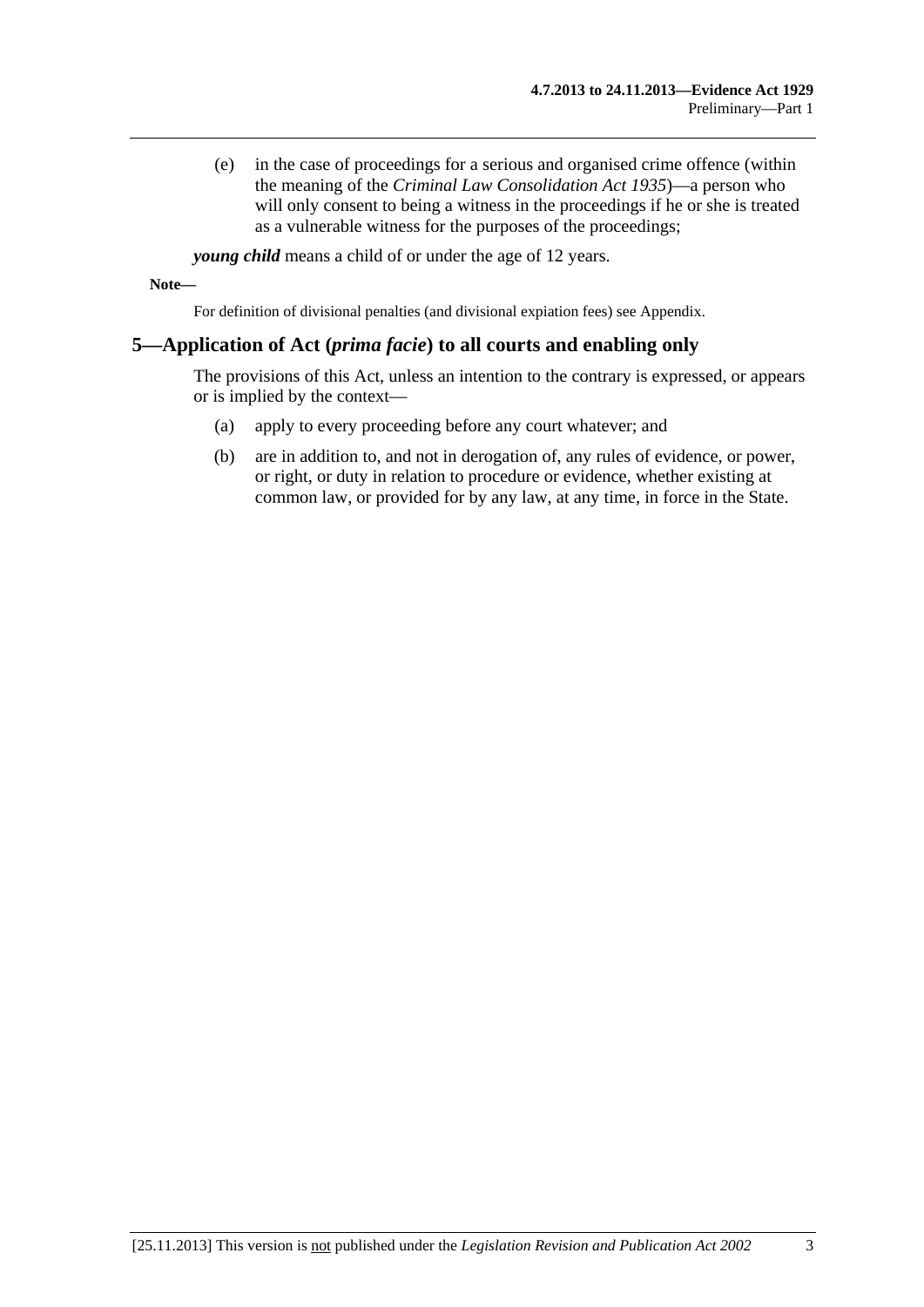<span id="page-8-0"></span> (e) in the case of proceedings for a serious and organised crime offence (within the meaning of the *[Criminal Law Consolidation Act 1935](http://www.legislation.sa.gov.au/index.aspx?action=legref&type=act&legtitle=Criminal%20Law%20Consolidation%20Act%201935)*)—a person who will only consent to being a witness in the proceedings if he or she is treated as a vulnerable witness for the purposes of the proceedings;

*young child* means a child of or under the age of 12 years.

**Note—** 

For definition of divisional penalties (and divisional expiation fees) see Appendix.

#### **5—Application of Act (***prima facie***) to all courts and enabling only**

The provisions of this Act, unless an intention to the contrary is expressed, or appears or is implied by the context—

- (a) apply to every proceeding before any court whatever; and
- (b) are in addition to, and not in derogation of, any rules of evidence, or power, or right, or duty in relation to procedure or evidence, whether existing at common law, or provided for by any law, at any time, in force in the State.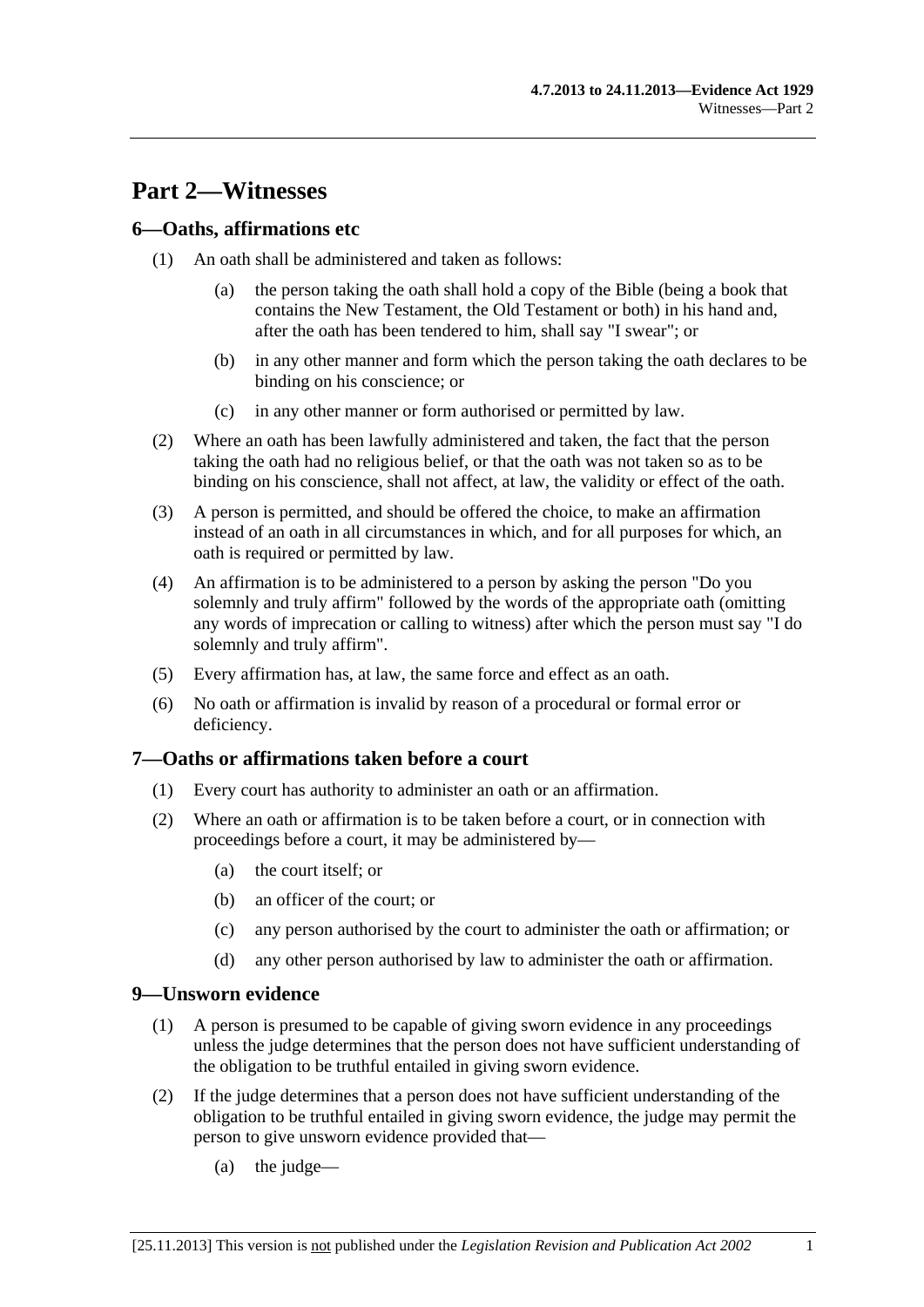# <span id="page-10-0"></span>**Part 2—Witnesses**

### **6—Oaths, affirmations etc**

- (1) An oath shall be administered and taken as follows:
	- (a) the person taking the oath shall hold a copy of the Bible (being a book that contains the New Testament, the Old Testament or both) in his hand and, after the oath has been tendered to him, shall say "I swear"; or
	- (b) in any other manner and form which the person taking the oath declares to be binding on his conscience; or
	- (c) in any other manner or form authorised or permitted by law.
- (2) Where an oath has been lawfully administered and taken, the fact that the person taking the oath had no religious belief, or that the oath was not taken so as to be binding on his conscience, shall not affect, at law, the validity or effect of the oath.
- (3) A person is permitted, and should be offered the choice, to make an affirmation instead of an oath in all circumstances in which, and for all purposes for which, an oath is required or permitted by law.
- (4) An affirmation is to be administered to a person by asking the person "Do you solemnly and truly affirm" followed by the words of the appropriate oath (omitting any words of imprecation or calling to witness) after which the person must say "I do solemnly and truly affirm".
- (5) Every affirmation has, at law, the same force and effect as an oath.
- (6) No oath or affirmation is invalid by reason of a procedural or formal error or deficiency.

#### **7—Oaths or affirmations taken before a court**

- (1) Every court has authority to administer an oath or an affirmation.
- (2) Where an oath or affirmation is to be taken before a court, or in connection with proceedings before a court, it may be administered by—
	- (a) the court itself; or
	- (b) an officer of the court; or
	- (c) any person authorised by the court to administer the oath or affirmation; or
	- (d) any other person authorised by law to administer the oath or affirmation.

#### **9—Unsworn evidence**

- (1) A person is presumed to be capable of giving sworn evidence in any proceedings unless the judge determines that the person does not have sufficient understanding of the obligation to be truthful entailed in giving sworn evidence.
- (2) If the judge determines that a person does not have sufficient understanding of the obligation to be truthful entailed in giving sworn evidence, the judge may permit the person to give unsworn evidence provided that—
	- (a) the judge—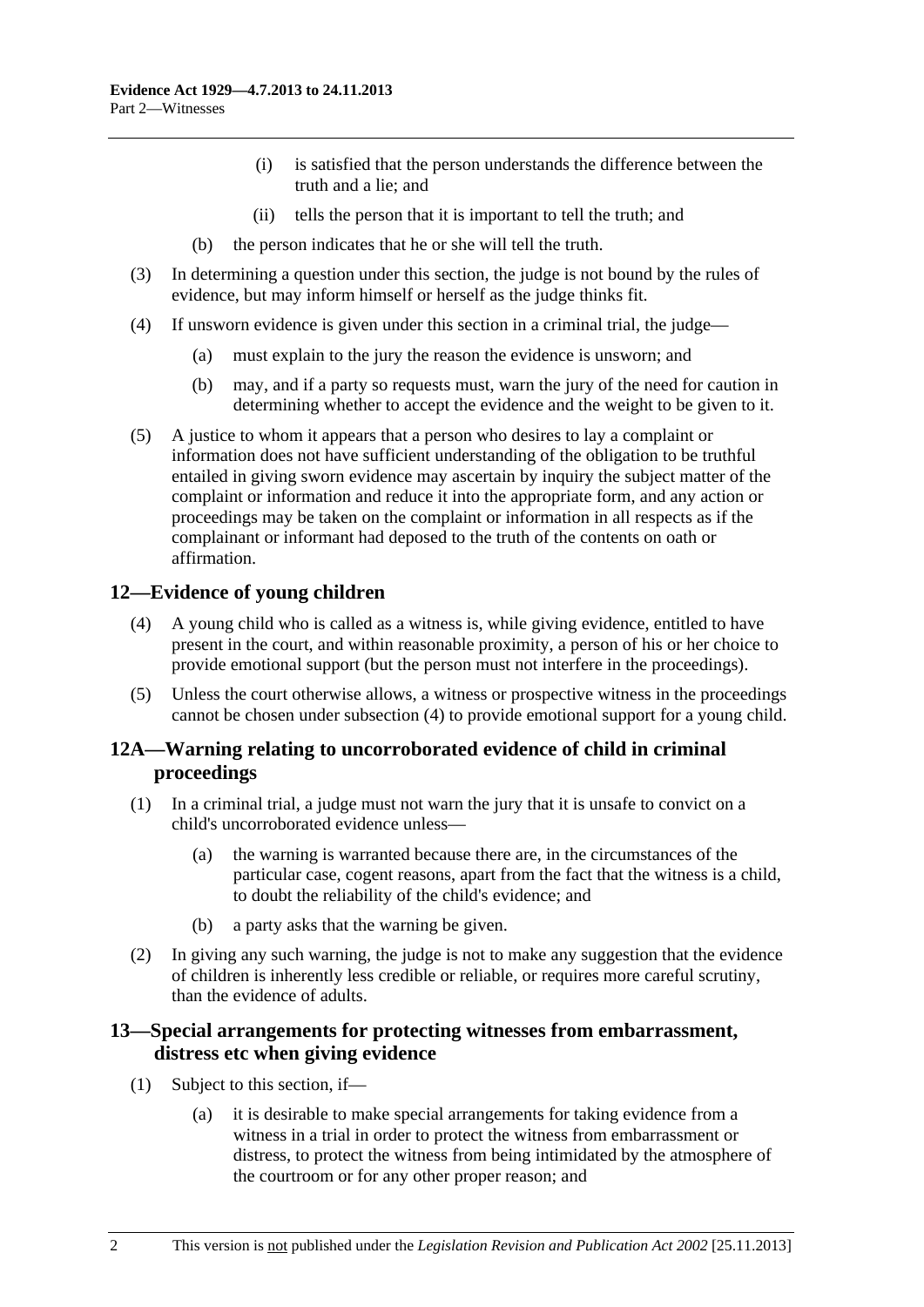- (i) is satisfied that the person understands the difference between the truth and a lie; and
- (ii) tells the person that it is important to tell the truth; and
- (b) the person indicates that he or she will tell the truth.
- <span id="page-11-0"></span> (3) In determining a question under this section, the judge is not bound by the rules of evidence, but may inform himself or herself as the judge thinks fit.
- (4) If unsworn evidence is given under this section in a criminal trial, the judge—
	- (a) must explain to the jury the reason the evidence is unsworn; and
	- (b) may, and if a party so requests must, warn the jury of the need for caution in determining whether to accept the evidence and the weight to be given to it.
- (5) A justice to whom it appears that a person who desires to lay a complaint or information does not have sufficient understanding of the obligation to be truthful entailed in giving sworn evidence may ascertain by inquiry the subject matter of the complaint or information and reduce it into the appropriate form, and any action or proceedings may be taken on the complaint or information in all respects as if the complainant or informant had deposed to the truth of the contents on oath or affirmation.

# **12—Evidence of young children**

- (4) A young child who is called as a witness is, while giving evidence, entitled to have present in the court, and within reasonable proximity, a person of his or her choice to provide emotional support (but the person must not interfere in the proceedings).
- (5) Unless the court otherwise allows, a witness or prospective witness in the proceedings cannot be chosen under [subsection \(4\)](#page-11-0) to provide emotional support for a young child.

# **12A—Warning relating to uncorroborated evidence of child in criminal proceedings**

- (1) In a criminal trial, a judge must not warn the jury that it is unsafe to convict on a child's uncorroborated evidence unless—
	- (a) the warning is warranted because there are, in the circumstances of the particular case, cogent reasons, apart from the fact that the witness is a child, to doubt the reliability of the child's evidence; and
	- (b) a party asks that the warning be given.
- (2) In giving any such warning, the judge is not to make any suggestion that the evidence of children is inherently less credible or reliable, or requires more careful scrutiny, than the evidence of adults.

# **13—Special arrangements for protecting witnesses from embarrassment, distress etc when giving evidence**

- (1) Subject to this section, if—
	- (a) it is desirable to make special arrangements for taking evidence from a witness in a trial in order to protect the witness from embarrassment or distress, to protect the witness from being intimidated by the atmosphere of the courtroom or for any other proper reason; and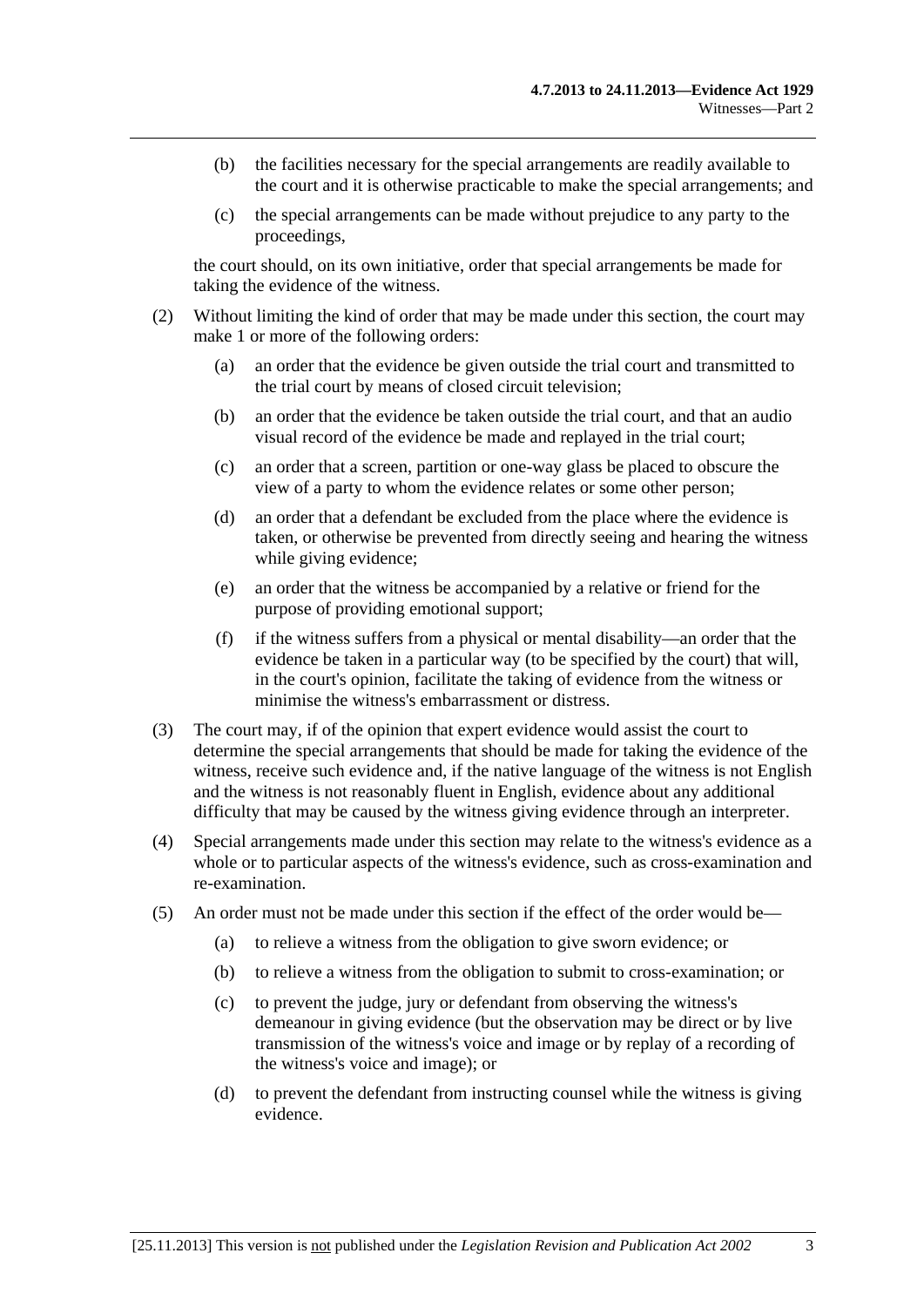- (b) the facilities necessary for the special arrangements are readily available to the court and it is otherwise practicable to make the special arrangements; and
- (c) the special arrangements can be made without prejudice to any party to the proceedings,

the court should, on its own initiative, order that special arrangements be made for taking the evidence of the witness.

- (2) Without limiting the kind of order that may be made under this section, the court may make 1 or more of the following orders:
	- (a) an order that the evidence be given outside the trial court and transmitted to the trial court by means of closed circuit television;
	- (b) an order that the evidence be taken outside the trial court, and that an audio visual record of the evidence be made and replayed in the trial court;
	- (c) an order that a screen, partition or one-way glass be placed to obscure the view of a party to whom the evidence relates or some other person;
	- (d) an order that a defendant be excluded from the place where the evidence is taken, or otherwise be prevented from directly seeing and hearing the witness while giving evidence;
	- (e) an order that the witness be accompanied by a relative or friend for the purpose of providing emotional support;
	- (f) if the witness suffers from a physical or mental disability—an order that the evidence be taken in a particular way (to be specified by the court) that will, in the court's opinion, facilitate the taking of evidence from the witness or minimise the witness's embarrassment or distress.
- (3) The court may, if of the opinion that expert evidence would assist the court to determine the special arrangements that should be made for taking the evidence of the witness, receive such evidence and, if the native language of the witness is not English and the witness is not reasonably fluent in English, evidence about any additional difficulty that may be caused by the witness giving evidence through an interpreter.
- (4) Special arrangements made under this section may relate to the witness's evidence as a whole or to particular aspects of the witness's evidence, such as cross-examination and re-examination.
- (5) An order must not be made under this section if the effect of the order would be—
	- (a) to relieve a witness from the obligation to give sworn evidence; or
	- (b) to relieve a witness from the obligation to submit to cross-examination; or
	- (c) to prevent the judge, jury or defendant from observing the witness's demeanour in giving evidence (but the observation may be direct or by live transmission of the witness's voice and image or by replay of a recording of the witness's voice and image); or
	- (d) to prevent the defendant from instructing counsel while the witness is giving evidence.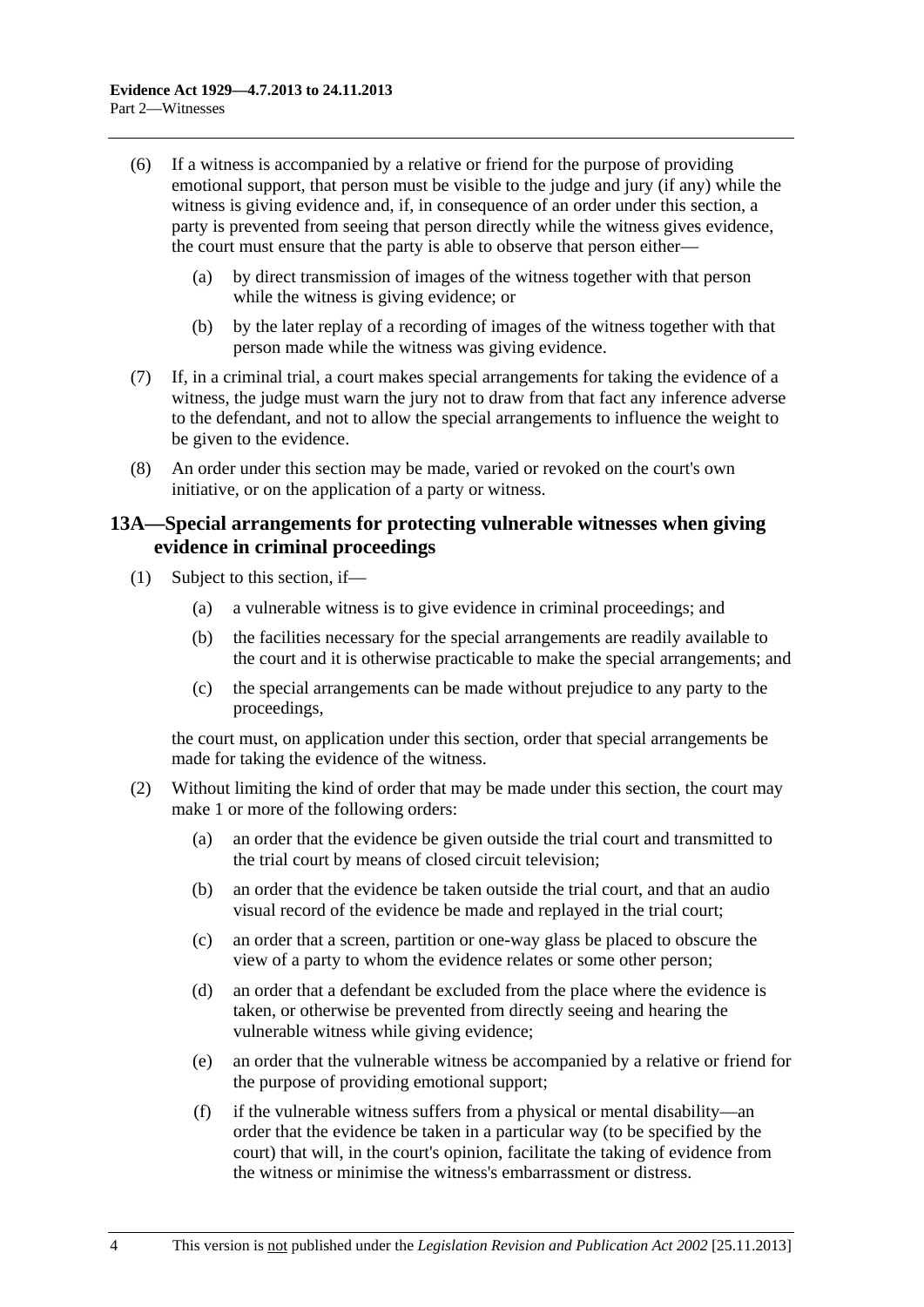- <span id="page-13-0"></span> (6) If a witness is accompanied by a relative or friend for the purpose of providing emotional support, that person must be visible to the judge and jury (if any) while the witness is giving evidence and, if, in consequence of an order under this section, a party is prevented from seeing that person directly while the witness gives evidence, the court must ensure that the party is able to observe that person either—
	- (a) by direct transmission of images of the witness together with that person while the witness is giving evidence; or
	- (b) by the later replay of a recording of images of the witness together with that person made while the witness was giving evidence.
- (7) If, in a criminal trial, a court makes special arrangements for taking the evidence of a witness, the judge must warn the jury not to draw from that fact any inference adverse to the defendant, and not to allow the special arrangements to influence the weight to be given to the evidence.
- (8) An order under this section may be made, varied or revoked on the court's own initiative, or on the application of a party or witness.

# **13A—Special arrangements for protecting vulnerable witnesses when giving evidence in criminal proceedings**

- (1) Subject to this section, if—
	- (a) a vulnerable witness is to give evidence in criminal proceedings; and
	- (b) the facilities necessary for the special arrangements are readily available to the court and it is otherwise practicable to make the special arrangements; and
	- (c) the special arrangements can be made without prejudice to any party to the proceedings,

the court must, on application under this section, order that special arrangements be made for taking the evidence of the witness.

- (2) Without limiting the kind of order that may be made under this section, the court may make 1 or more of the following orders:
	- (a) an order that the evidence be given outside the trial court and transmitted to the trial court by means of closed circuit television;
	- (b) an order that the evidence be taken outside the trial court, and that an audio visual record of the evidence be made and replayed in the trial court;
	- (c) an order that a screen, partition or one-way glass be placed to obscure the view of a party to whom the evidence relates or some other person;
	- (d) an order that a defendant be excluded from the place where the evidence is taken, or otherwise be prevented from directly seeing and hearing the vulnerable witness while giving evidence;
	- (e) an order that the vulnerable witness be accompanied by a relative or friend for the purpose of providing emotional support;
	- (f) if the vulnerable witness suffers from a physical or mental disability—an order that the evidence be taken in a particular way (to be specified by the court) that will, in the court's opinion, facilitate the taking of evidence from the witness or minimise the witness's embarrassment or distress.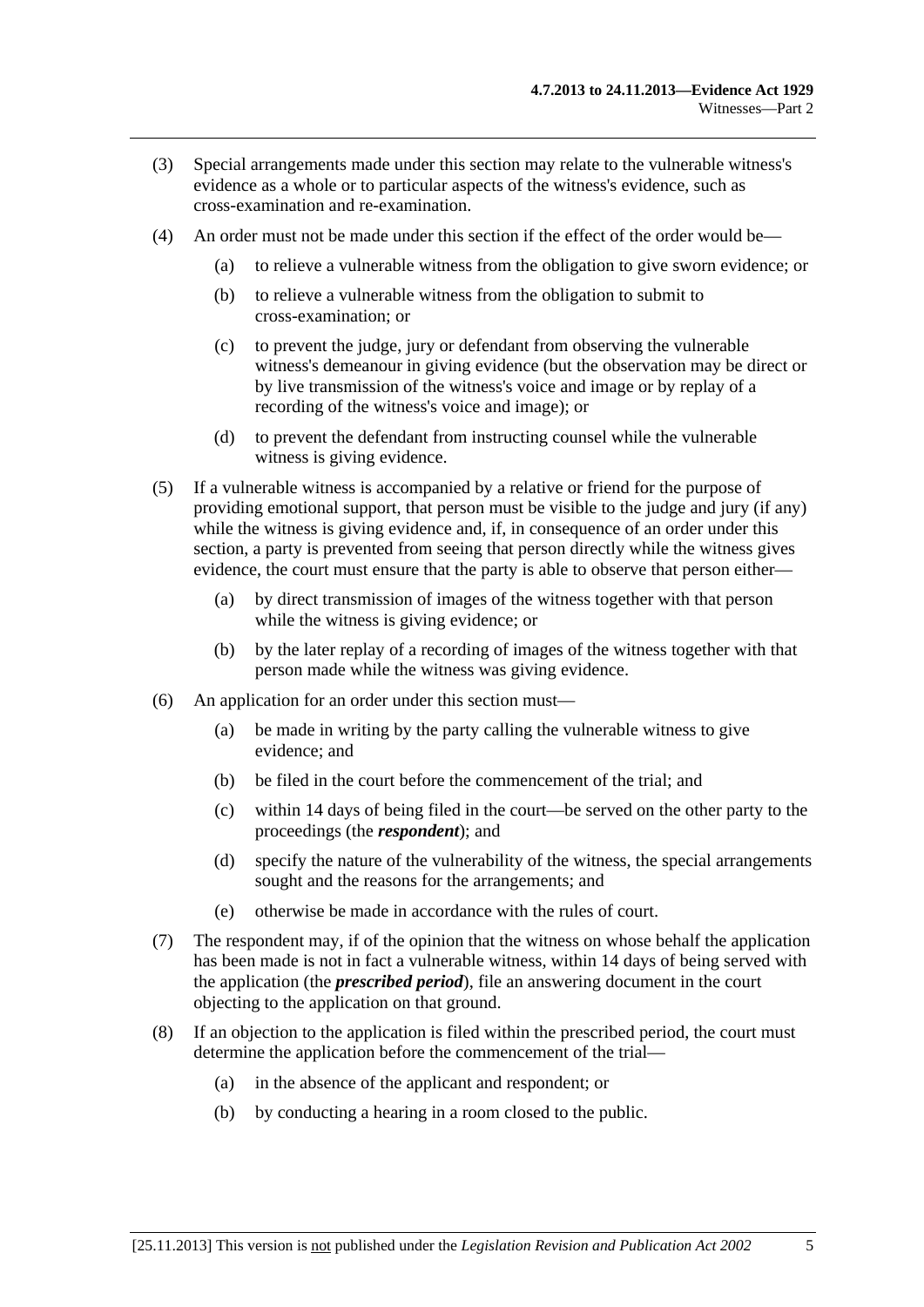- (3) Special arrangements made under this section may relate to the vulnerable witness's evidence as a whole or to particular aspects of the witness's evidence, such as cross-examination and re-examination.
- (4) An order must not be made under this section if the effect of the order would be—
	- (a) to relieve a vulnerable witness from the obligation to give sworn evidence; or
	- (b) to relieve a vulnerable witness from the obligation to submit to cross-examination; or
	- (c) to prevent the judge, jury or defendant from observing the vulnerable witness's demeanour in giving evidence (but the observation may be direct or by live transmission of the witness's voice and image or by replay of a recording of the witness's voice and image); or
	- (d) to prevent the defendant from instructing counsel while the vulnerable witness is giving evidence.
- (5) If a vulnerable witness is accompanied by a relative or friend for the purpose of providing emotional support, that person must be visible to the judge and jury (if any) while the witness is giving evidence and, if, in consequence of an order under this section, a party is prevented from seeing that person directly while the witness gives evidence, the court must ensure that the party is able to observe that person either—
	- (a) by direct transmission of images of the witness together with that person while the witness is giving evidence; or
	- (b) by the later replay of a recording of images of the witness together with that person made while the witness was giving evidence.
- (6) An application for an order under this section must—
	- (a) be made in writing by the party calling the vulnerable witness to give evidence; and
	- $(b)$  be filed in the court before the commencement of the trial; and
	- (c) within 14 days of being filed in the court—be served on the other party to the proceedings (the *respondent*); and
	- (d) specify the nature of the vulnerability of the witness, the special arrangements sought and the reasons for the arrangements; and
	- (e) otherwise be made in accordance with the rules of court.
- (7) The respondent may, if of the opinion that the witness on whose behalf the application has been made is not in fact a vulnerable witness, within 14 days of being served with the application (the *prescribed period*), file an answering document in the court objecting to the application on that ground.
- (8) If an objection to the application is filed within the prescribed period, the court must determine the application before the commencement of the trial—
	- (a) in the absence of the applicant and respondent; or
	- (b) by conducting a hearing in a room closed to the public.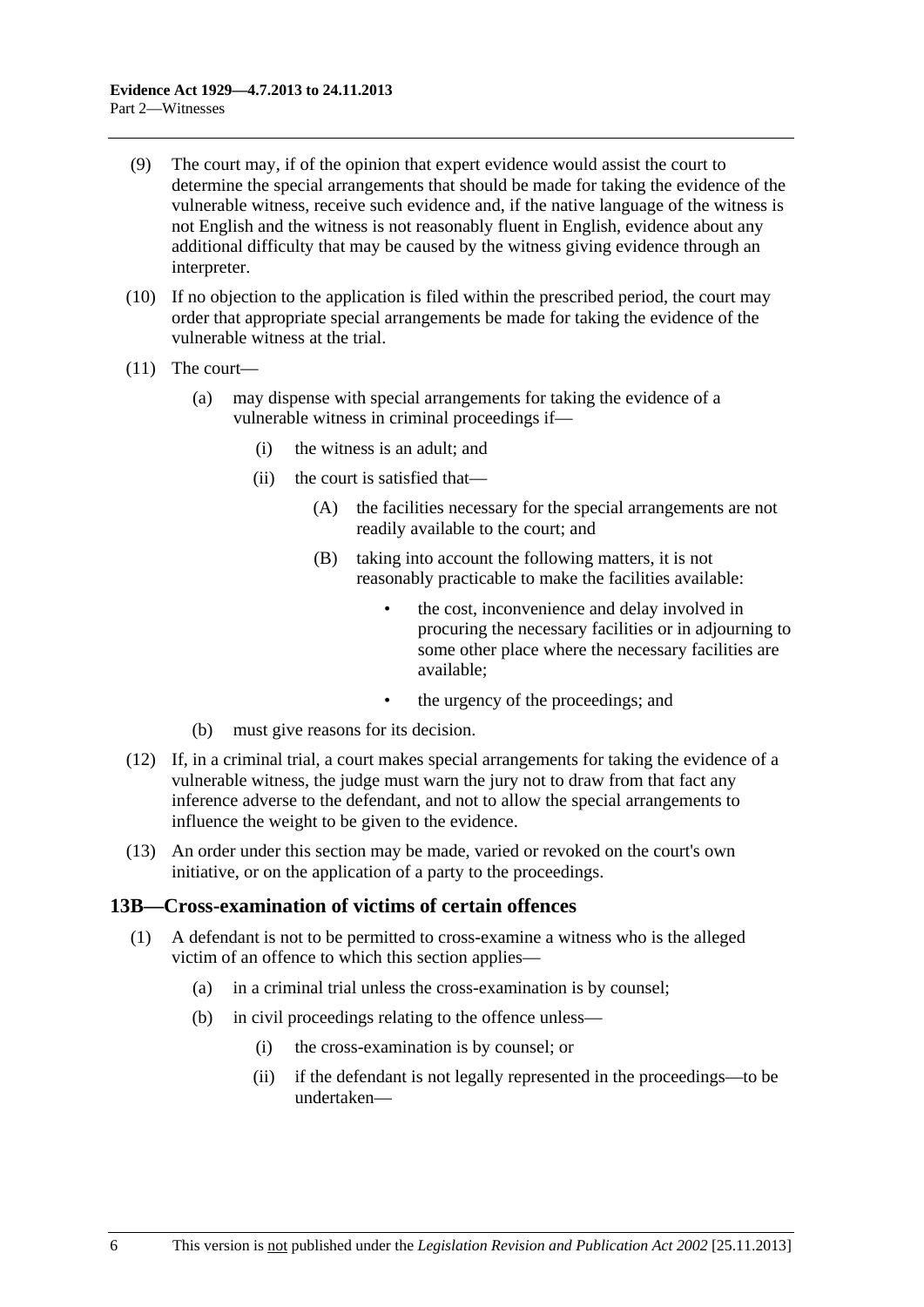- <span id="page-15-0"></span> (9) The court may, if of the opinion that expert evidence would assist the court to determine the special arrangements that should be made for taking the evidence of the vulnerable witness, receive such evidence and, if the native language of the witness is not English and the witness is not reasonably fluent in English, evidence about any additional difficulty that may be caused by the witness giving evidence through an interpreter.
- (10) If no objection to the application is filed within the prescribed period, the court may order that appropriate special arrangements be made for taking the evidence of the vulnerable witness at the trial.
- (11) The court—
	- (a) may dispense with special arrangements for taking the evidence of a vulnerable witness in criminal proceedings if—
		- (i) the witness is an adult; and
		- (ii) the court is satisfied that—
			- (A) the facilities necessary for the special arrangements are not readily available to the court; and
			- (B) taking into account the following matters, it is not reasonably practicable to make the facilities available:
				- the cost, inconvenience and delay involved in procuring the necessary facilities or in adjourning to some other place where the necessary facilities are available;
				- the urgency of the proceedings; and
	- (b) must give reasons for its decision.
- (12) If, in a criminal trial, a court makes special arrangements for taking the evidence of a vulnerable witness, the judge must warn the jury not to draw from that fact any inference adverse to the defendant, and not to allow the special arrangements to influence the weight to be given to the evidence.
- (13) An order under this section may be made, varied or revoked on the court's own initiative, or on the application of a party to the proceedings.

#### **13B—Cross-examination of victims of certain offences**

- (1) A defendant is not to be permitted to cross-examine a witness who is the alleged victim of an offence to which this section applies—
	- (a) in a criminal trial unless the cross-examination is by counsel;
	- (b) in civil proceedings relating to the offence unless—
		- (i) the cross-examination is by counsel; or
		- (ii) if the defendant is not legally represented in the proceedings—to be undertaken—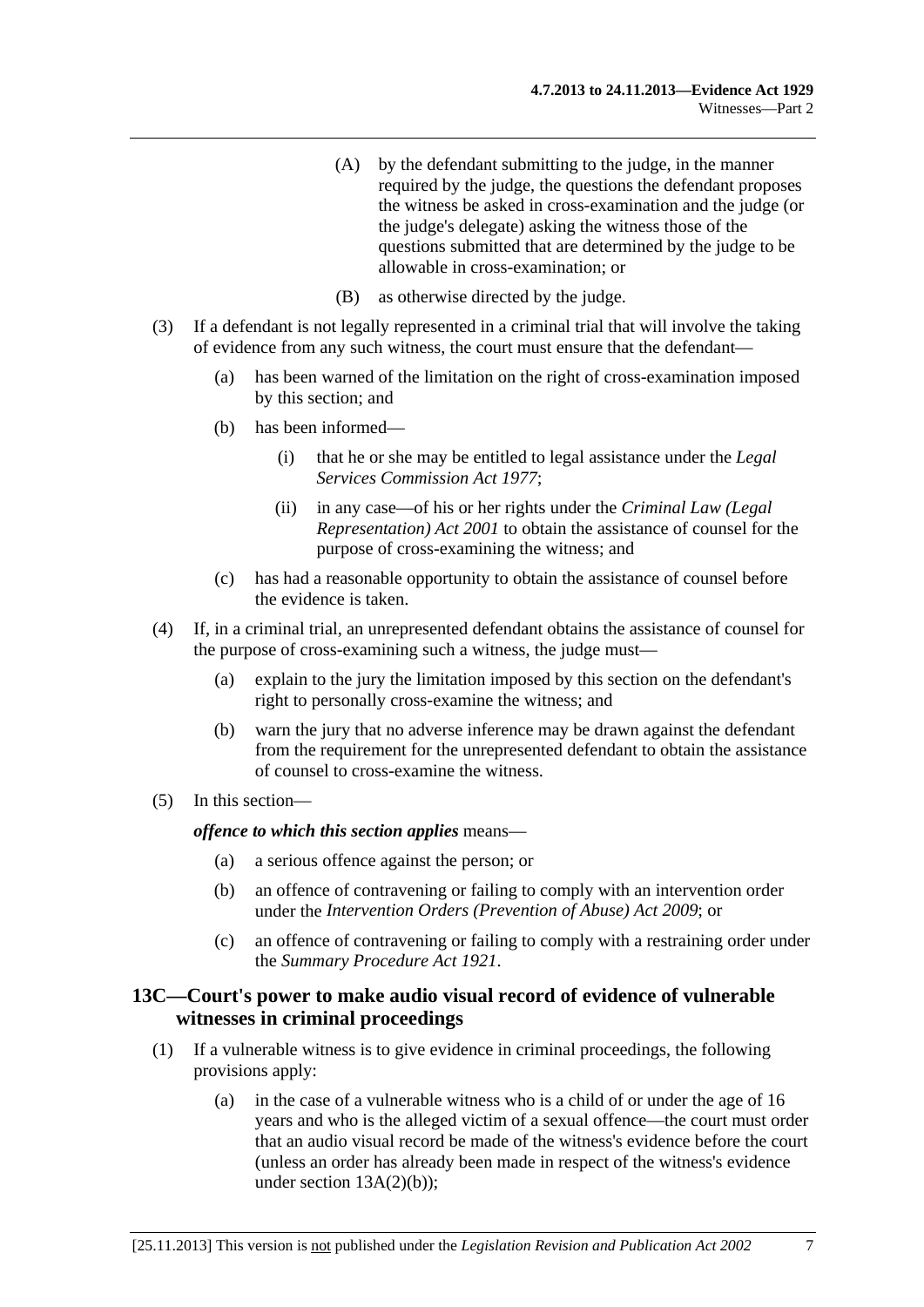- (A) by the defendant submitting to the judge, in the manner required by the judge, the questions the defendant proposes the witness be asked in cross-examination and the judge (or the judge's delegate) asking the witness those of the questions submitted that are determined by the judge to be allowable in cross-examination; or
- (B) as otherwise directed by the judge.
- <span id="page-16-0"></span> (3) If a defendant is not legally represented in a criminal trial that will involve the taking of evidence from any such witness, the court must ensure that the defendant—
	- (a) has been warned of the limitation on the right of cross-examination imposed by this section; and
	- (b) has been informed—
		- (i) that he or she may be entitled to legal assistance under the *[Legal](http://www.legislation.sa.gov.au/index.aspx?action=legref&type=act&legtitle=Legal%20Services%20Commission%20Act%201977)  [Services Commission Act 1977](http://www.legislation.sa.gov.au/index.aspx?action=legref&type=act&legtitle=Legal%20Services%20Commission%20Act%201977)*;
		- (ii) in any case—of his or her rights under the *[Criminal Law \(Legal](http://www.legislation.sa.gov.au/index.aspx?action=legref&type=act&legtitle=Criminal%20Law%20(Legal%20Representation)%20Act%202001)  [Representation\) Act 2001](http://www.legislation.sa.gov.au/index.aspx?action=legref&type=act&legtitle=Criminal%20Law%20(Legal%20Representation)%20Act%202001)* to obtain the assistance of counsel for the purpose of cross-examining the witness; and
	- (c) has had a reasonable opportunity to obtain the assistance of counsel before the evidence is taken.
- (4) If, in a criminal trial, an unrepresented defendant obtains the assistance of counsel for the purpose of cross-examining such a witness, the judge must—
	- (a) explain to the jury the limitation imposed by this section on the defendant's right to personally cross-examine the witness; and
	- (b) warn the jury that no adverse inference may be drawn against the defendant from the requirement for the unrepresented defendant to obtain the assistance of counsel to cross-examine the witness.
- (5) In this section—

*offence to which this section applies* means—

- (a) a serious offence against the person; or
- (b) an offence of contravening or failing to comply with an intervention order under the *[Intervention Orders \(Prevention of Abuse\) Act 2009](http://www.legislation.sa.gov.au/index.aspx?action=legref&type=act&legtitle=Intervention%20Orders%20(Prevention%20of%20Abuse)%20Act%202009)*; or
- (c) an offence of contravening or failing to comply with a restraining order under the *[Summary Procedure Act 1921](http://www.legislation.sa.gov.au/index.aspx?action=legref&type=act&legtitle=Summary%20Procedure%20Act%201921)*.

# **13C—Court's power to make audio visual record of evidence of vulnerable witnesses in criminal proceedings**

- (1) If a vulnerable witness is to give evidence in criminal proceedings, the following provisions apply:
	- (a) in the case of a vulnerable witness who is a child of or under the age of 16 years and who is the alleged victim of a sexual offence—the court must order that an audio visual record be made of the witness's evidence before the court (unless an order has already been made in respect of the witness's evidence under section  $13A(2)(b)$ ;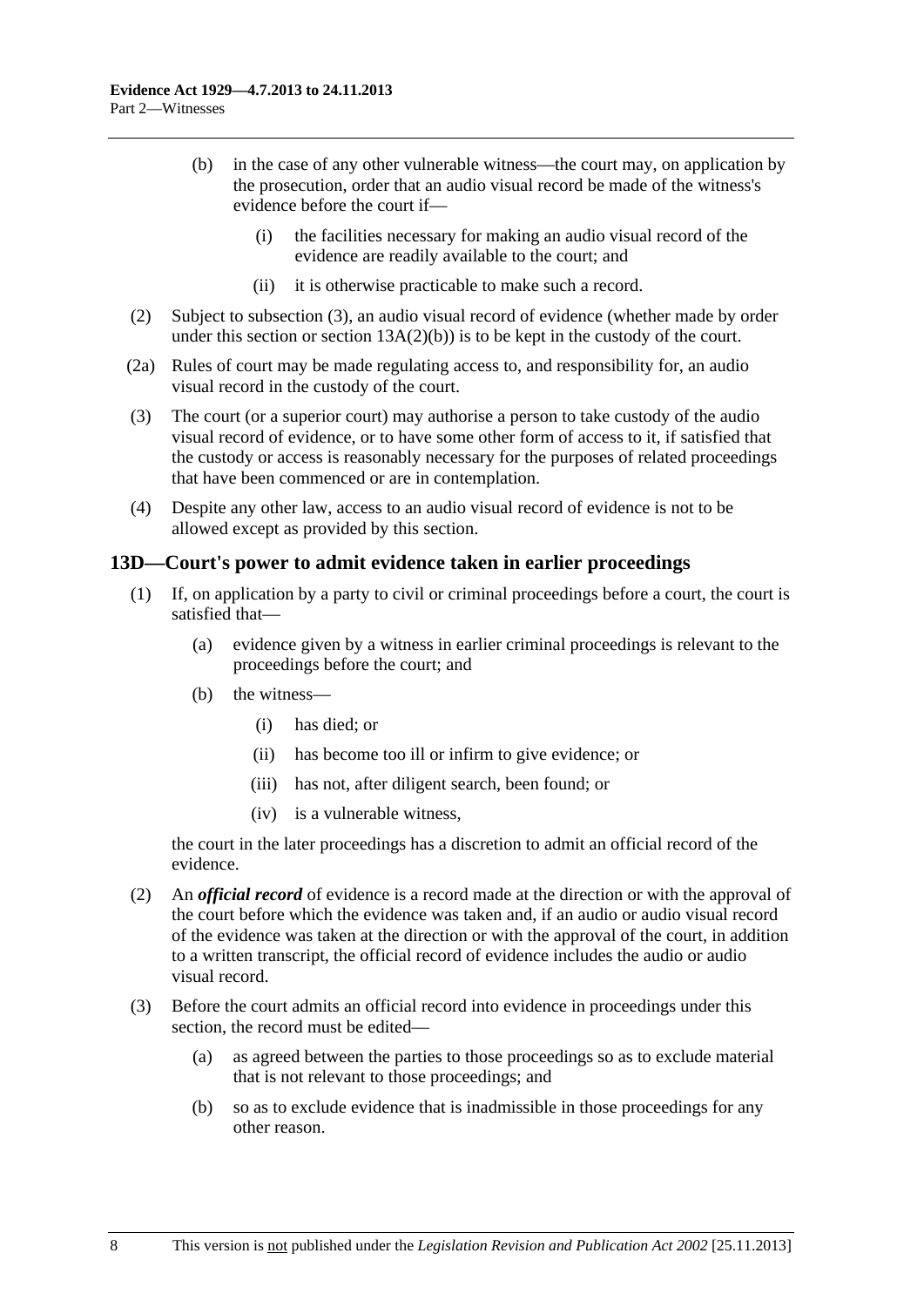- <span id="page-17-0"></span> (b) in the case of any other vulnerable witness—the court may, on application by the prosecution, order that an audio visual record be made of the witness's evidence before the court if—
	- (i) the facilities necessary for making an audio visual record of the evidence are readily available to the court; and
	- (ii) it is otherwise practicable to make such a record.
- (2) Subject to [subsection \(3\),](#page-17-0) an audio visual record of evidence (whether made by order under this section or section  $13A(2)(b)$  is to be kept in the custody of the court.
- (2a) Rules of court may be made regulating access to, and responsibility for, an audio visual record in the custody of the court.
- (3) The court (or a superior court) may authorise a person to take custody of the audio visual record of evidence, or to have some other form of access to it, if satisfied that the custody or access is reasonably necessary for the purposes of related proceedings that have been commenced or are in contemplation.
- (4) Despite any other law, access to an audio visual record of evidence is not to be allowed except as provided by this section.

# **13D—Court's power to admit evidence taken in earlier proceedings**

- (1) If, on application by a party to civil or criminal proceedings before a court, the court is satisfied that—
	- (a) evidence given by a witness in earlier criminal proceedings is relevant to the proceedings before the court; and
	- (b) the witness—
		- (i) has died; or
		- (ii) has become too ill or infirm to give evidence; or
		- (iii) has not, after diligent search, been found; or
		- (iv) is a vulnerable witness,

the court in the later proceedings has a discretion to admit an official record of the evidence.

- (2) An *official record* of evidence is a record made at the direction or with the approval of the court before which the evidence was taken and, if an audio or audio visual record of the evidence was taken at the direction or with the approval of the court, in addition to a written transcript, the official record of evidence includes the audio or audio visual record.
- (3) Before the court admits an official record into evidence in proceedings under this section, the record must be edited—
	- (a) as agreed between the parties to those proceedings so as to exclude material that is not relevant to those proceedings; and
	- (b) so as to exclude evidence that is inadmissible in those proceedings for any other reason.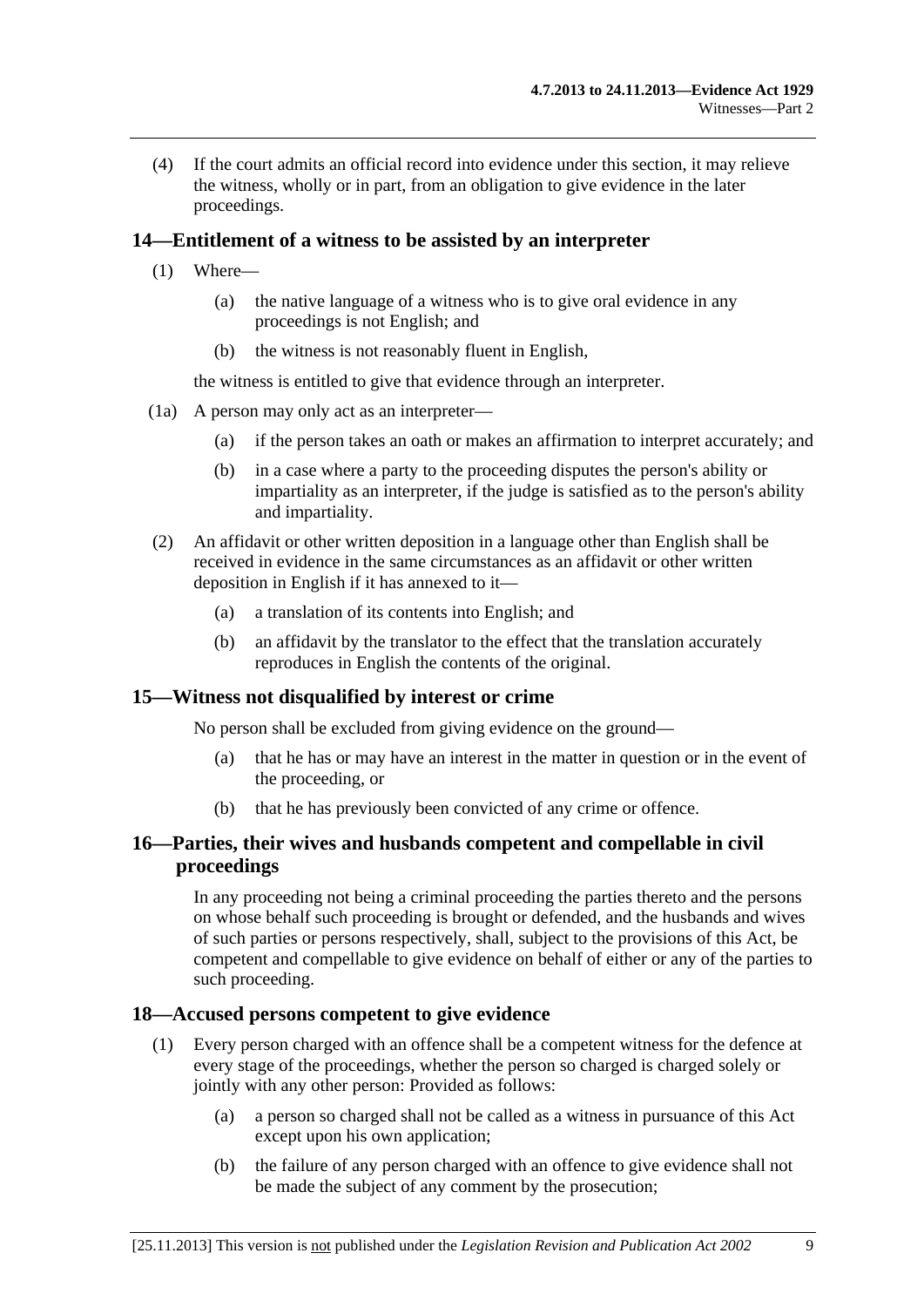<span id="page-18-0"></span> (4) If the court admits an official record into evidence under this section, it may relieve the witness, wholly or in part, from an obligation to give evidence in the later proceedings.

# **14—Entitlement of a witness to be assisted by an interpreter**

- (1) Where—
	- (a) the native language of a witness who is to give oral evidence in any proceedings is not English; and
	- (b) the witness is not reasonably fluent in English,

the witness is entitled to give that evidence through an interpreter.

- (1a) A person may only act as an interpreter—
	- (a) if the person takes an oath or makes an affirmation to interpret accurately; and
	- (b) in a case where a party to the proceeding disputes the person's ability or impartiality as an interpreter, if the judge is satisfied as to the person's ability and impartiality.
- (2) An affidavit or other written deposition in a language other than English shall be received in evidence in the same circumstances as an affidavit or other written deposition in English if it has annexed to it—
	- (a) a translation of its contents into English; and
	- (b) an affidavit by the translator to the effect that the translation accurately reproduces in English the contents of the original.

# **15—Witness not disqualified by interest or crime**

No person shall be excluded from giving evidence on the ground—

- (a) that he has or may have an interest in the matter in question or in the event of the proceeding, or
- (b) that he has previously been convicted of any crime or offence.

# **16—Parties, their wives and husbands competent and compellable in civil proceedings**

In any proceeding not being a criminal proceeding the parties thereto and the persons on whose behalf such proceeding is brought or defended, and the husbands and wives of such parties or persons respectively, shall, subject to the provisions of this Act, be competent and compellable to give evidence on behalf of either or any of the parties to such proceeding.

# **18—Accused persons competent to give evidence**

- (1) Every person charged with an offence shall be a competent witness for the defence at every stage of the proceedings, whether the person so charged is charged solely or jointly with any other person: Provided as follows:
	- (a) a person so charged shall not be called as a witness in pursuance of this Act except upon his own application;
	- (b) the failure of any person charged with an offence to give evidence shall not be made the subject of any comment by the prosecution;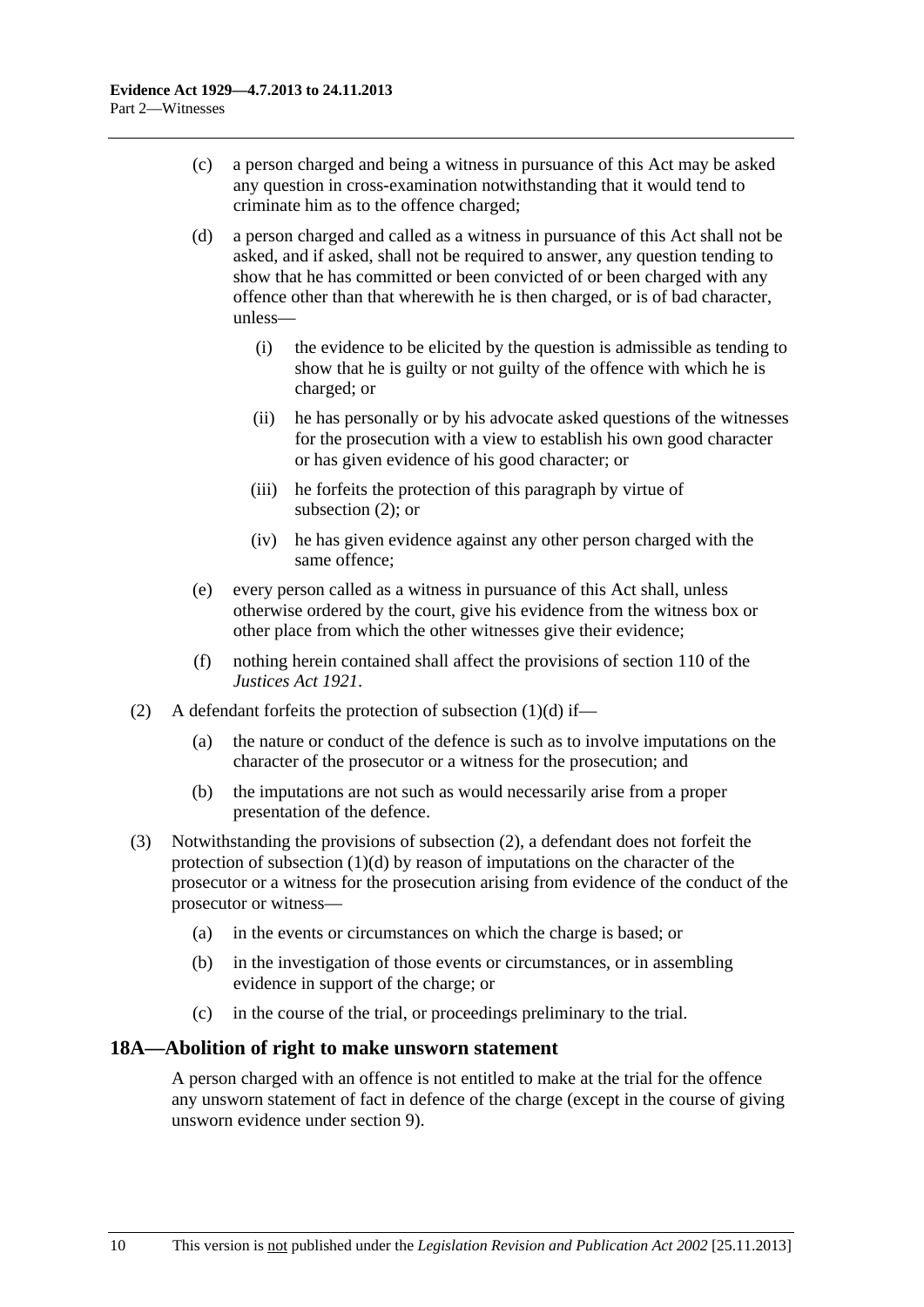- <span id="page-19-0"></span> (c) a person charged and being a witness in pursuance of this Act may be asked any question in cross-examination notwithstanding that it would tend to criminate him as to the offence charged;
- (d) a person charged and called as a witness in pursuance of this Act shall not be asked, and if asked, shall not be required to answer, any question tending to show that he has committed or been convicted of or been charged with any offence other than that wherewith he is then charged, or is of bad character, unless—
	- (i) the evidence to be elicited by the question is admissible as tending to show that he is guilty or not guilty of the offence with which he is charged; or
	- (ii) he has personally or by his advocate asked questions of the witnesses for the prosecution with a view to establish his own good character or has given evidence of his good character; or
	- (iii) he forfeits the protection of this paragraph by virtue of [subsection \(2\);](#page-19-0) or
	- (iv) he has given evidence against any other person charged with the same offence;
- (e) every person called as a witness in pursuance of this Act shall, unless otherwise ordered by the court, give his evidence from the witness box or other place from which the other witnesses give their evidence;
- (f) nothing herein contained shall affect the provisions of section 110 of the *[Justices Act 1921](http://www.legislation.sa.gov.au/index.aspx?action=legref&type=act&legtitle=Justices%20Act%201921)*.
- (2) A defendant forfeits the protection of subsection  $(1)(d)$  if—
	- (a) the nature or conduct of the defence is such as to involve imputations on the character of the prosecutor or a witness for the prosecution; and
	- (b) the imputations are not such as would necessarily arise from a proper presentation of the defence.
- (3) Notwithstanding the provisions of [subsection \(2\)](#page-19-0), a defendant does not forfeit the protection of [subsection \(1\)\(d\)](#page-19-0) by reason of imputations on the character of the prosecutor or a witness for the prosecution arising from evidence of the conduct of the prosecutor or witness—
	- (a) in the events or circumstances on which the charge is based; or
	- (b) in the investigation of those events or circumstances, or in assembling evidence in support of the charge; or
	- (c) in the course of the trial, or proceedings preliminary to the trial.

# **18A—Abolition of right to make unsworn statement**

A person charged with an offence is not entitled to make at the trial for the offence any unsworn statement of fact in defence of the charge (except in the course of giving unsworn evidence under [section 9](#page-10-0)).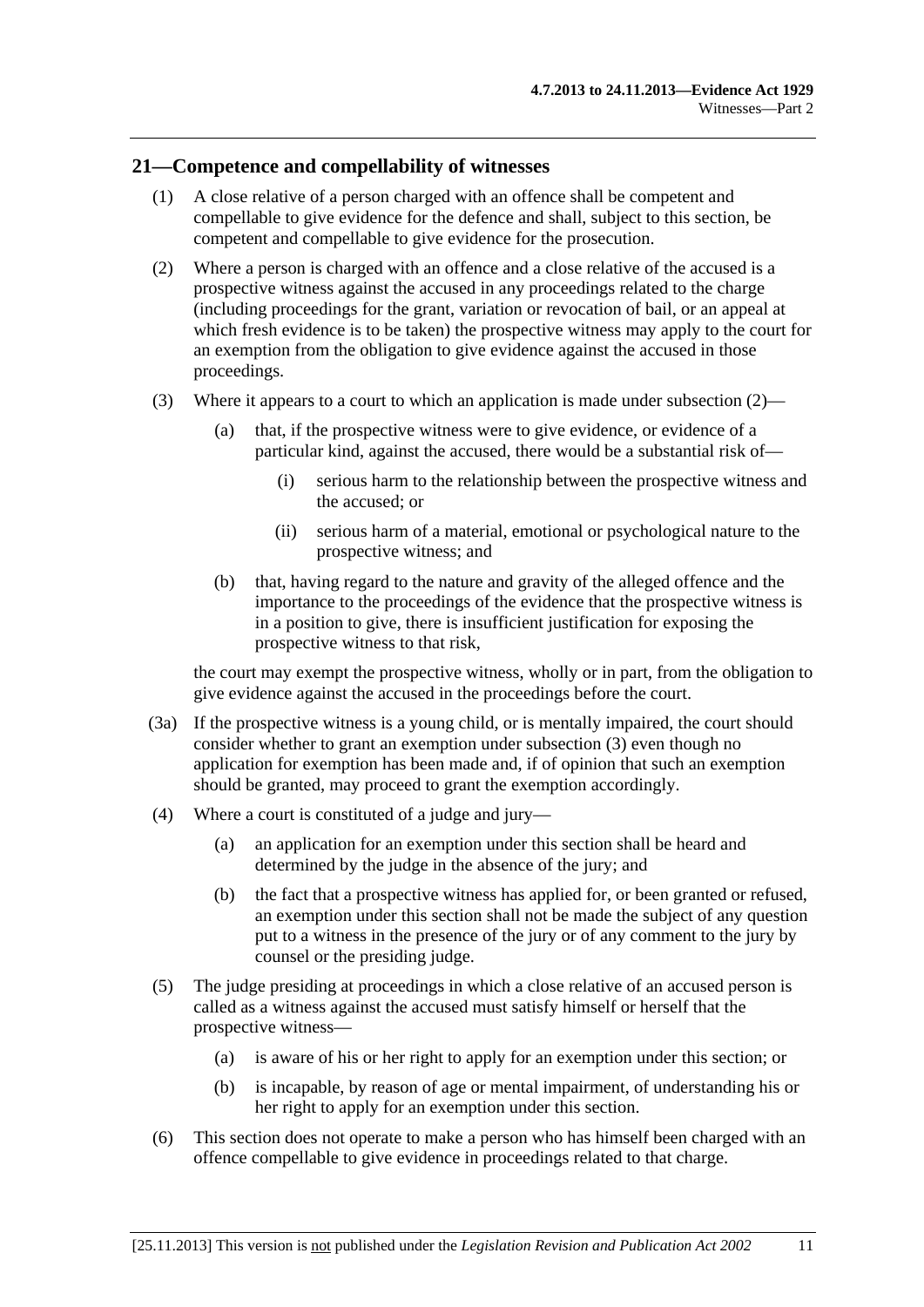#### <span id="page-20-0"></span>**21—Competence and compellability of witnesses**

- (1) A close relative of a person charged with an offence shall be competent and compellable to give evidence for the defence and shall, subject to this section, be competent and compellable to give evidence for the prosecution.
- (2) Where a person is charged with an offence and a close relative of the accused is a prospective witness against the accused in any proceedings related to the charge (including proceedings for the grant, variation or revocation of bail, or an appeal at which fresh evidence is to be taken) the prospective witness may apply to the court for an exemption from the obligation to give evidence against the accused in those proceedings.
- (3) Where it appears to a court to which an application is made under subsection  $(2)$ 
	- (a) that, if the prospective witness were to give evidence, or evidence of a particular kind, against the accused, there would be a substantial risk of—
		- (i) serious harm to the relationship between the prospective witness and the accused; or
		- (ii) serious harm of a material, emotional or psychological nature to the prospective witness; and
	- (b) that, having regard to the nature and gravity of the alleged offence and the importance to the proceedings of the evidence that the prospective witness is in a position to give, there is insufficient justification for exposing the prospective witness to that risk,

the court may exempt the prospective witness, wholly or in part, from the obligation to give evidence against the accused in the proceedings before the court.

- (3a) If the prospective witness is a young child, or is mentally impaired, the court should consider whether to grant an exemption under [subsection \(3\)](#page-20-0) even though no application for exemption has been made and, if of opinion that such an exemption should be granted, may proceed to grant the exemption accordingly.
- (4) Where a court is constituted of a judge and jury—
	- (a) an application for an exemption under this section shall be heard and determined by the judge in the absence of the jury; and
	- (b) the fact that a prospective witness has applied for, or been granted or refused, an exemption under this section shall not be made the subject of any question put to a witness in the presence of the jury or of any comment to the jury by counsel or the presiding judge.
- (5) The judge presiding at proceedings in which a close relative of an accused person is called as a witness against the accused must satisfy himself or herself that the prospective witness—
	- (a) is aware of his or her right to apply for an exemption under this section; or
	- (b) is incapable, by reason of age or mental impairment, of understanding his or her right to apply for an exemption under this section.
- (6) This section does not operate to make a person who has himself been charged with an offence compellable to give evidence in proceedings related to that charge.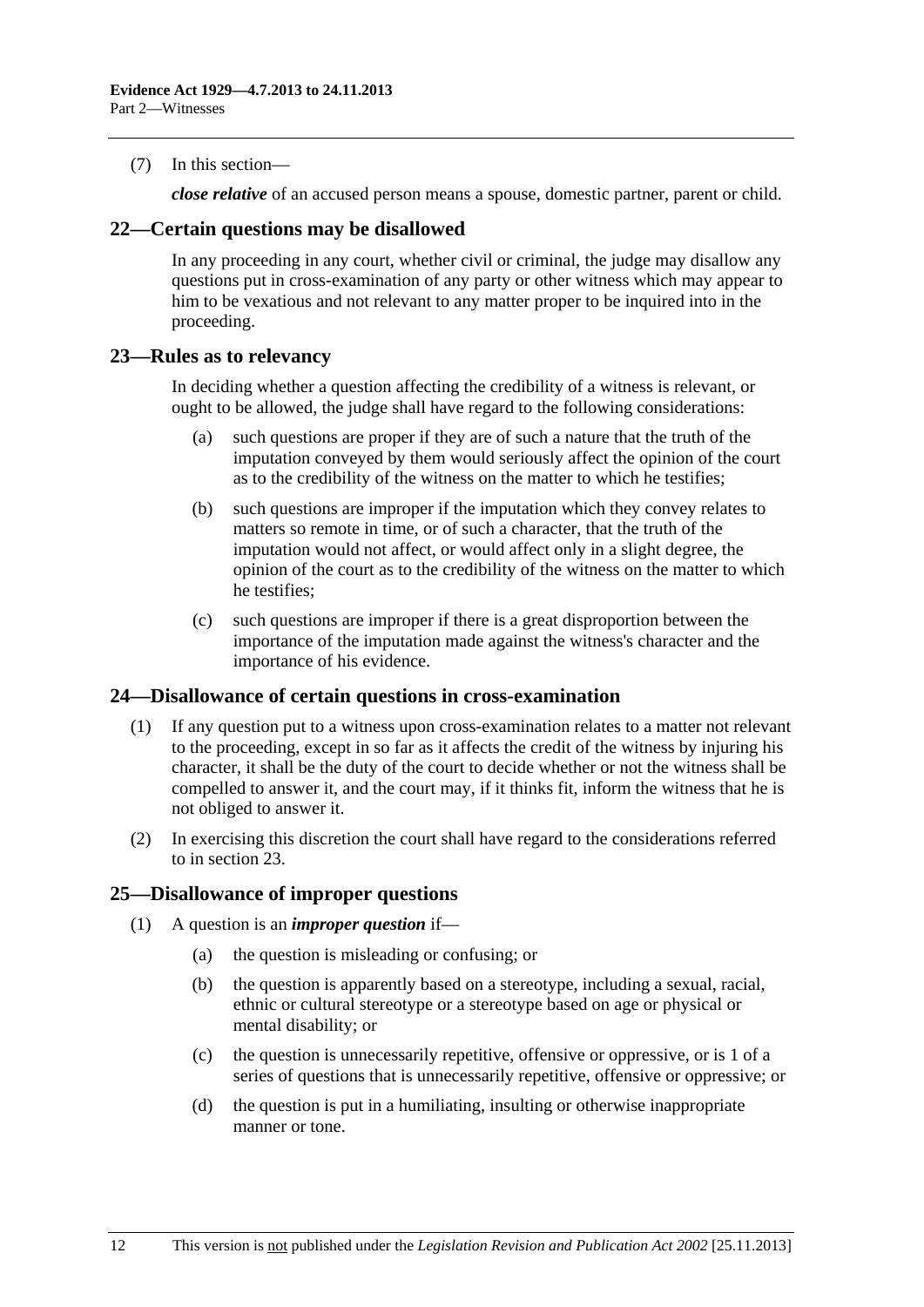<span id="page-21-0"></span>(7) In this section—

*close relative* of an accused person means a spouse, domestic partner, parent or child.

### **22—Certain questions may be disallowed**

In any proceeding in any court, whether civil or criminal, the judge may disallow any questions put in cross-examination of any party or other witness which may appear to him to be vexatious and not relevant to any matter proper to be inquired into in the proceeding.

#### **23—Rules as to relevancy**

In deciding whether a question affecting the credibility of a witness is relevant, or ought to be allowed, the judge shall have regard to the following considerations:

- (a) such questions are proper if they are of such a nature that the truth of the imputation conveyed by them would seriously affect the opinion of the court as to the credibility of the witness on the matter to which he testifies;
- (b) such questions are improper if the imputation which they convey relates to matters so remote in time, or of such a character, that the truth of the imputation would not affect, or would affect only in a slight degree, the opinion of the court as to the credibility of the witness on the matter to which he testifies;
- (c) such questions are improper if there is a great disproportion between the importance of the imputation made against the witness's character and the importance of his evidence.

# **24—Disallowance of certain questions in cross-examination**

- (1) If any question put to a witness upon cross-examination relates to a matter not relevant to the proceeding, except in so far as it affects the credit of the witness by injuring his character, it shall be the duty of the court to decide whether or not the witness shall be compelled to answer it, and the court may, if it thinks fit, inform the witness that he is not obliged to answer it.
- (2) In exercising this discretion the court shall have regard to the considerations referred to in [section 23](#page-21-0).

# **25—Disallowance of improper questions**

- (1) A question is an *improper question* if—
	- (a) the question is misleading or confusing; or
	- (b) the question is apparently based on a stereotype, including a sexual, racial, ethnic or cultural stereotype or a stereotype based on age or physical or mental disability; or
	- (c) the question is unnecessarily repetitive, offensive or oppressive, or is 1 of a series of questions that is unnecessarily repetitive, offensive or oppressive; or
	- (d) the question is put in a humiliating, insulting or otherwise inappropriate manner or tone.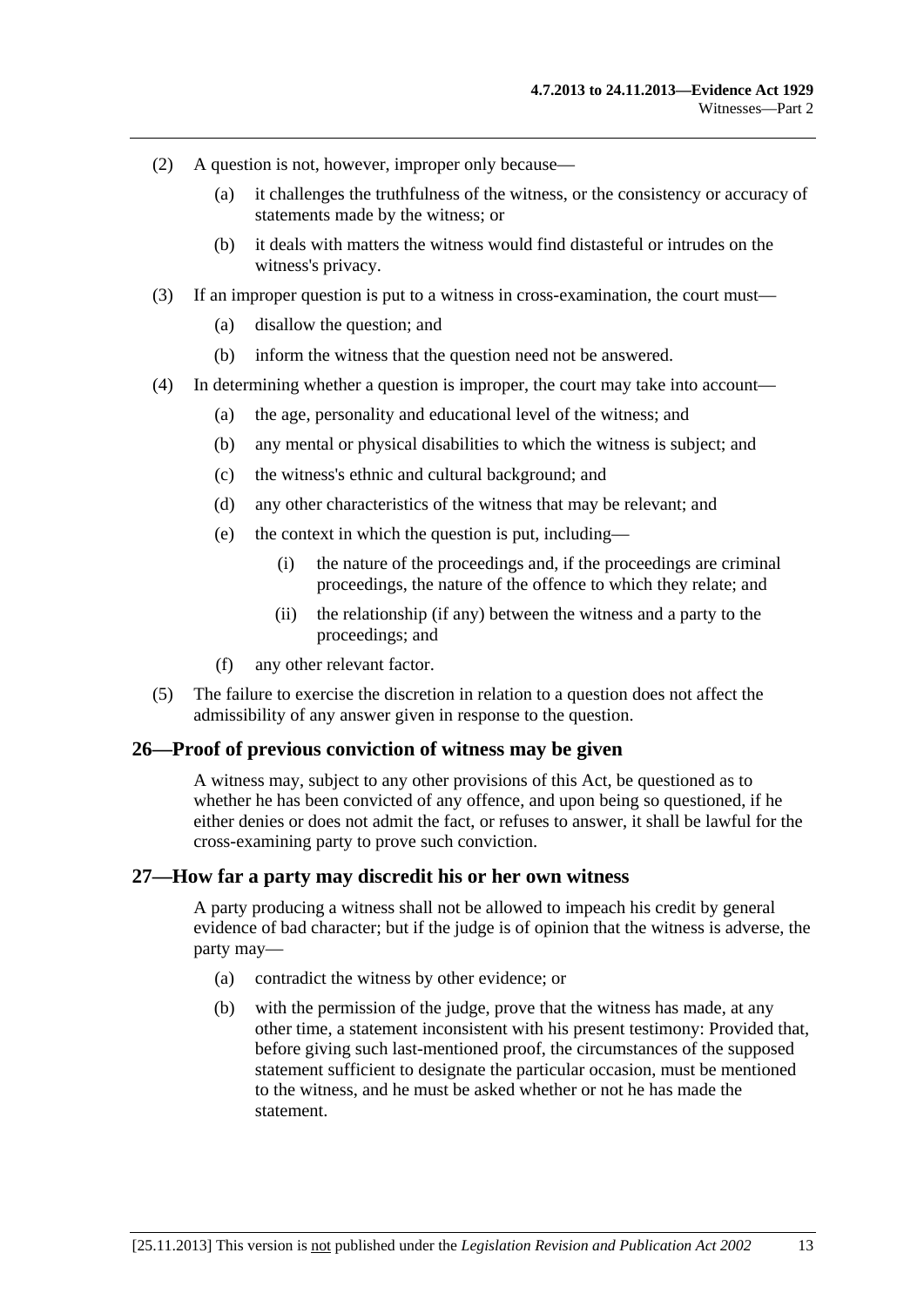- <span id="page-22-0"></span> (2) A question is not, however, improper only because—
	- (a) it challenges the truthfulness of the witness, or the consistency or accuracy of statements made by the witness; or
	- (b) it deals with matters the witness would find distasteful or intrudes on the witness's privacy.
- (3) If an improper question is put to a witness in cross-examination, the court must—
	- (a) disallow the question; and
	- (b) inform the witness that the question need not be answered.
- (4) In determining whether a question is improper, the court may take into account—
	- (a) the age, personality and educational level of the witness; and
	- (b) any mental or physical disabilities to which the witness is subject; and
	- (c) the witness's ethnic and cultural background; and
	- (d) any other characteristics of the witness that may be relevant; and
	- (e) the context in which the question is put, including—
		- (i) the nature of the proceedings and, if the proceedings are criminal proceedings, the nature of the offence to which they relate; and
		- (ii) the relationship (if any) between the witness and a party to the proceedings; and
	- (f) any other relevant factor.
- (5) The failure to exercise the discretion in relation to a question does not affect the admissibility of any answer given in response to the question.

#### **26—Proof of previous conviction of witness may be given**

A witness may, subject to any other provisions of this Act, be questioned as to whether he has been convicted of any offence, and upon being so questioned, if he either denies or does not admit the fact, or refuses to answer, it shall be lawful for the cross-examining party to prove such conviction.

#### **27—How far a party may discredit his or her own witness**

A party producing a witness shall not be allowed to impeach his credit by general evidence of bad character; but if the judge is of opinion that the witness is adverse, the party may—

- (a) contradict the witness by other evidence; or
- (b) with the permission of the judge, prove that the witness has made, at any other time, a statement inconsistent with his present testimony: Provided that, before giving such last-mentioned proof, the circumstances of the supposed statement sufficient to designate the particular occasion, must be mentioned to the witness, and he must be asked whether or not he has made the statement.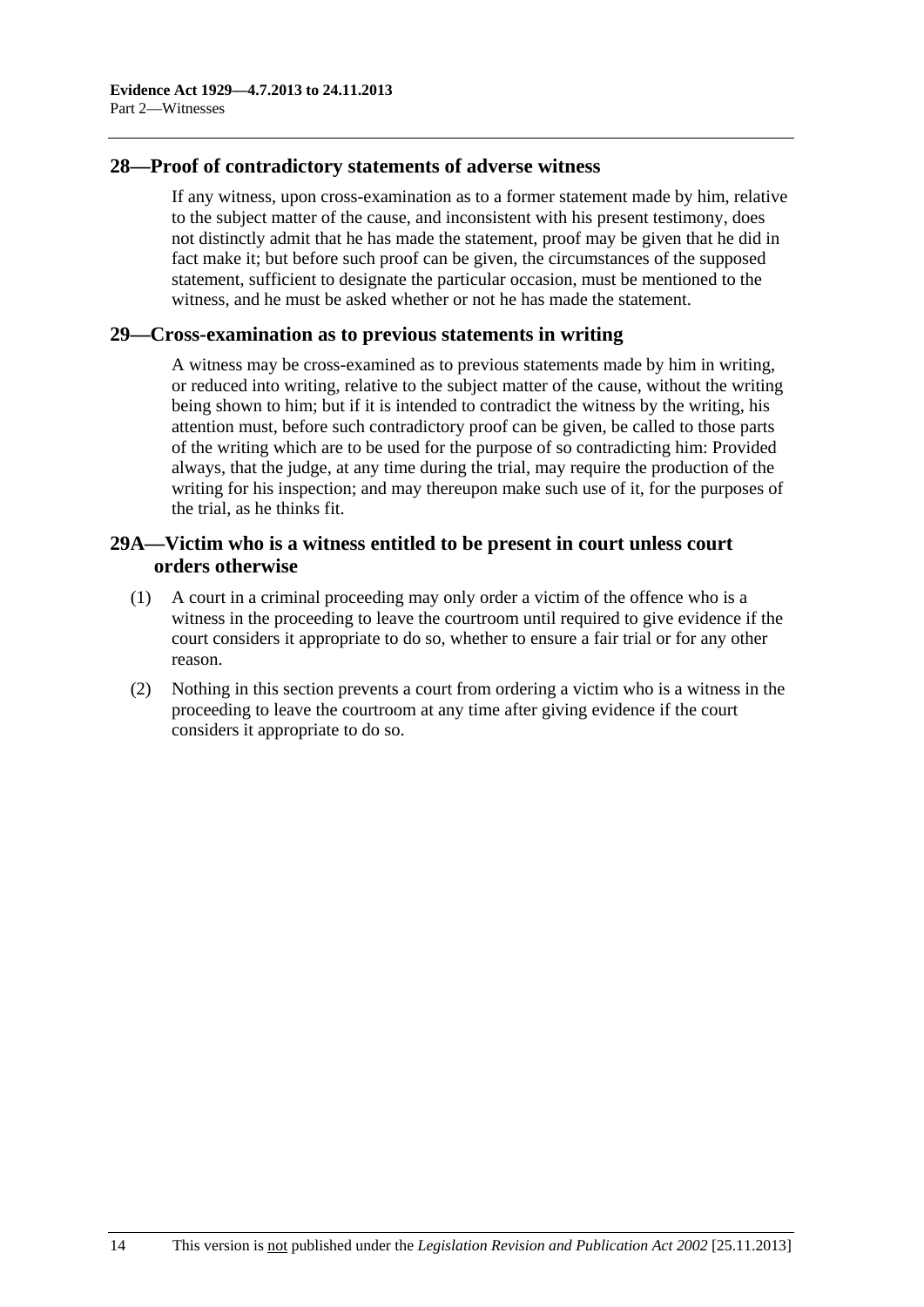# <span id="page-23-0"></span>**28—Proof of contradictory statements of adverse witness**

If any witness, upon cross-examination as to a former statement made by him, relative to the subject matter of the cause, and inconsistent with his present testimony, does not distinctly admit that he has made the statement, proof may be given that he did in fact make it; but before such proof can be given, the circumstances of the supposed statement, sufficient to designate the particular occasion, must be mentioned to the witness, and he must be asked whether or not he has made the statement.

#### **29—Cross-examination as to previous statements in writing**

A witness may be cross-examined as to previous statements made by him in writing, or reduced into writing, relative to the subject matter of the cause, without the writing being shown to him; but if it is intended to contradict the witness by the writing, his attention must, before such contradictory proof can be given, be called to those parts of the writing which are to be used for the purpose of so contradicting him: Provided always, that the judge, at any time during the trial, may require the production of the writing for his inspection; and may thereupon make such use of it, for the purposes of the trial, as he thinks fit.

# **29A—Victim who is a witness entitled to be present in court unless court orders otherwise**

- (1) A court in a criminal proceeding may only order a victim of the offence who is a witness in the proceeding to leave the courtroom until required to give evidence if the court considers it appropriate to do so, whether to ensure a fair trial or for any other reason.
- (2) Nothing in this section prevents a court from ordering a victim who is a witness in the proceeding to leave the courtroom at any time after giving evidence if the court considers it appropriate to do so.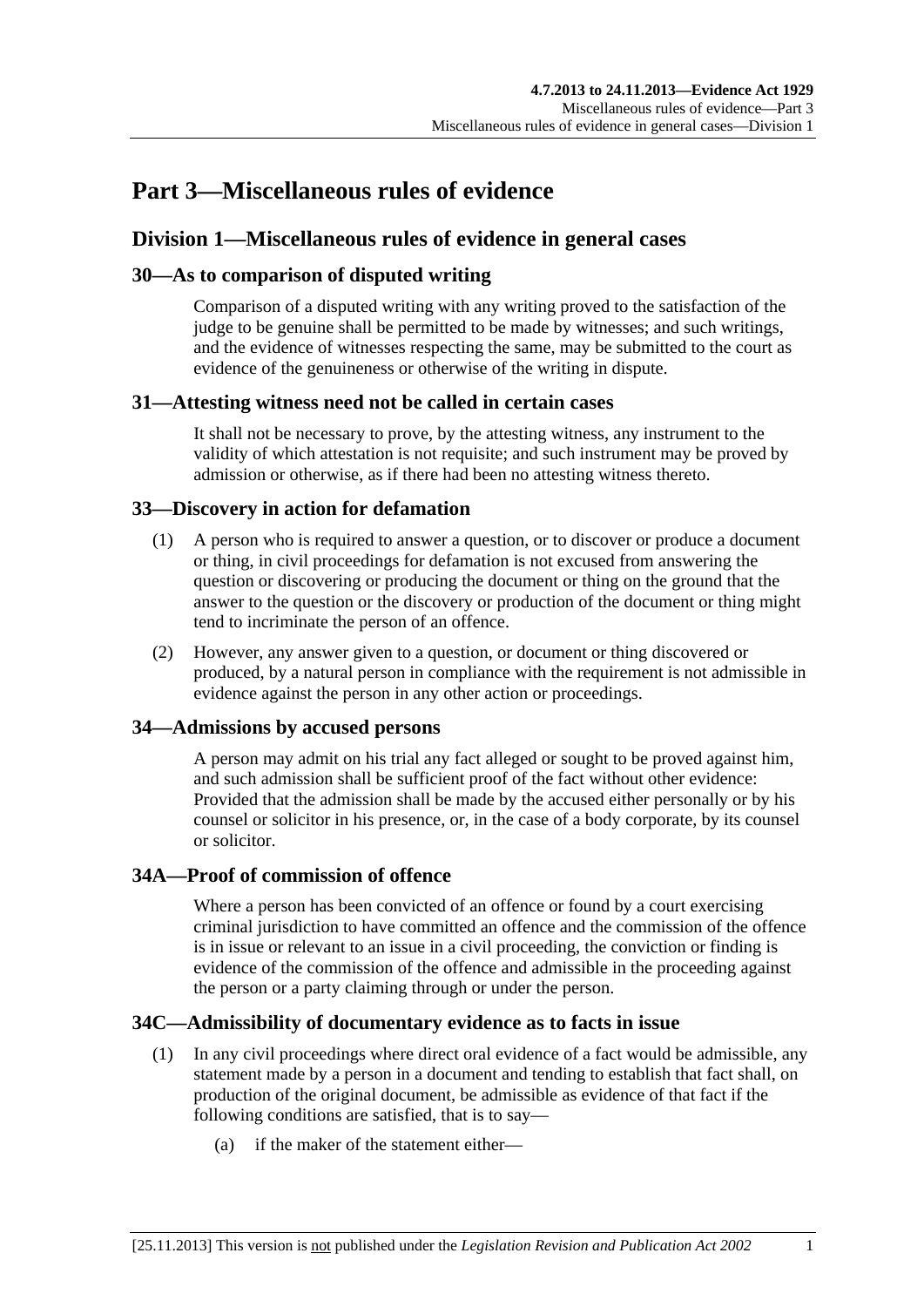# <span id="page-24-0"></span>**Part 3—Miscellaneous rules of evidence**

# **Division 1—Miscellaneous rules of evidence in general cases**

# **30—As to comparison of disputed writing**

Comparison of a disputed writing with any writing proved to the satisfaction of the judge to be genuine shall be permitted to be made by witnesses; and such writings, and the evidence of witnesses respecting the same, may be submitted to the court as evidence of the genuineness or otherwise of the writing in dispute.

# **31—Attesting witness need not be called in certain cases**

It shall not be necessary to prove, by the attesting witness, any instrument to the validity of which attestation is not requisite; and such instrument may be proved by admission or otherwise, as if there had been no attesting witness thereto.

# **33—Discovery in action for defamation**

- (1) A person who is required to answer a question, or to discover or produce a document or thing, in civil proceedings for defamation is not excused from answering the question or discovering or producing the document or thing on the ground that the answer to the question or the discovery or production of the document or thing might tend to incriminate the person of an offence.
- (2) However, any answer given to a question, or document or thing discovered or produced, by a natural person in compliance with the requirement is not admissible in evidence against the person in any other action or proceedings.

# **34—Admissions by accused persons**

A person may admit on his trial any fact alleged or sought to be proved against him, and such admission shall be sufficient proof of the fact without other evidence: Provided that the admission shall be made by the accused either personally or by his counsel or solicitor in his presence, or, in the case of a body corporate, by its counsel or solicitor.

# **34A—Proof of commission of offence**

Where a person has been convicted of an offence or found by a court exercising criminal jurisdiction to have committed an offence and the commission of the offence is in issue or relevant to an issue in a civil proceeding, the conviction or finding is evidence of the commission of the offence and admissible in the proceeding against the person or a party claiming through or under the person.

# **34C—Admissibility of documentary evidence as to facts in issue**

- (1) In any civil proceedings where direct oral evidence of a fact would be admissible, any statement made by a person in a document and tending to establish that fact shall, on production of the original document, be admissible as evidence of that fact if the following conditions are satisfied, that is to say—
	- (a) if the maker of the statement either—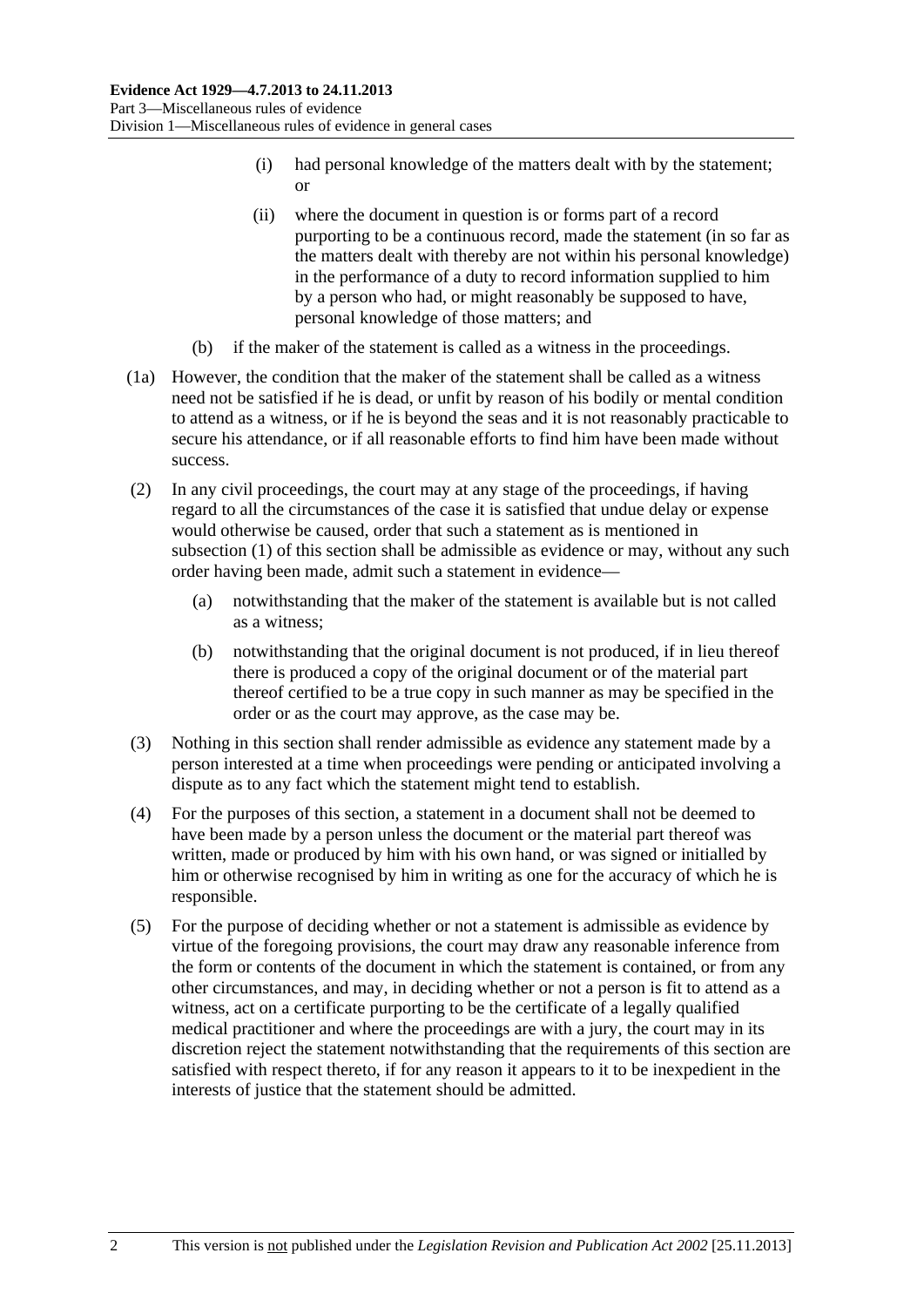- (i) had personal knowledge of the matters dealt with by the statement; or
- (ii) where the document in question is or forms part of a record purporting to be a continuous record, made the statement (in so far as the matters dealt with thereby are not within his personal knowledge) in the performance of a duty to record information supplied to him by a person who had, or might reasonably be supposed to have, personal knowledge of those matters; and
- (b) if the maker of the statement is called as a witness in the proceedings.
- (1a) However, the condition that the maker of the statement shall be called as a witness need not be satisfied if he is dead, or unfit by reason of his bodily or mental condition to attend as a witness, or if he is beyond the seas and it is not reasonably practicable to secure his attendance, or if all reasonable efforts to find him have been made without success.
- (2) In any civil proceedings, the court may at any stage of the proceedings, if having regard to all the circumstances of the case it is satisfied that undue delay or expense would otherwise be caused, order that such a statement as is mentioned in [subsection \(1\)](#page-24-0) of this section shall be admissible as evidence or may, without any such order having been made, admit such a statement in evidence—
	- (a) notwithstanding that the maker of the statement is available but is not called as a witness;
	- (b) notwithstanding that the original document is not produced, if in lieu thereof there is produced a copy of the original document or of the material part thereof certified to be a true copy in such manner as may be specified in the order or as the court may approve, as the case may be.
- (3) Nothing in this section shall render admissible as evidence any statement made by a person interested at a time when proceedings were pending or anticipated involving a dispute as to any fact which the statement might tend to establish.
- (4) For the purposes of this section, a statement in a document shall not be deemed to have been made by a person unless the document or the material part thereof was written, made or produced by him with his own hand, or was signed or initialled by him or otherwise recognised by him in writing as one for the accuracy of which he is responsible.
- (5) For the purpose of deciding whether or not a statement is admissible as evidence by virtue of the foregoing provisions, the court may draw any reasonable inference from the form or contents of the document in which the statement is contained, or from any other circumstances, and may, in deciding whether or not a person is fit to attend as a witness, act on a certificate purporting to be the certificate of a legally qualified medical practitioner and where the proceedings are with a jury, the court may in its discretion reject the statement notwithstanding that the requirements of this section are satisfied with respect thereto, if for any reason it appears to it to be inexpedient in the interests of justice that the statement should be admitted.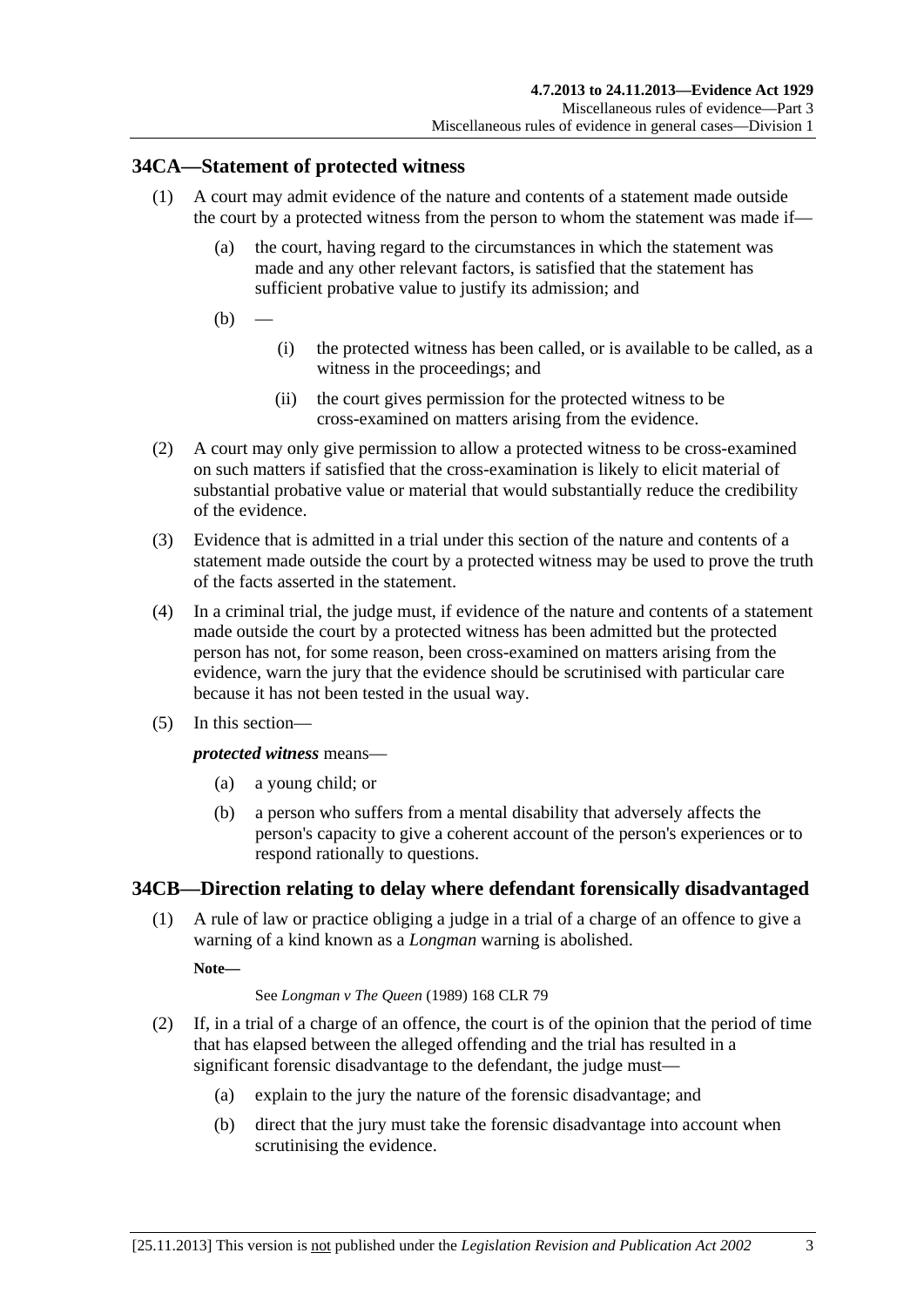# <span id="page-26-0"></span>**34CA—Statement of protected witness**

- (1) A court may admit evidence of the nature and contents of a statement made outside the court by a protected witness from the person to whom the statement was made if—
	- (a) the court, having regard to the circumstances in which the statement was made and any other relevant factors, is satisfied that the statement has sufficient probative value to justify its admission; and
	- $(b)$
- (i) the protected witness has been called, or is available to be called, as a witness in the proceedings; and
- (ii) the court gives permission for the protected witness to be cross-examined on matters arising from the evidence.
- (2) A court may only give permission to allow a protected witness to be cross-examined on such matters if satisfied that the cross-examination is likely to elicit material of substantial probative value or material that would substantially reduce the credibility of the evidence.
- (3) Evidence that is admitted in a trial under this section of the nature and contents of a statement made outside the court by a protected witness may be used to prove the truth of the facts asserted in the statement.
- (4) In a criminal trial, the judge must, if evidence of the nature and contents of a statement made outside the court by a protected witness has been admitted but the protected person has not, for some reason, been cross-examined on matters arising from the evidence, warn the jury that the evidence should be scrutinised with particular care because it has not been tested in the usual way.
- (5) In this section—

#### *protected witness* means—

- (a) a young child; or
- (b) a person who suffers from a mental disability that adversely affects the person's capacity to give a coherent account of the person's experiences or to respond rationally to questions.

# **34CB—Direction relating to delay where defendant forensically disadvantaged**

 (1) A rule of law or practice obliging a judge in a trial of a charge of an offence to give a warning of a kind known as a *Longman* warning is abolished.

**Note—** 

See *Longman v The Queen* (1989) 168 CLR 79

- (2) If, in a trial of a charge of an offence, the court is of the opinion that the period of time that has elapsed between the alleged offending and the trial has resulted in a significant forensic disadvantage to the defendant, the judge must—
	- (a) explain to the jury the nature of the forensic disadvantage; and
	- (b) direct that the jury must take the forensic disadvantage into account when scrutinising the evidence.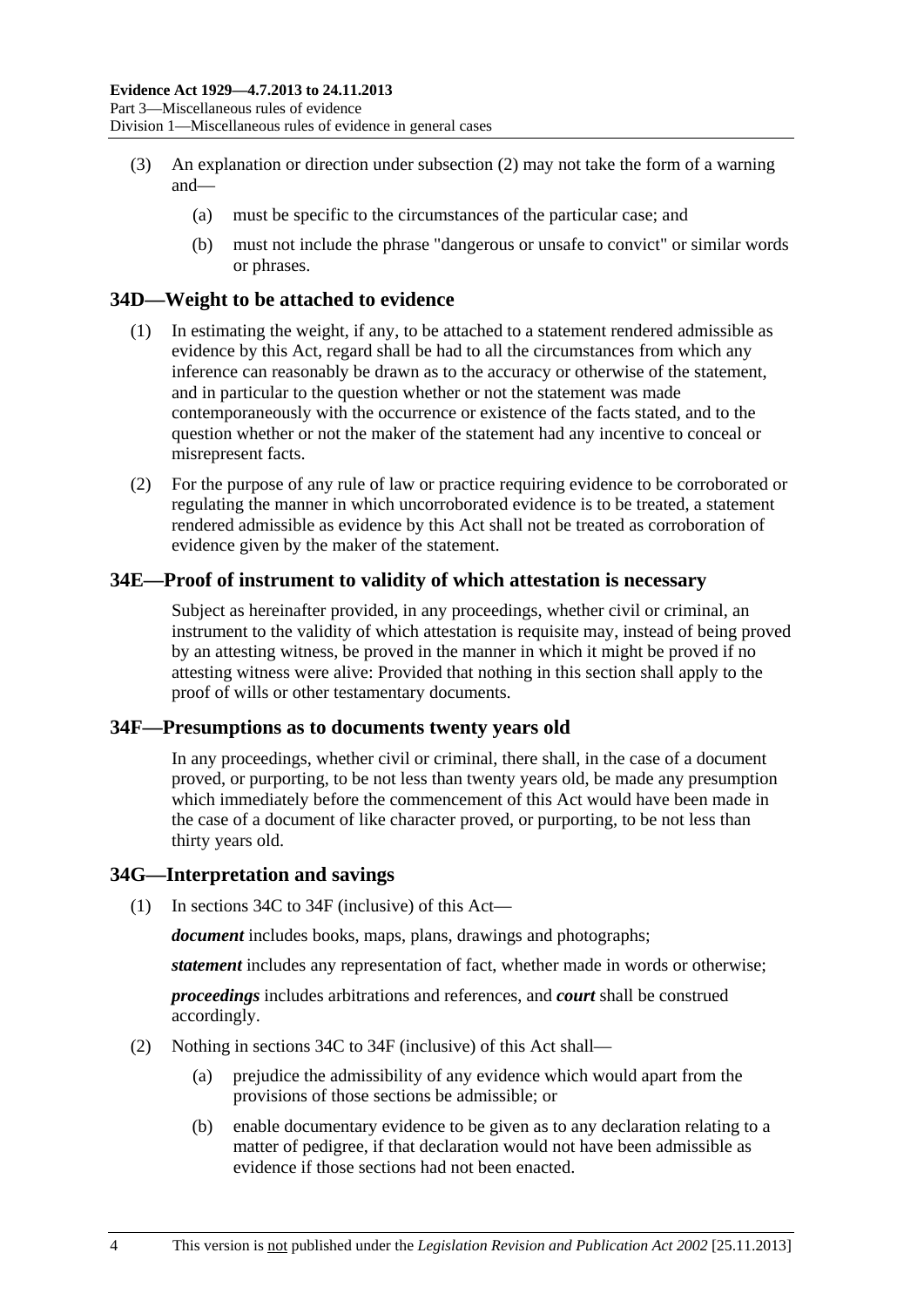- <span id="page-27-0"></span> (3) An explanation or direction under [subsection \(2\)](#page-26-0) may not take the form of a warning and—
	- (a) must be specific to the circumstances of the particular case; and
	- (b) must not include the phrase "dangerous or unsafe to convict" or similar words or phrases.

### **34D—Weight to be attached to evidence**

- (1) In estimating the weight, if any, to be attached to a statement rendered admissible as evidence by this Act, regard shall be had to all the circumstances from which any inference can reasonably be drawn as to the accuracy or otherwise of the statement, and in particular to the question whether or not the statement was made contemporaneously with the occurrence or existence of the facts stated, and to the question whether or not the maker of the statement had any incentive to conceal or misrepresent facts.
- (2) For the purpose of any rule of law or practice requiring evidence to be corroborated or regulating the manner in which uncorroborated evidence is to be treated, a statement rendered admissible as evidence by this Act shall not be treated as corroboration of evidence given by the maker of the statement.

#### **34E—Proof of instrument to validity of which attestation is necessary**

Subject as hereinafter provided, in any proceedings, whether civil or criminal, an instrument to the validity of which attestation is requisite may, instead of being proved by an attesting witness, be proved in the manner in which it might be proved if no attesting witness were alive: Provided that nothing in this section shall apply to the proof of wills or other testamentary documents.

#### **34F—Presumptions as to documents twenty years old**

In any proceedings, whether civil or criminal, there shall, in the case of a document proved, or purporting, to be not less than twenty years old, be made any presumption which immediately before the commencement of this Act would have been made in the case of a document of like character proved, or purporting, to be not less than thirty years old.

#### **34G—Interpretation and savings**

(1) In [sections 34C](#page-24-0) to [34F](#page-27-0) (inclusive) of this Act—

*document* includes books, maps, plans, drawings and photographs;

*statement* includes any representation of fact, whether made in words or otherwise;

*proceedings* includes arbitrations and references, and *court* shall be construed accordingly.

- (2) Nothing in [sections 34C](#page-24-0) to [34F](#page-27-0) (inclusive) of this Act shall—
	- (a) prejudice the admissibility of any evidence which would apart from the provisions of those sections be admissible; or
	- (b) enable documentary evidence to be given as to any declaration relating to a matter of pedigree, if that declaration would not have been admissible as evidence if those sections had not been enacted.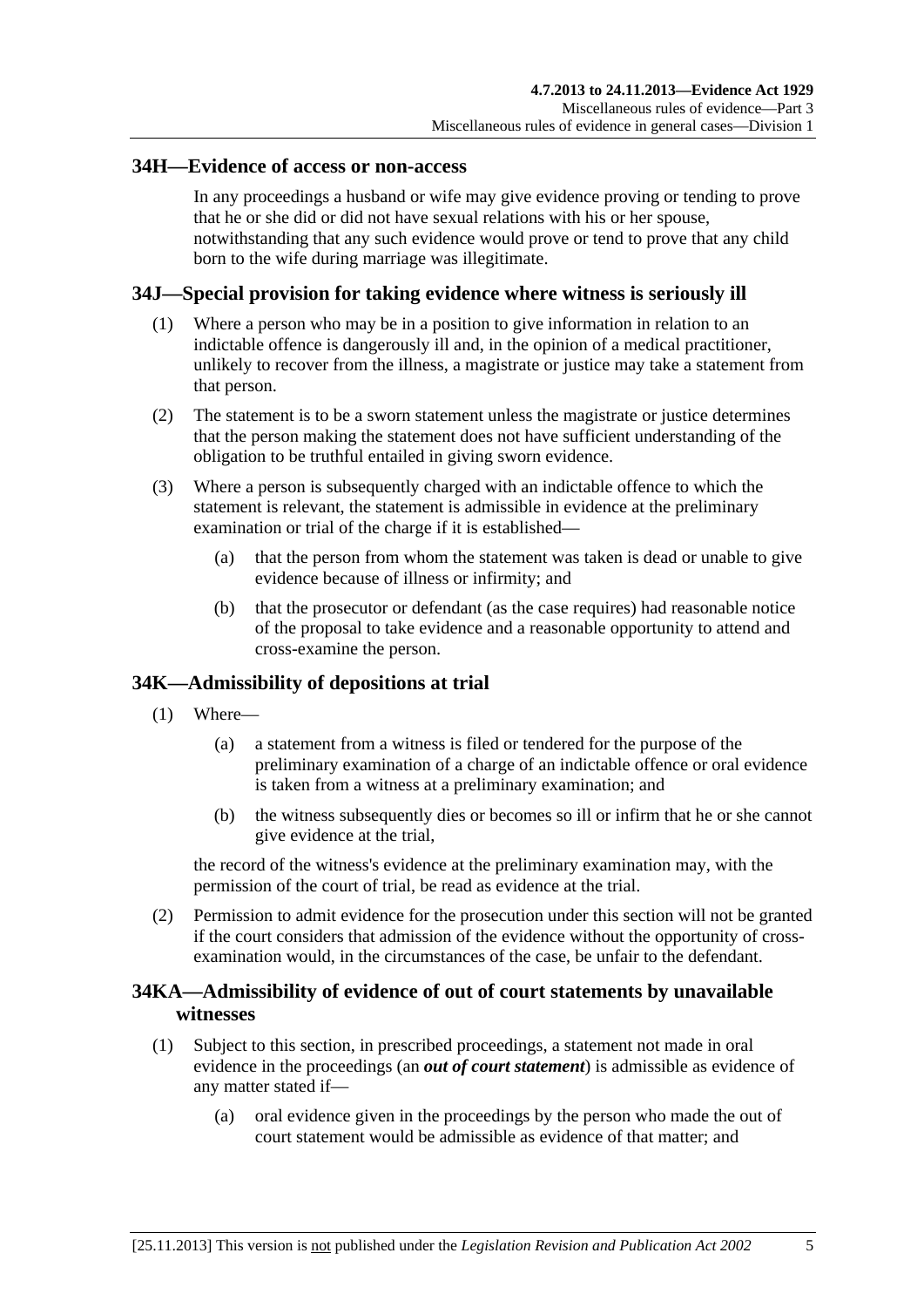#### <span id="page-28-0"></span>**34H—Evidence of access or non-access**

In any proceedings a husband or wife may give evidence proving or tending to prove that he or she did or did not have sexual relations with his or her spouse, notwithstanding that any such evidence would prove or tend to prove that any child born to the wife during marriage was illegitimate.

# **34J—Special provision for taking evidence where witness is seriously ill**

- (1) Where a person who may be in a position to give information in relation to an indictable offence is dangerously ill and, in the opinion of a medical practitioner, unlikely to recover from the illness, a magistrate or justice may take a statement from that person.
- (2) The statement is to be a sworn statement unless the magistrate or justice determines that the person making the statement does not have sufficient understanding of the obligation to be truthful entailed in giving sworn evidence.
- (3) Where a person is subsequently charged with an indictable offence to which the statement is relevant, the statement is admissible in evidence at the preliminary examination or trial of the charge if it is established—
	- (a) that the person from whom the statement was taken is dead or unable to give evidence because of illness or infirmity; and
	- (b) that the prosecutor or defendant (as the case requires) had reasonable notice of the proposal to take evidence and a reasonable opportunity to attend and cross-examine the person.

# **34K—Admissibility of depositions at trial**

- (1) Where—
	- (a) a statement from a witness is filed or tendered for the purpose of the preliminary examination of a charge of an indictable offence or oral evidence is taken from a witness at a preliminary examination; and
	- (b) the witness subsequently dies or becomes so ill or infirm that he or she cannot give evidence at the trial,

the record of the witness's evidence at the preliminary examination may, with the permission of the court of trial, be read as evidence at the trial.

 (2) Permission to admit evidence for the prosecution under this section will not be granted if the court considers that admission of the evidence without the opportunity of crossexamination would, in the circumstances of the case, be unfair to the defendant.

# **34KA—Admissibility of evidence of out of court statements by unavailable witnesses**

- (1) Subject to this section, in prescribed proceedings, a statement not made in oral evidence in the proceedings (an *out of court statement*) is admissible as evidence of any matter stated if—
	- (a) oral evidence given in the proceedings by the person who made the out of court statement would be admissible as evidence of that matter; and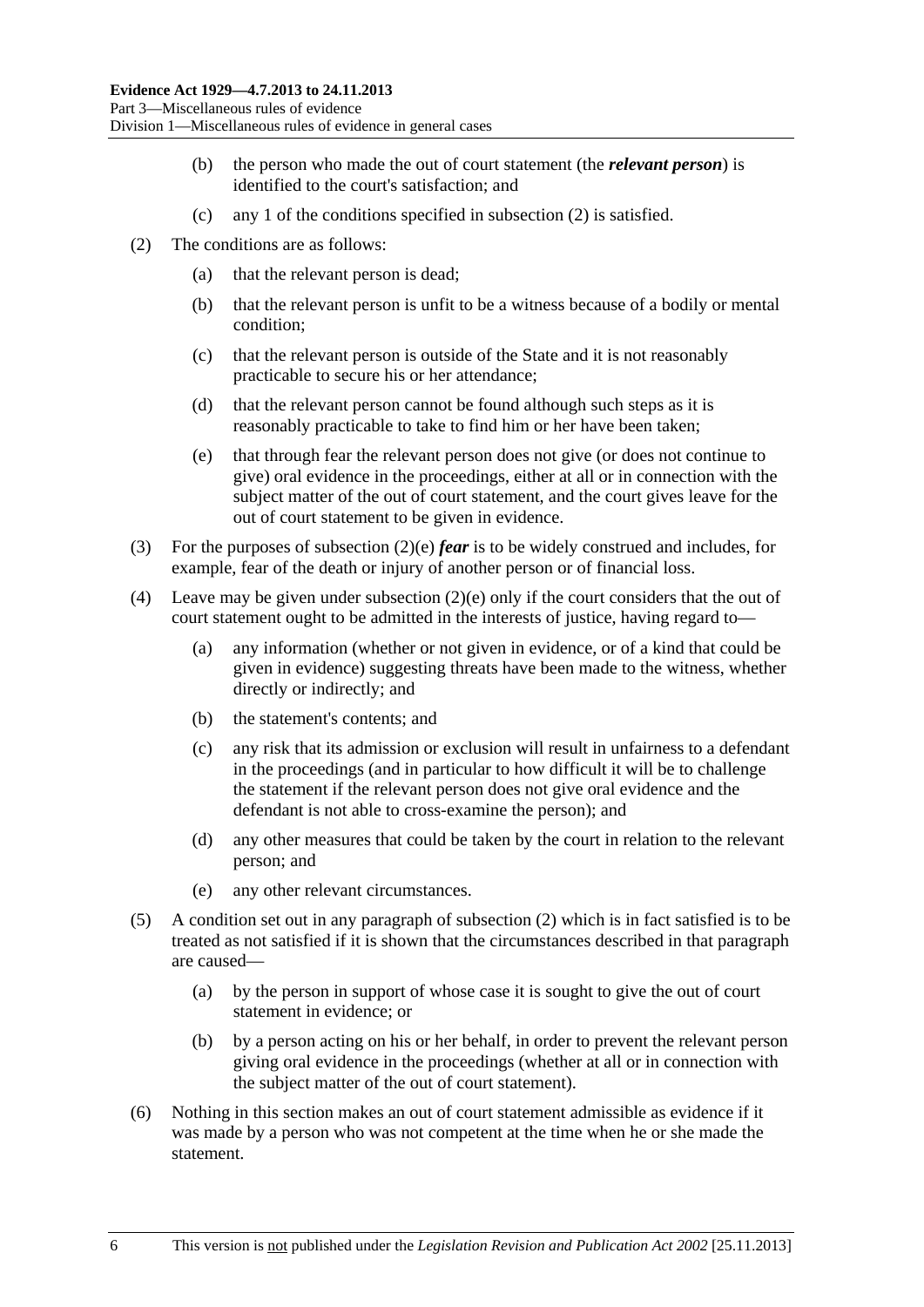- <span id="page-29-0"></span> (b) the person who made the out of court statement (the *relevant person*) is identified to the court's satisfaction; and
- (c) any 1 of the conditions specified in [subsection \(2\)](#page-29-0) is satisfied.
- (2) The conditions are as follows:
	- (a) that the relevant person is dead;
	- (b) that the relevant person is unfit to be a witness because of a bodily or mental condition;
	- (c) that the relevant person is outside of the State and it is not reasonably practicable to secure his or her attendance;
	- (d) that the relevant person cannot be found although such steps as it is reasonably practicable to take to find him or her have been taken;
	- (e) that through fear the relevant person does not give (or does not continue to give) oral evidence in the proceedings, either at all or in connection with the subject matter of the out of court statement, and the court gives leave for the out of court statement to be given in evidence.
- (3) For the purposes of [subsection \(2\)\(e\)](#page-29-0) *fear* is to be widely construed and includes, for example, fear of the death or injury of another person or of financial loss.
- (4) Leave may be given under [subsection \(2\)\(e\)](#page-29-0) only if the court considers that the out of court statement ought to be admitted in the interests of justice, having regard to—
	- (a) any information (whether or not given in evidence, or of a kind that could be given in evidence) suggesting threats have been made to the witness, whether directly or indirectly; and
	- (b) the statement's contents; and
	- (c) any risk that its admission or exclusion will result in unfairness to a defendant in the proceedings (and in particular to how difficult it will be to challenge the statement if the relevant person does not give oral evidence and the defendant is not able to cross-examine the person); and
	- (d) any other measures that could be taken by the court in relation to the relevant person; and
	- (e) any other relevant circumstances.
- (5) A condition set out in any paragraph of [subsection \(2\)](#page-29-0) which is in fact satisfied is to be treated as not satisfied if it is shown that the circumstances described in that paragraph are caused—
	- (a) by the person in support of whose case it is sought to give the out of court statement in evidence; or
	- (b) by a person acting on his or her behalf, in order to prevent the relevant person giving oral evidence in the proceedings (whether at all or in connection with the subject matter of the out of court statement).
- (6) Nothing in this section makes an out of court statement admissible as evidence if it was made by a person who was not competent at the time when he or she made the statement.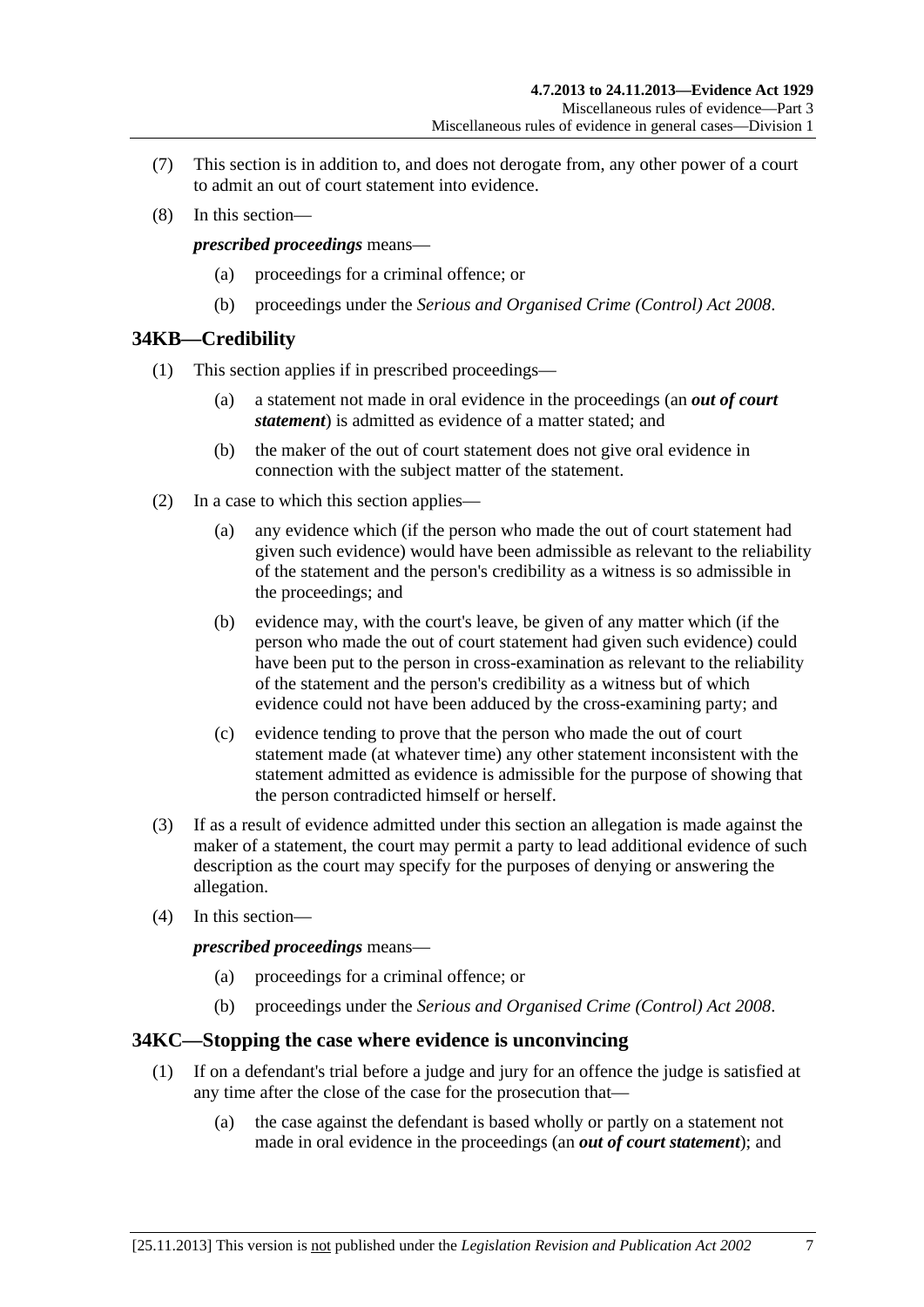- <span id="page-30-0"></span> (7) This section is in addition to, and does not derogate from, any other power of a court to admit an out of court statement into evidence.
- (8) In this section—

*prescribed proceedings* means—

- (a) proceedings for a criminal offence; or
- (b) proceedings under the *[Serious and Organised Crime \(Control\) Act 2008](http://www.legislation.sa.gov.au/index.aspx?action=legref&type=act&legtitle=Serious%20and%20Organised%20Crime%20(Control)%20Act%202008)*.

#### **34KB—Credibility**

- (1) This section applies if in prescribed proceedings—
	- (a) a statement not made in oral evidence in the proceedings (an *out of court statement*) is admitted as evidence of a matter stated; and
	- (b) the maker of the out of court statement does not give oral evidence in connection with the subject matter of the statement.
- (2) In a case to which this section applies—
	- (a) any evidence which (if the person who made the out of court statement had given such evidence) would have been admissible as relevant to the reliability of the statement and the person's credibility as a witness is so admissible in the proceedings; and
	- (b) evidence may, with the court's leave, be given of any matter which (if the person who made the out of court statement had given such evidence) could have been put to the person in cross-examination as relevant to the reliability of the statement and the person's credibility as a witness but of which evidence could not have been adduced by the cross-examining party; and
	- (c) evidence tending to prove that the person who made the out of court statement made (at whatever time) any other statement inconsistent with the statement admitted as evidence is admissible for the purpose of showing that the person contradicted himself or herself.
- (3) If as a result of evidence admitted under this section an allegation is made against the maker of a statement, the court may permit a party to lead additional evidence of such description as the court may specify for the purposes of denying or answering the allegation.
- (4) In this section—

*prescribed proceedings* means—

- (a) proceedings for a criminal offence; or
- (b) proceedings under the *[Serious and Organised Crime \(Control\) Act 2008](http://www.legislation.sa.gov.au/index.aspx?action=legref&type=act&legtitle=Serious%20and%20Organised%20Crime%20(Control)%20Act%202008)*.

#### **34KC—Stopping the case where evidence is unconvincing**

- (1) If on a defendant's trial before a judge and jury for an offence the judge is satisfied at any time after the close of the case for the prosecution that—
	- (a) the case against the defendant is based wholly or partly on a statement not made in oral evidence in the proceedings (an *out of court statement*); and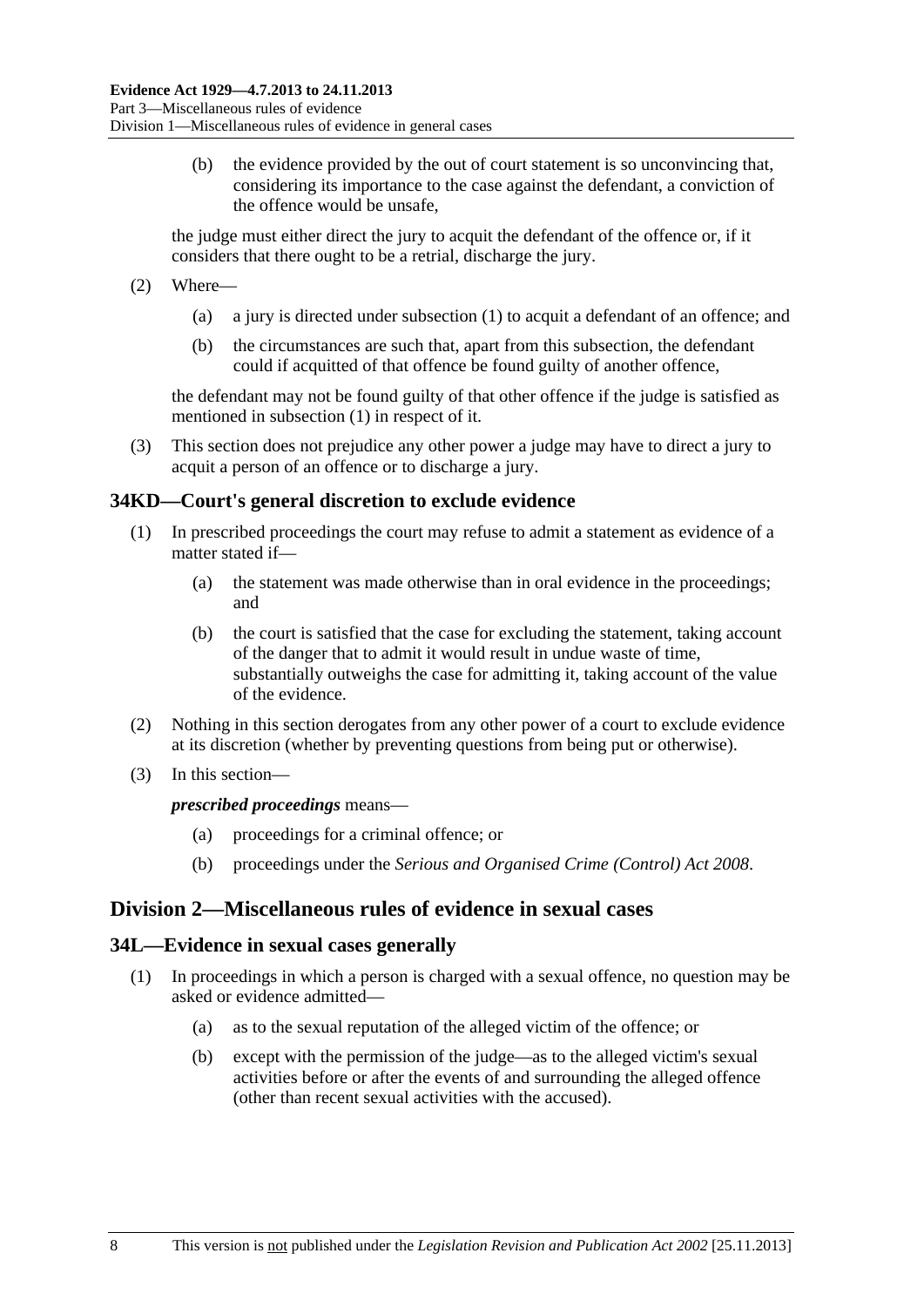<span id="page-31-0"></span> (b) the evidence provided by the out of court statement is so unconvincing that, considering its importance to the case against the defendant, a conviction of the offence would be unsafe,

the judge must either direct the jury to acquit the defendant of the offence or, if it considers that there ought to be a retrial, discharge the jury.

- (2) Where—
	- (a) a jury is directed under [subsection \(1\)](#page-30-0) to acquit a defendant of an offence; and
	- (b) the circumstances are such that, apart from this subsection, the defendant could if acquitted of that offence be found guilty of another offence,

the defendant may not be found guilty of that other offence if the judge is satisfied as mentioned in [subsection \(1\)](#page-30-0) in respect of it.

 (3) This section does not prejudice any other power a judge may have to direct a jury to acquit a person of an offence or to discharge a jury.

# **34KD—Court's general discretion to exclude evidence**

- (1) In prescribed proceedings the court may refuse to admit a statement as evidence of a matter stated if—
	- (a) the statement was made otherwise than in oral evidence in the proceedings; and
	- (b) the court is satisfied that the case for excluding the statement, taking account of the danger that to admit it would result in undue waste of time, substantially outweighs the case for admitting it, taking account of the value of the evidence.
- (2) Nothing in this section derogates from any other power of a court to exclude evidence at its discretion (whether by preventing questions from being put or otherwise).
- (3) In this section—

# *prescribed proceedings* means—

- (a) proceedings for a criminal offence; or
- (b) proceedings under the *[Serious and Organised Crime \(Control\) Act 2008](http://www.legislation.sa.gov.au/index.aspx?action=legref&type=act&legtitle=Serious%20and%20Organised%20Crime%20(Control)%20Act%202008)*.

# **Division 2—Miscellaneous rules of evidence in sexual cases**

# **34L—Evidence in sexual cases generally**

- (1) In proceedings in which a person is charged with a sexual offence, no question may be asked or evidence admitted—
	- (a) as to the sexual reputation of the alleged victim of the offence; or
	- (b) except with the permission of the judge—as to the alleged victim's sexual activities before or after the events of and surrounding the alleged offence (other than recent sexual activities with the accused).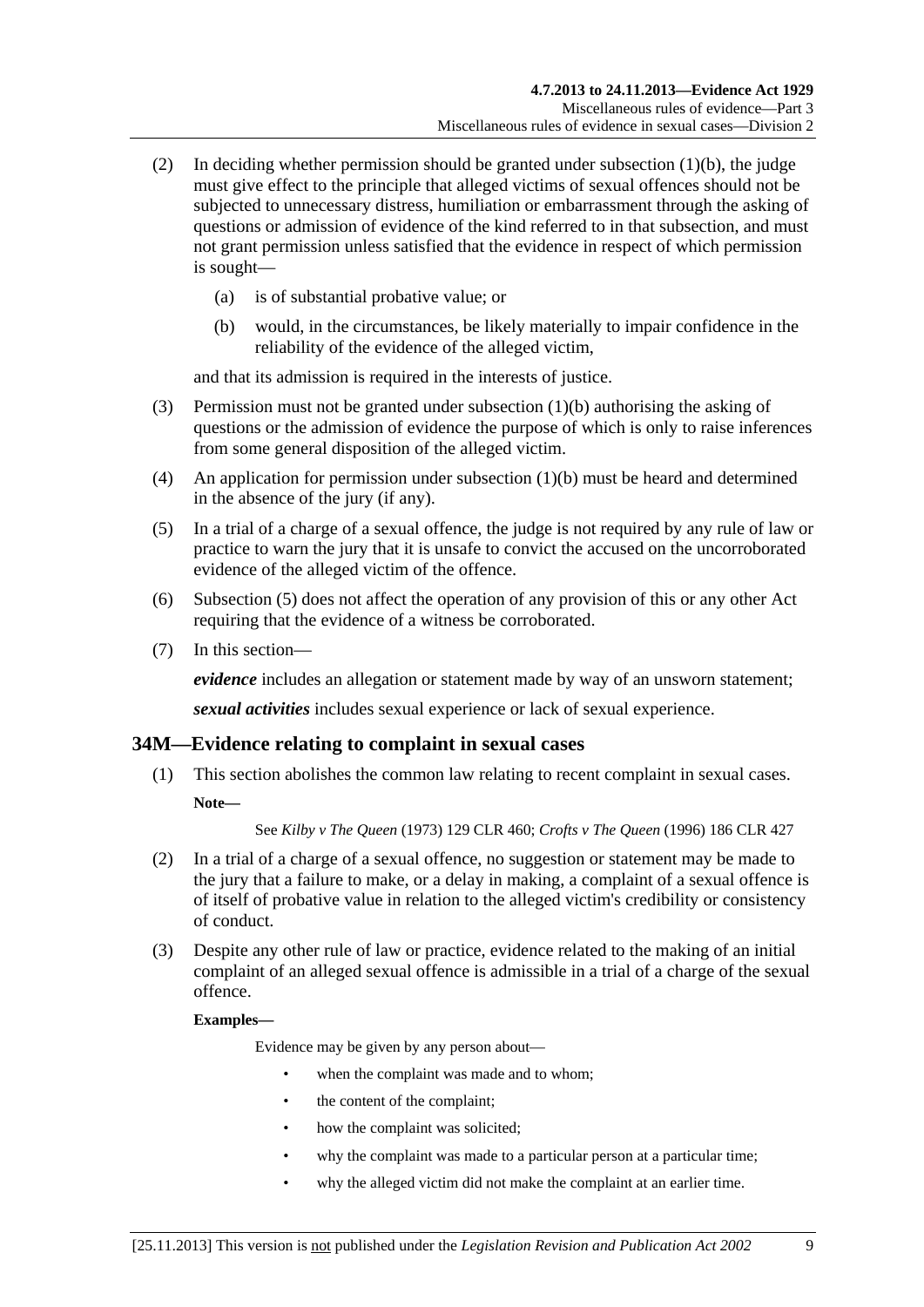- <span id="page-32-0"></span> (2) In deciding whether permission should be granted under [subsection \(1\)\(b\),](#page-31-0) the judge must give effect to the principle that alleged victims of sexual offences should not be subjected to unnecessary distress, humiliation or embarrassment through the asking of questions or admission of evidence of the kind referred to in that subsection, and must not grant permission unless satisfied that the evidence in respect of which permission is sought—
	- (a) is of substantial probative value; or
	- (b) would, in the circumstances, be likely materially to impair confidence in the reliability of the evidence of the alleged victim,

and that its admission is required in the interests of justice.

- (3) Permission must not be granted under [subsection \(1\)\(b\)](#page-31-0) authorising the asking of questions or the admission of evidence the purpose of which is only to raise inferences from some general disposition of the alleged victim.
- (4) An application for permission under subsection  $(1)(b)$  must be heard and determined in the absence of the jury (if any).
- (5) In a trial of a charge of a sexual offence, the judge is not required by any rule of law or practice to warn the jury that it is unsafe to convict the accused on the uncorroborated evidence of the alleged victim of the offence.
- (6) [Subsection \(5\)](#page-32-0) does not affect the operation of any provision of this or any other Act requiring that the evidence of a witness be corroborated.
- (7) In this section—

*evidence* includes an allegation or statement made by way of an unsworn statement;

*sexual activities* includes sexual experience or lack of sexual experience.

#### **34M—Evidence relating to complaint in sexual cases**

 (1) This section abolishes the common law relating to recent complaint in sexual cases. **Note—** 

See *Kilby v The Queen* (1973) 129 CLR 460; *Crofts v The Queen* (1996) 186 CLR 427

- (2) In a trial of a charge of a sexual offence, no suggestion or statement may be made to the jury that a failure to make, or a delay in making, a complaint of a sexual offence is of itself of probative value in relation to the alleged victim's credibility or consistency of conduct.
- (3) Despite any other rule of law or practice, evidence related to the making of an initial complaint of an alleged sexual offence is admissible in a trial of a charge of the sexual offence.

#### **Examples—**

Evidence may be given by any person about—

- when the complaint was made and to whom;
- the content of the complaint;
- how the complaint was solicited;
- why the complaint was made to a particular person at a particular time;
- why the alleged victim did not make the complaint at an earlier time.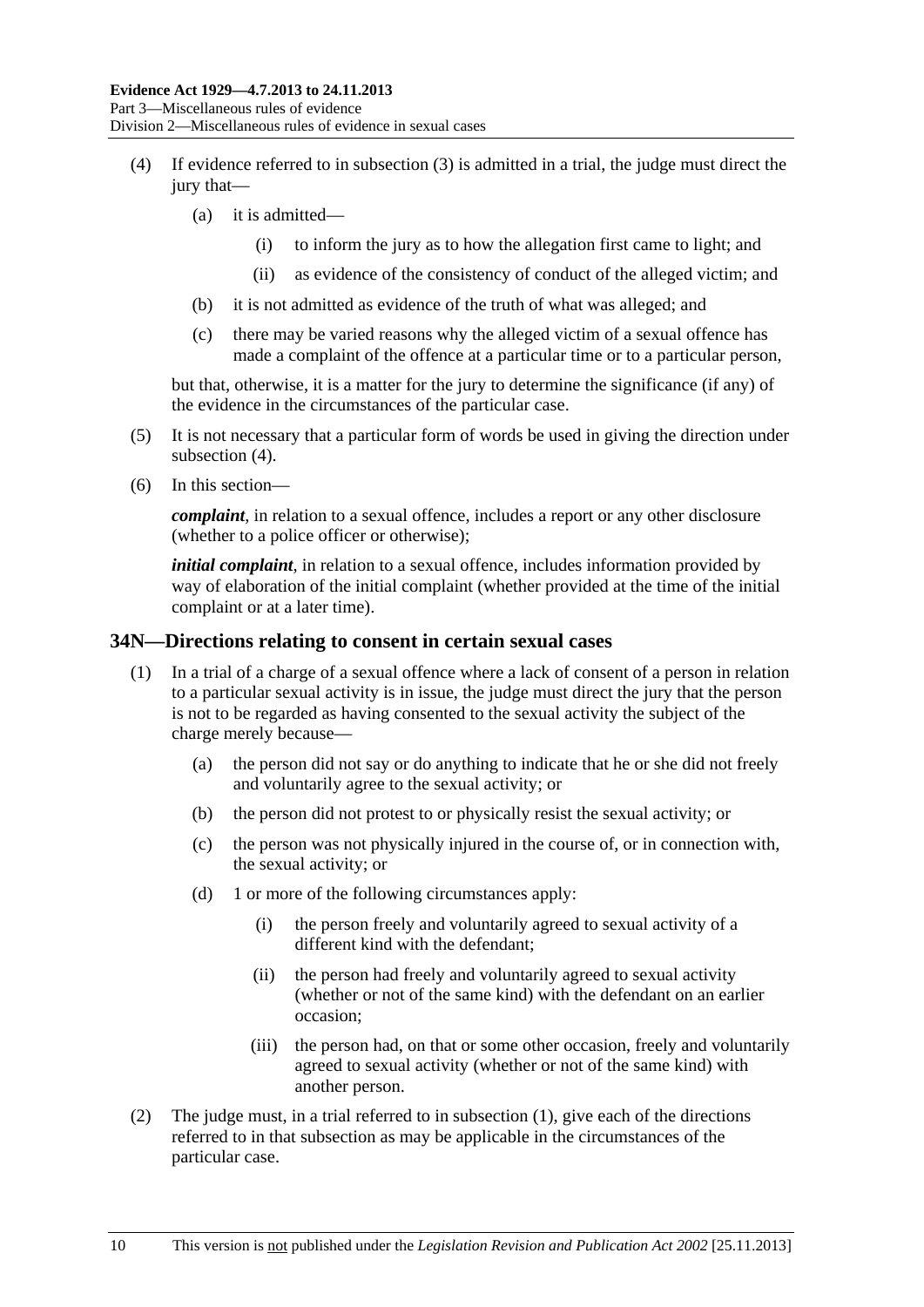- <span id="page-33-0"></span> (4) If evidence referred to in [subsection \(3\)](#page-32-0) is admitted in a trial, the judge must direct the jury that—
	- (a) it is admitted—
		- (i) to inform the jury as to how the allegation first came to light; and
		- (ii) as evidence of the consistency of conduct of the alleged victim; and
	- (b) it is not admitted as evidence of the truth of what was alleged; and
	- (c) there may be varied reasons why the alleged victim of a sexual offence has made a complaint of the offence at a particular time or to a particular person,

but that, otherwise, it is a matter for the jury to determine the significance (if any) of the evidence in the circumstances of the particular case.

- (5) It is not necessary that a particular form of words be used in giving the direction under subsection  $(4)$ .
- (6) In this section—

*complaint*, in relation to a sexual offence, includes a report or any other disclosure (whether to a police officer or otherwise);

*initial complaint*, in relation to a sexual offence, includes information provided by way of elaboration of the initial complaint (whether provided at the time of the initial complaint or at a later time).

#### **34N—Directions relating to consent in certain sexual cases**

- (1) In a trial of a charge of a sexual offence where a lack of consent of a person in relation to a particular sexual activity is in issue, the judge must direct the jury that the person is not to be regarded as having consented to the sexual activity the subject of the charge merely because—
	- (a) the person did not say or do anything to indicate that he or she did not freely and voluntarily agree to the sexual activity; or
	- (b) the person did not protest to or physically resist the sexual activity; or
	- (c) the person was not physically injured in the course of, or in connection with, the sexual activity; or
	- (d) 1 or more of the following circumstances apply:
		- (i) the person freely and voluntarily agreed to sexual activity of a different kind with the defendant;
		- (ii) the person had freely and voluntarily agreed to sexual activity (whether or not of the same kind) with the defendant on an earlier occasion;
		- (iii) the person had, on that or some other occasion, freely and voluntarily agreed to sexual activity (whether or not of the same kind) with another person.
- (2) The judge must, in a trial referred to in [subsection \(1\),](#page-33-0) give each of the directions referred to in that subsection as may be applicable in the circumstances of the particular case.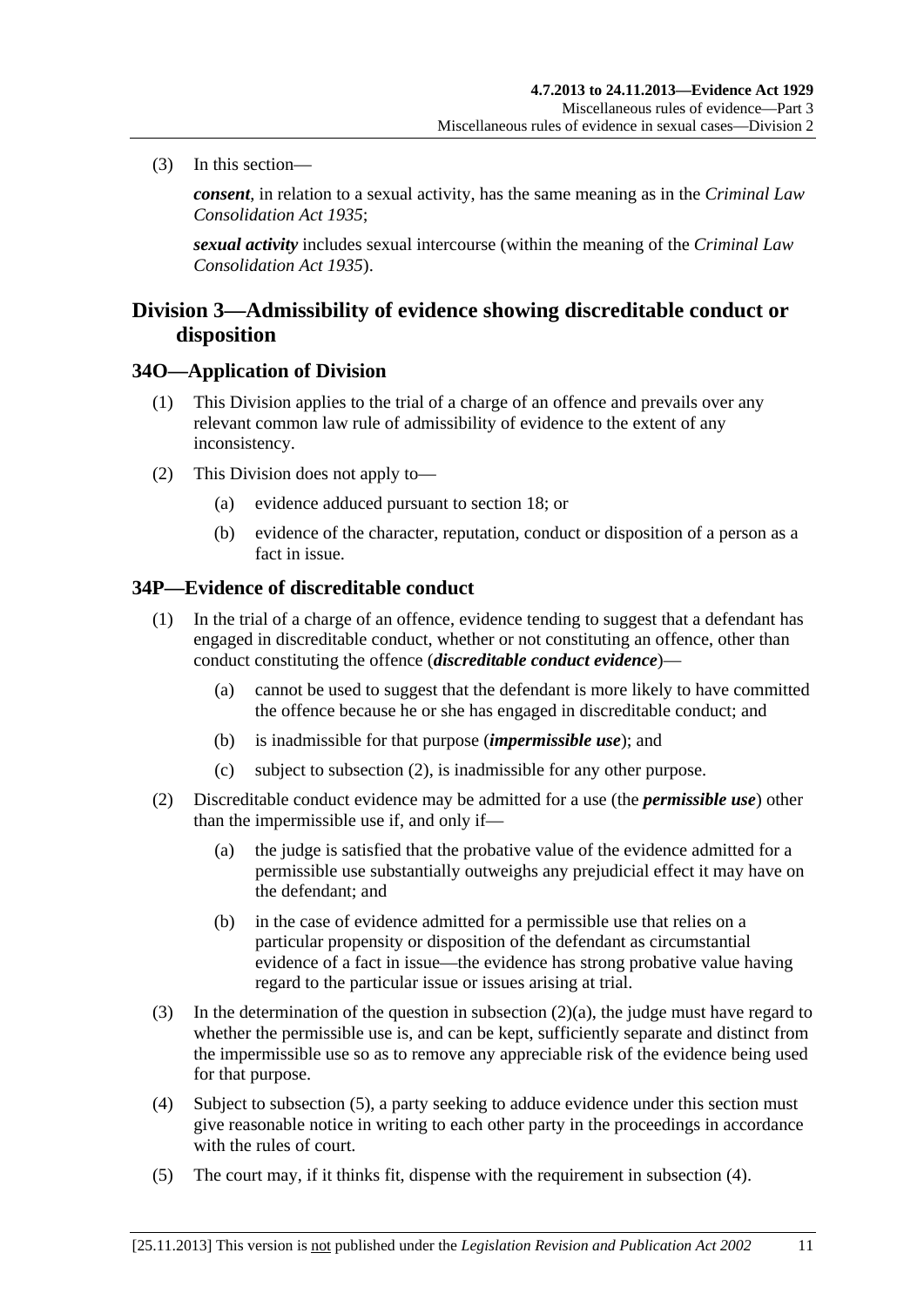<span id="page-34-0"></span>(3) In this section—

*consent*, in relation to a sexual activity, has the same meaning as in the *[Criminal Law](http://www.legislation.sa.gov.au/index.aspx?action=legref&type=act&legtitle=Criminal%20Law%20Consolidation%20Act%201935)  [Consolidation Act 1935](http://www.legislation.sa.gov.au/index.aspx?action=legref&type=act&legtitle=Criminal%20Law%20Consolidation%20Act%201935)*;

*sexual activity* includes sexual intercourse (within the meaning of the *[Criminal Law](http://www.legislation.sa.gov.au/index.aspx?action=legref&type=act&legtitle=Criminal%20Law%20Consolidation%20Act%201935)  [Consolidation Act 1935](http://www.legislation.sa.gov.au/index.aspx?action=legref&type=act&legtitle=Criminal%20Law%20Consolidation%20Act%201935)*).

# **Division 3—Admissibility of evidence showing discreditable conduct or disposition**

#### **34O—Application of Division**

- (1) This Division applies to the trial of a charge of an offence and prevails over any relevant common law rule of admissibility of evidence to the extent of any inconsistency.
- (2) This Division does not apply to—
	- (a) evidence adduced pursuant to [section 18;](#page-18-0) or
	- (b) evidence of the character, reputation, conduct or disposition of a person as a fact in issue.

#### **34P—Evidence of discreditable conduct**

- (1) In the trial of a charge of an offence, evidence tending to suggest that a defendant has engaged in discreditable conduct, whether or not constituting an offence, other than conduct constituting the offence (*discreditable conduct evidence*)—
	- (a) cannot be used to suggest that the defendant is more likely to have committed the offence because he or she has engaged in discreditable conduct; and
	- (b) is inadmissible for that purpose (*impermissible use*); and
	- (c) subject to [subsection \(2\),](#page-34-0) is inadmissible for any other purpose.
- (2) Discreditable conduct evidence may be admitted for a use (the *permissible use*) other than the impermissible use if, and only if—
	- (a) the judge is satisfied that the probative value of the evidence admitted for a permissible use substantially outweighs any prejudicial effect it may have on the defendant; and
	- (b) in the case of evidence admitted for a permissible use that relies on a particular propensity or disposition of the defendant as circumstantial evidence of a fact in issue—the evidence has strong probative value having regard to the particular issue or issues arising at trial.
- (3) In the determination of the question in [subsection \(2\)\(a\),](#page-34-0) the judge must have regard to whether the permissible use is, and can be kept, sufficiently separate and distinct from the impermissible use so as to remove any appreciable risk of the evidence being used for that purpose.
- (4) Subject to [subsection \(5\),](#page-34-0) a party seeking to adduce evidence under this section must give reasonable notice in writing to each other party in the proceedings in accordance with the rules of court.
- (5) The court may, if it thinks fit, dispense with the requirement in [subsection \(4\).](#page-34-0)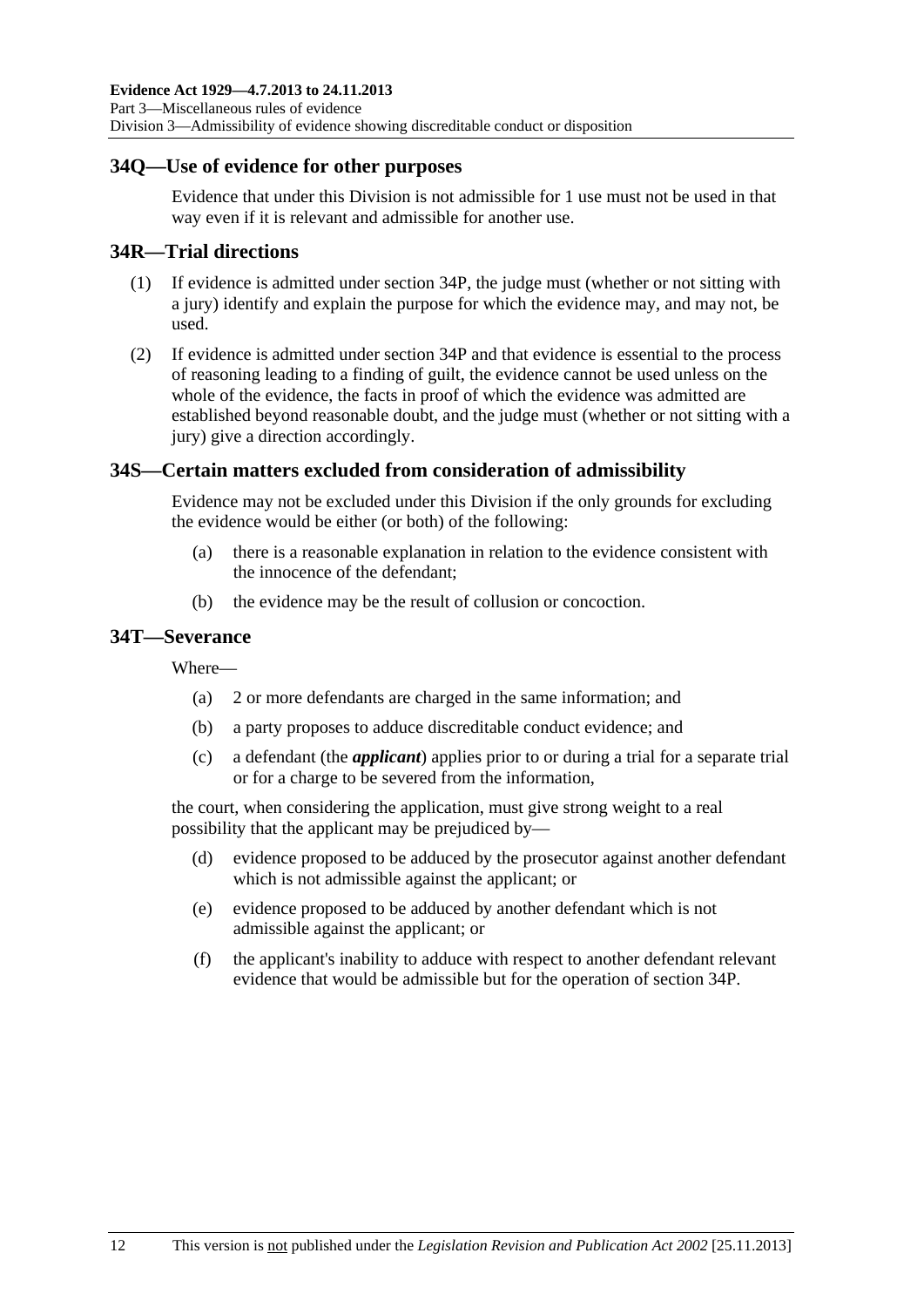### <span id="page-35-0"></span>**34Q—Use of evidence for other purposes**

Evidence that under this Division is not admissible for 1 use must not be used in that way even if it is relevant and admissible for another use.

# **34R—Trial directions**

- (1) If evidence is admitted under [section 34P](#page-34-0), the judge must (whether or not sitting with a jury) identify and explain the purpose for which the evidence may, and may not, be used.
- (2) If evidence is admitted under [section 34P](#page-34-0) and that evidence is essential to the process of reasoning leading to a finding of guilt, the evidence cannot be used unless on the whole of the evidence, the facts in proof of which the evidence was admitted are established beyond reasonable doubt, and the judge must (whether or not sitting with a jury) give a direction accordingly.

# **34S—Certain matters excluded from consideration of admissibility**

Evidence may not be excluded under this Division if the only grounds for excluding the evidence would be either (or both) of the following:

- (a) there is a reasonable explanation in relation to the evidence consistent with the innocence of the defendant;
- (b) the evidence may be the result of collusion or concoction.

#### **34T—Severance**

Where—

- (a) 2 or more defendants are charged in the same information; and
- (b) a party proposes to adduce discreditable conduct evidence; and
- (c) a defendant (the *applicant*) applies prior to or during a trial for a separate trial or for a charge to be severed from the information,

the court, when considering the application, must give strong weight to a real possibility that the applicant may be prejudiced by—

- (d) evidence proposed to be adduced by the prosecutor against another defendant which is not admissible against the applicant; or
- (e) evidence proposed to be adduced by another defendant which is not admissible against the applicant; or
- (f) the applicant's inability to adduce with respect to another defendant relevant evidence that would be admissible but for the operation of [section 34P.](#page-34-0)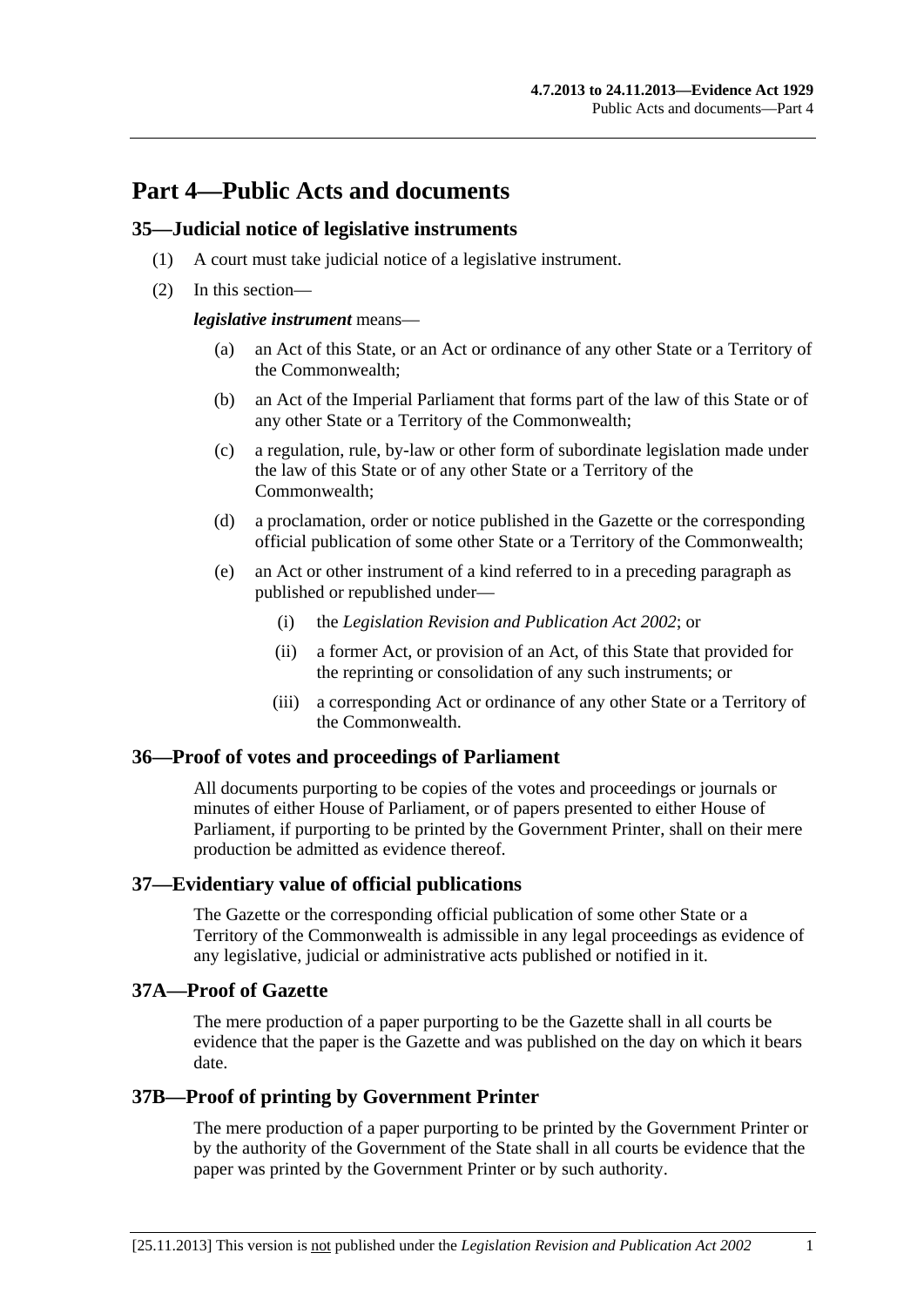# **Part 4—Public Acts and documents**

#### **35—Judicial notice of legislative instruments**

- (1) A court must take judicial notice of a legislative instrument.
- (2) In this section—

#### *legislative instrument* means—

- (a) an Act of this State, or an Act or ordinance of any other State or a Territory of the Commonwealth;
- (b) an Act of the Imperial Parliament that forms part of the law of this State or of any other State or a Territory of the Commonwealth;
- (c) a regulation, rule, by-law or other form of subordinate legislation made under the law of this State or of any other State or a Territory of the Commonwealth;
- (d) a proclamation, order or notice published in the Gazette or the corresponding official publication of some other State or a Territory of the Commonwealth;
- (e) an Act or other instrument of a kind referred to in a preceding paragraph as published or republished under—
	- (i) the *[Legislation Revision and Publication Act 2002](http://www.legislation.sa.gov.au/index.aspx?action=legref&type=act&legtitle=Legislation%20Revision%20and%20Publication%20Act%202002)*; or
	- (ii) a former Act, or provision of an Act, of this State that provided for the reprinting or consolidation of any such instruments; or
	- (iii) a corresponding Act or ordinance of any other State or a Territory of the Commonwealth.

#### **36—Proof of votes and proceedings of Parliament**

All documents purporting to be copies of the votes and proceedings or journals or minutes of either House of Parliament, or of papers presented to either House of Parliament, if purporting to be printed by the Government Printer, shall on their mere production be admitted as evidence thereof.

#### **37—Evidentiary value of official publications**

The Gazette or the corresponding official publication of some other State or a Territory of the Commonwealth is admissible in any legal proceedings as evidence of any legislative, judicial or administrative acts published or notified in it.

#### **37A—Proof of Gazette**

The mere production of a paper purporting to be the Gazette shall in all courts be evidence that the paper is the Gazette and was published on the day on which it bears date.

#### **37B—Proof of printing by Government Printer**

The mere production of a paper purporting to be printed by the Government Printer or by the authority of the Government of the State shall in all courts be evidence that the paper was printed by the Government Printer or by such authority.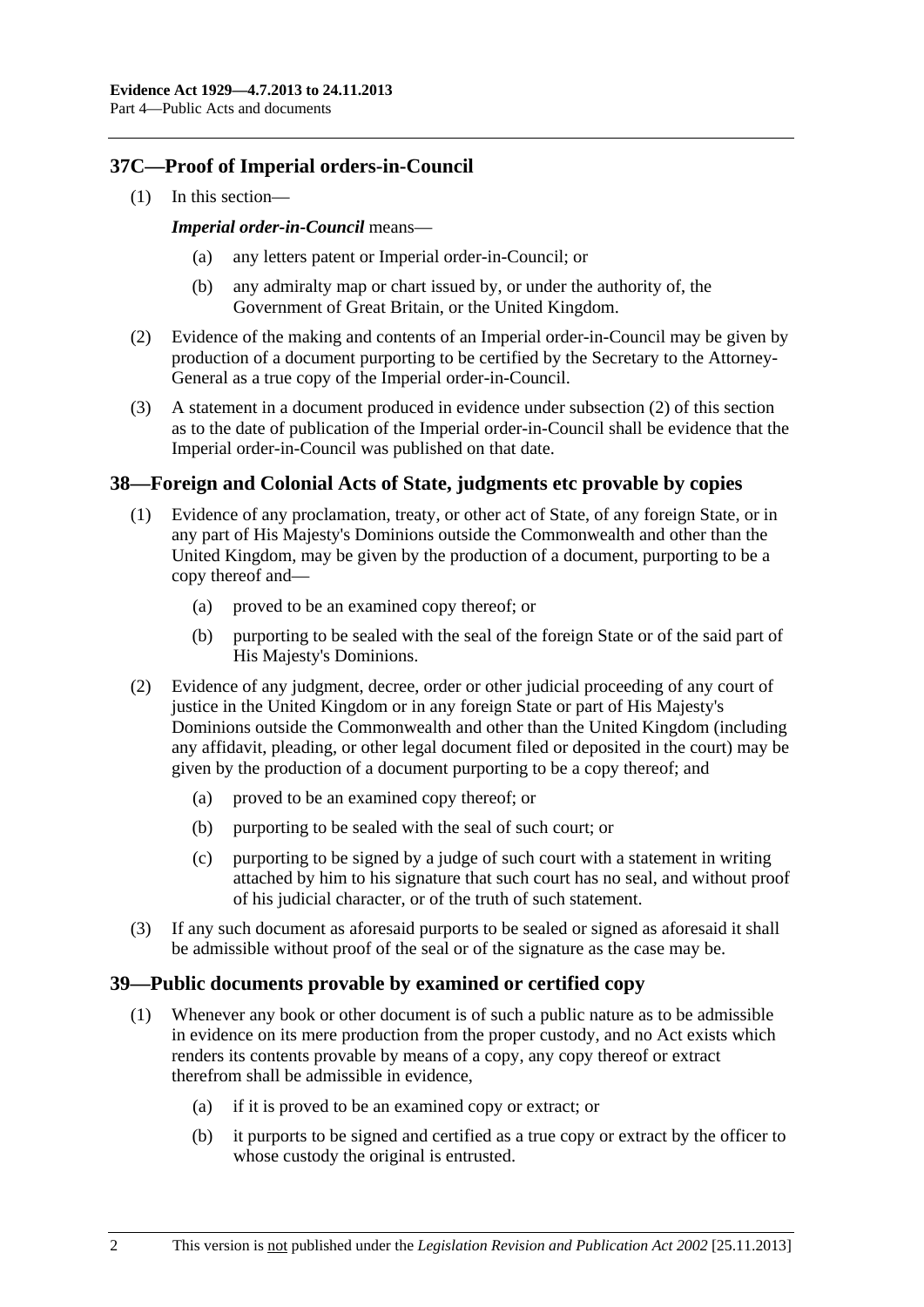## <span id="page-37-0"></span>**37C—Proof of Imperial orders-in-Council**

(1) In this section—

#### *Imperial order-in-Council* means—

- any letters patent or Imperial order-in-Council; or
- (b) any admiralty map or chart issued by, or under the authority of, the Government of Great Britain, or the United Kingdom.
- (2) Evidence of the making and contents of an Imperial order-in-Council may be given by production of a document purporting to be certified by the Secretary to the Attorney-General as a true copy of the Imperial order-in-Council.
- (3) A statement in a document produced in evidence under [subsection \(2\)](#page-37-0) of this section as to the date of publication of the Imperial order-in-Council shall be evidence that the Imperial order-in-Council was published on that date.

#### **38—Foreign and Colonial Acts of State, judgments etc provable by copies**

- (1) Evidence of any proclamation, treaty, or other act of State, of any foreign State, or in any part of His Majesty's Dominions outside the Commonwealth and other than the United Kingdom, may be given by the production of a document, purporting to be a copy thereof and—
	- (a) proved to be an examined copy thereof; or
	- (b) purporting to be sealed with the seal of the foreign State or of the said part of His Majesty's Dominions.
- (2) Evidence of any judgment, decree, order or other judicial proceeding of any court of justice in the United Kingdom or in any foreign State or part of His Majesty's Dominions outside the Commonwealth and other than the United Kingdom (including any affidavit, pleading, or other legal document filed or deposited in the court) may be given by the production of a document purporting to be a copy thereof; and
	- (a) proved to be an examined copy thereof; or
	- (b) purporting to be sealed with the seal of such court; or
	- (c) purporting to be signed by a judge of such court with a statement in writing attached by him to his signature that such court has no seal, and without proof of his judicial character, or of the truth of such statement.
- (3) If any such document as aforesaid purports to be sealed or signed as aforesaid it shall be admissible without proof of the seal or of the signature as the case may be.

#### **39—Public documents provable by examined or certified copy**

- (1) Whenever any book or other document is of such a public nature as to be admissible in evidence on its mere production from the proper custody, and no Act exists which renders its contents provable by means of a copy, any copy thereof or extract therefrom shall be admissible in evidence,
	- (a) if it is proved to be an examined copy or extract; or
	- (b) it purports to be signed and certified as a true copy or extract by the officer to whose custody the original is entrusted.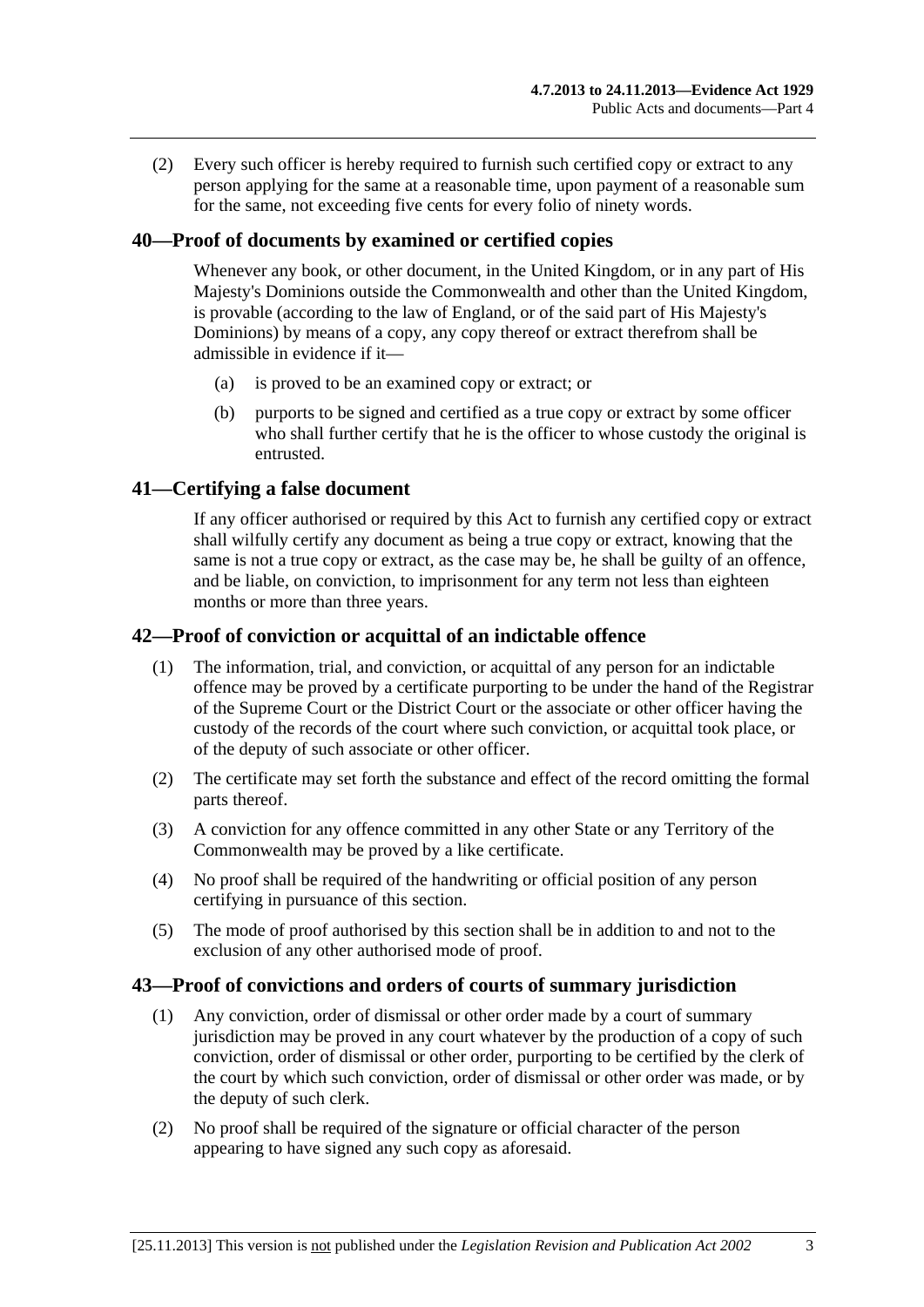(2) Every such officer is hereby required to furnish such certified copy or extract to any person applying for the same at a reasonable time, upon payment of a reasonable sum for the same, not exceeding five cents for every folio of ninety words.

#### **40—Proof of documents by examined or certified copies**

Whenever any book, or other document, in the United Kingdom, or in any part of His Majesty's Dominions outside the Commonwealth and other than the United Kingdom, is provable (according to the law of England, or of the said part of His Majesty's Dominions) by means of a copy, any copy thereof or extract therefrom shall be admissible in evidence if it—

- (a) is proved to be an examined copy or extract; or
- (b) purports to be signed and certified as a true copy or extract by some officer who shall further certify that he is the officer to whose custody the original is entrusted.

#### **41—Certifying a false document**

If any officer authorised or required by this Act to furnish any certified copy or extract shall wilfully certify any document as being a true copy or extract, knowing that the same is not a true copy or extract, as the case may be, he shall be guilty of an offence, and be liable, on conviction, to imprisonment for any term not less than eighteen months or more than three years.

#### **42—Proof of conviction or acquittal of an indictable offence**

- (1) The information, trial, and conviction, or acquittal of any person for an indictable offence may be proved by a certificate purporting to be under the hand of the Registrar of the Supreme Court or the District Court or the associate or other officer having the custody of the records of the court where such conviction, or acquittal took place, or of the deputy of such associate or other officer.
- (2) The certificate may set forth the substance and effect of the record omitting the formal parts thereof.
- (3) A conviction for any offence committed in any other State or any Territory of the Commonwealth may be proved by a like certificate.
- (4) No proof shall be required of the handwriting or official position of any person certifying in pursuance of this section.
- (5) The mode of proof authorised by this section shall be in addition to and not to the exclusion of any other authorised mode of proof.

#### **43—Proof of convictions and orders of courts of summary jurisdiction**

- (1) Any conviction, order of dismissal or other order made by a court of summary jurisdiction may be proved in any court whatever by the production of a copy of such conviction, order of dismissal or other order, purporting to be certified by the clerk of the court by which such conviction, order of dismissal or other order was made, or by the deputy of such clerk.
- (2) No proof shall be required of the signature or official character of the person appearing to have signed any such copy as aforesaid.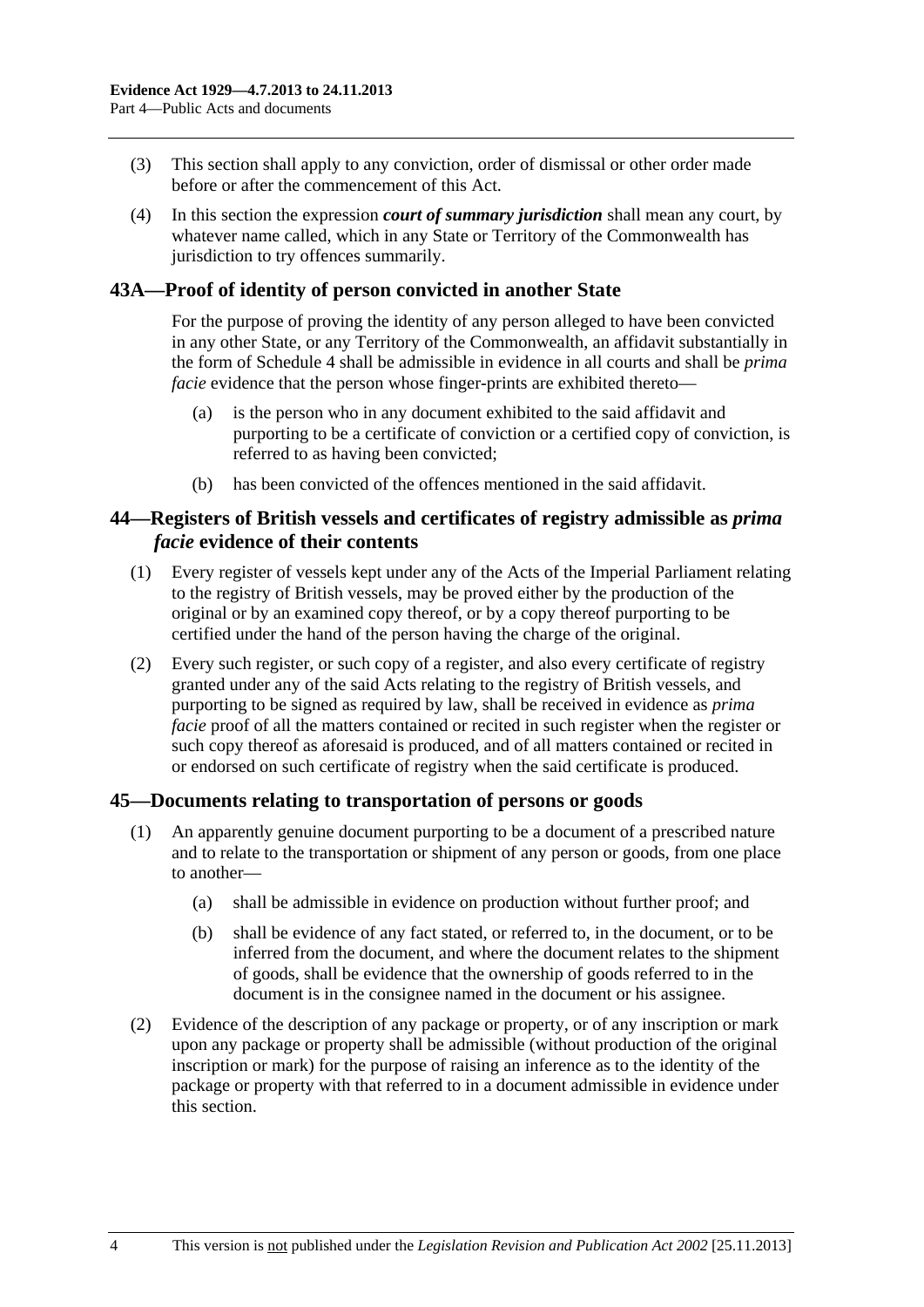- (3) This section shall apply to any conviction, order of dismissal or other order made before or after the commencement of this Act.
- (4) In this section the expression *court of summary jurisdiction* shall mean any court, by whatever name called, which in any State or Territory of the Commonwealth has jurisdiction to try offences summarily.

### **43A—Proof of identity of person convicted in another State**

For the purpose of proving the identity of any person alleged to have been convicted in any other State, or any Territory of the Commonwealth, an affidavit substantially in the form of [Schedule 4](#page-93-0) shall be admissible in evidence in all courts and shall be *prima facie* evidence that the person whose finger-prints are exhibited thereto—

- (a) is the person who in any document exhibited to the said affidavit and purporting to be a certificate of conviction or a certified copy of conviction, is referred to as having been convicted;
- (b) has been convicted of the offences mentioned in the said affidavit.

#### **44—Registers of British vessels and certificates of registry admissible as** *prima facie* **evidence of their contents**

- (1) Every register of vessels kept under any of the Acts of the Imperial Parliament relating to the registry of British vessels, may be proved either by the production of the original or by an examined copy thereof, or by a copy thereof purporting to be certified under the hand of the person having the charge of the original.
- (2) Every such register, or such copy of a register, and also every certificate of registry granted under any of the said Acts relating to the registry of British vessels, and purporting to be signed as required by law, shall be received in evidence as *prima facie* proof of all the matters contained or recited in such register when the register or such copy thereof as aforesaid is produced, and of all matters contained or recited in or endorsed on such certificate of registry when the said certificate is produced.

#### **45—Documents relating to transportation of persons or goods**

- (1) An apparently genuine document purporting to be a document of a prescribed nature and to relate to the transportation or shipment of any person or goods, from one place to another—
	- (a) shall be admissible in evidence on production without further proof; and
	- (b) shall be evidence of any fact stated, or referred to, in the document, or to be inferred from the document, and where the document relates to the shipment of goods, shall be evidence that the ownership of goods referred to in the document is in the consignee named in the document or his assignee.
- (2) Evidence of the description of any package or property, or of any inscription or mark upon any package or property shall be admissible (without production of the original inscription or mark) for the purpose of raising an inference as to the identity of the package or property with that referred to in a document admissible in evidence under this section.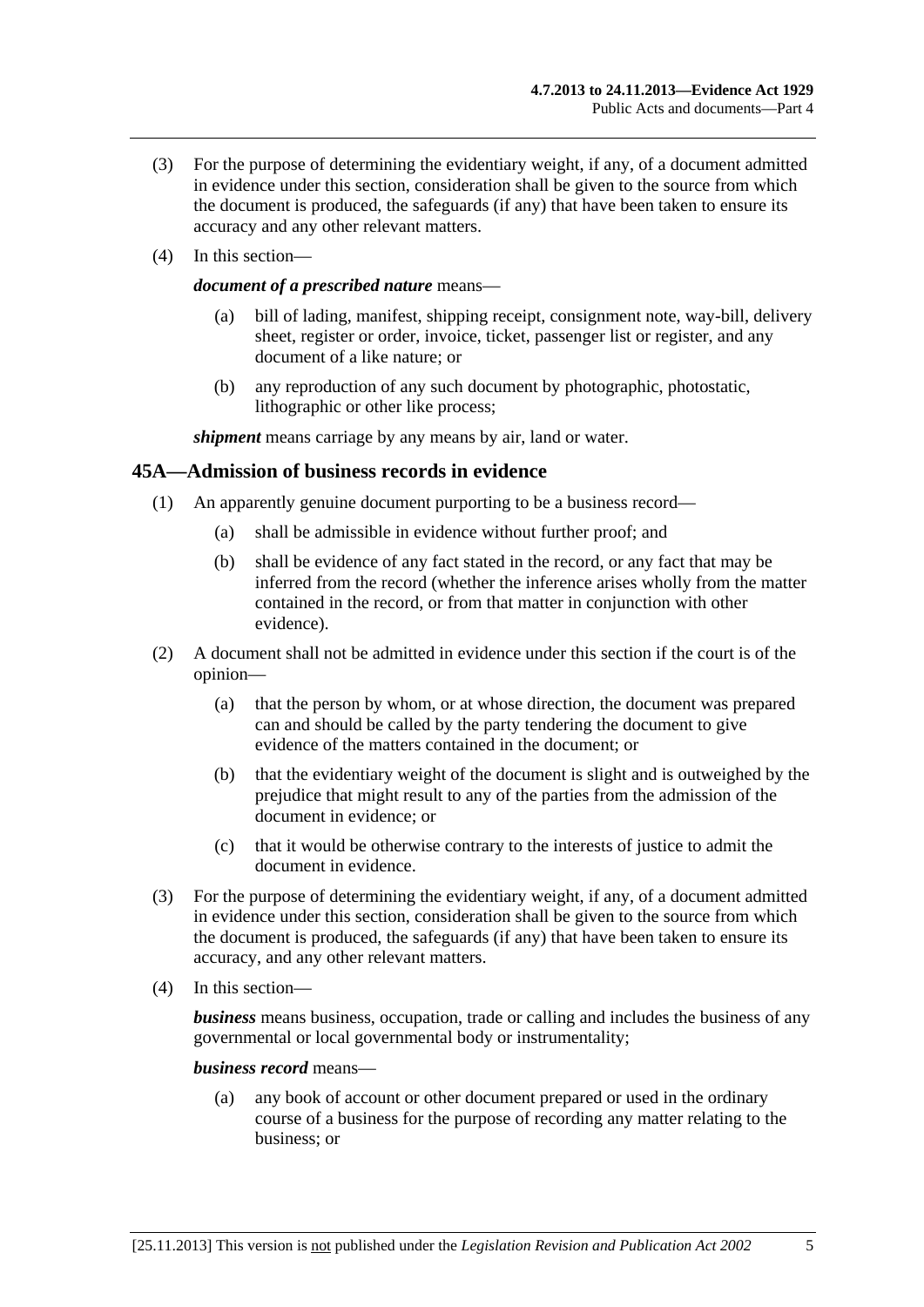- (3) For the purpose of determining the evidentiary weight, if any, of a document admitted in evidence under this section, consideration shall be given to the source from which the document is produced, the safeguards (if any) that have been taken to ensure its accuracy and any other relevant matters.
- (4) In this section—

#### *document of a prescribed nature* means—

- (a) bill of lading, manifest, shipping receipt, consignment note, way-bill, delivery sheet, register or order, invoice, ticket, passenger list or register, and any document of a like nature; or
- (b) any reproduction of any such document by photographic, photostatic, lithographic or other like process;

*shipment* means carriage by any means by air, land or water.

#### **45A—Admission of business records in evidence**

- (1) An apparently genuine document purporting to be a business record—
	- (a) shall be admissible in evidence without further proof; and
	- (b) shall be evidence of any fact stated in the record, or any fact that may be inferred from the record (whether the inference arises wholly from the matter contained in the record, or from that matter in conjunction with other evidence).
- (2) A document shall not be admitted in evidence under this section if the court is of the opinion—
	- (a) that the person by whom, or at whose direction, the document was prepared can and should be called by the party tendering the document to give evidence of the matters contained in the document; or
	- (b) that the evidentiary weight of the document is slight and is outweighed by the prejudice that might result to any of the parties from the admission of the document in evidence; or
	- (c) that it would be otherwise contrary to the interests of justice to admit the document in evidence.
- (3) For the purpose of determining the evidentiary weight, if any, of a document admitted in evidence under this section, consideration shall be given to the source from which the document is produced, the safeguards (if any) that have been taken to ensure its accuracy, and any other relevant matters.
- (4) In this section—

*business* means business, occupation, trade or calling and includes the business of any governmental or local governmental body or instrumentality;

*business record* means—

 (a) any book of account or other document prepared or used in the ordinary course of a business for the purpose of recording any matter relating to the business; or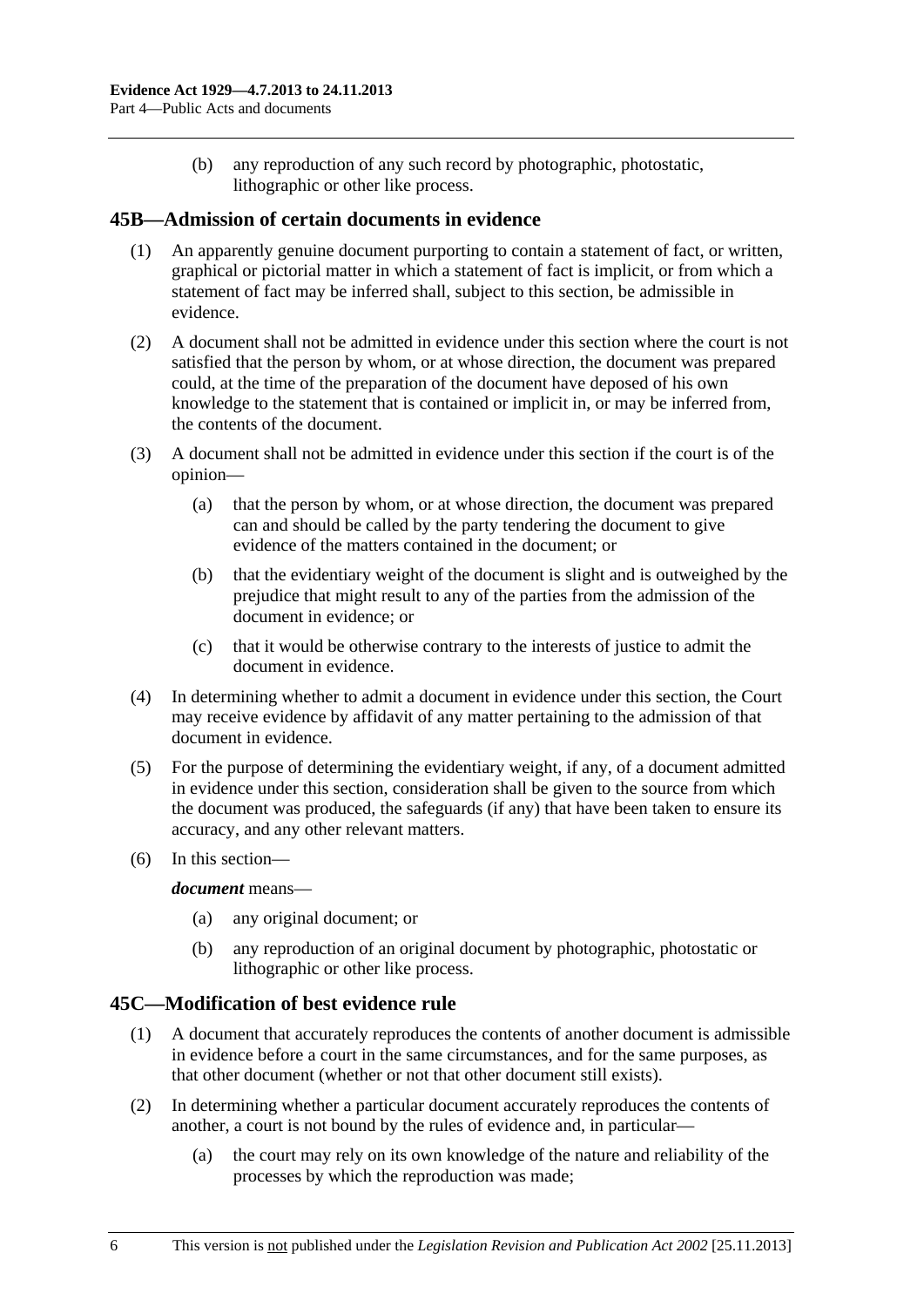(b) any reproduction of any such record by photographic, photostatic, lithographic or other like process.

#### **45B—Admission of certain documents in evidence**

- (1) An apparently genuine document purporting to contain a statement of fact, or written, graphical or pictorial matter in which a statement of fact is implicit, or from which a statement of fact may be inferred shall, subject to this section, be admissible in evidence.
- (2) A document shall not be admitted in evidence under this section where the court is not satisfied that the person by whom, or at whose direction, the document was prepared could, at the time of the preparation of the document have deposed of his own knowledge to the statement that is contained or implicit in, or may be inferred from, the contents of the document.
- (3) A document shall not be admitted in evidence under this section if the court is of the opinion—
	- (a) that the person by whom, or at whose direction, the document was prepared can and should be called by the party tendering the document to give evidence of the matters contained in the document; or
	- (b) that the evidentiary weight of the document is slight and is outweighed by the prejudice that might result to any of the parties from the admission of the document in evidence; or
	- (c) that it would be otherwise contrary to the interests of justice to admit the document in evidence.
- (4) In determining whether to admit a document in evidence under this section, the Court may receive evidence by affidavit of any matter pertaining to the admission of that document in evidence.
- (5) For the purpose of determining the evidentiary weight, if any, of a document admitted in evidence under this section, consideration shall be given to the source from which the document was produced, the safeguards (if any) that have been taken to ensure its accuracy, and any other relevant matters.
- (6) In this section—

#### *document* means—

- (a) any original document; or
- (b) any reproduction of an original document by photographic, photostatic or lithographic or other like process.

#### **45C—Modification of best evidence rule**

- (1) A document that accurately reproduces the contents of another document is admissible in evidence before a court in the same circumstances, and for the same purposes, as that other document (whether or not that other document still exists).
- (2) In determining whether a particular document accurately reproduces the contents of another, a court is not bound by the rules of evidence and, in particular—
	- (a) the court may rely on its own knowledge of the nature and reliability of the processes by which the reproduction was made;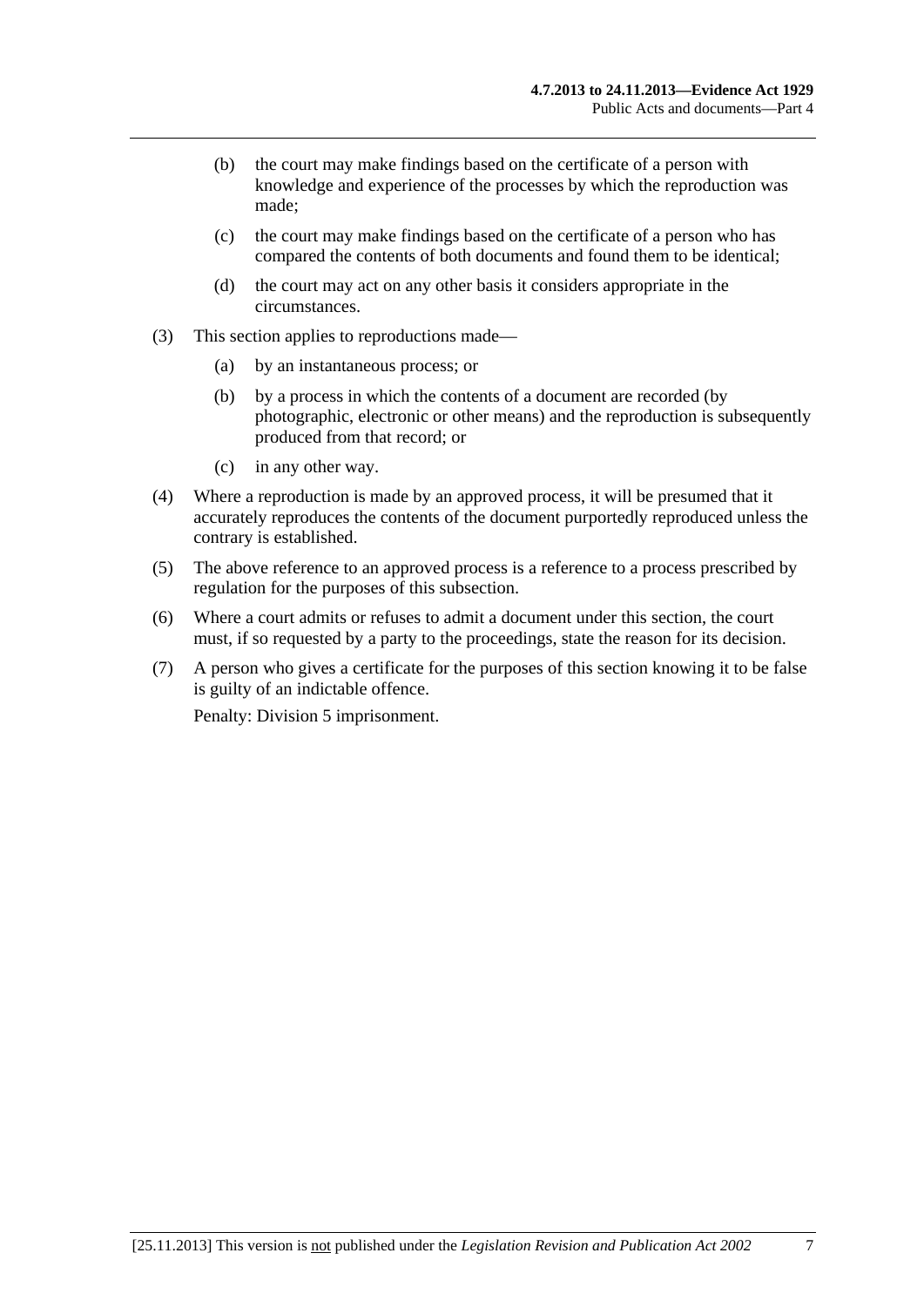- (b) the court may make findings based on the certificate of a person with knowledge and experience of the processes by which the reproduction was made;
- (c) the court may make findings based on the certificate of a person who has compared the contents of both documents and found them to be identical;
- (d) the court may act on any other basis it considers appropriate in the circumstances.
- (3) This section applies to reproductions made—
	- (a) by an instantaneous process; or
	- (b) by a process in which the contents of a document are recorded (by photographic, electronic or other means) and the reproduction is subsequently produced from that record; or
	- (c) in any other way.
- (4) Where a reproduction is made by an approved process, it will be presumed that it accurately reproduces the contents of the document purportedly reproduced unless the contrary is established.
- (5) The above reference to an approved process is a reference to a process prescribed by regulation for the purposes of this subsection.
- (6) Where a court admits or refuses to admit a document under this section, the court must, if so requested by a party to the proceedings, state the reason for its decision.
- (7) A person who gives a certificate for the purposes of this section knowing it to be false is guilty of an indictable offence.

Penalty: Division 5 imprisonment.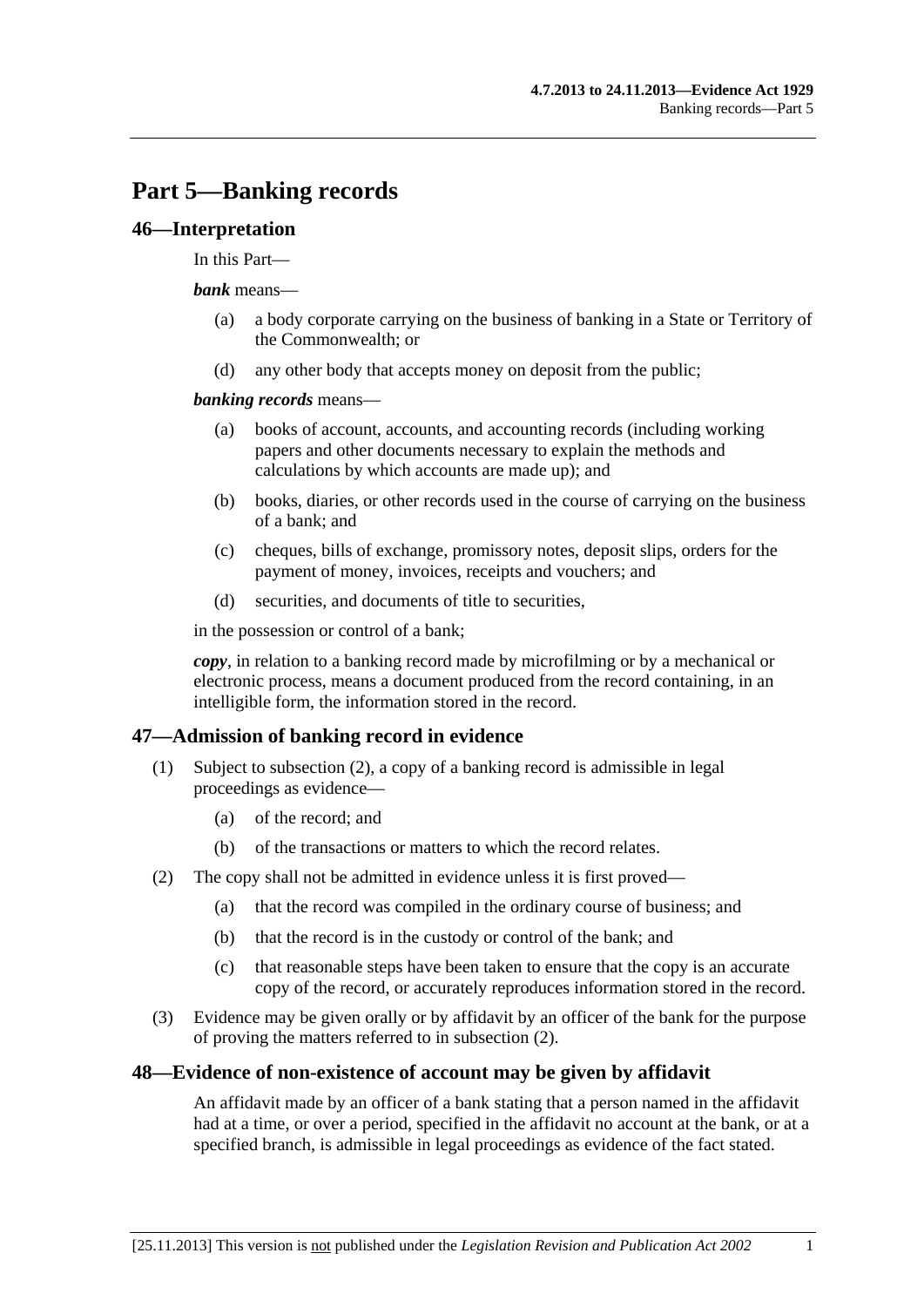# <span id="page-44-0"></span>**Part 5—Banking records**

#### **46—Interpretation**

#### In this Part—

#### *bank* means—

- (a) a body corporate carrying on the business of banking in a State or Territory of the Commonwealth; or
- (d) any other body that accepts money on deposit from the public;

#### *banking records* means—

- (a) books of account, accounts, and accounting records (including working papers and other documents necessary to explain the methods and calculations by which accounts are made up); and
- (b) books, diaries, or other records used in the course of carrying on the business of a bank; and
- (c) cheques, bills of exchange, promissory notes, deposit slips, orders for the payment of money, invoices, receipts and vouchers; and
- (d) securities, and documents of title to securities,

in the possession or control of a bank;

*copy*, in relation to a banking record made by microfilming or by a mechanical or electronic process, means a document produced from the record containing, in an intelligible form, the information stored in the record.

#### **47—Admission of banking record in evidence**

- (1) Subject to [subsection \(2\),](#page-44-0) a copy of a banking record is admissible in legal proceedings as evidence—
	- (a) of the record; and
	- (b) of the transactions or matters to which the record relates.
- (2) The copy shall not be admitted in evidence unless it is first proved—
	- (a) that the record was compiled in the ordinary course of business; and
	- (b) that the record is in the custody or control of the bank; and
	- (c) that reasonable steps have been taken to ensure that the copy is an accurate copy of the record, or accurately reproduces information stored in the record.
- (3) Evidence may be given orally or by affidavit by an officer of the bank for the purpose of proving the matters referred to in [subsection \(2\)](#page-44-0).

#### **48—Evidence of non-existence of account may be given by affidavit**

An affidavit made by an officer of a bank stating that a person named in the affidavit had at a time, or over a period, specified in the affidavit no account at the bank, or at a specified branch, is admissible in legal proceedings as evidence of the fact stated.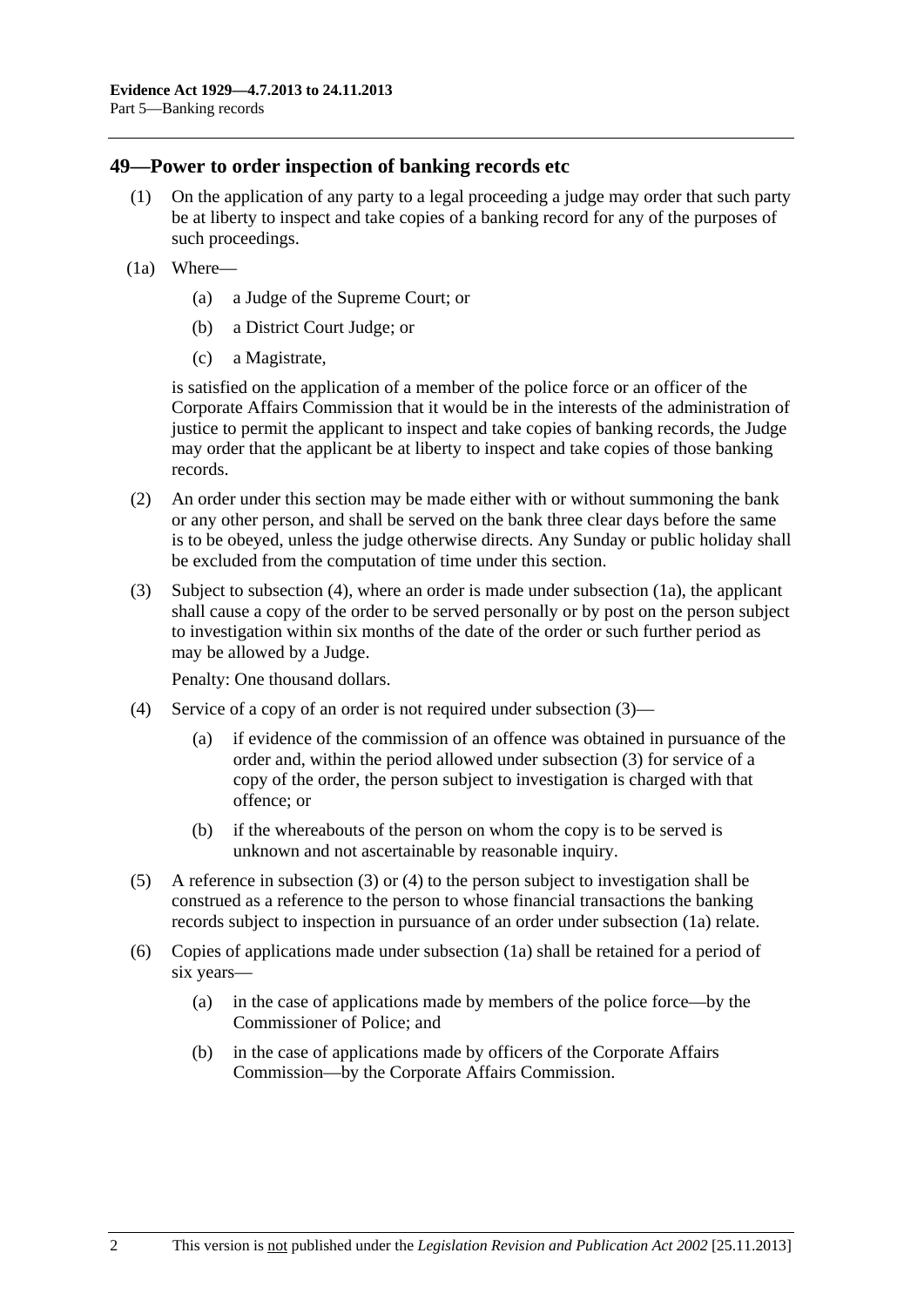#### <span id="page-45-0"></span>**49—Power to order inspection of banking records etc**

- (1) On the application of any party to a legal proceeding a judge may order that such party be at liberty to inspect and take copies of a banking record for any of the purposes of such proceedings.
- (1a) Where—
	- (a) a Judge of the Supreme Court; or
	- (b) a District Court Judge; or
	- (c) a Magistrate,

is satisfied on the application of a member of the police force or an officer of the Corporate Affairs Commission that it would be in the interests of the administration of justice to permit the applicant to inspect and take copies of banking records, the Judge may order that the applicant be at liberty to inspect and take copies of those banking records.

- (2) An order under this section may be made either with or without summoning the bank or any other person, and shall be served on the bank three clear days before the same is to be obeyed, unless the judge otherwise directs. Any Sunday or public holiday shall be excluded from the computation of time under this section.
- (3) Subject to [subsection \(4\),](#page-45-0) where an order is made under [subsection \(1a\),](#page-45-0) the applicant shall cause a copy of the order to be served personally or by post on the person subject to investigation within six months of the date of the order or such further period as may be allowed by a Judge.

Penalty: One thousand dollars.

- (4) Service of a copy of an order is not required under [subsection \(3\)](#page-45-0)
	- (a) if evidence of the commission of an offence was obtained in pursuance of the order and, within the period allowed under [subsection \(3\)](#page-45-0) for service of a copy of the order, the person subject to investigation is charged with that offence; or
	- (b) if the whereabouts of the person on whom the copy is to be served is unknown and not ascertainable by reasonable inquiry.
- (5) A reference in [subsection \(3\)](#page-45-0) or [\(4\)](#page-45-0) to the person subject to investigation shall be construed as a reference to the person to whose financial transactions the banking records subject to inspection in pursuance of an order under [subsection \(1a\)](#page-45-0) relate.
- (6) Copies of applications made under [subsection \(1a\)](#page-45-0) shall be retained for a period of six years—
	- (a) in the case of applications made by members of the police force—by the Commissioner of Police; and
	- (b) in the case of applications made by officers of the Corporate Affairs Commission—by the Corporate Affairs Commission.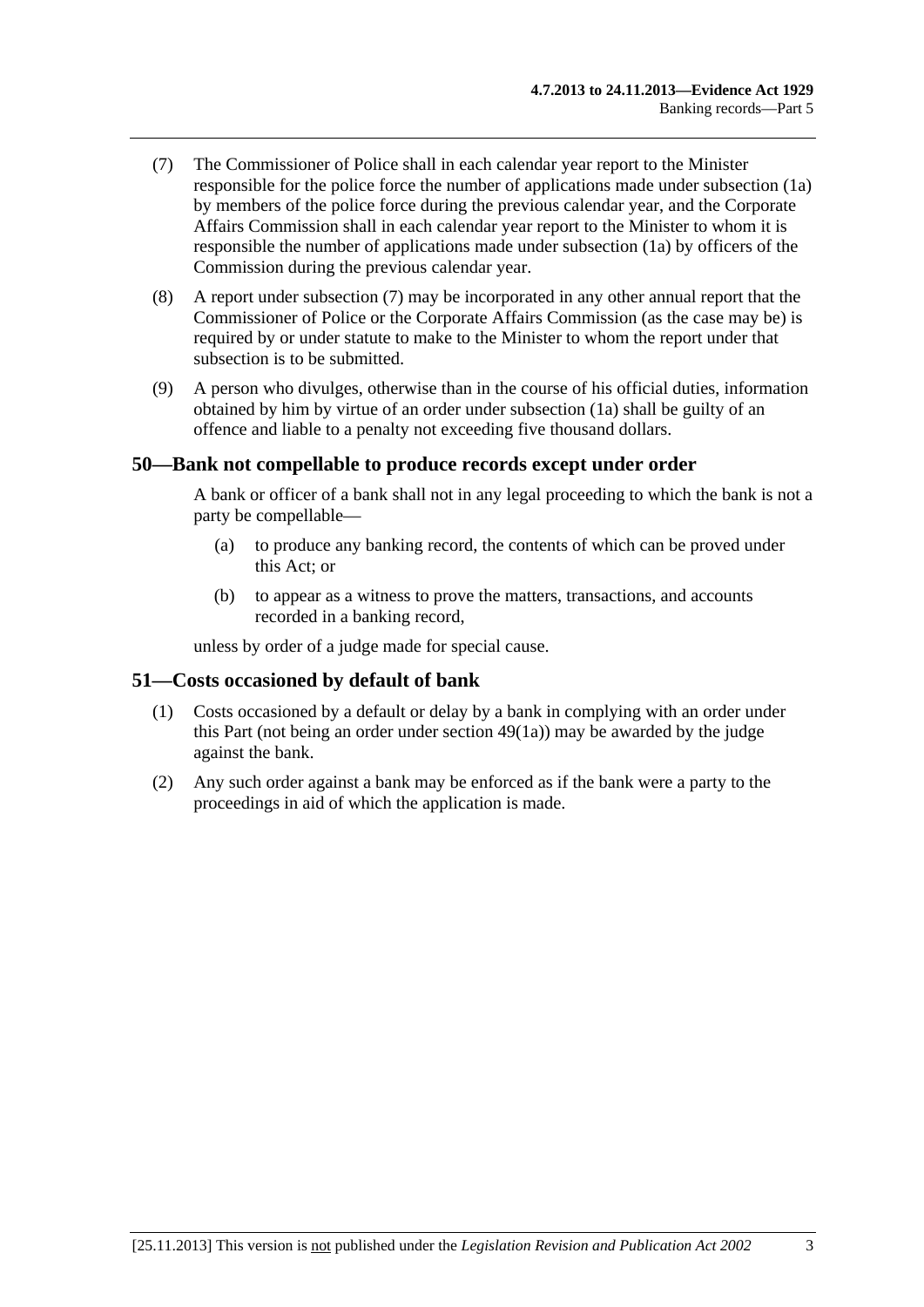- <span id="page-46-0"></span> (7) The Commissioner of Police shall in each calendar year report to the Minister responsible for the police force the number of applications made under [subsection \(1a\)](#page-45-0) by members of the police force during the previous calendar year, and the Corporate Affairs Commission shall in each calendar year report to the Minister to whom it is responsible the number of applications made under [subsection \(1a\)](#page-45-0) by officers of the Commission during the previous calendar year.
- (8) A report under [subsection \(7\)](#page-46-0) may be incorporated in any other annual report that the Commissioner of Police or the Corporate Affairs Commission (as the case may be) is required by or under statute to make to the Minister to whom the report under that subsection is to be submitted.
- (9) A person who divulges, otherwise than in the course of his official duties, information obtained by him by virtue of an order under [subsection \(1a\)](#page-45-0) shall be guilty of an offence and liable to a penalty not exceeding five thousand dollars.

#### **50—Bank not compellable to produce records except under order**

A bank or officer of a bank shall not in any legal proceeding to which the bank is not a party be compellable—

- (a) to produce any banking record, the contents of which can be proved under this Act; or
- (b) to appear as a witness to prove the matters, transactions, and accounts recorded in a banking record,

unless by order of a judge made for special cause.

#### **51—Costs occasioned by default of bank**

- (1) Costs occasioned by a default or delay by a bank in complying with an order under this Part (not being an order under [section 49\(1a\)\)](#page-45-0) may be awarded by the judge against the bank.
- (2) Any such order against a bank may be enforced as if the bank were a party to the proceedings in aid of which the application is made.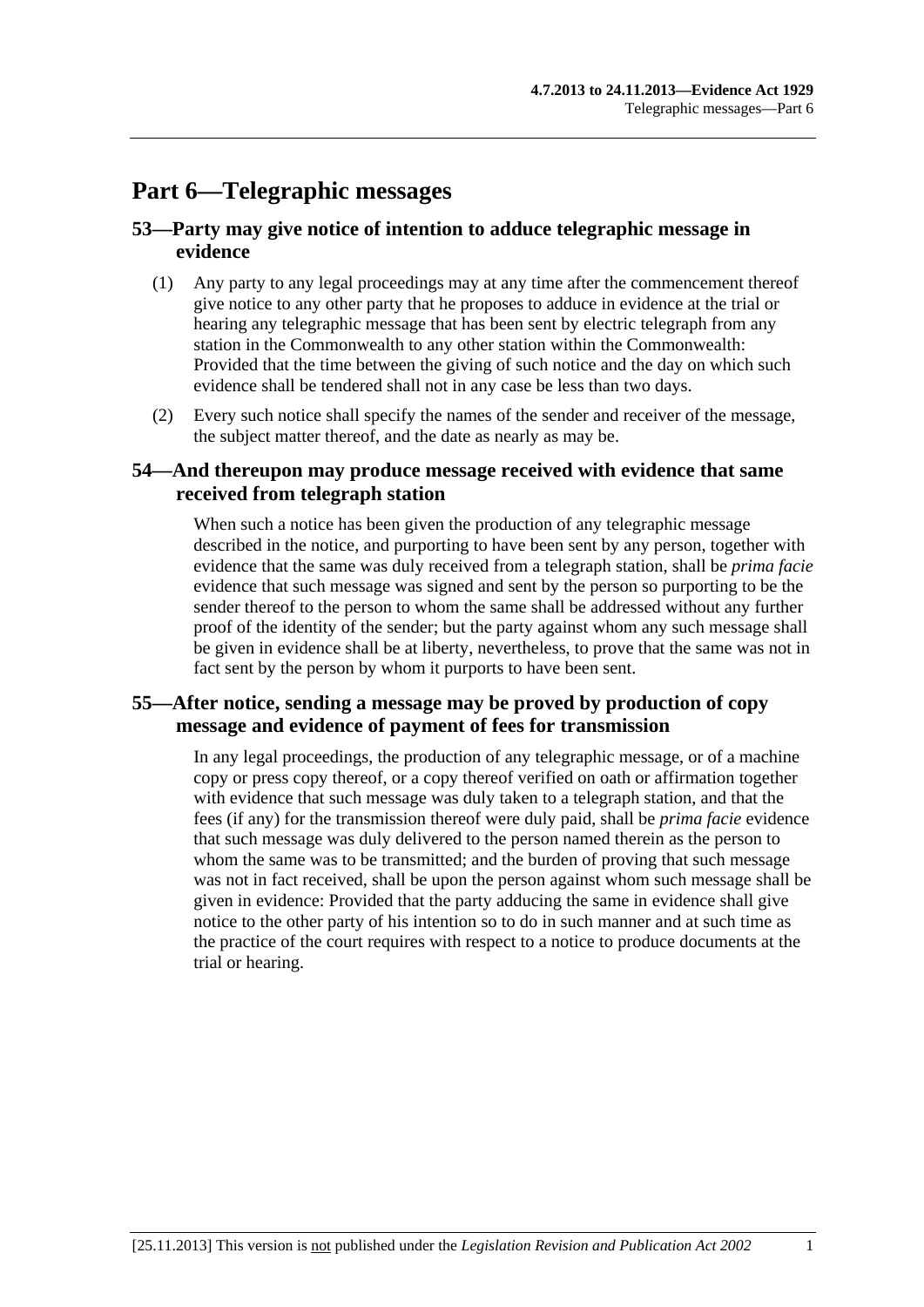# **Part 6—Telegraphic messages**

#### **53—Party may give notice of intention to adduce telegraphic message in evidence**

- (1) Any party to any legal proceedings may at any time after the commencement thereof give notice to any other party that he proposes to adduce in evidence at the trial or hearing any telegraphic message that has been sent by electric telegraph from any station in the Commonwealth to any other station within the Commonwealth: Provided that the time between the giving of such notice and the day on which such evidence shall be tendered shall not in any case be less than two days.
- (2) Every such notice shall specify the names of the sender and receiver of the message, the subject matter thereof, and the date as nearly as may be.

### **54—And thereupon may produce message received with evidence that same received from telegraph station**

When such a notice has been given the production of any telegraphic message described in the notice, and purporting to have been sent by any person, together with evidence that the same was duly received from a telegraph station, shall be *prima facie* evidence that such message was signed and sent by the person so purporting to be the sender thereof to the person to whom the same shall be addressed without any further proof of the identity of the sender; but the party against whom any such message shall be given in evidence shall be at liberty, nevertheless, to prove that the same was not in fact sent by the person by whom it purports to have been sent.

## **55—After notice, sending a message may be proved by production of copy message and evidence of payment of fees for transmission**

In any legal proceedings, the production of any telegraphic message, or of a machine copy or press copy thereof, or a copy thereof verified on oath or affirmation together with evidence that such message was duly taken to a telegraph station, and that the fees (if any) for the transmission thereof were duly paid, shall be *prima facie* evidence that such message was duly delivered to the person named therein as the person to whom the same was to be transmitted; and the burden of proving that such message was not in fact received, shall be upon the person against whom such message shall be given in evidence: Provided that the party adducing the same in evidence shall give notice to the other party of his intention so to do in such manner and at such time as the practice of the court requires with respect to a notice to produce documents at the trial or hearing.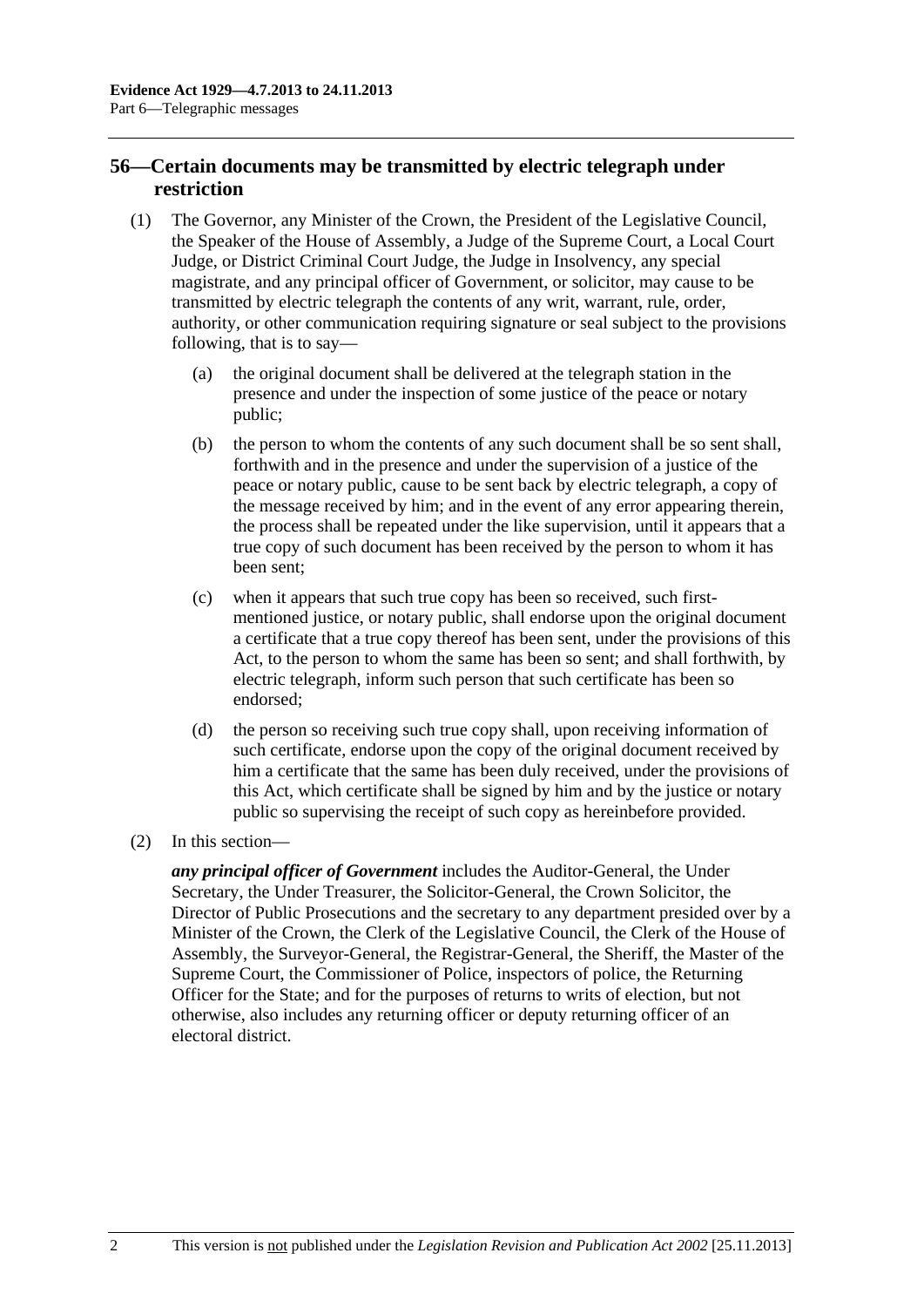# **56—Certain documents may be transmitted by electric telegraph under restriction**

- (1) The Governor, any Minister of the Crown, the President of the Legislative Council, the Speaker of the House of Assembly, a Judge of the Supreme Court, a Local Court Judge, or District Criminal Court Judge, the Judge in Insolvency, any special magistrate, and any principal officer of Government, or solicitor, may cause to be transmitted by electric telegraph the contents of any writ, warrant, rule, order, authority, or other communication requiring signature or seal subject to the provisions following, that is to say—
	- (a) the original document shall be delivered at the telegraph station in the presence and under the inspection of some justice of the peace or notary public;
	- (b) the person to whom the contents of any such document shall be so sent shall, forthwith and in the presence and under the supervision of a justice of the peace or notary public, cause to be sent back by electric telegraph, a copy of the message received by him; and in the event of any error appearing therein, the process shall be repeated under the like supervision, until it appears that a true copy of such document has been received by the person to whom it has been sent;
	- (c) when it appears that such true copy has been so received, such firstmentioned justice, or notary public, shall endorse upon the original document a certificate that a true copy thereof has been sent, under the provisions of this Act, to the person to whom the same has been so sent; and shall forthwith, by electric telegraph, inform such person that such certificate has been so endorsed;
	- (d) the person so receiving such true copy shall, upon receiving information of such certificate, endorse upon the copy of the original document received by him a certificate that the same has been duly received, under the provisions of this Act, which certificate shall be signed by him and by the justice or notary public so supervising the receipt of such copy as hereinbefore provided.
- (2) In this section—

*any principal officer of Government* includes the Auditor-General, the Under Secretary, the Under Treasurer, the Solicitor-General, the Crown Solicitor, the Director of Public Prosecutions and the secretary to any department presided over by a Minister of the Crown, the Clerk of the Legislative Council, the Clerk of the House of Assembly, the Surveyor-General, the Registrar-General, the Sheriff, the Master of the Supreme Court, the Commissioner of Police, inspectors of police, the Returning Officer for the State; and for the purposes of returns to writs of election, but not otherwise, also includes any returning officer or deputy returning officer of an electoral district.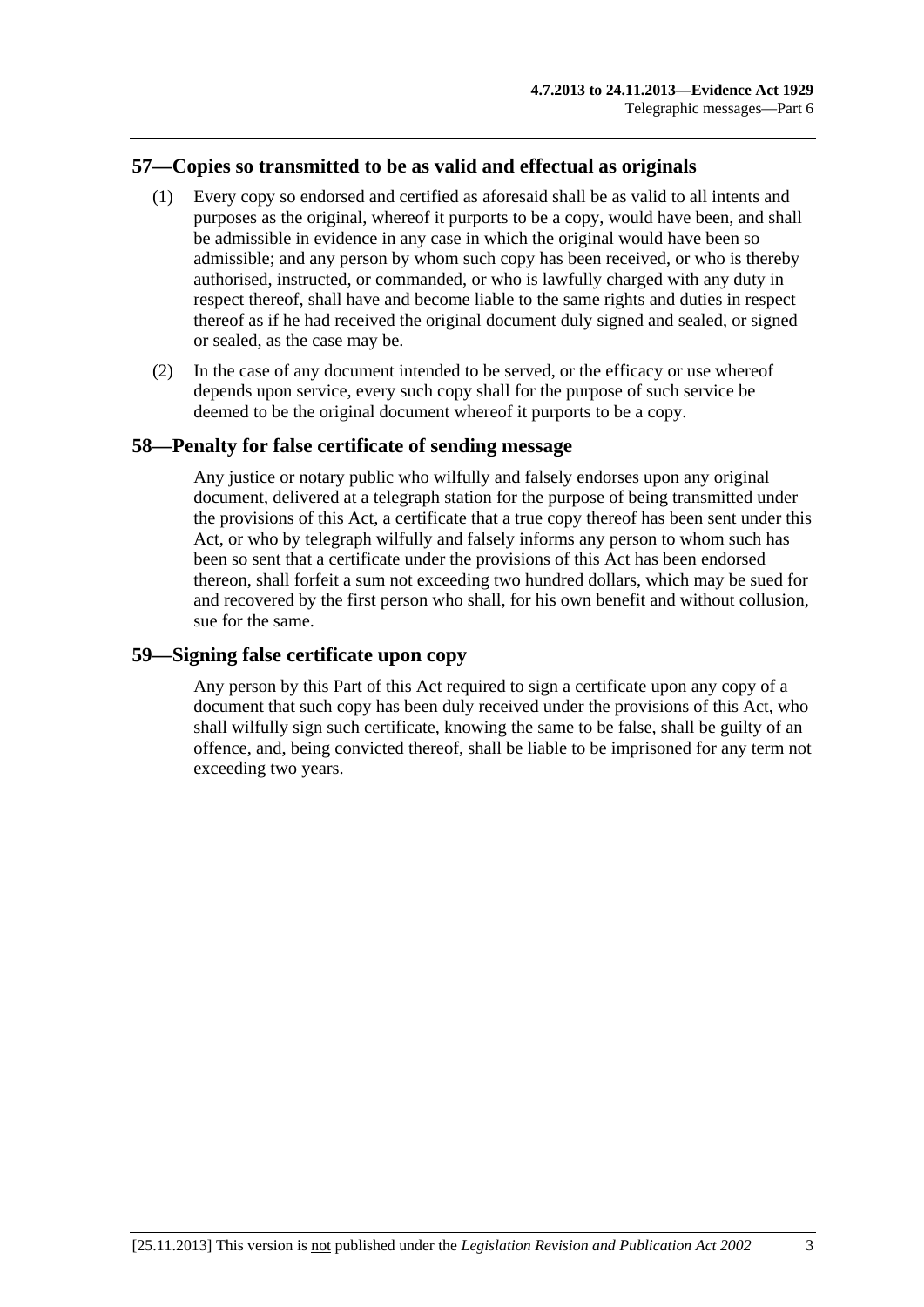## **57—Copies so transmitted to be as valid and effectual as originals**

- (1) Every copy so endorsed and certified as aforesaid shall be as valid to all intents and purposes as the original, whereof it purports to be a copy, would have been, and shall be admissible in evidence in any case in which the original would have been so admissible; and any person by whom such copy has been received, or who is thereby authorised, instructed, or commanded, or who is lawfully charged with any duty in respect thereof, shall have and become liable to the same rights and duties in respect thereof as if he had received the original document duly signed and sealed, or signed or sealed, as the case may be.
- (2) In the case of any document intended to be served, or the efficacy or use whereof depends upon service, every such copy shall for the purpose of such service be deemed to be the original document whereof it purports to be a copy.

#### **58—Penalty for false certificate of sending message**

Any justice or notary public who wilfully and falsely endorses upon any original document, delivered at a telegraph station for the purpose of being transmitted under the provisions of this Act, a certificate that a true copy thereof has been sent under this Act, or who by telegraph wilfully and falsely informs any person to whom such has been so sent that a certificate under the provisions of this Act has been endorsed thereon, shall forfeit a sum not exceeding two hundred dollars, which may be sued for and recovered by the first person who shall, for his own benefit and without collusion, sue for the same.

#### **59—Signing false certificate upon copy**

Any person by this Part of this Act required to sign a certificate upon any copy of a document that such copy has been duly received under the provisions of this Act, who shall wilfully sign such certificate, knowing the same to be false, shall be guilty of an offence, and, being convicted thereof, shall be liable to be imprisoned for any term not exceeding two years.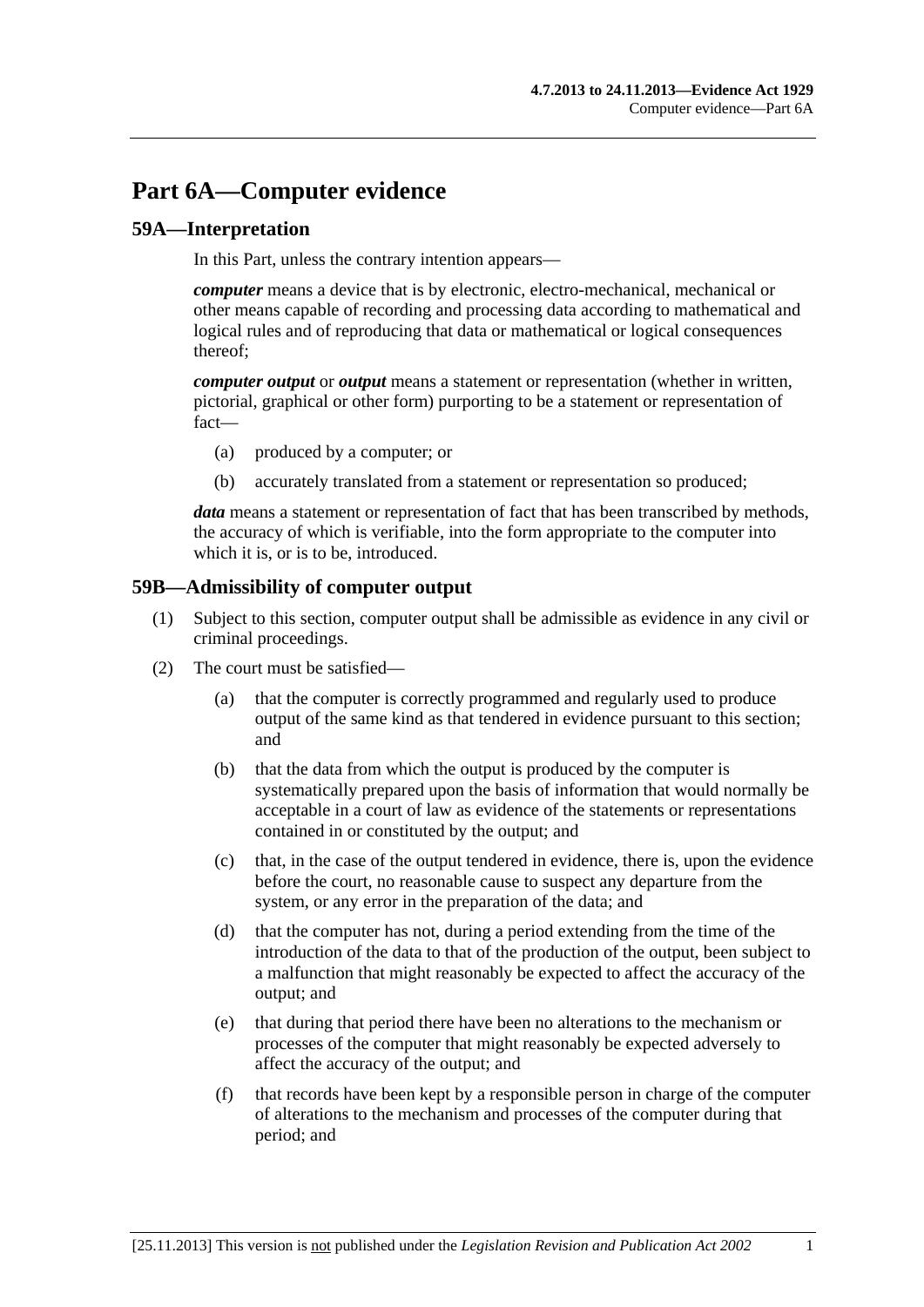# <span id="page-52-0"></span>**Part 6A—Computer evidence**

#### **59A—Interpretation**

In this Part, unless the contrary intention appears—

*computer* means a device that is by electronic, electro-mechanical, mechanical or other means capable of recording and processing data according to mathematical and logical rules and of reproducing that data or mathematical or logical consequences thereof;

*computer output* or *output* means a statement or representation (whether in written, pictorial, graphical or other form) purporting to be a statement or representation of fact—

- (a) produced by a computer; or
- (b) accurately translated from a statement or representation so produced;

*data* means a statement or representation of fact that has been transcribed by methods, the accuracy of which is verifiable, into the form appropriate to the computer into which it is, or is to be, introduced.

#### **59B—Admissibility of computer output**

- (1) Subject to this section, computer output shall be admissible as evidence in any civil or criminal proceedings.
- (2) The court must be satisfied—
	- (a) that the computer is correctly programmed and regularly used to produce output of the same kind as that tendered in evidence pursuant to this section; and
	- (b) that the data from which the output is produced by the computer is systematically prepared upon the basis of information that would normally be acceptable in a court of law as evidence of the statements or representations contained in or constituted by the output; and
	- (c) that, in the case of the output tendered in evidence, there is, upon the evidence before the court, no reasonable cause to suspect any departure from the system, or any error in the preparation of the data; and
	- (d) that the computer has not, during a period extending from the time of the introduction of the data to that of the production of the output, been subject to a malfunction that might reasonably be expected to affect the accuracy of the output; and
	- (e) that during that period there have been no alterations to the mechanism or processes of the computer that might reasonably be expected adversely to affect the accuracy of the output; and
	- (f) that records have been kept by a responsible person in charge of the computer of alterations to the mechanism and processes of the computer during that period; and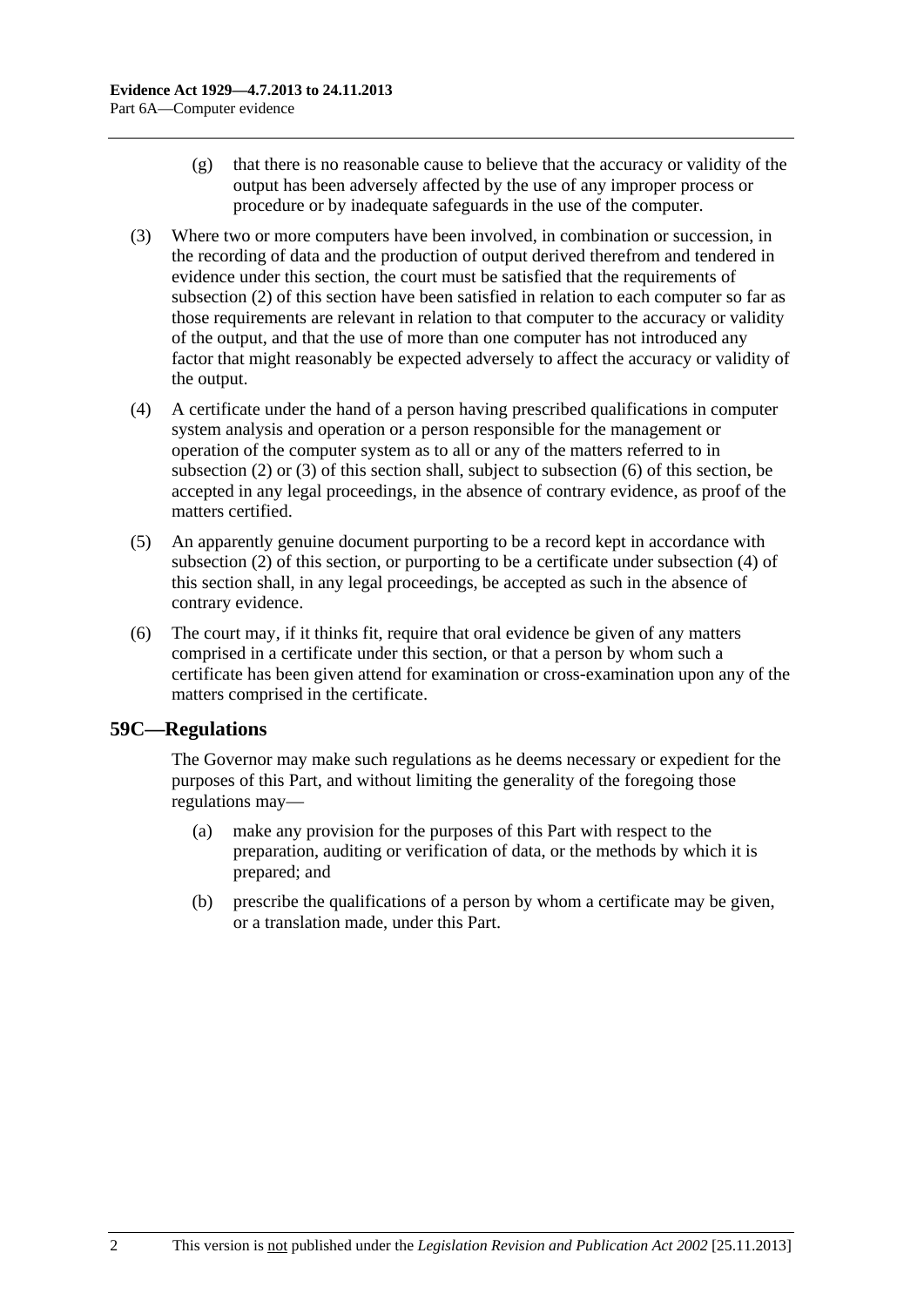- <span id="page-53-0"></span> (g) that there is no reasonable cause to believe that the accuracy or validity of the output has been adversely affected by the use of any improper process or procedure or by inadequate safeguards in the use of the computer.
- (3) Where two or more computers have been involved, in combination or succession, in the recording of data and the production of output derived therefrom and tendered in evidence under this section, the court must be satisfied that the requirements of [subsection \(2\)](#page-52-0) of this section have been satisfied in relation to each computer so far as those requirements are relevant in relation to that computer to the accuracy or validity of the output, and that the use of more than one computer has not introduced any factor that might reasonably be expected adversely to affect the accuracy or validity of the output.
- (4) A certificate under the hand of a person having prescribed qualifications in computer system analysis and operation or a person responsible for the management or operation of the computer system as to all or any of the matters referred to in [subsection \(2\)](#page-52-0) or [\(3\)](#page-53-0) of this section shall, subject to [subsection \(6\)](#page-53-0) of this section, be accepted in any legal proceedings, in the absence of contrary evidence, as proof of the matters certified.
- (5) An apparently genuine document purporting to be a record kept in accordance with [subsection \(2\)](#page-52-0) of this section, or purporting to be a certificate under [subsection \(4\)](#page-53-0) of this section shall, in any legal proceedings, be accepted as such in the absence of contrary evidence.
- (6) The court may, if it thinks fit, require that oral evidence be given of any matters comprised in a certificate under this section, or that a person by whom such a certificate has been given attend for examination or cross-examination upon any of the matters comprised in the certificate.

#### **59C—Regulations**

The Governor may make such regulations as he deems necessary or expedient for the purposes of this Part, and without limiting the generality of the foregoing those regulations may—

- (a) make any provision for the purposes of this Part with respect to the preparation, auditing or verification of data, or the methods by which it is prepared; and
- (b) prescribe the qualifications of a person by whom a certificate may be given, or a translation made, under this Part.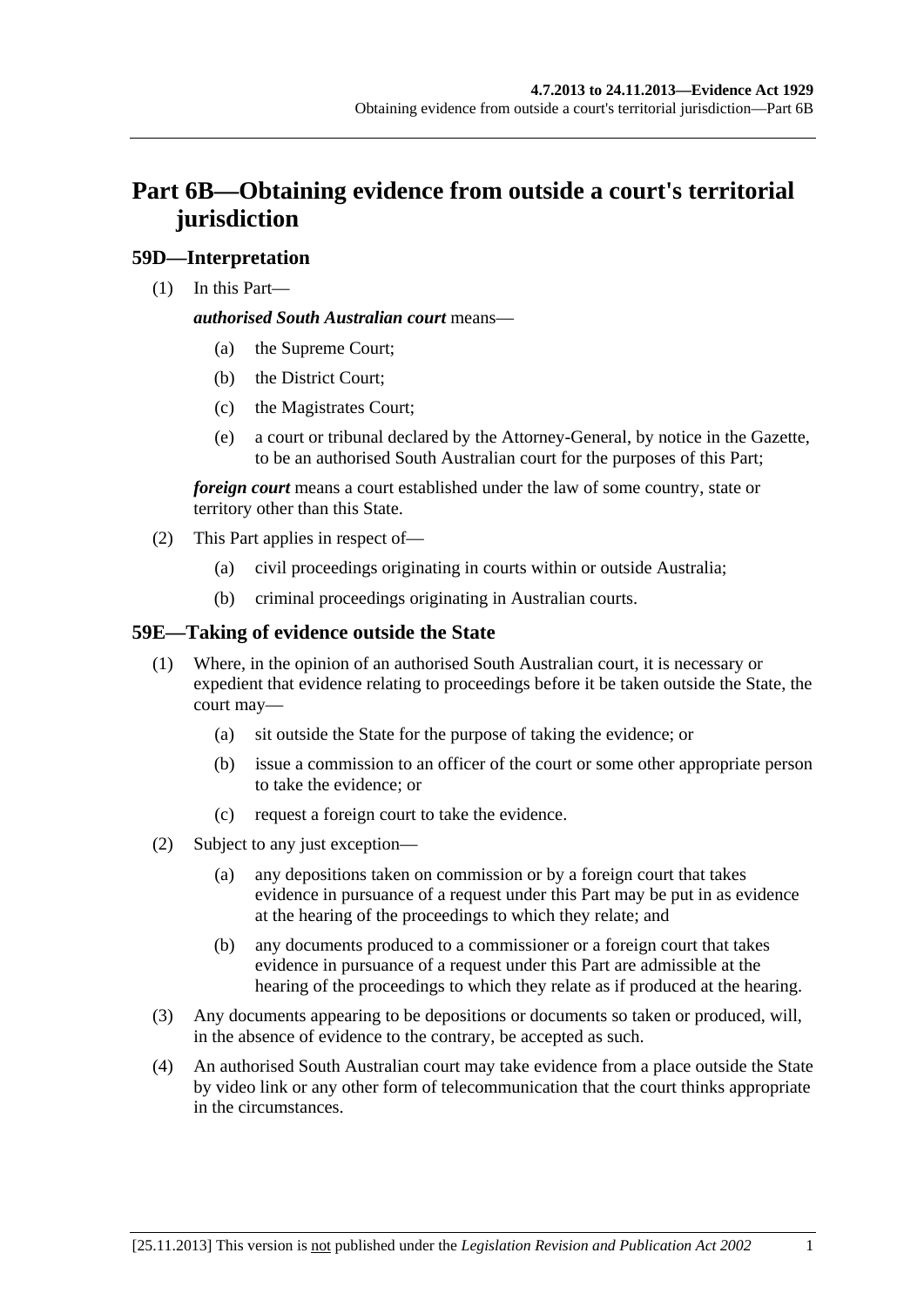# **Part 6B—Obtaining evidence from outside a court's territorial jurisdiction**

## **59D—Interpretation**

(1) In this Part—

#### *authorised South Australian court* means—

- (a) the Supreme Court;
- (b) the District Court;
- (c) the Magistrates Court;
- (e) a court or tribunal declared by the Attorney-General, by notice in the Gazette, to be an authorised South Australian court for the purposes of this Part;

*foreign court* means a court established under the law of some country, state or territory other than this State.

- (2) This Part applies in respect of—
	- (a) civil proceedings originating in courts within or outside Australia;
	- (b) criminal proceedings originating in Australian courts.

## **59E—Taking of evidence outside the State**

- (1) Where, in the opinion of an authorised South Australian court, it is necessary or expedient that evidence relating to proceedings before it be taken outside the State, the court may—
	- (a) sit outside the State for the purpose of taking the evidence; or
	- (b) issue a commission to an officer of the court or some other appropriate person to take the evidence; or
	- (c) request a foreign court to take the evidence.
- (2) Subject to any just exception—
	- (a) any depositions taken on commission or by a foreign court that takes evidence in pursuance of a request under this Part may be put in as evidence at the hearing of the proceedings to which they relate; and
	- (b) any documents produced to a commissioner or a foreign court that takes evidence in pursuance of a request under this Part are admissible at the hearing of the proceedings to which they relate as if produced at the hearing.
- (3) Any documents appearing to be depositions or documents so taken or produced, will, in the absence of evidence to the contrary, be accepted as such.
- (4) An authorised South Australian court may take evidence from a place outside the State by video link or any other form of telecommunication that the court thinks appropriate in the circumstances.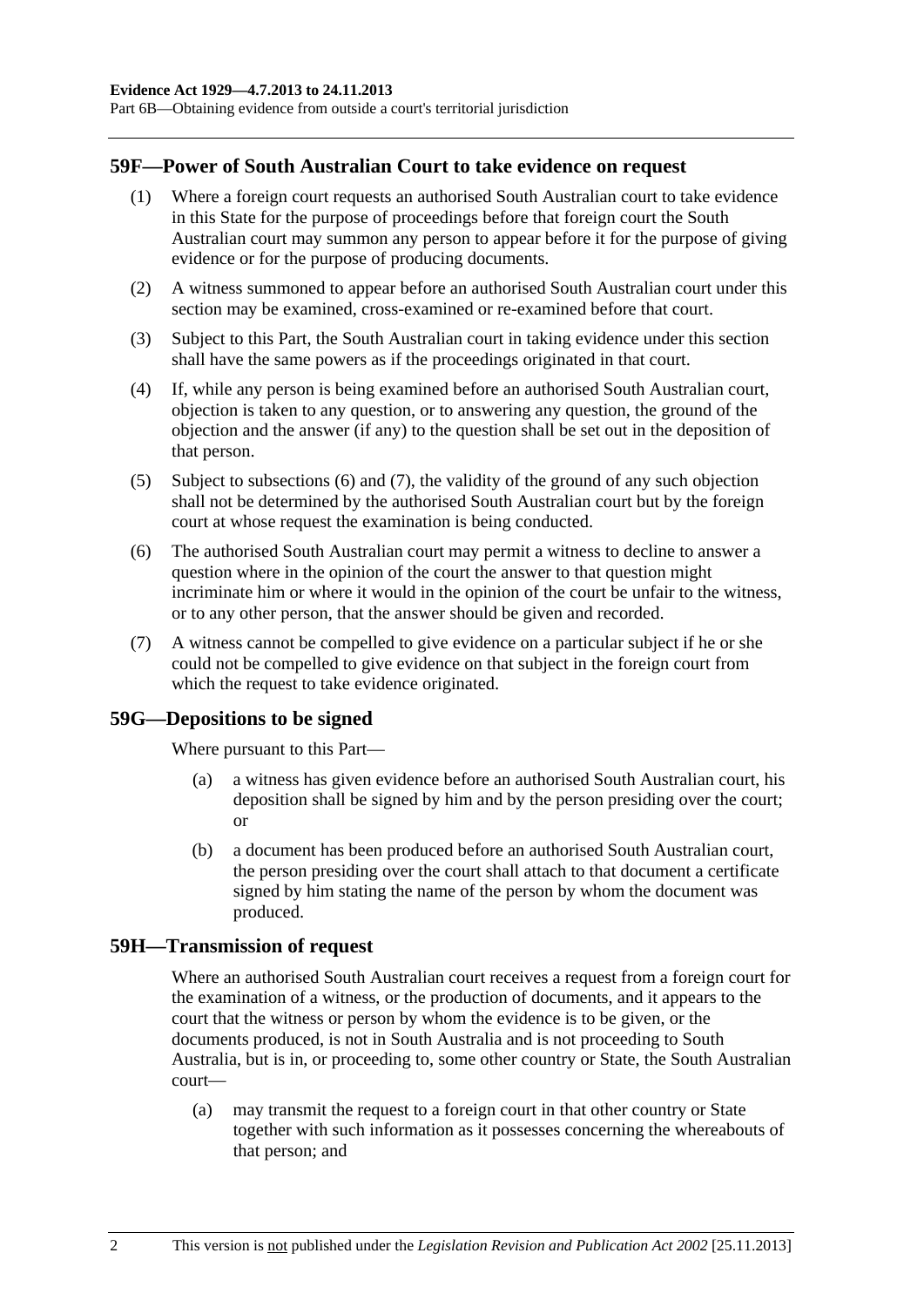<span id="page-55-0"></span>Part 6B—Obtaining evidence from outside a court's territorial jurisdiction

#### **59F—Power of South Australian Court to take evidence on request**

- (1) Where a foreign court requests an authorised South Australian court to take evidence in this State for the purpose of proceedings before that foreign court the South Australian court may summon any person to appear before it for the purpose of giving evidence or for the purpose of producing documents.
- (2) A witness summoned to appear before an authorised South Australian court under this section may be examined, cross-examined or re-examined before that court.
- (3) Subject to this Part, the South Australian court in taking evidence under this section shall have the same powers as if the proceedings originated in that court.
- (4) If, while any person is being examined before an authorised South Australian court, objection is taken to any question, or to answering any question, the ground of the objection and the answer (if any) to the question shall be set out in the deposition of that person.
- (5) Subject to [subsections \(6\)](#page-55-0) and [\(7\),](#page-55-0) the validity of the ground of any such objection shall not be determined by the authorised South Australian court but by the foreign court at whose request the examination is being conducted.
- (6) The authorised South Australian court may permit a witness to decline to answer a question where in the opinion of the court the answer to that question might incriminate him or where it would in the opinion of the court be unfair to the witness, or to any other person, that the answer should be given and recorded.
- (7) A witness cannot be compelled to give evidence on a particular subject if he or she could not be compelled to give evidence on that subject in the foreign court from which the request to take evidence originated.

#### **59G—Depositions to be signed**

Where pursuant to this Part—

- (a) a witness has given evidence before an authorised South Australian court, his deposition shall be signed by him and by the person presiding over the court; or
- (b) a document has been produced before an authorised South Australian court, the person presiding over the court shall attach to that document a certificate signed by him stating the name of the person by whom the document was produced.

#### **59H—Transmission of request**

Where an authorised South Australian court receives a request from a foreign court for the examination of a witness, or the production of documents, and it appears to the court that the witness or person by whom the evidence is to be given, or the documents produced, is not in South Australia and is not proceeding to South Australia, but is in, or proceeding to, some other country or State, the South Australian court—

 (a) may transmit the request to a foreign court in that other country or State together with such information as it possesses concerning the whereabouts of that person; and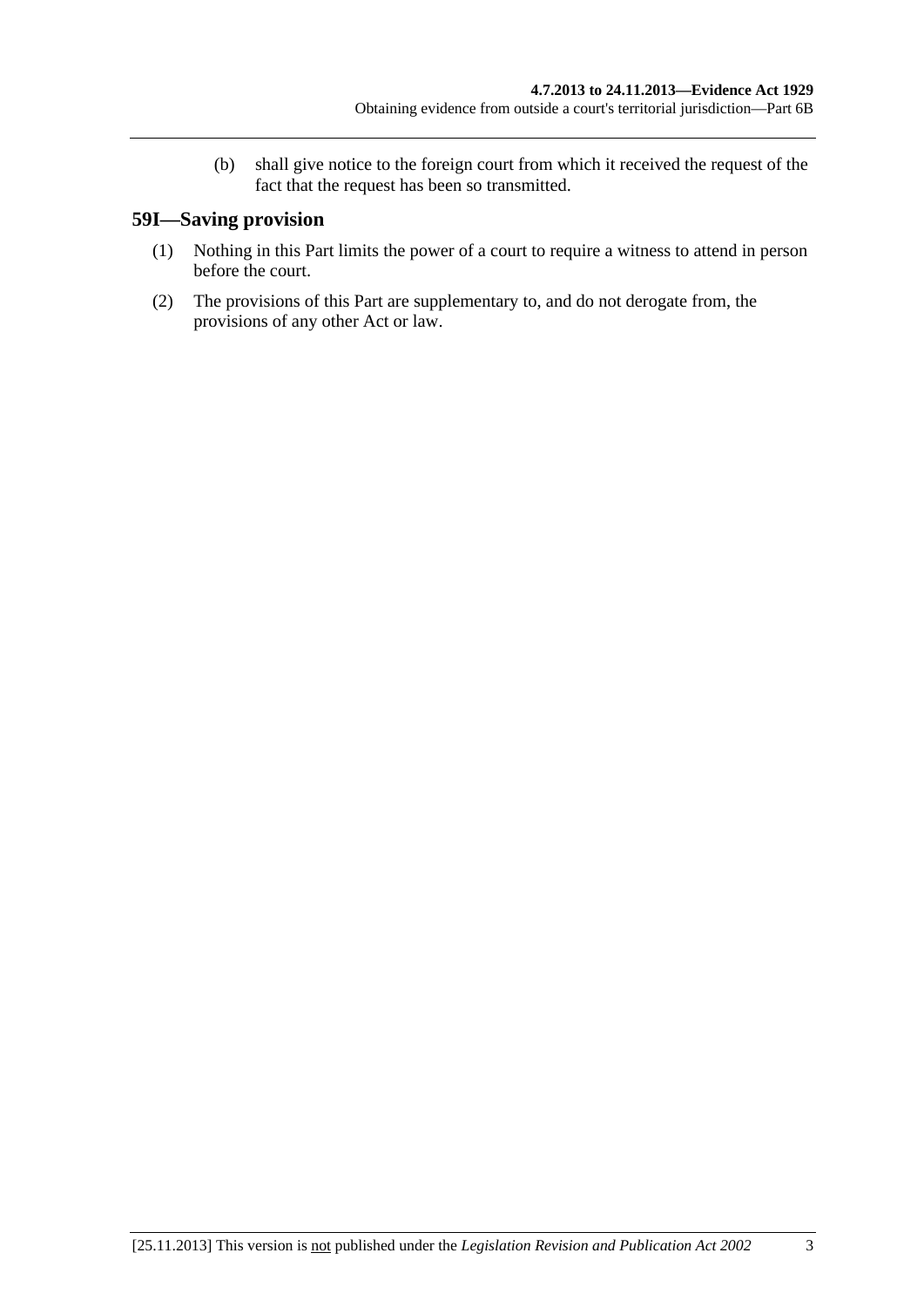(b) shall give notice to the foreign court from which it received the request of the fact that the request has been so transmitted.

# **59I—Saving provision**

- (1) Nothing in this Part limits the power of a court to require a witness to attend in person before the court.
- (2) The provisions of this Part are supplementary to, and do not derogate from, the provisions of any other Act or law.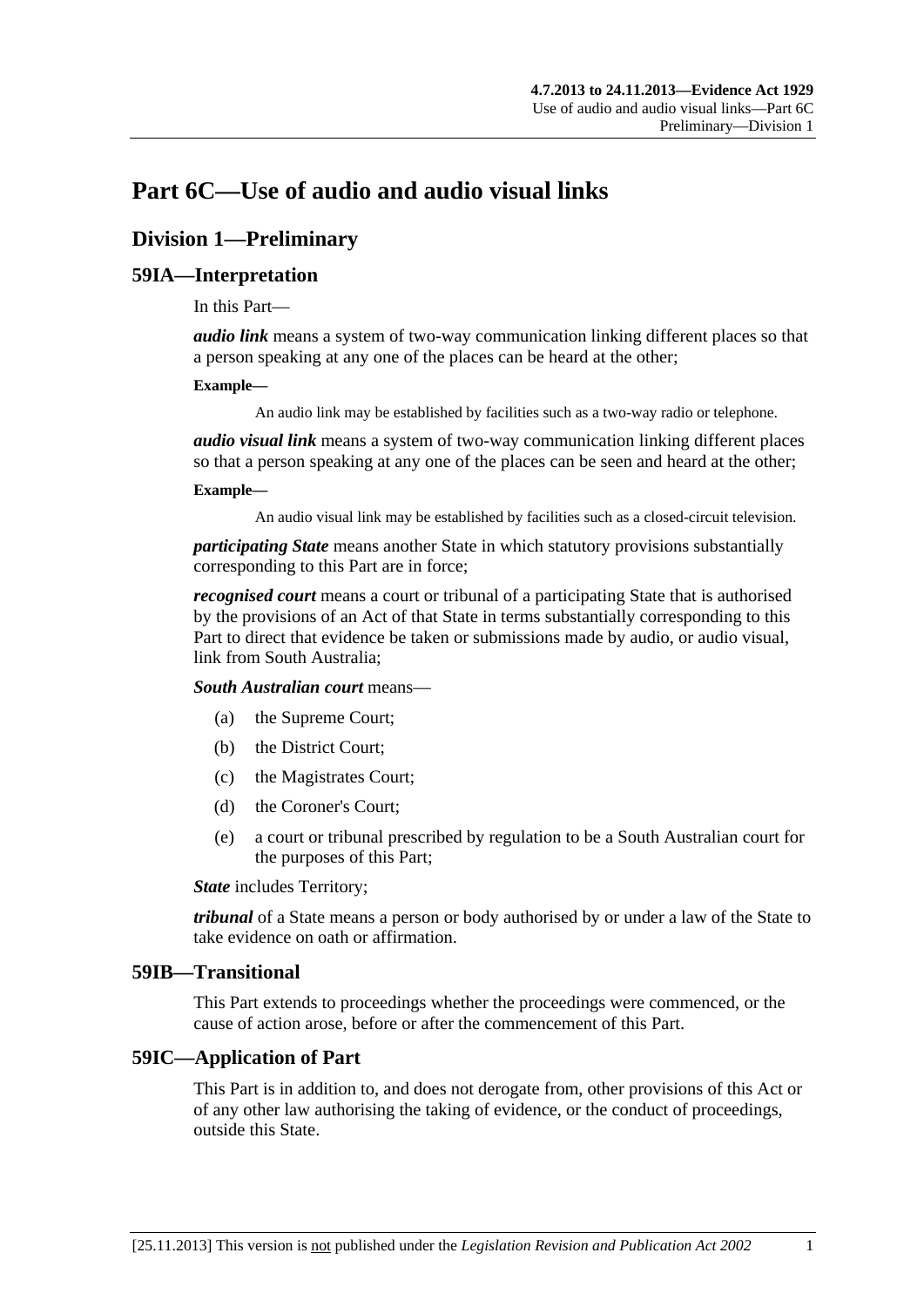# **Part 6C—Use of audio and audio visual links**

# **Division 1—Preliminary**

#### **59IA—Interpretation**

In this Part—

*audio link* means a system of two-way communication linking different places so that a person speaking at any one of the places can be heard at the other;

#### **Example—**

An audio link may be established by facilities such as a two-way radio or telephone.

*audio visual link* means a system of two-way communication linking different places so that a person speaking at any one of the places can be seen and heard at the other;

#### **Example—**

An audio visual link may be established by facilities such as a closed-circuit television.

*participating State* means another State in which statutory provisions substantially corresponding to this Part are in force;

*recognised court* means a court or tribunal of a participating State that is authorised by the provisions of an Act of that State in terms substantially corresponding to this Part to direct that evidence be taken or submissions made by audio, or audio visual, link from South Australia;

*South Australian court* means—

- (a) the Supreme Court;
- (b) the District Court;
- (c) the Magistrates Court;
- (d) the Coroner's Court;
- (e) a court or tribunal prescribed by regulation to be a South Australian court for the purposes of this Part;

*State* includes Territory;

*tribunal* of a State means a person or body authorised by or under a law of the State to take evidence on oath or affirmation.

#### **59IB—Transitional**

This Part extends to proceedings whether the proceedings were commenced, or the cause of action arose, before or after the commencement of this Part.

#### **59IC—Application of Part**

This Part is in addition to, and does not derogate from, other provisions of this Act or of any other law authorising the taking of evidence, or the conduct of proceedings, outside this State.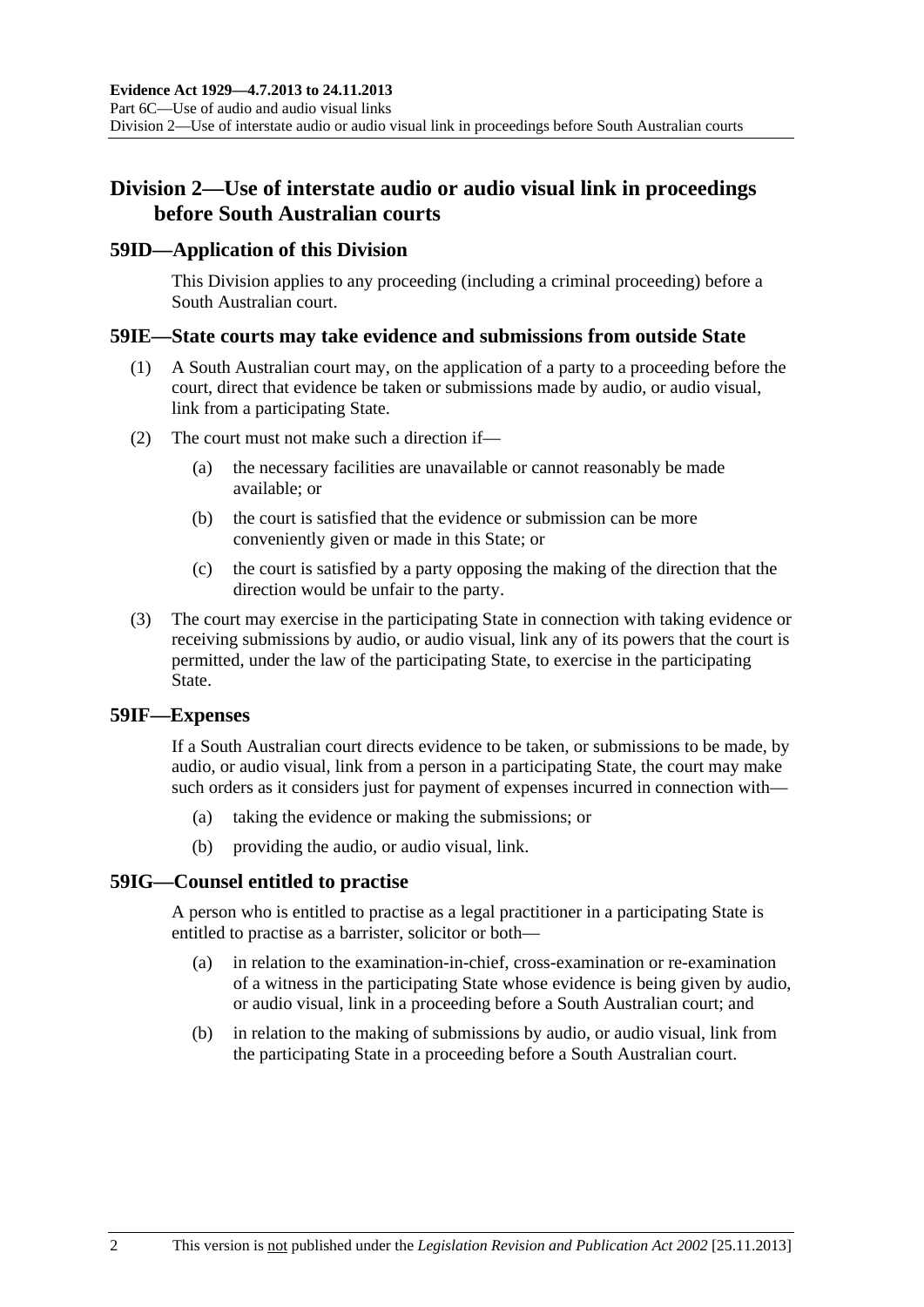# **Division 2—Use of interstate audio or audio visual link in proceedings before South Australian courts**

#### **59ID—Application of this Division**

This Division applies to any proceeding (including a criminal proceeding) before a South Australian court.

#### **59IE—State courts may take evidence and submissions from outside State**

- (1) A South Australian court may, on the application of a party to a proceeding before the court, direct that evidence be taken or submissions made by audio, or audio visual, link from a participating State.
- (2) The court must not make such a direction if—
	- (a) the necessary facilities are unavailable or cannot reasonably be made available; or
	- (b) the court is satisfied that the evidence or submission can be more conveniently given or made in this State; or
	- (c) the court is satisfied by a party opposing the making of the direction that the direction would be unfair to the party.
- (3) The court may exercise in the participating State in connection with taking evidence or receiving submissions by audio, or audio visual, link any of its powers that the court is permitted, under the law of the participating State, to exercise in the participating State.

#### **59IF—Expenses**

If a South Australian court directs evidence to be taken, or submissions to be made, by audio, or audio visual, link from a person in a participating State, the court may make such orders as it considers just for payment of expenses incurred in connection with—

- (a) taking the evidence or making the submissions; or
- (b) providing the audio, or audio visual, link.

#### **59IG—Counsel entitled to practise**

A person who is entitled to practise as a legal practitioner in a participating State is entitled to practise as a barrister, solicitor or both—

- (a) in relation to the examination-in-chief, cross-examination or re-examination of a witness in the participating State whose evidence is being given by audio, or audio visual, link in a proceeding before a South Australian court; and
- (b) in relation to the making of submissions by audio, or audio visual, link from the participating State in a proceeding before a South Australian court.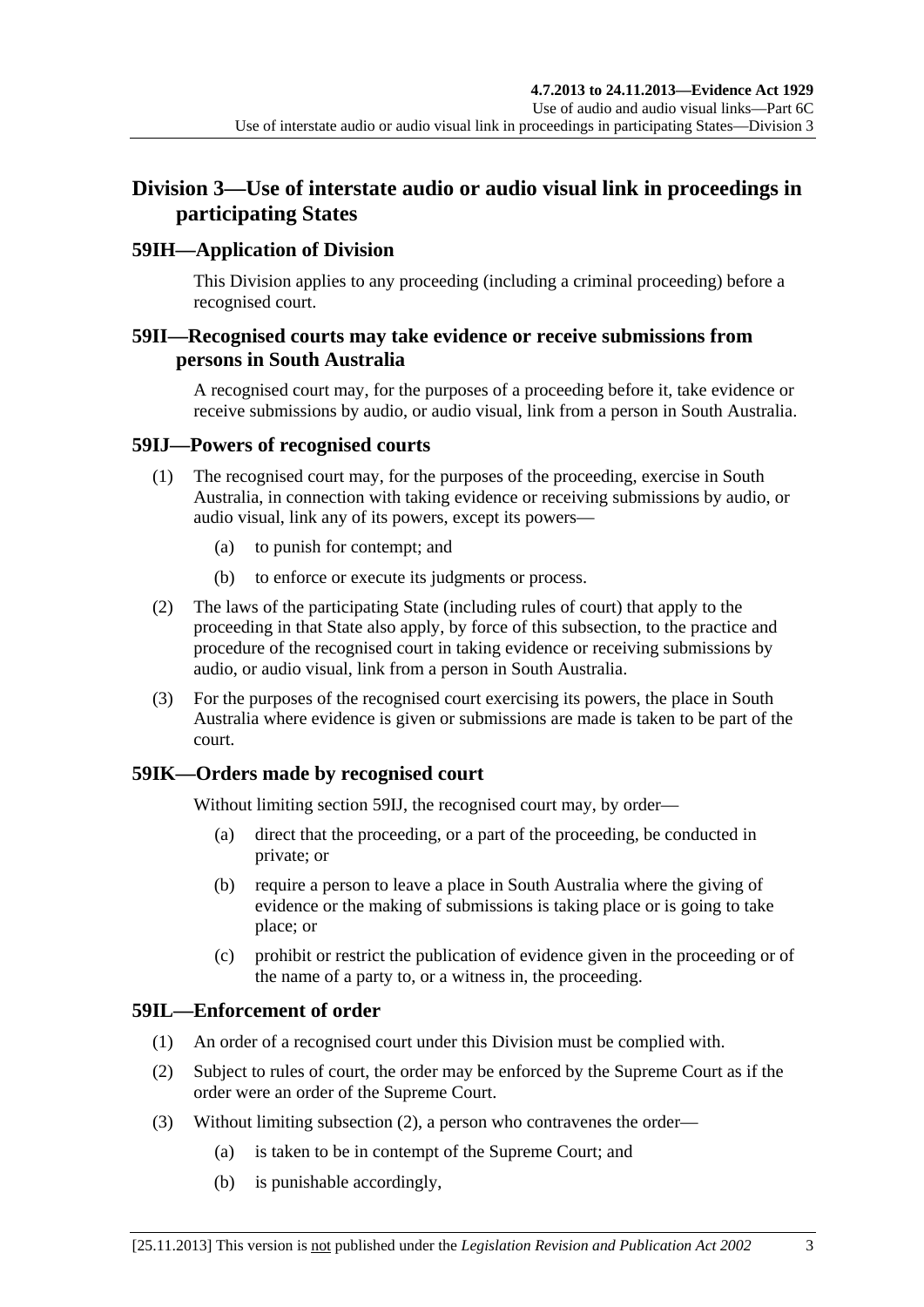# <span id="page-60-0"></span>**Division 3—Use of interstate audio or audio visual link in proceedings in participating States**

## **59IH—Application of Division**

This Division applies to any proceeding (including a criminal proceeding) before a recognised court.

## **59II—Recognised courts may take evidence or receive submissions from persons in South Australia**

A recognised court may, for the purposes of a proceeding before it, take evidence or receive submissions by audio, or audio visual, link from a person in South Australia.

#### **59IJ—Powers of recognised courts**

- (1) The recognised court may, for the purposes of the proceeding, exercise in South Australia, in connection with taking evidence or receiving submissions by audio, or audio visual, link any of its powers, except its powers—
	- (a) to punish for contempt; and
	- (b) to enforce or execute its judgments or process.
- (2) The laws of the participating State (including rules of court) that apply to the proceeding in that State also apply, by force of this subsection, to the practice and procedure of the recognised court in taking evidence or receiving submissions by audio, or audio visual, link from a person in South Australia.
- (3) For the purposes of the recognised court exercising its powers, the place in South Australia where evidence is given or submissions are made is taken to be part of the court.

# **59IK—Orders made by recognised court**

Without limiting [section 59IJ,](#page-60-0) the recognised court may, by order—

- (a) direct that the proceeding, or a part of the proceeding, be conducted in private; or
- (b) require a person to leave a place in South Australia where the giving of evidence or the making of submissions is taking place or is going to take place; or
- (c) prohibit or restrict the publication of evidence given in the proceeding or of the name of a party to, or a witness in, the proceeding.

# **59IL—Enforcement of order**

- (1) An order of a recognised court under this Division must be complied with.
- (2) Subject to rules of court, the order may be enforced by the Supreme Court as if the order were an order of the Supreme Court.
- (3) Without limiting [subsection \(2\),](#page-60-0) a person who contravenes the order—
	- (a) is taken to be in contempt of the Supreme Court; and
	- (b) is punishable accordingly,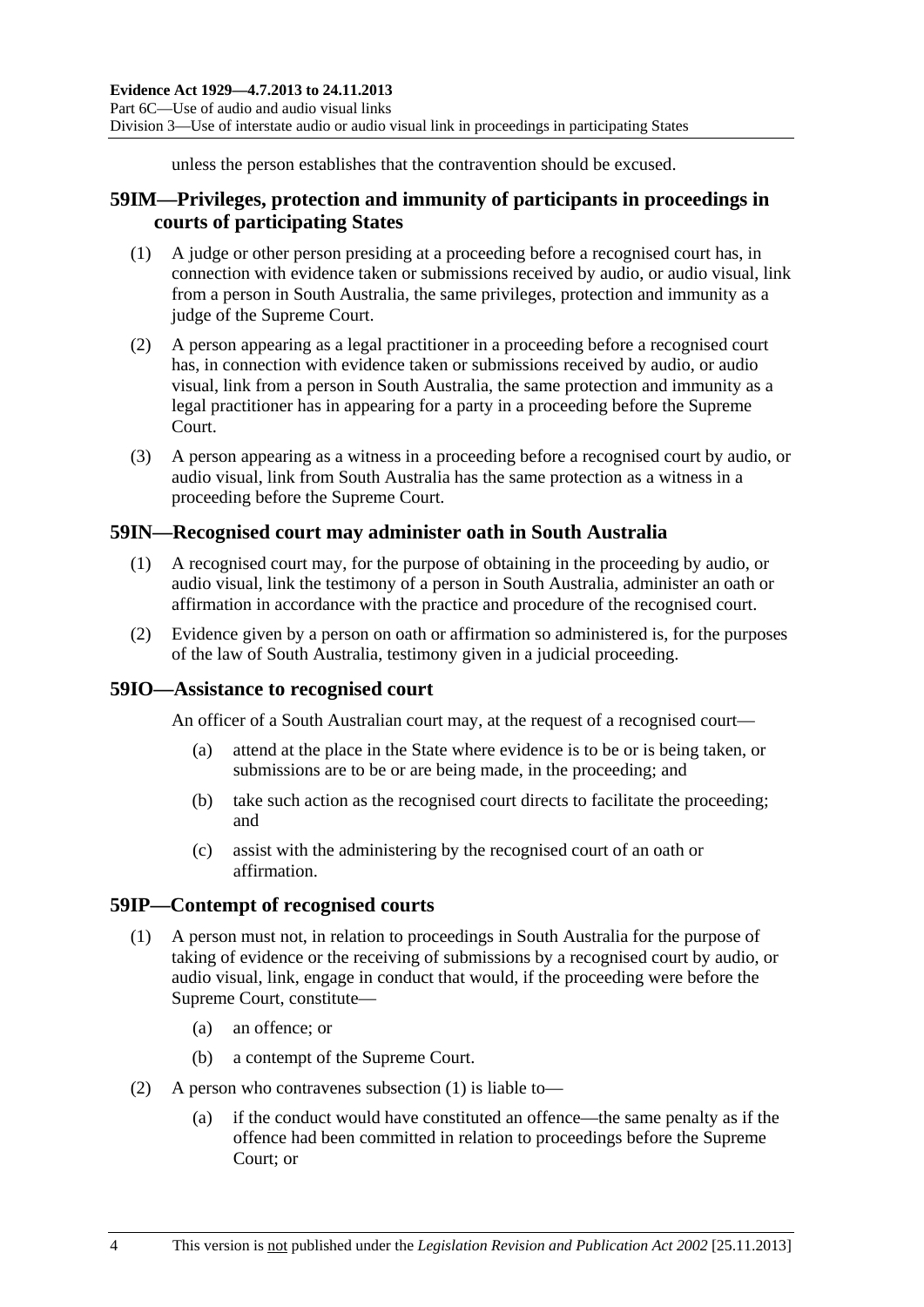unless the person establishes that the contravention should be excused.

## <span id="page-61-0"></span>**59IM—Privileges, protection and immunity of participants in proceedings in courts of participating States**

- (1) A judge or other person presiding at a proceeding before a recognised court has, in connection with evidence taken or submissions received by audio, or audio visual, link from a person in South Australia, the same privileges, protection and immunity as a judge of the Supreme Court.
- (2) A person appearing as a legal practitioner in a proceeding before a recognised court has, in connection with evidence taken or submissions received by audio, or audio visual, link from a person in South Australia, the same protection and immunity as a legal practitioner has in appearing for a party in a proceeding before the Supreme Court.
- (3) A person appearing as a witness in a proceeding before a recognised court by audio, or audio visual, link from South Australia has the same protection as a witness in a proceeding before the Supreme Court.

## **59IN—Recognised court may administer oath in South Australia**

- (1) A recognised court may, for the purpose of obtaining in the proceeding by audio, or audio visual, link the testimony of a person in South Australia, administer an oath or affirmation in accordance with the practice and procedure of the recognised court.
- (2) Evidence given by a person on oath or affirmation so administered is, for the purposes of the law of South Australia, testimony given in a judicial proceeding.

#### **59IO—Assistance to recognised court**

An officer of a South Australian court may, at the request of a recognised court—

- (a) attend at the place in the State where evidence is to be or is being taken, or submissions are to be or are being made, in the proceeding; and
- (b) take such action as the recognised court directs to facilitate the proceeding; and
- (c) assist with the administering by the recognised court of an oath or affirmation.

#### **59IP—Contempt of recognised courts**

- (1) A person must not, in relation to proceedings in South Australia for the purpose of taking of evidence or the receiving of submissions by a recognised court by audio, or audio visual, link, engage in conduct that would, if the proceeding were before the Supreme Court, constitute—
	- (a) an offence; or
	- (b) a contempt of the Supreme Court.
- (2) A person who contravenes [subsection \(1\)](#page-61-0) is liable to—
	- (a) if the conduct would have constituted an offence—the same penalty as if the offence had been committed in relation to proceedings before the Supreme Court; or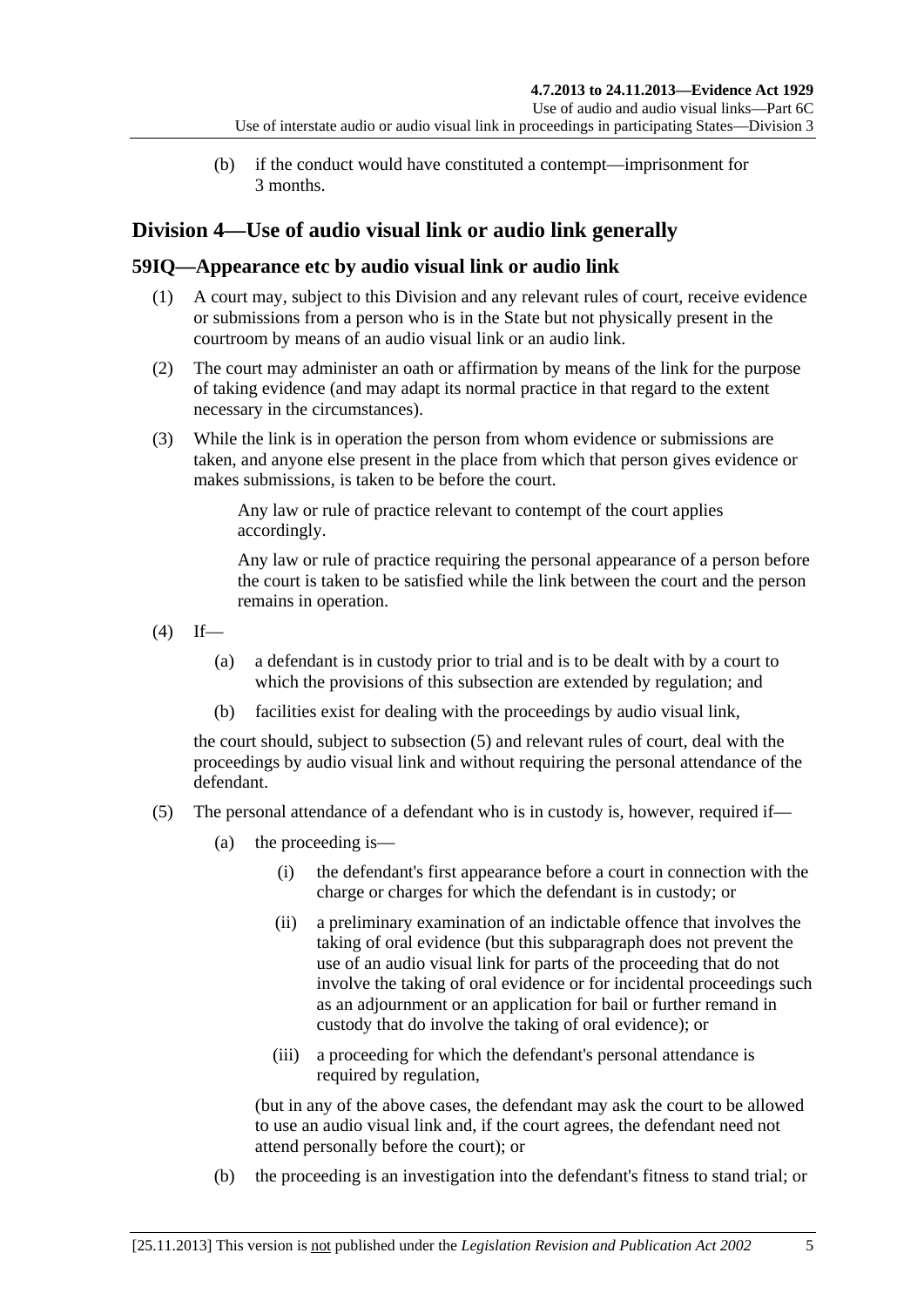(b) if the conduct would have constituted a contempt—imprisonment for 3 months.

# <span id="page-62-0"></span>**Division 4—Use of audio visual link or audio link generally**

## **59IQ—Appearance etc by audio visual link or audio link**

- (1) A court may, subject to this Division and any relevant rules of court, receive evidence or submissions from a person who is in the State but not physically present in the courtroom by means of an audio visual link or an audio link.
- (2) The court may administer an oath or affirmation by means of the link for the purpose of taking evidence (and may adapt its normal practice in that regard to the extent necessary in the circumstances).
- (3) While the link is in operation the person from whom evidence or submissions are taken, and anyone else present in the place from which that person gives evidence or makes submissions, is taken to be before the court.

Any law or rule of practice relevant to contempt of the court applies accordingly.

Any law or rule of practice requiring the personal appearance of a person before the court is taken to be satisfied while the link between the court and the person remains in operation.

- $(4)$  If—
	- (a) a defendant is in custody prior to trial and is to be dealt with by a court to which the provisions of this subsection are extended by regulation; and
	- (b) facilities exist for dealing with the proceedings by audio visual link,

the court should, subject to [subsection \(5\)](#page-62-0) and relevant rules of court, deal with the proceedings by audio visual link and without requiring the personal attendance of the defendant.

- (5) The personal attendance of a defendant who is in custody is, however, required if—
	- (a) the proceeding is—
		- (i) the defendant's first appearance before a court in connection with the charge or charges for which the defendant is in custody; or
		- (ii) a preliminary examination of an indictable offence that involves the taking of oral evidence (but this subparagraph does not prevent the use of an audio visual link for parts of the proceeding that do not involve the taking of oral evidence or for incidental proceedings such as an adjournment or an application for bail or further remand in custody that do involve the taking of oral evidence); or
		- (iii) a proceeding for which the defendant's personal attendance is required by regulation,

(but in any of the above cases, the defendant may ask the court to be allowed to use an audio visual link and, if the court agrees, the defendant need not attend personally before the court); or

(b) the proceeding is an investigation into the defendant's fitness to stand trial; or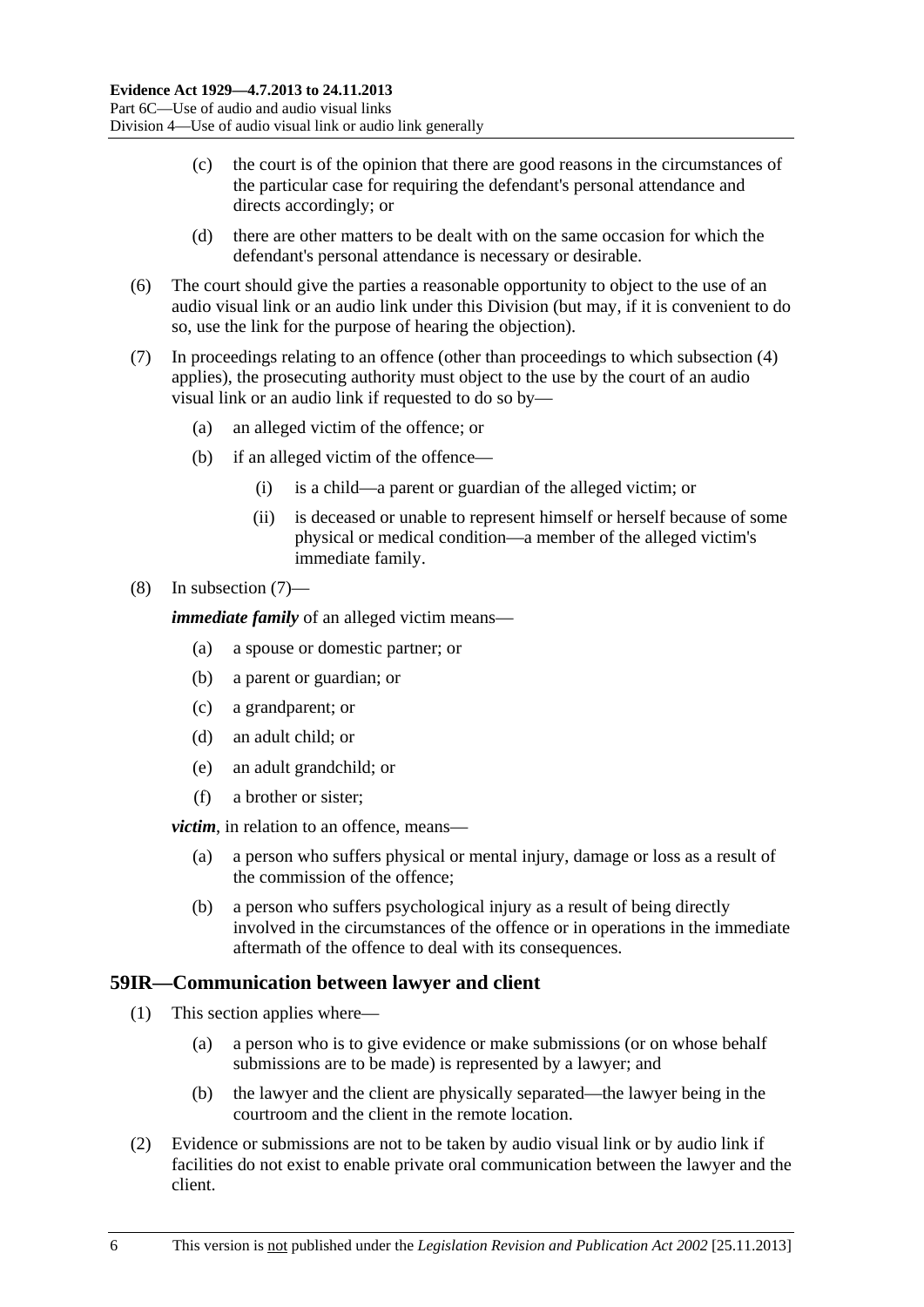- <span id="page-63-0"></span> (c) the court is of the opinion that there are good reasons in the circumstances of the particular case for requiring the defendant's personal attendance and directs accordingly; or
- (d) there are other matters to be dealt with on the same occasion for which the defendant's personal attendance is necessary or desirable.
- (6) The court should give the parties a reasonable opportunity to object to the use of an audio visual link or an audio link under this Division (but may, if it is convenient to do so, use the link for the purpose of hearing the objection).
- (7) In proceedings relating to an offence (other than proceedings to which [subsection \(4\)](#page-62-0) applies), the prosecuting authority must object to the use by the court of an audio visual link or an audio link if requested to do so by—
	- (a) an alleged victim of the offence; or
	- (b) if an alleged victim of the offence—
		- (i) is a child—a parent or guardian of the alleged victim; or
		- (ii) is deceased or unable to represent himself or herself because of some physical or medical condition—a member of the alleged victim's immediate family.

#### (8) In [subsection \(7\)—](#page-63-0)

*immediate family* of an alleged victim means—

- (a) a spouse or domestic partner; or
- (b) a parent or guardian; or
- (c) a grandparent; or
- (d) an adult child; or
- (e) an adult grandchild; or
- (f) a brother or sister;

*victim*, in relation to an offence, means—

- (a) a person who suffers physical or mental injury, damage or loss as a result of the commission of the offence;
- (b) a person who suffers psychological injury as a result of being directly involved in the circumstances of the offence or in operations in the immediate aftermath of the offence to deal with its consequences.

#### **59IR—Communication between lawyer and client**

- (1) This section applies where—
	- (a) a person who is to give evidence or make submissions (or on whose behalf submissions are to be made) is represented by a lawyer; and
	- (b) the lawyer and the client are physically separated—the lawyer being in the courtroom and the client in the remote location.
- (2) Evidence or submissions are not to be taken by audio visual link or by audio link if facilities do not exist to enable private oral communication between the lawyer and the client.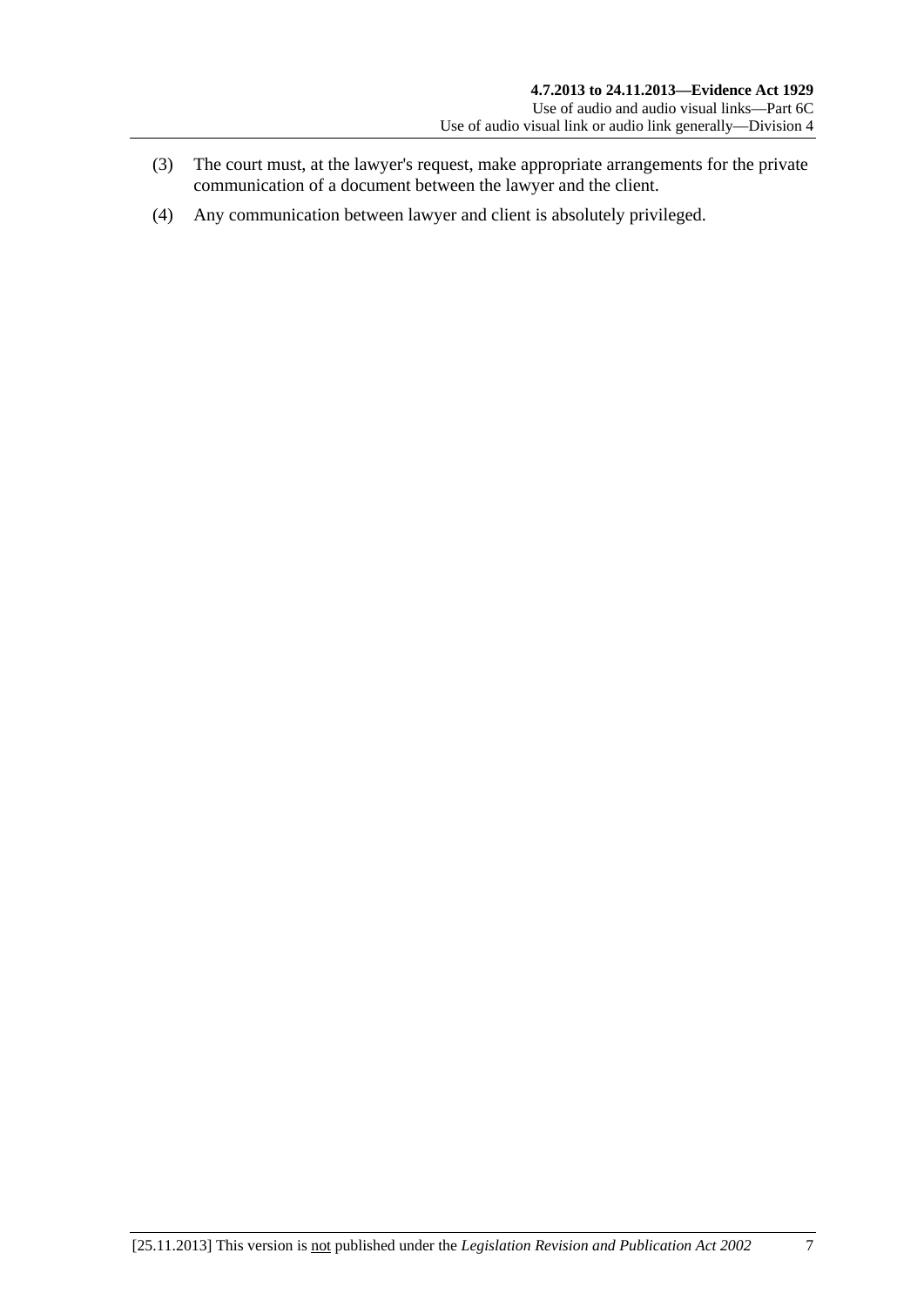- (3) The court must, at the lawyer's request, make appropriate arrangements for the private communication of a document between the lawyer and the client.
- (4) Any communication between lawyer and client is absolutely privileged.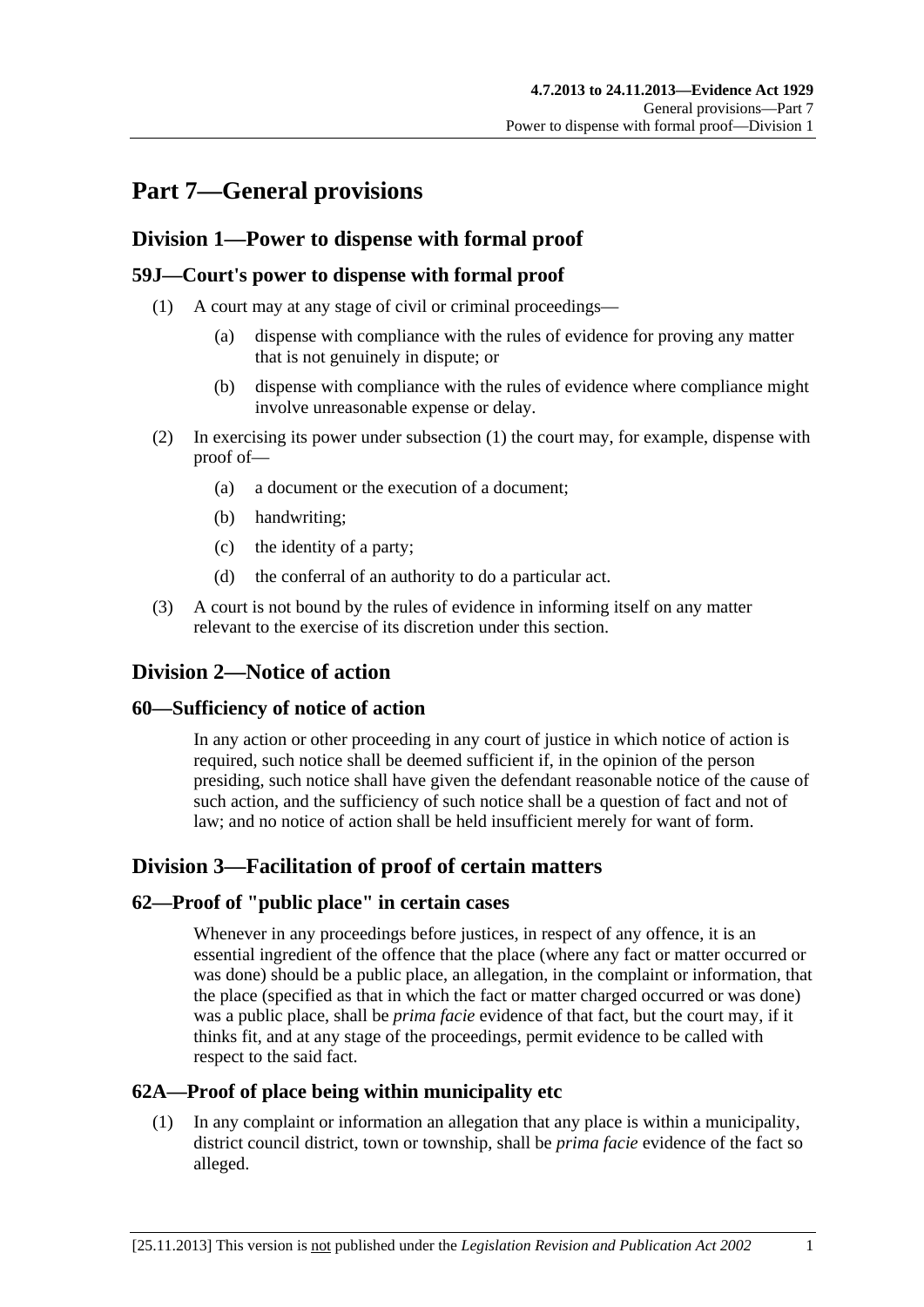# <span id="page-66-0"></span>**Part 7—General provisions**

# **Division 1—Power to dispense with formal proof**

### **59J—Court's power to dispense with formal proof**

- (1) A court may at any stage of civil or criminal proceedings—
	- (a) dispense with compliance with the rules of evidence for proving any matter that is not genuinely in dispute; or
	- (b) dispense with compliance with the rules of evidence where compliance might involve unreasonable expense or delay.
- (2) In exercising its power under [subsection \(1\)](#page-66-0) the court may, for example, dispense with proof of—
	- (a) a document or the execution of a document;
	- (b) handwriting;
	- (c) the identity of a party;
	- (d) the conferral of an authority to do a particular act.
- (3) A court is not bound by the rules of evidence in informing itself on any matter relevant to the exercise of its discretion under this section.

# **Division 2—Notice of action**

#### **60—Sufficiency of notice of action**

In any action or other proceeding in any court of justice in which notice of action is required, such notice shall be deemed sufficient if, in the opinion of the person presiding, such notice shall have given the defendant reasonable notice of the cause of such action, and the sufficiency of such notice shall be a question of fact and not of law; and no notice of action shall be held insufficient merely for want of form.

# **Division 3—Facilitation of proof of certain matters**

#### **62—Proof of "public place" in certain cases**

Whenever in any proceedings before justices, in respect of any offence, it is an essential ingredient of the offence that the place (where any fact or matter occurred or was done) should be a public place, an allegation, in the complaint or information, that the place (specified as that in which the fact or matter charged occurred or was done) was a public place, shall be *prima facie* evidence of that fact, but the court may, if it thinks fit, and at any stage of the proceedings, permit evidence to be called with respect to the said fact.

# **62A—Proof of place being within municipality etc**

 (1) In any complaint or information an allegation that any place is within a municipality, district council district, town or township, shall be *prima facie* evidence of the fact so alleged.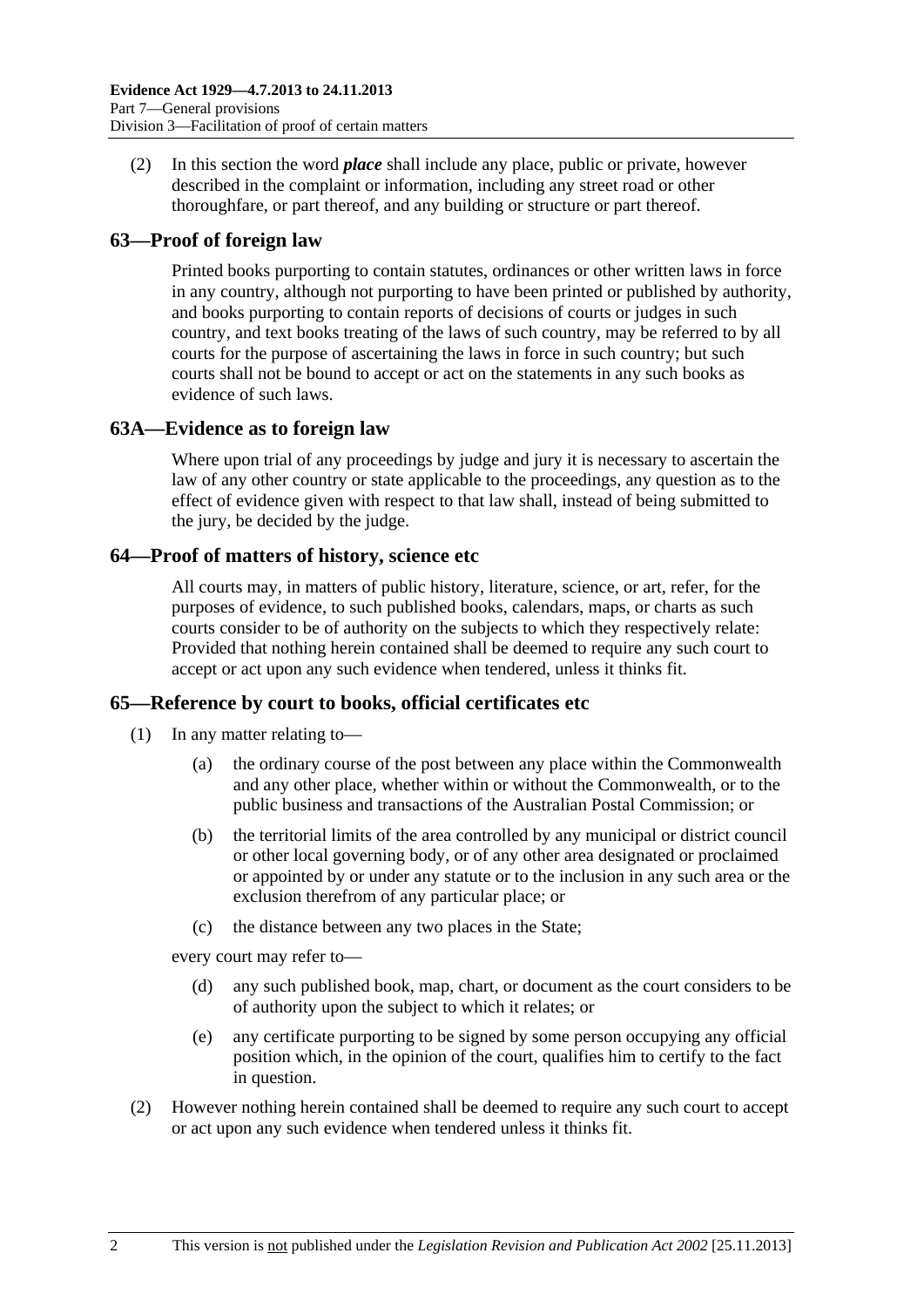(2) In this section the word *place* shall include any place, public or private, however described in the complaint or information, including any street road or other thoroughfare, or part thereof, and any building or structure or part thereof.

#### **63—Proof of foreign law**

Printed books purporting to contain statutes, ordinances or other written laws in force in any country, although not purporting to have been printed or published by authority, and books purporting to contain reports of decisions of courts or judges in such country, and text books treating of the laws of such country, may be referred to by all courts for the purpose of ascertaining the laws in force in such country; but such courts shall not be bound to accept or act on the statements in any such books as evidence of such laws.

#### **63A—Evidence as to foreign law**

Where upon trial of any proceedings by judge and jury it is necessary to ascertain the law of any other country or state applicable to the proceedings, any question as to the effect of evidence given with respect to that law shall, instead of being submitted to the jury, be decided by the judge.

#### **64—Proof of matters of history, science etc**

All courts may, in matters of public history, literature, science, or art, refer, for the purposes of evidence, to such published books, calendars, maps, or charts as such courts consider to be of authority on the subjects to which they respectively relate: Provided that nothing herein contained shall be deemed to require any such court to accept or act upon any such evidence when tendered, unless it thinks fit.

#### **65—Reference by court to books, official certificates etc**

- (1) In any matter relating to—
	- (a) the ordinary course of the post between any place within the Commonwealth and any other place, whether within or without the Commonwealth, or to the public business and transactions of the Australian Postal Commission; or
	- (b) the territorial limits of the area controlled by any municipal or district council or other local governing body, or of any other area designated or proclaimed or appointed by or under any statute or to the inclusion in any such area or the exclusion therefrom of any particular place; or
	- (c) the distance between any two places in the State;

every court may refer to—

- (d) any such published book, map, chart, or document as the court considers to be of authority upon the subject to which it relates; or
- (e) any certificate purporting to be signed by some person occupying any official position which, in the opinion of the court, qualifies him to certify to the fact in question.
- (2) However nothing herein contained shall be deemed to require any such court to accept or act upon any such evidence when tendered unless it thinks fit.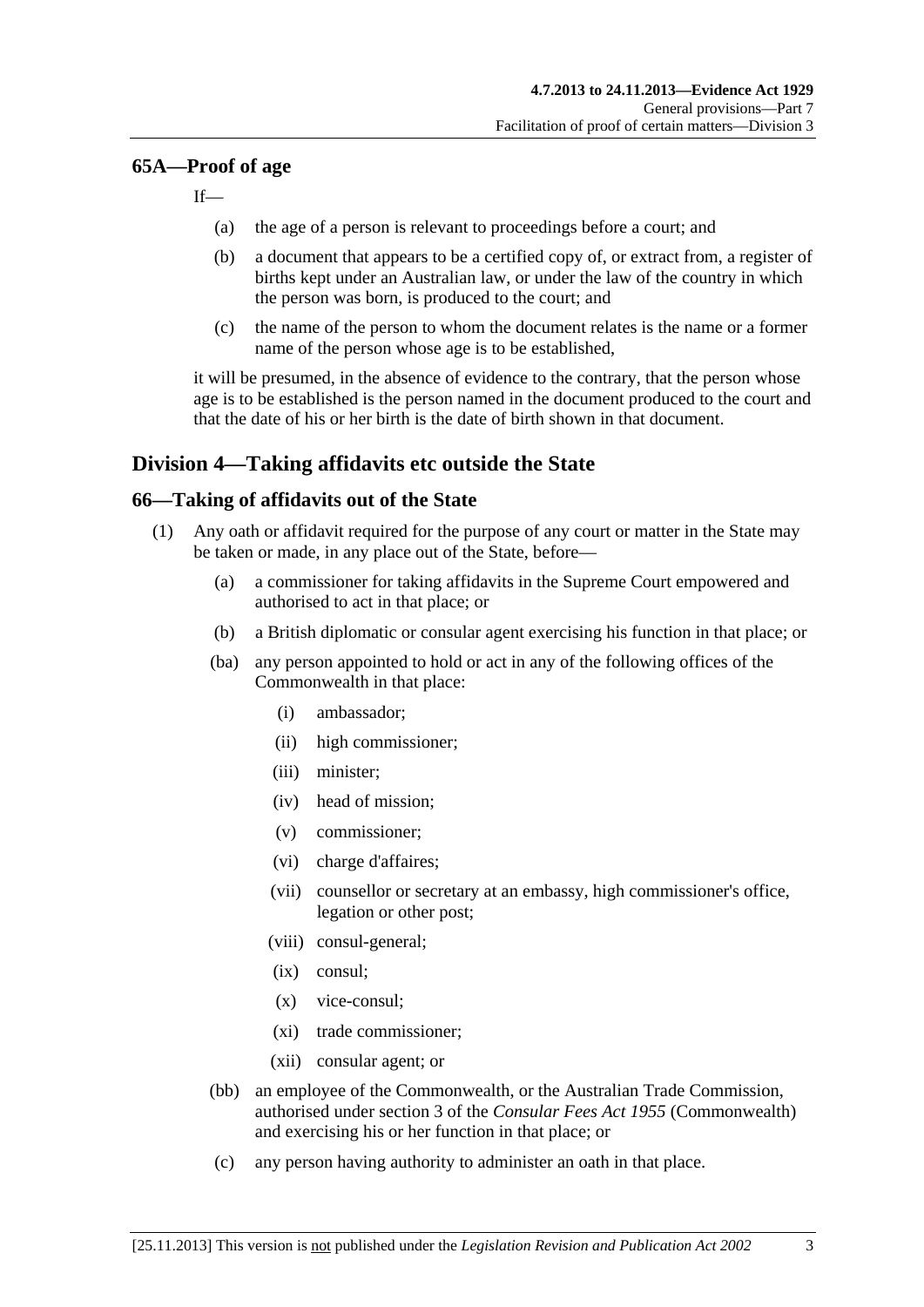#### <span id="page-68-0"></span>**65A—Proof of age**

If—

- (a) the age of a person is relevant to proceedings before a court; and
- (b) a document that appears to be a certified copy of, or extract from, a register of births kept under an Australian law, or under the law of the country in which the person was born, is produced to the court; and
- (c) the name of the person to whom the document relates is the name or a former name of the person whose age is to be established,

it will be presumed, in the absence of evidence to the contrary, that the person whose age is to be established is the person named in the document produced to the court and that the date of his or her birth is the date of birth shown in that document.

# **Division 4—Taking affidavits etc outside the State**

#### **66—Taking of affidavits out of the State**

- (1) Any oath or affidavit required for the purpose of any court or matter in the State may be taken or made, in any place out of the State, before—
	- (a) a commissioner for taking affidavits in the Supreme Court empowered and authorised to act in that place; or
	- (b) a British diplomatic or consular agent exercising his function in that place; or
	- (ba) any person appointed to hold or act in any of the following offices of the Commonwealth in that place:
		- (i) ambassador;
		- (ii) high commissioner;
		- (iii) minister;
		- (iv) head of mission;
		- (v) commissioner;
		- (vi) charge d'affaires;
		- (vii) counsellor or secretary at an embassy, high commissioner's office, legation or other post;
		- (viii) consul-general;
		- (ix) consul;
		- (x) vice-consul;
		- (xi) trade commissioner;
		- (xii) consular agent; or
	- (bb) an employee of the Commonwealth, or the Australian Trade Commission, authorised under section 3 of the *Consular Fees Act 1955* (Commonwealth) and exercising his or her function in that place; or
	- (c) any person having authority to administer an oath in that place.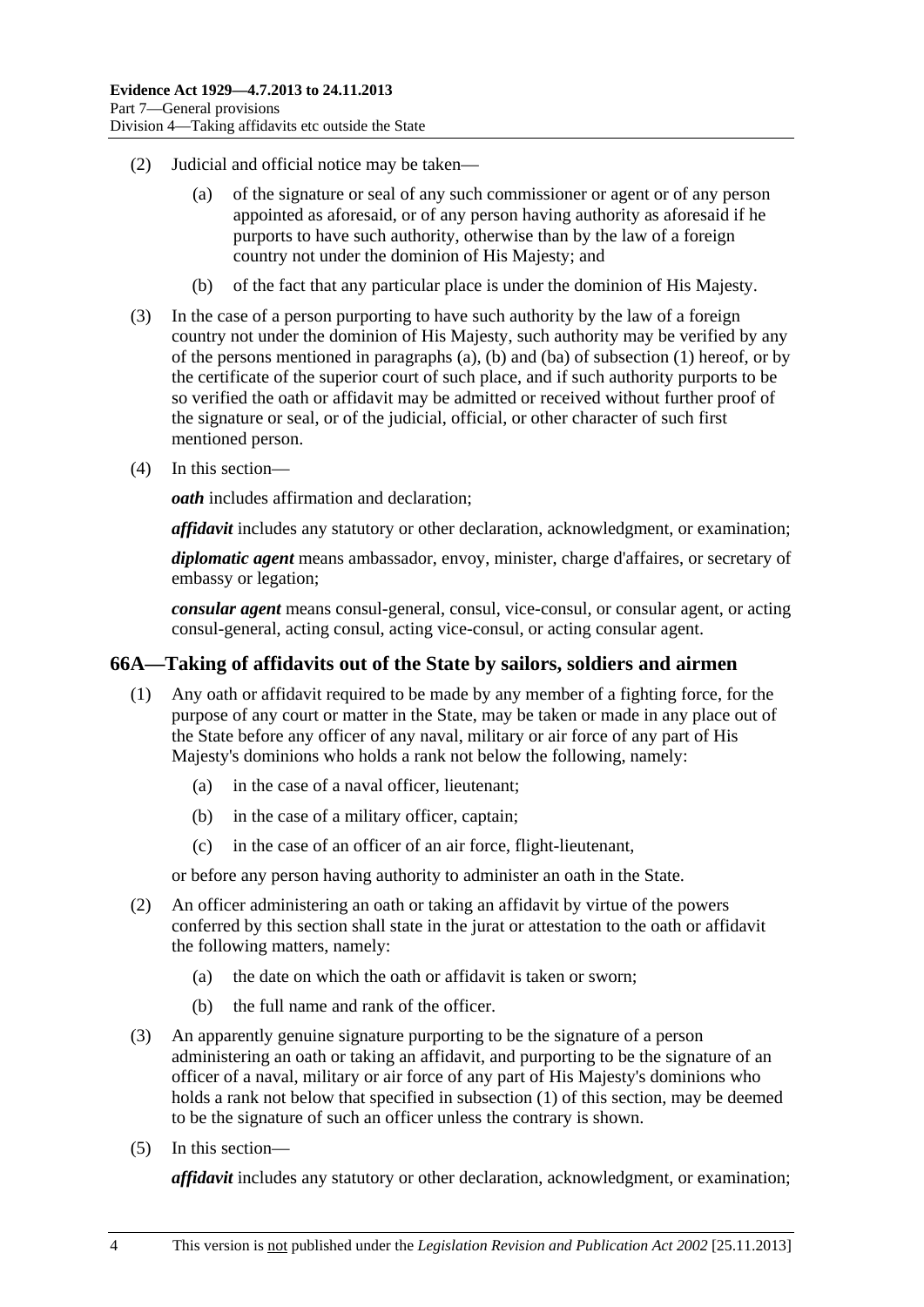- <span id="page-69-0"></span> (2) Judicial and official notice may be taken—
	- (a) of the signature or seal of any such commissioner or agent or of any person appointed as aforesaid, or of any person having authority as aforesaid if he purports to have such authority, otherwise than by the law of a foreign country not under the dominion of His Majesty; and
	- (b) of the fact that any particular place is under the dominion of His Majesty.
- (3) In the case of a person purporting to have such authority by the law of a foreign country not under the dominion of His Majesty, such authority may be verified by any of the persons mentioned in [paragraphs \(a\)](#page-68-0), [\(b\)](#page-68-0) and [\(ba\)](#page-68-0) of [subsection \(1\)](#page-68-0) hereof, or by the certificate of the superior court of such place, and if such authority purports to be so verified the oath or affidavit may be admitted or received without further proof of the signature or seal, or of the judicial, official, or other character of such first mentioned person.
- (4) In this section—

*oath* includes affirmation and declaration;

*affidavit* includes any statutory or other declaration, acknowledgment, or examination;

*diplomatic agent* means ambassador, envoy, minister, charge d'affaires, or secretary of embassy or legation;

*consular agent* means consul-general, consul, vice-consul, or consular agent, or acting consul-general, acting consul, acting vice-consul, or acting consular agent.

#### **66A—Taking of affidavits out of the State by sailors, soldiers and airmen**

- (1) Any oath or affidavit required to be made by any member of a fighting force, for the purpose of any court or matter in the State, may be taken or made in any place out of the State before any officer of any naval, military or air force of any part of His Majesty's dominions who holds a rank not below the following, namely:
	- (a) in the case of a naval officer, lieutenant;
	- (b) in the case of a military officer, captain;
	- (c) in the case of an officer of an air force, flight-lieutenant,

or before any person having authority to administer an oath in the State.

- (2) An officer administering an oath or taking an affidavit by virtue of the powers conferred by this section shall state in the jurat or attestation to the oath or affidavit the following matters, namely:
	- (a) the date on which the oath or affidavit is taken or sworn;
	- (b) the full name and rank of the officer.
- (3) An apparently genuine signature purporting to be the signature of a person administering an oath or taking an affidavit, and purporting to be the signature of an officer of a naval, military or air force of any part of His Majesty's dominions who holds a rank not below that specified in [subsection \(1\)](#page-69-0) of this section, may be deemed to be the signature of such an officer unless the contrary is shown.
- (5) In this section—

*affidavit* includes any statutory or other declaration, acknowledgment, or examination;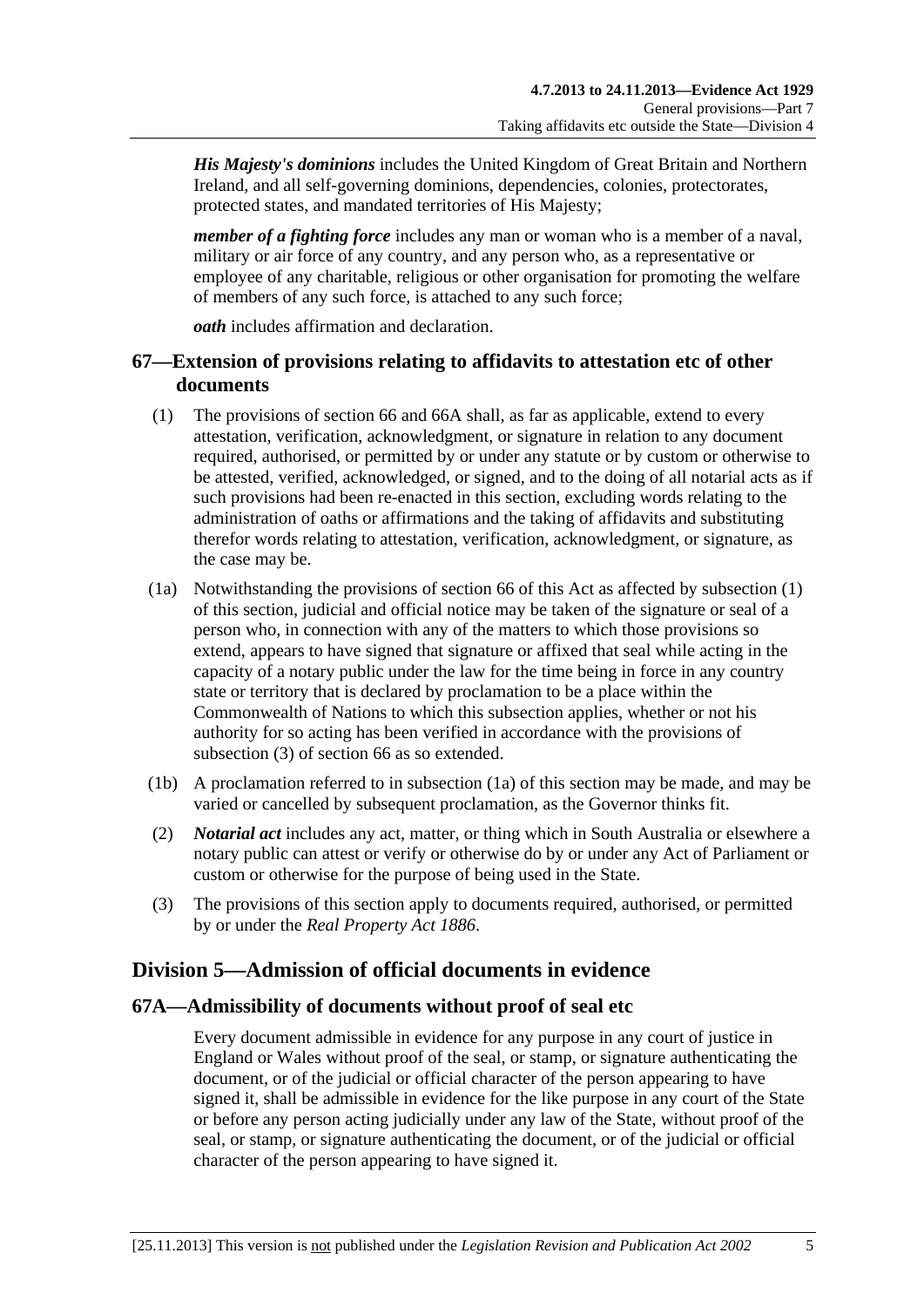<span id="page-70-0"></span>*His Majesty's dominions* includes the United Kingdom of Great Britain and Northern Ireland, and all self-governing dominions, dependencies, colonies, protectorates, protected states, and mandated territories of His Majesty;

*member of a fighting force* includes any man or woman who is a member of a naval, military or air force of any country, and any person who, as a representative or employee of any charitable, religious or other organisation for promoting the welfare of members of any such force, is attached to any such force;

*oath* includes affirmation and declaration.

## **67—Extension of provisions relating to affidavits to attestation etc of other documents**

- (1) The provisions of [section 66](#page-68-0) and [66A](#page-69-0) shall, as far as applicable, extend to every attestation, verification, acknowledgment, or signature in relation to any document required, authorised, or permitted by or under any statute or by custom or otherwise to be attested, verified, acknowledged, or signed, and to the doing of all notarial acts as if such provisions had been re-enacted in this section, excluding words relating to the administration of oaths or affirmations and the taking of affidavits and substituting therefor words relating to attestation, verification, acknowledgment, or signature, as the case may be.
- (1a) Notwithstanding the provisions of [section 66](#page-68-0) of this Act as affected by [subsection \(1\)](#page-70-0) of this section, judicial and official notice may be taken of the signature or seal of a person who, in connection with any of the matters to which those provisions so extend, appears to have signed that signature or affixed that seal while acting in the capacity of a notary public under the law for the time being in force in any country state or territory that is declared by proclamation to be a place within the Commonwealth of Nations to which this subsection applies, whether or not his authority for so acting has been verified in accordance with the provisions of [subsection \(3\)](#page-70-0) of [section 66](#page-68-0) as so extended.
- (1b) A proclamation referred to in [subsection \(1a\)](#page-70-0) of this section may be made, and may be varied or cancelled by subsequent proclamation, as the Governor thinks fit.
- (2) *Notarial act* includes any act, matter, or thing which in South Australia or elsewhere a notary public can attest or verify or otherwise do by or under any Act of Parliament or custom or otherwise for the purpose of being used in the State.
- (3) The provisions of this section apply to documents required, authorised, or permitted by or under the *[Real Property Act 1886](http://www.legislation.sa.gov.au/index.aspx?action=legref&type=act&legtitle=Real%20Property%20Act%201886)*.

# **Division 5—Admission of official documents in evidence**

#### **67A—Admissibility of documents without proof of seal etc**

Every document admissible in evidence for any purpose in any court of justice in England or Wales without proof of the seal, or stamp, or signature authenticating the document, or of the judicial or official character of the person appearing to have signed it, shall be admissible in evidence for the like purpose in any court of the State or before any person acting judicially under any law of the State, without proof of the seal, or stamp, or signature authenticating the document, or of the judicial or official character of the person appearing to have signed it.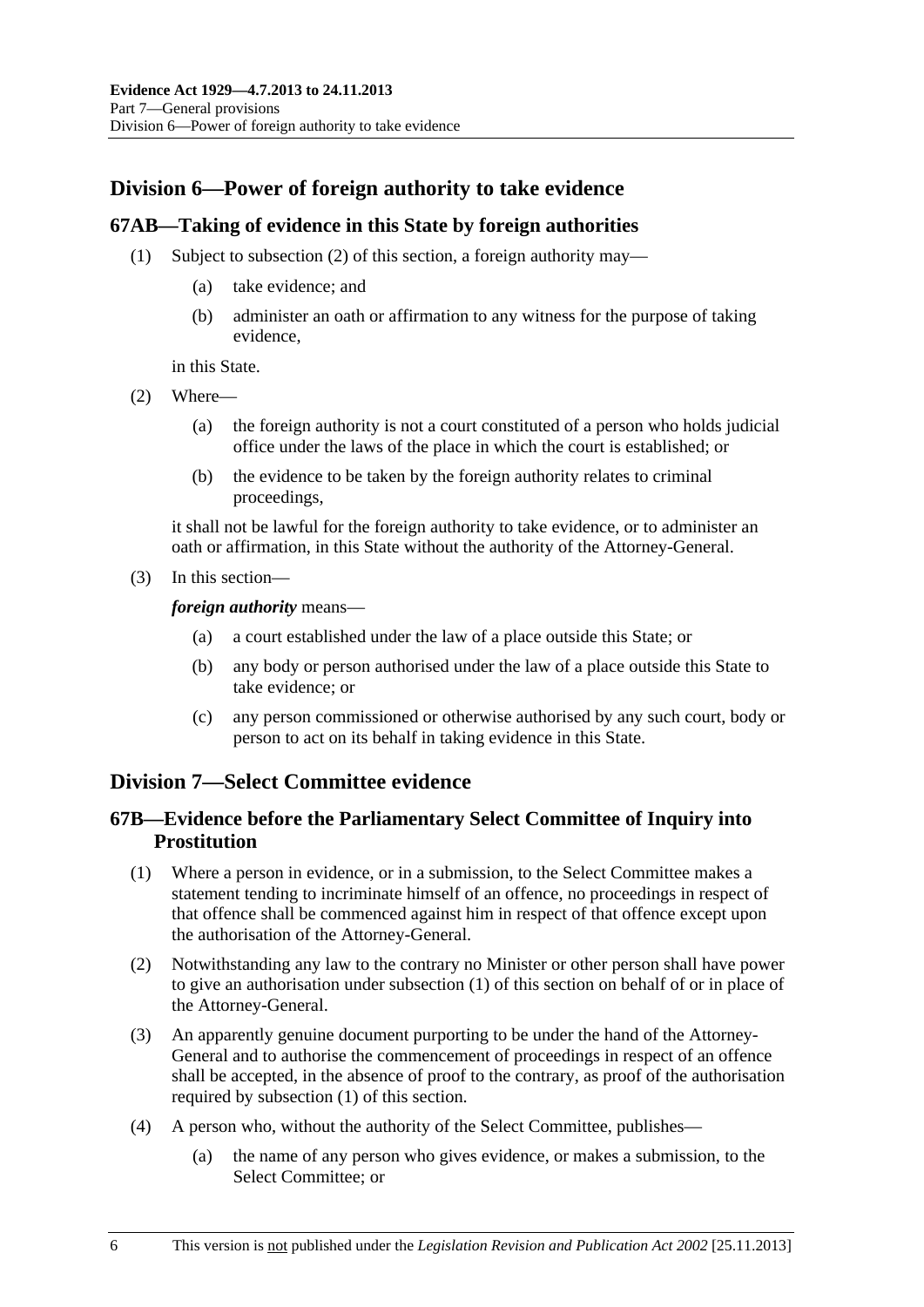# <span id="page-71-0"></span>**Division 6—Power of foreign authority to take evidence**

### **67AB—Taking of evidence in this State by foreign authorities**

- (1) Subject to [subsection \(2\)](#page-71-0) of this section, a foreign authority may—
	- (a) take evidence; and
	- (b) administer an oath or affirmation to any witness for the purpose of taking evidence,

in this State.

- (2) Where—
	- (a) the foreign authority is not a court constituted of a person who holds judicial office under the laws of the place in which the court is established; or
	- (b) the evidence to be taken by the foreign authority relates to criminal proceedings,

it shall not be lawful for the foreign authority to take evidence, or to administer an oath or affirmation, in this State without the authority of the Attorney-General.

(3) In this section—

*foreign authority* means—

- (a) a court established under the law of a place outside this State; or
- (b) any body or person authorised under the law of a place outside this State to take evidence; or
- (c) any person commissioned or otherwise authorised by any such court, body or person to act on its behalf in taking evidence in this State.

# **Division 7—Select Committee evidence**

## **67B—Evidence before the Parliamentary Select Committee of Inquiry into Prostitution**

- (1) Where a person in evidence, or in a submission, to the Select Committee makes a statement tending to incriminate himself of an offence, no proceedings in respect of that offence shall be commenced against him in respect of that offence except upon the authorisation of the Attorney-General.
- (2) Notwithstanding any law to the contrary no Minister or other person shall have power to give an authorisation under [subsection \(1\)](#page-71-0) of this section on behalf of or in place of the Attorney-General.
- (3) An apparently genuine document purporting to be under the hand of the Attorney-General and to authorise the commencement of proceedings in respect of an offence shall be accepted, in the absence of proof to the contrary, as proof of the authorisation required by [subsection \(1\)](#page-71-0) of this section.
- (4) A person who, without the authority of the Select Committee, publishes—
	- (a) the name of any person who gives evidence, or makes a submission, to the Select Committee; or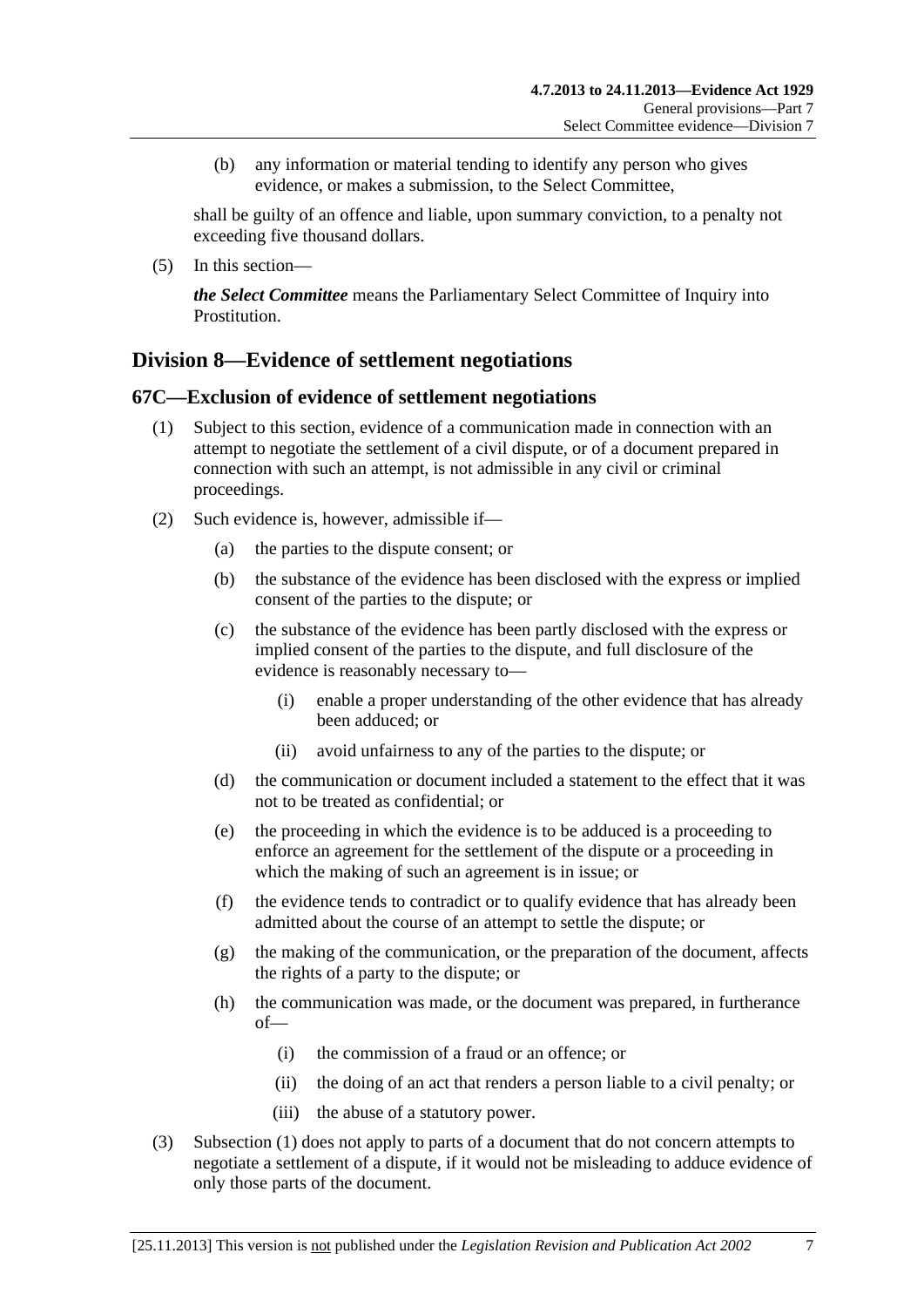<span id="page-72-0"></span> (b) any information or material tending to identify any person who gives evidence, or makes a submission, to the Select Committee,

shall be guilty of an offence and liable, upon summary conviction, to a penalty not exceeding five thousand dollars.

(5) In this section—

*the Select Committee* means the Parliamentary Select Committee of Inquiry into Prostitution.

# **Division 8—Evidence of settlement negotiations**

### **67C—Exclusion of evidence of settlement negotiations**

- (1) Subject to this section, evidence of a communication made in connection with an attempt to negotiate the settlement of a civil dispute, or of a document prepared in connection with such an attempt, is not admissible in any civil or criminal proceedings.
- (2) Such evidence is, however, admissible if—
	- (a) the parties to the dispute consent; or
	- (b) the substance of the evidence has been disclosed with the express or implied consent of the parties to the dispute; or
	- (c) the substance of the evidence has been partly disclosed with the express or implied consent of the parties to the dispute, and full disclosure of the evidence is reasonably necessary to—
		- (i) enable a proper understanding of the other evidence that has already been adduced; or
		- (ii) avoid unfairness to any of the parties to the dispute; or
	- (d) the communication or document included a statement to the effect that it was not to be treated as confidential; or
	- (e) the proceeding in which the evidence is to be adduced is a proceeding to enforce an agreement for the settlement of the dispute or a proceeding in which the making of such an agreement is in issue; or
	- (f) the evidence tends to contradict or to qualify evidence that has already been admitted about the course of an attempt to settle the dispute; or
	- (g) the making of the communication, or the preparation of the document, affects the rights of a party to the dispute; or
	- (h) the communication was made, or the document was prepared, in furtherance of—
		- (i) the commission of a fraud or an offence; or
		- (ii) the doing of an act that renders a person liable to a civil penalty; or
		- (iii) the abuse of a statutory power.
- (3) [Subsection \(1\)](#page-72-0) does not apply to parts of a document that do not concern attempts to negotiate a settlement of a dispute, if it would not be misleading to adduce evidence of only those parts of the document.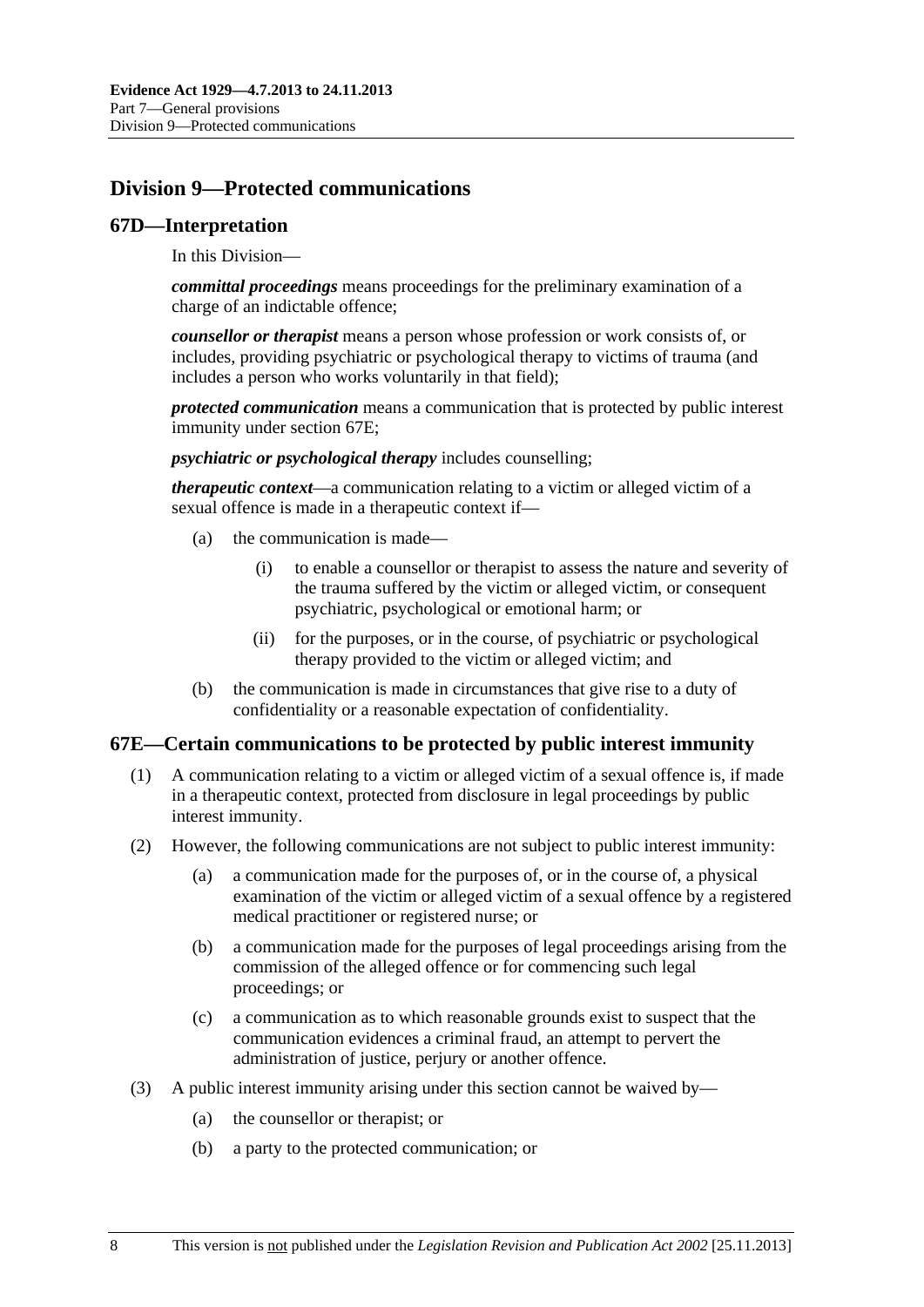# <span id="page-73-0"></span>**Division 9—Protected communications**

### **67D—Interpretation**

In this Division—

*committal proceedings* means proceedings for the preliminary examination of a charge of an indictable offence;

*counsellor or therapist* means a person whose profession or work consists of, or includes, providing psychiatric or psychological therapy to victims of trauma (and includes a person who works voluntarily in that field);

*protected communication* means a communication that is protected by public interest immunity under [section 67E](#page-73-0);

*psychiatric or psychological therapy* includes counselling;

*therapeutic context*—a communication relating to a victim or alleged victim of a sexual offence is made in a therapeutic context if—

- (a) the communication is made—
	- (i) to enable a counsellor or therapist to assess the nature and severity of the trauma suffered by the victim or alleged victim, or consequent psychiatric, psychological or emotional harm; or
	- (ii) for the purposes, or in the course, of psychiatric or psychological therapy provided to the victim or alleged victim; and
- (b) the communication is made in circumstances that give rise to a duty of confidentiality or a reasonable expectation of confidentiality.

### **67E—Certain communications to be protected by public interest immunity**

- (1) A communication relating to a victim or alleged victim of a sexual offence is, if made in a therapeutic context, protected from disclosure in legal proceedings by public interest immunity.
- (2) However, the following communications are not subject to public interest immunity:
	- (a) a communication made for the purposes of, or in the course of, a physical examination of the victim or alleged victim of a sexual offence by a registered medical practitioner or registered nurse; or
	- (b) a communication made for the purposes of legal proceedings arising from the commission of the alleged offence or for commencing such legal proceedings; or
	- (c) a communication as to which reasonable grounds exist to suspect that the communication evidences a criminal fraud, an attempt to pervert the administration of justice, perjury or another offence.
- (3) A public interest immunity arising under this section cannot be waived by—
	- (a) the counsellor or therapist; or
	- (b) a party to the protected communication; or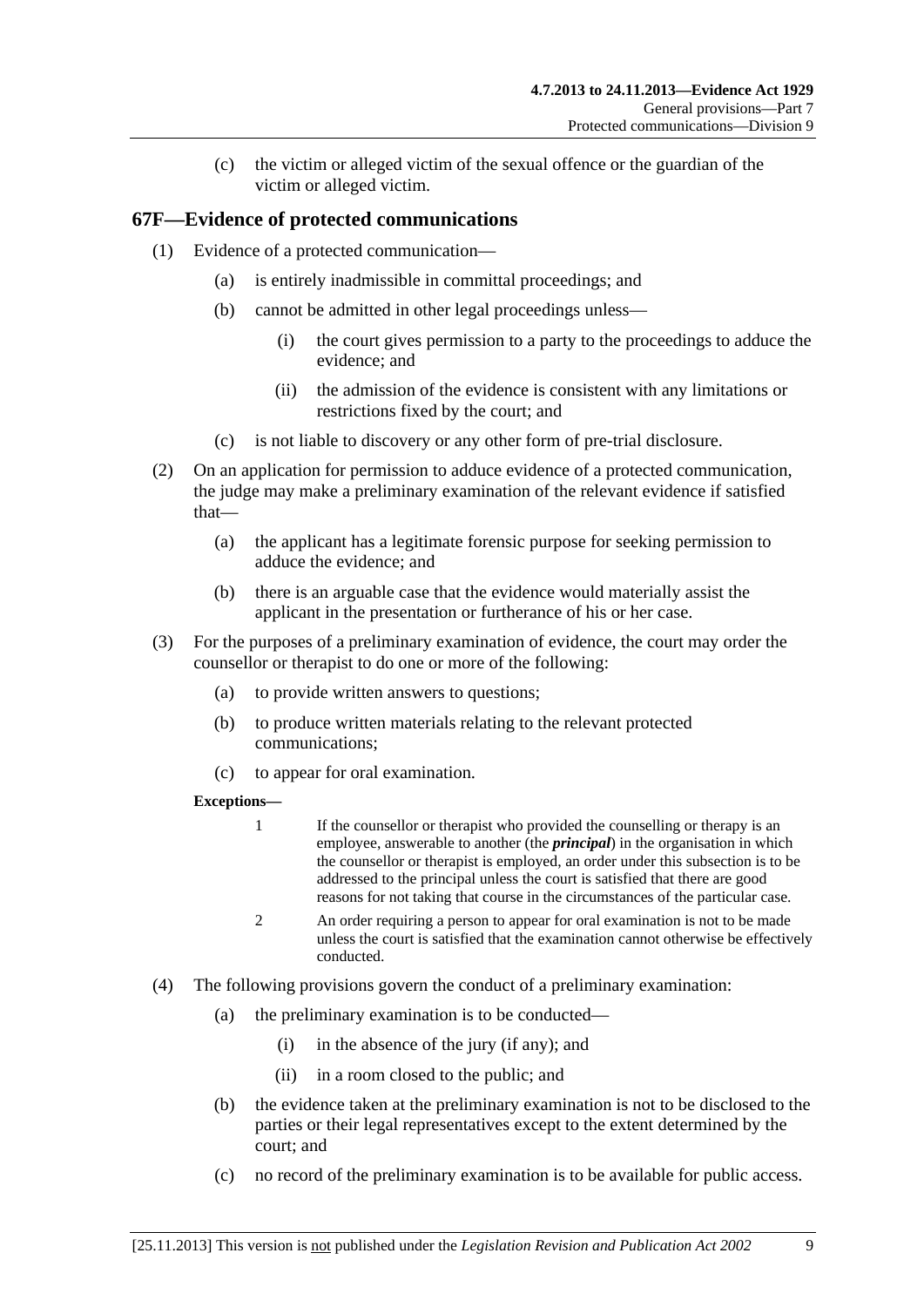(c) the victim or alleged victim of the sexual offence or the guardian of the victim or alleged victim.

## **67F—Evidence of protected communications**

- (1) Evidence of a protected communication—
	- (a) is entirely inadmissible in committal proceedings; and
	- (b) cannot be admitted in other legal proceedings unless—
		- (i) the court gives permission to a party to the proceedings to adduce the evidence; and
		- (ii) the admission of the evidence is consistent with any limitations or restrictions fixed by the court; and
	- (c) is not liable to discovery or any other form of pre-trial disclosure.
- (2) On an application for permission to adduce evidence of a protected communication, the judge may make a preliminary examination of the relevant evidence if satisfied that—
	- (a) the applicant has a legitimate forensic purpose for seeking permission to adduce the evidence; and
	- (b) there is an arguable case that the evidence would materially assist the applicant in the presentation or furtherance of his or her case.
- (3) For the purposes of a preliminary examination of evidence, the court may order the counsellor or therapist to do one or more of the following:
	- (a) to provide written answers to questions;
	- (b) to produce written materials relating to the relevant protected communications;
	- (c) to appear for oral examination.

### **Exceptions—**

- 1 If the counsellor or therapist who provided the counselling or therapy is an employee, answerable to another (the *principal*) in the organisation in which the counsellor or therapist is employed, an order under this subsection is to be addressed to the principal unless the court is satisfied that there are good reasons for not taking that course in the circumstances of the particular case.
- 2 An order requiring a person to appear for oral examination is not to be made unless the court is satisfied that the examination cannot otherwise be effectively conducted.
- (4) The following provisions govern the conduct of a preliminary examination:
	- (a) the preliminary examination is to be conducted—
		- (i) in the absence of the jury (if any); and
		- (ii) in a room closed to the public; and
	- (b) the evidence taken at the preliminary examination is not to be disclosed to the parties or their legal representatives except to the extent determined by the court; and
	- (c) no record of the preliminary examination is to be available for public access.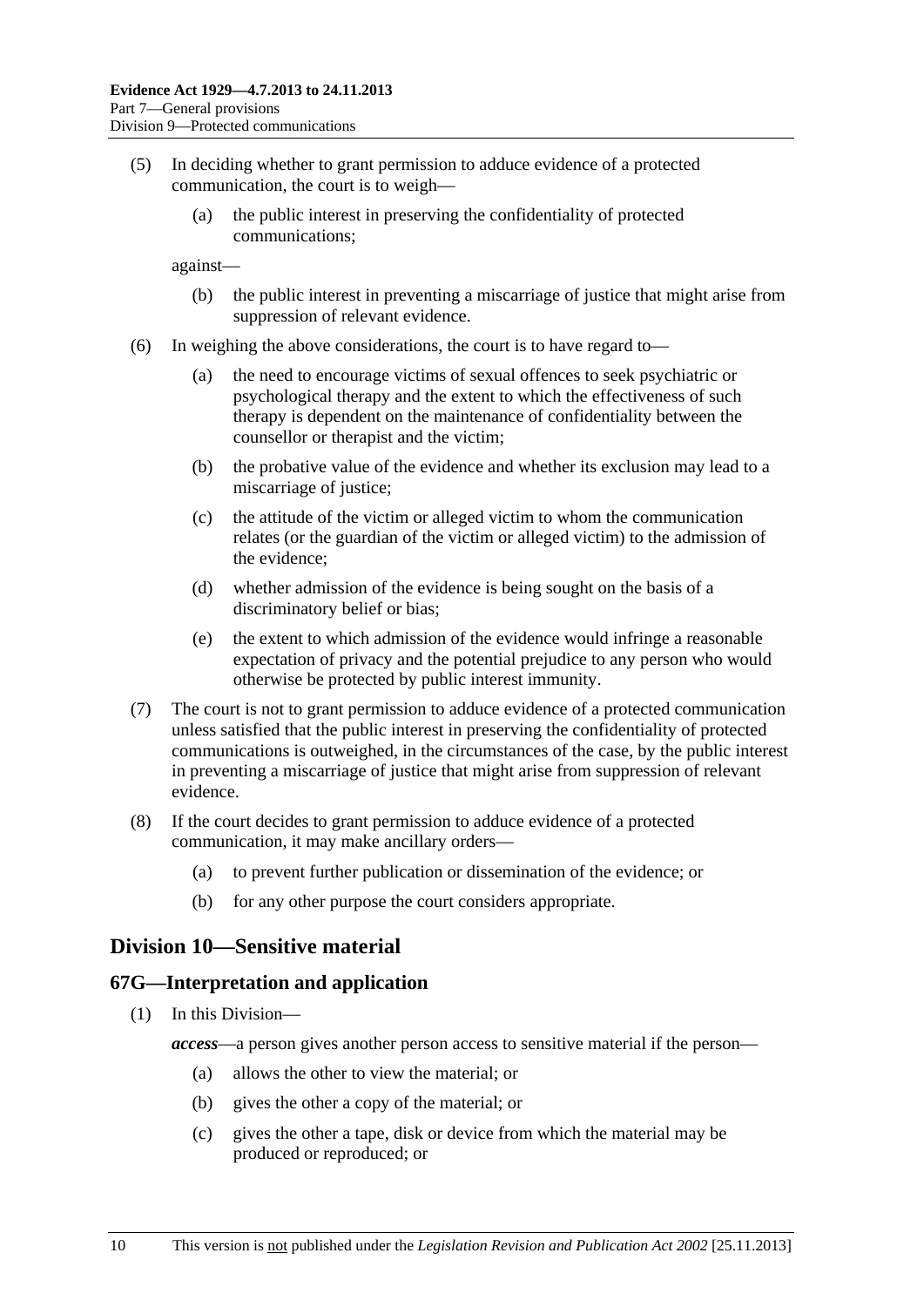- (5) In deciding whether to grant permission to adduce evidence of a protected communication, the court is to weigh—
	- (a) the public interest in preserving the confidentiality of protected communications;

against—

- (b) the public interest in preventing a miscarriage of justice that might arise from suppression of relevant evidence.
- (6) In weighing the above considerations, the court is to have regard to—
	- (a) the need to encourage victims of sexual offences to seek psychiatric or psychological therapy and the extent to which the effectiveness of such therapy is dependent on the maintenance of confidentiality between the counsellor or therapist and the victim;
	- (b) the probative value of the evidence and whether its exclusion may lead to a miscarriage of justice;
	- (c) the attitude of the victim or alleged victim to whom the communication relates (or the guardian of the victim or alleged victim) to the admission of the evidence;
	- (d) whether admission of the evidence is being sought on the basis of a discriminatory belief or bias;
	- (e) the extent to which admission of the evidence would infringe a reasonable expectation of privacy and the potential prejudice to any person who would otherwise be protected by public interest immunity.
- (7) The court is not to grant permission to adduce evidence of a protected communication unless satisfied that the public interest in preserving the confidentiality of protected communications is outweighed, in the circumstances of the case, by the public interest in preventing a miscarriage of justice that might arise from suppression of relevant evidence.
- (8) If the court decides to grant permission to adduce evidence of a protected communication, it may make ancillary orders—
	- (a) to prevent further publication or dissemination of the evidence; or
	- (b) for any other purpose the court considers appropriate.

# **Division 10—Sensitive material**

### **67G—Interpretation and application**

- (1) In this Division
	- *access*—a person gives another person access to sensitive material if the person—
		- (a) allows the other to view the material; or
		- (b) gives the other a copy of the material; or
		- (c) gives the other a tape, disk or device from which the material may be produced or reproduced; or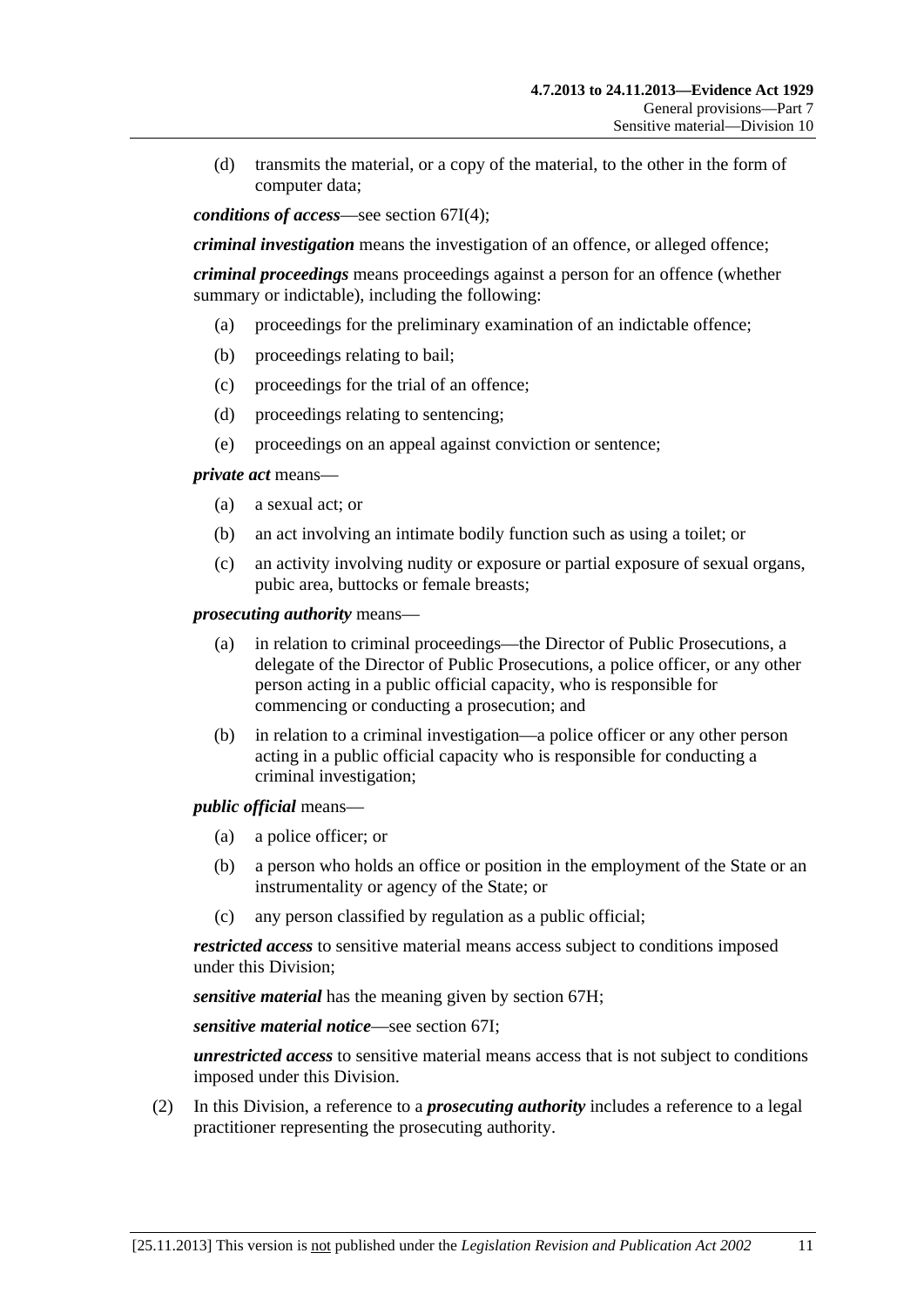(d) transmits the material, or a copy of the material, to the other in the form of computer data;

*conditions of access*—see [section 67I\(4\);](#page-77-0)

*criminal investigation* means the investigation of an offence, or alleged offence;

*criminal proceedings* means proceedings against a person for an offence (whether summary or indictable), including the following:

- (a) proceedings for the preliminary examination of an indictable offence;
- (b) proceedings relating to bail;
- (c) proceedings for the trial of an offence;
- (d) proceedings relating to sentencing;
- (e) proceedings on an appeal against conviction or sentence;

*private act* means—

- (a) a sexual act; or
- (b) an act involving an intimate bodily function such as using a toilet; or
- (c) an activity involving nudity or exposure or partial exposure of sexual organs, pubic area, buttocks or female breasts;

*prosecuting authority* means—

- (a) in relation to criminal proceedings—the Director of Public Prosecutions, a delegate of the Director of Public Prosecutions, a police officer, or any other person acting in a public official capacity, who is responsible for commencing or conducting a prosecution; and
- (b) in relation to a criminal investigation—a police officer or any other person acting in a public official capacity who is responsible for conducting a criminal investigation;

*public official* means—

- (a) a police officer; or
- (b) a person who holds an office or position in the employment of the State or an instrumentality or agency of the State; or
- (c) any person classified by regulation as a public official;

*restricted access* to sensitive material means access subject to conditions imposed under this Division;

*sensitive material* has the meaning given by [section 67H](#page-77-0);

*sensitive material notice*—see [section 67I](#page-77-0);

*unrestricted access* to sensitive material means access that is not subject to conditions imposed under this Division.

 (2) In this Division, a reference to a *prosecuting authority* includes a reference to a legal practitioner representing the prosecuting authority.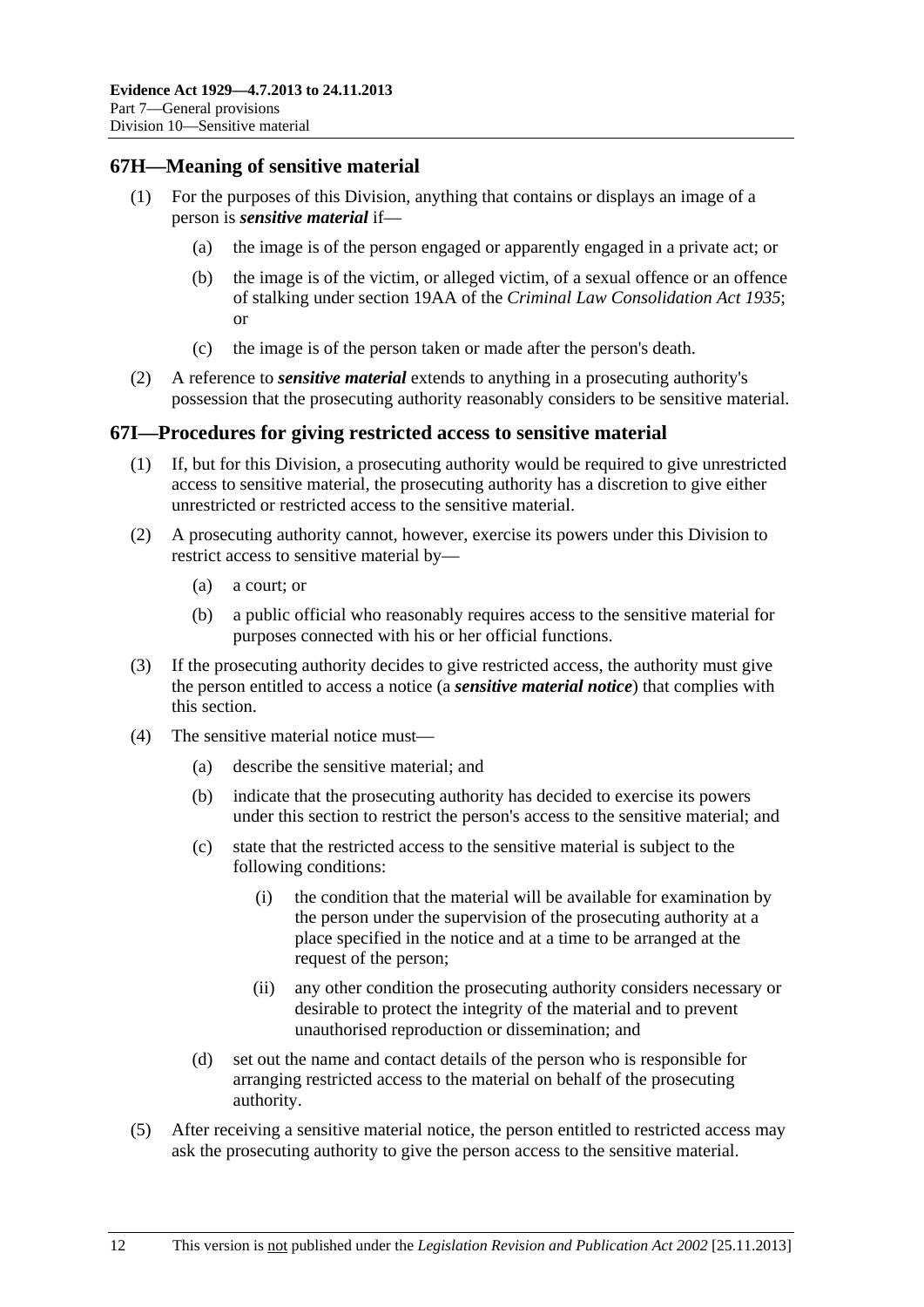### <span id="page-77-0"></span>**67H—Meaning of sensitive material**

- (1) For the purposes of this Division, anything that contains or displays an image of a person is *sensitive material* if—
	- (a) the image is of the person engaged or apparently engaged in a private act; or
	- (b) the image is of the victim, or alleged victim, of a sexual offence or an offence of stalking under section 19AA of the *[Criminal Law Consolidation Act 1935](http://www.legislation.sa.gov.au/index.aspx?action=legref&type=act&legtitle=Criminal%20Law%20Consolidation%20Act%201935)*; or
	- (c) the image is of the person taken or made after the person's death.
- (2) A reference to *sensitive material* extends to anything in a prosecuting authority's possession that the prosecuting authority reasonably considers to be sensitive material.

### **67I—Procedures for giving restricted access to sensitive material**

- (1) If, but for this Division, a prosecuting authority would be required to give unrestricted access to sensitive material, the prosecuting authority has a discretion to give either unrestricted or restricted access to the sensitive material.
- (2) A prosecuting authority cannot, however, exercise its powers under this Division to restrict access to sensitive material by—
	- (a) a court; or
	- (b) a public official who reasonably requires access to the sensitive material for purposes connected with his or her official functions.
- (3) If the prosecuting authority decides to give restricted access, the authority must give the person entitled to access a notice (a *sensitive material notice*) that complies with this section.
- (4) The sensitive material notice must—
	- (a) describe the sensitive material; and
	- (b) indicate that the prosecuting authority has decided to exercise its powers under this section to restrict the person's access to the sensitive material; and
	- (c) state that the restricted access to the sensitive material is subject to the following conditions:
		- (i) the condition that the material will be available for examination by the person under the supervision of the prosecuting authority at a place specified in the notice and at a time to be arranged at the request of the person;
		- (ii) any other condition the prosecuting authority considers necessary or desirable to protect the integrity of the material and to prevent unauthorised reproduction or dissemination; and
	- (d) set out the name and contact details of the person who is responsible for arranging restricted access to the material on behalf of the prosecuting authority.
- (5) After receiving a sensitive material notice, the person entitled to restricted access may ask the prosecuting authority to give the person access to the sensitive material.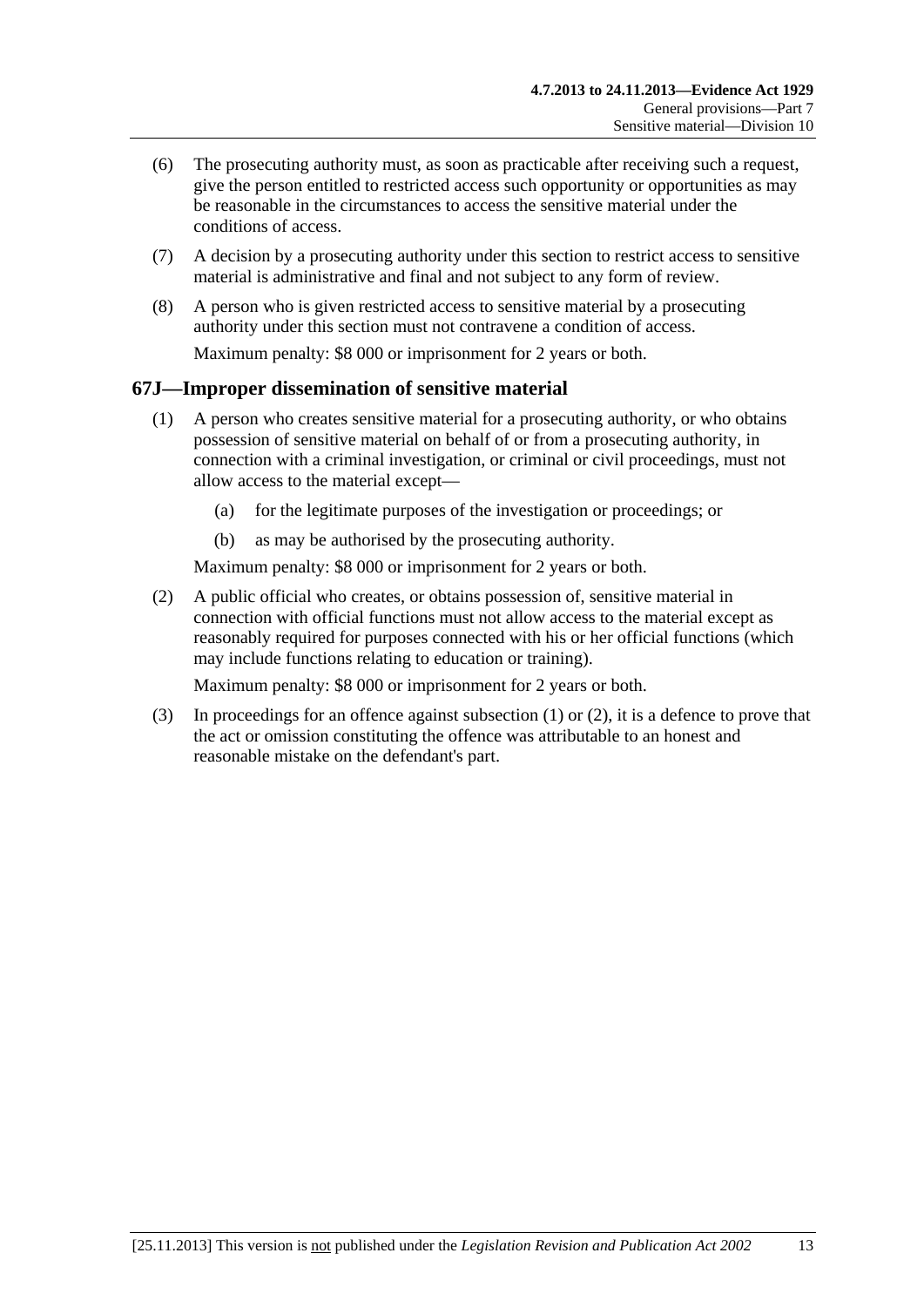- <span id="page-78-0"></span> (6) The prosecuting authority must, as soon as practicable after receiving such a request, give the person entitled to restricted access such opportunity or opportunities as may be reasonable in the circumstances to access the sensitive material under the conditions of access.
- (7) A decision by a prosecuting authority under this section to restrict access to sensitive material is administrative and final and not subject to any form of review.
- (8) A person who is given restricted access to sensitive material by a prosecuting authority under this section must not contravene a condition of access. Maximum penalty: \$8 000 or imprisonment for 2 years or both.

### **67J—Improper dissemination of sensitive material**

- (1) A person who creates sensitive material for a prosecuting authority, or who obtains possession of sensitive material on behalf of or from a prosecuting authority, in connection with a criminal investigation, or criminal or civil proceedings, must not allow access to the material except—
	- (a) for the legitimate purposes of the investigation or proceedings; or
	- (b) as may be authorised by the prosecuting authority.

Maximum penalty: \$8 000 or imprisonment for 2 years or both.

 (2) A public official who creates, or obtains possession of, sensitive material in connection with official functions must not allow access to the material except as reasonably required for purposes connected with his or her official functions (which may include functions relating to education or training).

Maximum penalty: \$8 000 or imprisonment for 2 years or both.

 (3) In proceedings for an offence against [subsection \(1\)](#page-78-0) or [\(2\)](#page-78-0), it is a defence to prove that the act or omission constituting the offence was attributable to an honest and reasonable mistake on the defendant's part.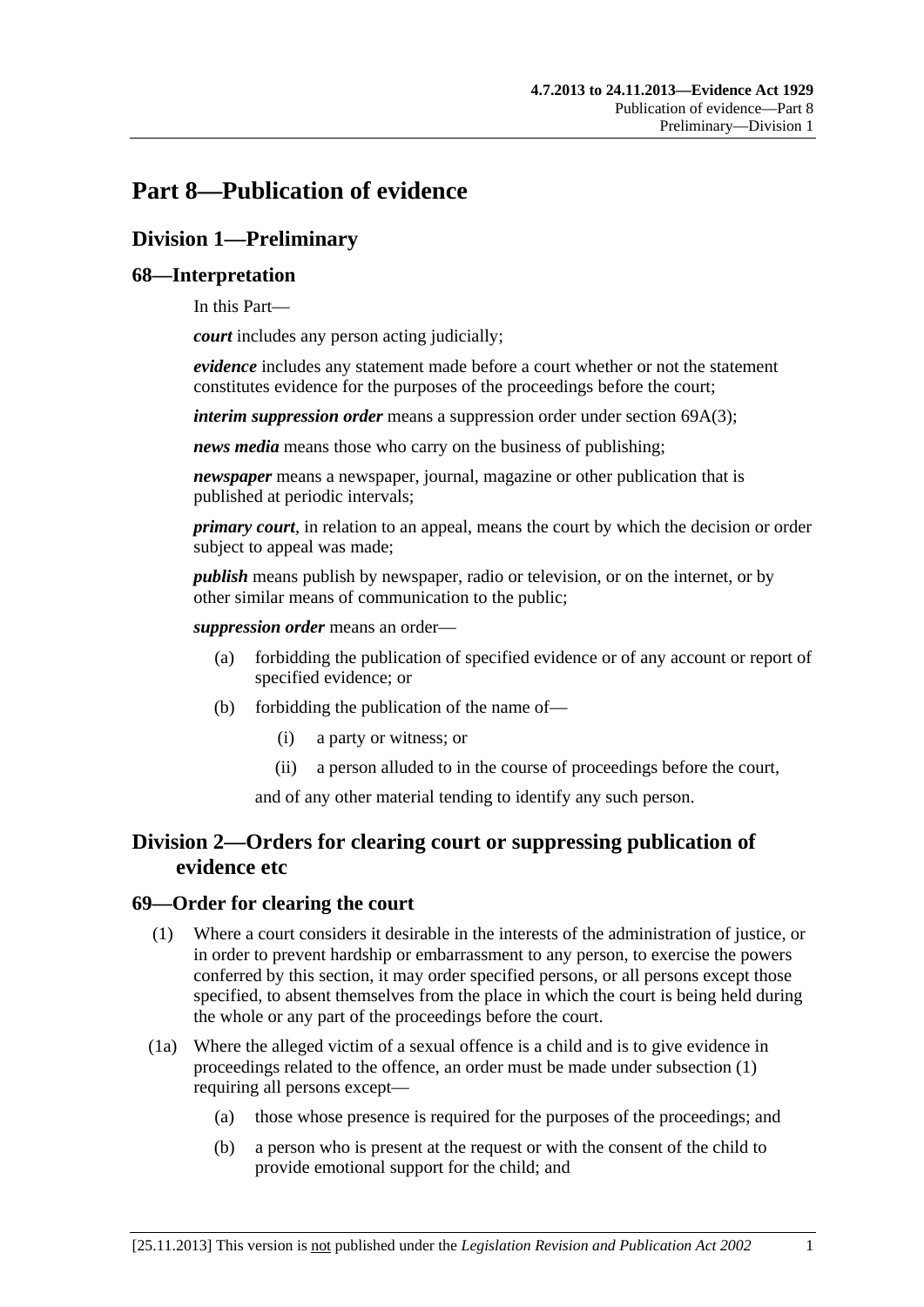# <span id="page-80-0"></span>**Part 8—Publication of evidence**

# **Division 1—Preliminary**

### **68—Interpretation**

In this Part—

*court* includes any person acting judicially;

*evidence* includes any statement made before a court whether or not the statement constitutes evidence for the purposes of the proceedings before the court;

*interim suppression order* means a suppression order under [section 69A\(3\)](#page-81-0);

*news media* means those who carry on the business of publishing;

*newspaper* means a newspaper, journal, magazine or other publication that is published at periodic intervals;

*primary court*, in relation to an appeal, means the court by which the decision or order subject to appeal was made;

*publish* means publish by newspaper, radio or television, or on the internet, or by other similar means of communication to the public;

*suppression order* means an order—

- (a) forbidding the publication of specified evidence or of any account or report of specified evidence; or
- (b) forbidding the publication of the name of—
	- (i) a party or witness; or
	- (ii) a person alluded to in the course of proceedings before the court,

and of any other material tending to identify any such person.

# **Division 2—Orders for clearing court or suppressing publication of evidence etc**

### **69—Order for clearing the court**

- (1) Where a court considers it desirable in the interests of the administration of justice, or in order to prevent hardship or embarrassment to any person, to exercise the powers conferred by this section, it may order specified persons, or all persons except those specified, to absent themselves from the place in which the court is being held during the whole or any part of the proceedings before the court.
- (1a) Where the alleged victim of a sexual offence is a child and is to give evidence in proceedings related to the offence, an order must be made under [subsection \(1\)](#page-80-0)  requiring all persons except—
	- (a) those whose presence is required for the purposes of the proceedings; and
	- (b) a person who is present at the request or with the consent of the child to provide emotional support for the child; and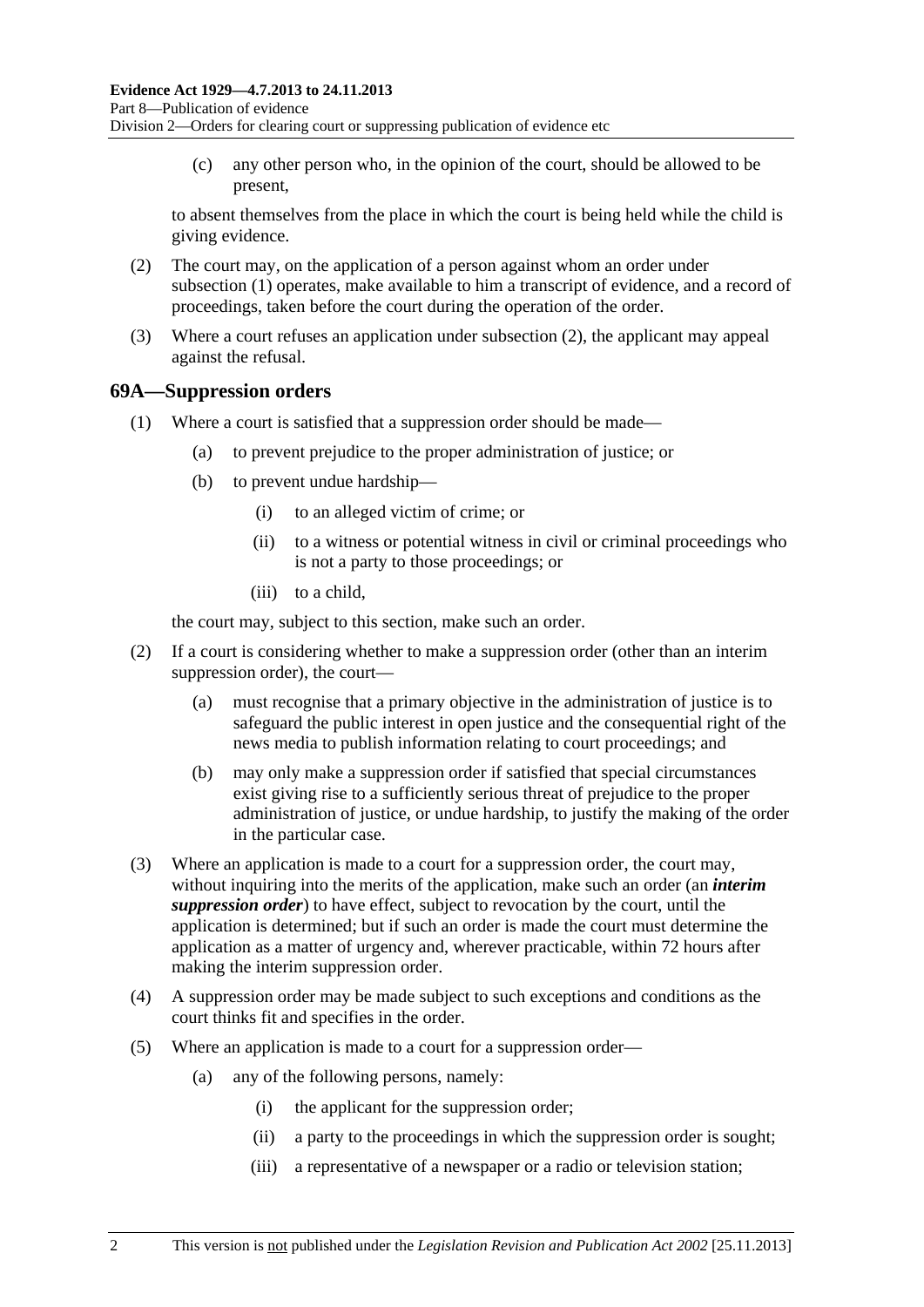<span id="page-81-0"></span> (c) any other person who, in the opinion of the court, should be allowed to be present,

to absent themselves from the place in which the court is being held while the child is giving evidence.

- (2) The court may, on the application of a person against whom an order under [subsection \(1\)](#page-80-0) operates, make available to him a transcript of evidence, and a record of proceedings, taken before the court during the operation of the order.
- (3) Where a court refuses an application under [subsection \(2\),](#page-81-0) the applicant may appeal against the refusal.

### **69A—Suppression orders**

- (1) Where a court is satisfied that a suppression order should be made—
	- (a) to prevent prejudice to the proper administration of justice; or
	- (b) to prevent undue hardship—
		- (i) to an alleged victim of crime; or
		- (ii) to a witness or potential witness in civil or criminal proceedings who is not a party to those proceedings; or
		- (iii) to a child,

the court may, subject to this section, make such an order.

- (2) If a court is considering whether to make a suppression order (other than an interim suppression order), the court—
	- (a) must recognise that a primary objective in the administration of justice is to safeguard the public interest in open justice and the consequential right of the news media to publish information relating to court proceedings; and
	- (b) may only make a suppression order if satisfied that special circumstances exist giving rise to a sufficiently serious threat of prejudice to the proper administration of justice, or undue hardship, to justify the making of the order in the particular case.
- (3) Where an application is made to a court for a suppression order, the court may, without inquiring into the merits of the application, make such an order (an *interim suppression order*) to have effect, subject to revocation by the court, until the application is determined; but if such an order is made the court must determine the application as a matter of urgency and, wherever practicable, within 72 hours after making the interim suppression order.
- (4) A suppression order may be made subject to such exceptions and conditions as the court thinks fit and specifies in the order.
- (5) Where an application is made to a court for a suppression order—
	- (a) any of the following persons, namely:
		- (i) the applicant for the suppression order;
		- (ii) a party to the proceedings in which the suppression order is sought;
		- (iii) a representative of a newspaper or a radio or television station;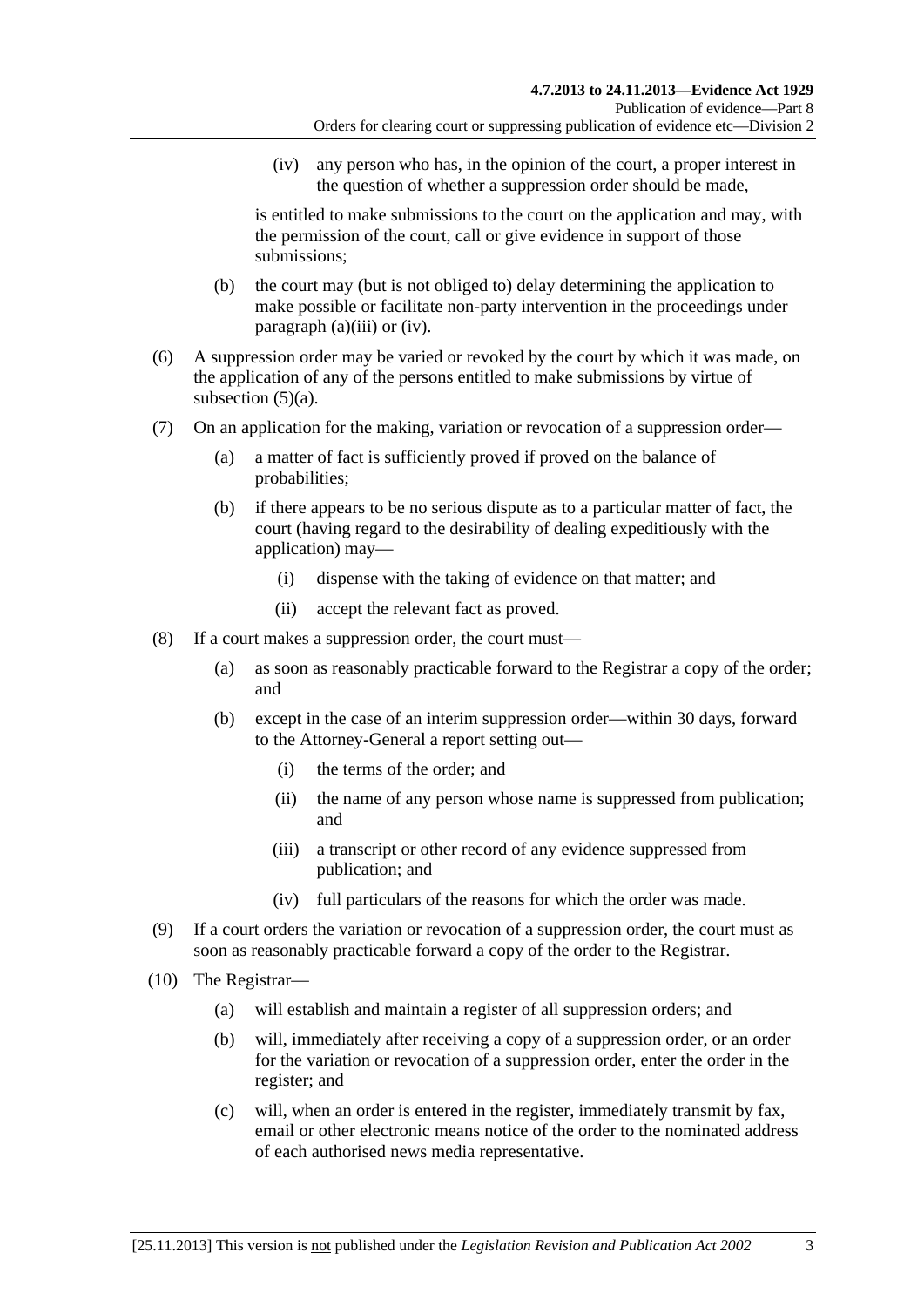<span id="page-82-0"></span> (iv) any person who has, in the opinion of the court, a proper interest in the question of whether a suppression order should be made,

is entitled to make submissions to the court on the application and may, with the permission of the court, call or give evidence in support of those submissions;

- (b) the court may (but is not obliged to) delay determining the application to make possible or facilitate non-party intervention in the proceedings under [paragraph \(a\)\(iii\)](#page-81-0) or [\(iv\)](#page-82-0).
- (6) A suppression order may be varied or revoked by the court by which it was made, on the application of any of the persons entitled to make submissions by virtue of subsection  $(5)(a)$ .
- (7) On an application for the making, variation or revocation of a suppression order—
	- (a) a matter of fact is sufficiently proved if proved on the balance of probabilities;
	- (b) if there appears to be no serious dispute as to a particular matter of fact, the court (having regard to the desirability of dealing expeditiously with the application) may—
		- (i) dispense with the taking of evidence on that matter; and
		- (ii) accept the relevant fact as proved.
- (8) If a court makes a suppression order, the court must—
	- (a) as soon as reasonably practicable forward to the Registrar a copy of the order; and
	- (b) except in the case of an interim suppression order—within 30 days, forward to the Attorney-General a report setting out—
		- (i) the terms of the order; and
		- (ii) the name of any person whose name is suppressed from publication; and
		- (iii) a transcript or other record of any evidence suppressed from publication; and
		- (iv) full particulars of the reasons for which the order was made.
- (9) If a court orders the variation or revocation of a suppression order, the court must as soon as reasonably practicable forward a copy of the order to the Registrar.
- (10) The Registrar—
	- (a) will establish and maintain a register of all suppression orders; and
	- (b) will, immediately after receiving a copy of a suppression order, or an order for the variation or revocation of a suppression order, enter the order in the register; and
	- (c) will, when an order is entered in the register, immediately transmit by fax, email or other electronic means notice of the order to the nominated address of each authorised news media representative.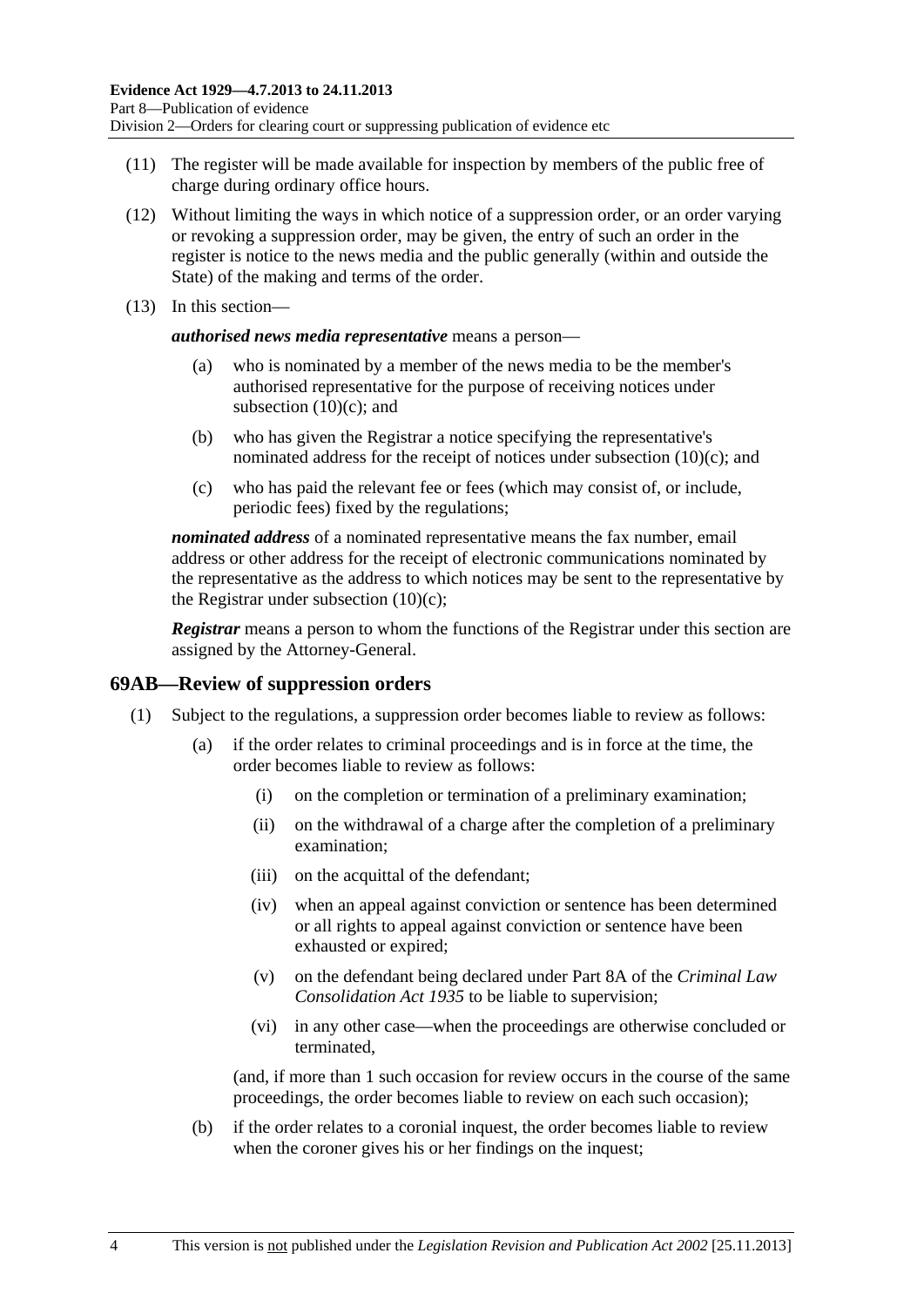- (11) The register will be made available for inspection by members of the public free of charge during ordinary office hours.
- (12) Without limiting the ways in which notice of a suppression order, or an order varying or revoking a suppression order, may be given, the entry of such an order in the register is notice to the news media and the public generally (within and outside the State) of the making and terms of the order.
- (13) In this section—

*authorised news media representative* means a person—

- (a) who is nominated by a member of the news media to be the member's authorised representative for the purpose of receiving notices under subsection  $(10)(c)$ ; and
- (b) who has given the Registrar a notice specifying the representative's nominated address for the receipt of notices under [subsection \(10\)\(c\);](#page-82-0) and
- (c) who has paid the relevant fee or fees (which may consist of, or include, periodic fees) fixed by the regulations;

*nominated address* of a nominated representative means the fax number, email address or other address for the receipt of electronic communications nominated by the representative as the address to which notices may be sent to the representative by the Registrar under subsection  $(10)(c)$ ;

*Registrar* means a person to whom the functions of the Registrar under this section are assigned by the Attorney-General.

### **69AB—Review of suppression orders**

- (1) Subject to the regulations, a suppression order becomes liable to review as follows:
	- (a) if the order relates to criminal proceedings and is in force at the time, the order becomes liable to review as follows:
		- (i) on the completion or termination of a preliminary examination;
		- (ii) on the withdrawal of a charge after the completion of a preliminary examination;
		- (iii) on the acquittal of the defendant;
		- (iv) when an appeal against conviction or sentence has been determined or all rights to appeal against conviction or sentence have been exhausted or expired;
		- (v) on the defendant being declared under Part 8A of the *[Criminal Law](http://www.legislation.sa.gov.au/index.aspx?action=legref&type=act&legtitle=Criminal%20Law%20Consolidation%20Act%201935)  [Consolidation Act 1935](http://www.legislation.sa.gov.au/index.aspx?action=legref&type=act&legtitle=Criminal%20Law%20Consolidation%20Act%201935)* to be liable to supervision;
		- (vi) in any other case—when the proceedings are otherwise concluded or terminated,

(and, if more than 1 such occasion for review occurs in the course of the same proceedings, the order becomes liable to review on each such occasion);

 (b) if the order relates to a coronial inquest, the order becomes liable to review when the coroner gives his or her findings on the inquest;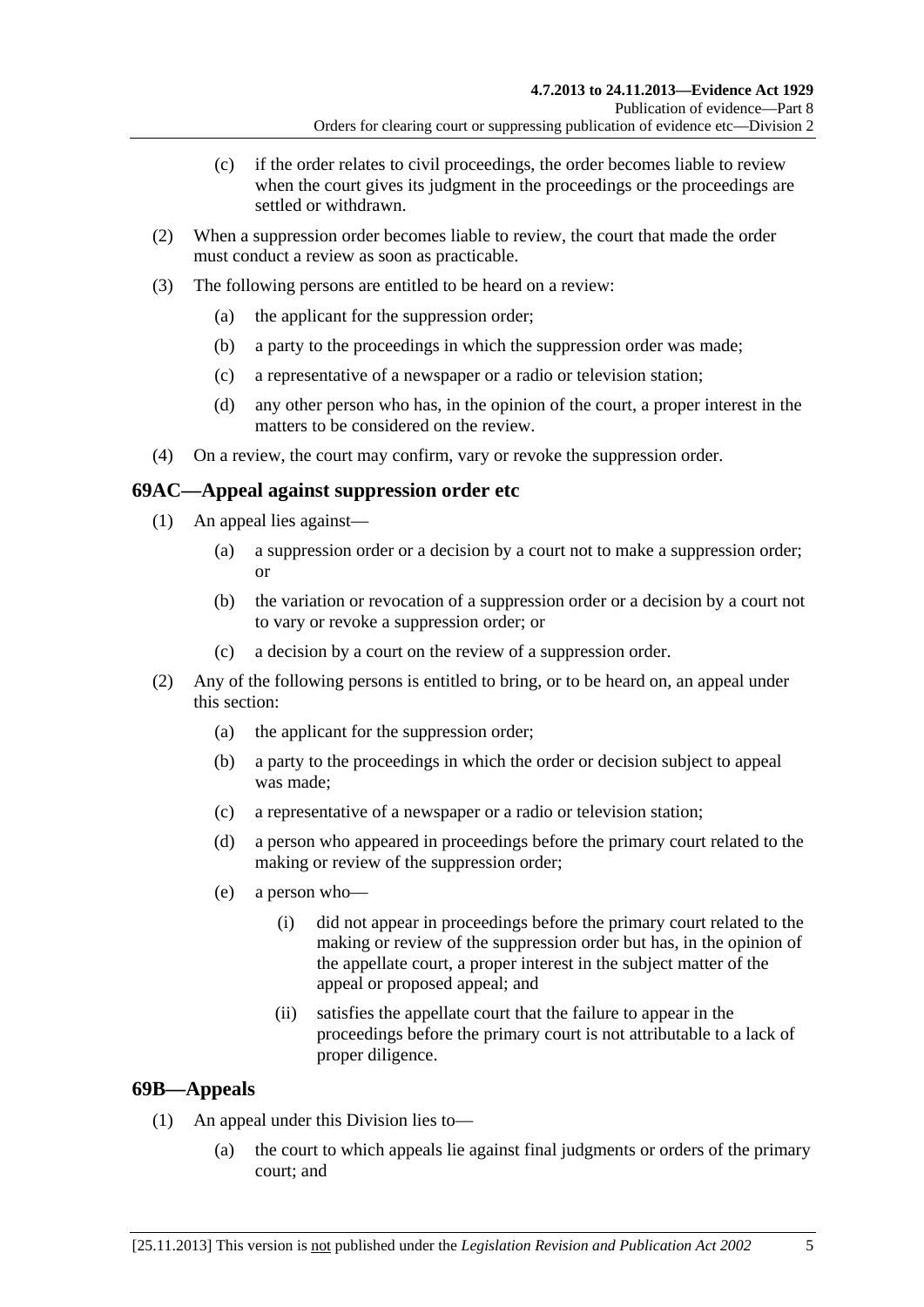- (c) if the order relates to civil proceedings, the order becomes liable to review when the court gives its judgment in the proceedings or the proceedings are settled or withdrawn.
- (2) When a suppression order becomes liable to review, the court that made the order must conduct a review as soon as practicable.
- (3) The following persons are entitled to be heard on a review:
	- (a) the applicant for the suppression order;
	- (b) a party to the proceedings in which the suppression order was made;
	- (c) a representative of a newspaper or a radio or television station;
	- (d) any other person who has, in the opinion of the court, a proper interest in the matters to be considered on the review.
- (4) On a review, the court may confirm, vary or revoke the suppression order.

# **69AC—Appeal against suppression order etc**

- (1) An appeal lies against—
	- (a) a suppression order or a decision by a court not to make a suppression order; or
	- (b) the variation or revocation of a suppression order or a decision by a court not to vary or revoke a suppression order; or
	- (c) a decision by a court on the review of a suppression order.
- (2) Any of the following persons is entitled to bring, or to be heard on, an appeal under this section:
	- (a) the applicant for the suppression order;
	- (b) a party to the proceedings in which the order or decision subject to appeal was made;
	- (c) a representative of a newspaper or a radio or television station;
	- (d) a person who appeared in proceedings before the primary court related to the making or review of the suppression order;
	- (e) a person who—
		- (i) did not appear in proceedings before the primary court related to the making or review of the suppression order but has, in the opinion of the appellate court, a proper interest in the subject matter of the appeal or proposed appeal; and
		- (ii) satisfies the appellate court that the failure to appear in the proceedings before the primary court is not attributable to a lack of proper diligence.

# **69B—Appeals**

- (1) An appeal under this Division lies to—
	- (a) the court to which appeals lie against final judgments or orders of the primary court; and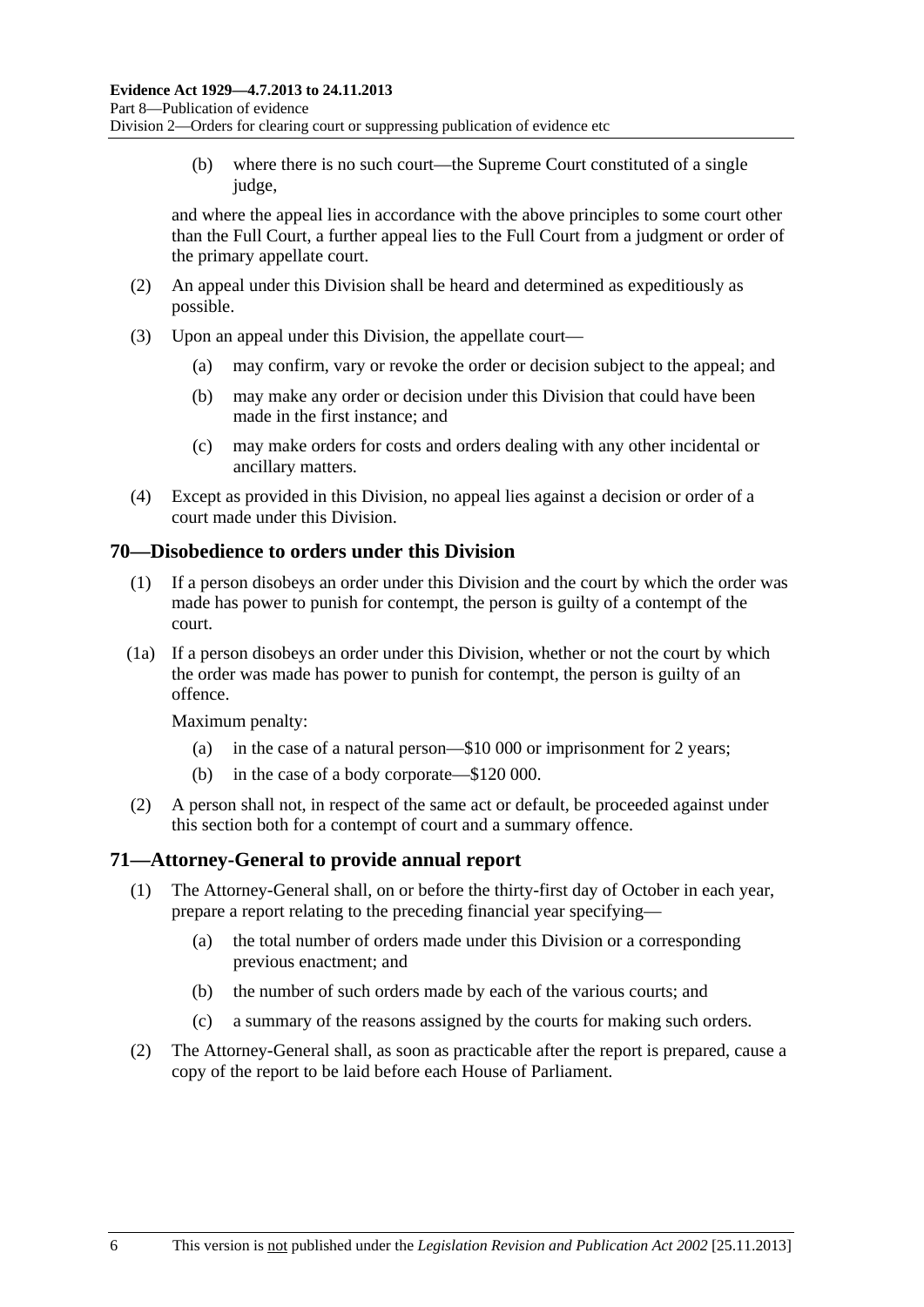(b) where there is no such court—the Supreme Court constituted of a single judge,

and where the appeal lies in accordance with the above principles to some court other than the Full Court, a further appeal lies to the Full Court from a judgment or order of the primary appellate court.

- (2) An appeal under this Division shall be heard and determined as expeditiously as possible.
- (3) Upon an appeal under this Division, the appellate court—
	- (a) may confirm, vary or revoke the order or decision subject to the appeal; and
	- (b) may make any order or decision under this Division that could have been made in the first instance; and
	- (c) may make orders for costs and orders dealing with any other incidental or ancillary matters.
- (4) Except as provided in this Division, no appeal lies against a decision or order of a court made under this Division.

### **70—Disobedience to orders under this Division**

- (1) If a person disobeys an order under this Division and the court by which the order was made has power to punish for contempt, the person is guilty of a contempt of the court.
- (1a) If a person disobeys an order under this Division, whether or not the court by which the order was made has power to punish for contempt, the person is guilty of an offence.

Maximum penalty:

- (a) in the case of a natural person—\$10 000 or imprisonment for 2 years;
- (b) in the case of a body corporate—\$120 000.
- (2) A person shall not, in respect of the same act or default, be proceeded against under this section both for a contempt of court and a summary offence.

### **71—Attorney-General to provide annual report**

- (1) The Attorney-General shall, on or before the thirty-first day of October in each year, prepare a report relating to the preceding financial year specifying—
	- (a) the total number of orders made under this Division or a corresponding previous enactment; and
	- (b) the number of such orders made by each of the various courts; and
	- (c) a summary of the reasons assigned by the courts for making such orders.
- (2) The Attorney-General shall, as soon as practicable after the report is prepared, cause a copy of the report to be laid before each House of Parliament.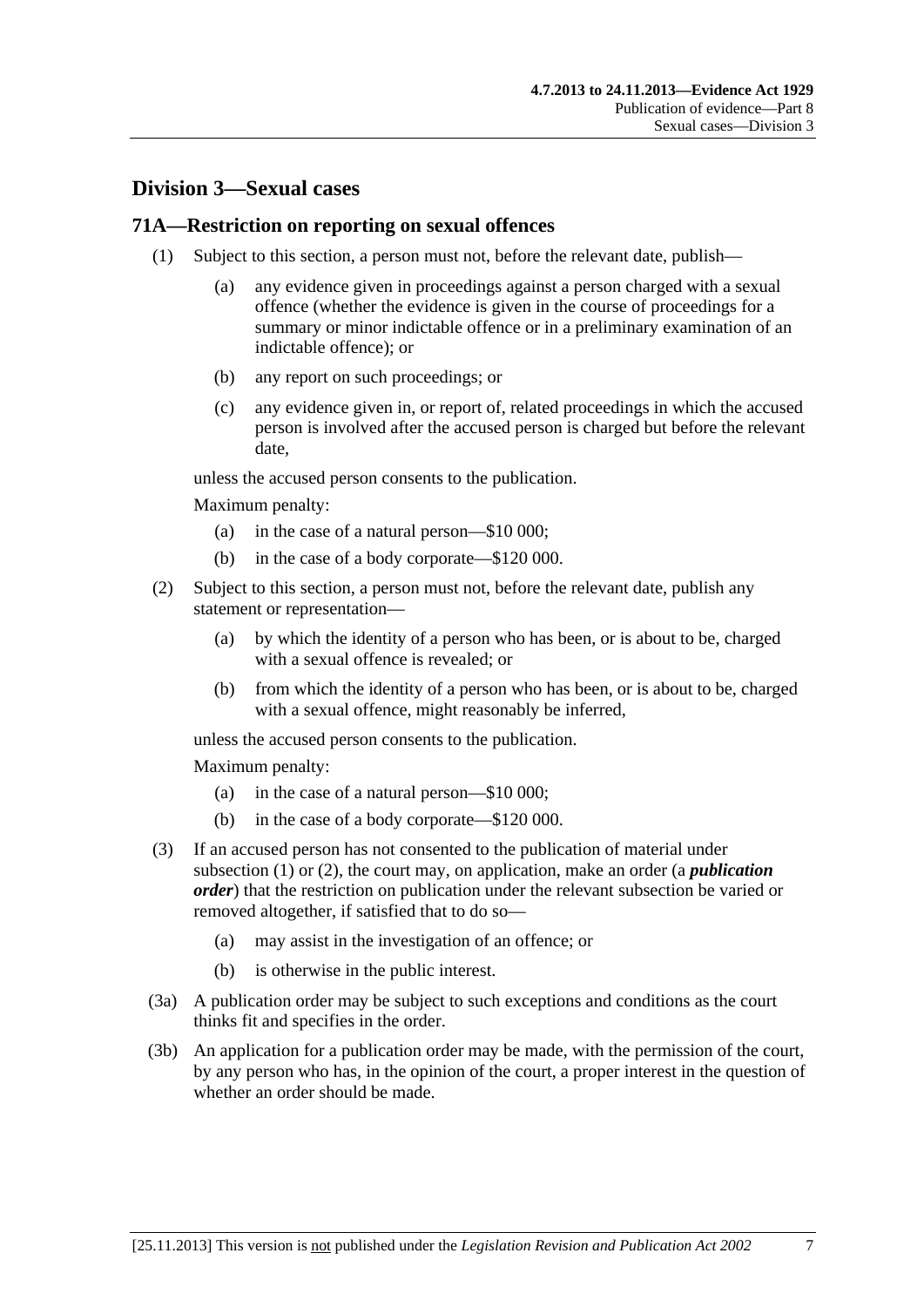# <span id="page-86-0"></span>**Division 3—Sexual cases**

### **71A—Restriction on reporting on sexual offences**

- (1) Subject to this section, a person must not, before the relevant date, publish—
	- (a) any evidence given in proceedings against a person charged with a sexual offence (whether the evidence is given in the course of proceedings for a summary or minor indictable offence or in a preliminary examination of an indictable offence); or
	- (b) any report on such proceedings; or
	- (c) any evidence given in, or report of, related proceedings in which the accused person is involved after the accused person is charged but before the relevant date,

unless the accused person consents to the publication.

Maximum penalty:

- (a) in the case of a natural person—\$10 000;
- (b) in the case of a body corporate—\$120 000.
- (2) Subject to this section, a person must not, before the relevant date, publish any statement or representation—
	- (a) by which the identity of a person who has been, or is about to be, charged with a sexual offence is revealed; or
	- (b) from which the identity of a person who has been, or is about to be, charged with a sexual offence, might reasonably be inferred,

unless the accused person consents to the publication.

Maximum penalty:

- (a) in the case of a natural person—\$10 000;
- (b) in the case of a body corporate—\$120 000.
- (3) If an accused person has not consented to the publication of material under [subsection \(1\)](#page-86-0) or [\(2\)](#page-86-0), the court may, on application, make an order (a *publication order*) that the restriction on publication under the relevant subsection be varied or removed altogether, if satisfied that to do so—
	- (a) may assist in the investigation of an offence; or
	- (b) is otherwise in the public interest.
- (3a) A publication order may be subject to such exceptions and conditions as the court thinks fit and specifies in the order.
- (3b) An application for a publication order may be made, with the permission of the court, by any person who has, in the opinion of the court, a proper interest in the question of whether an order should be made.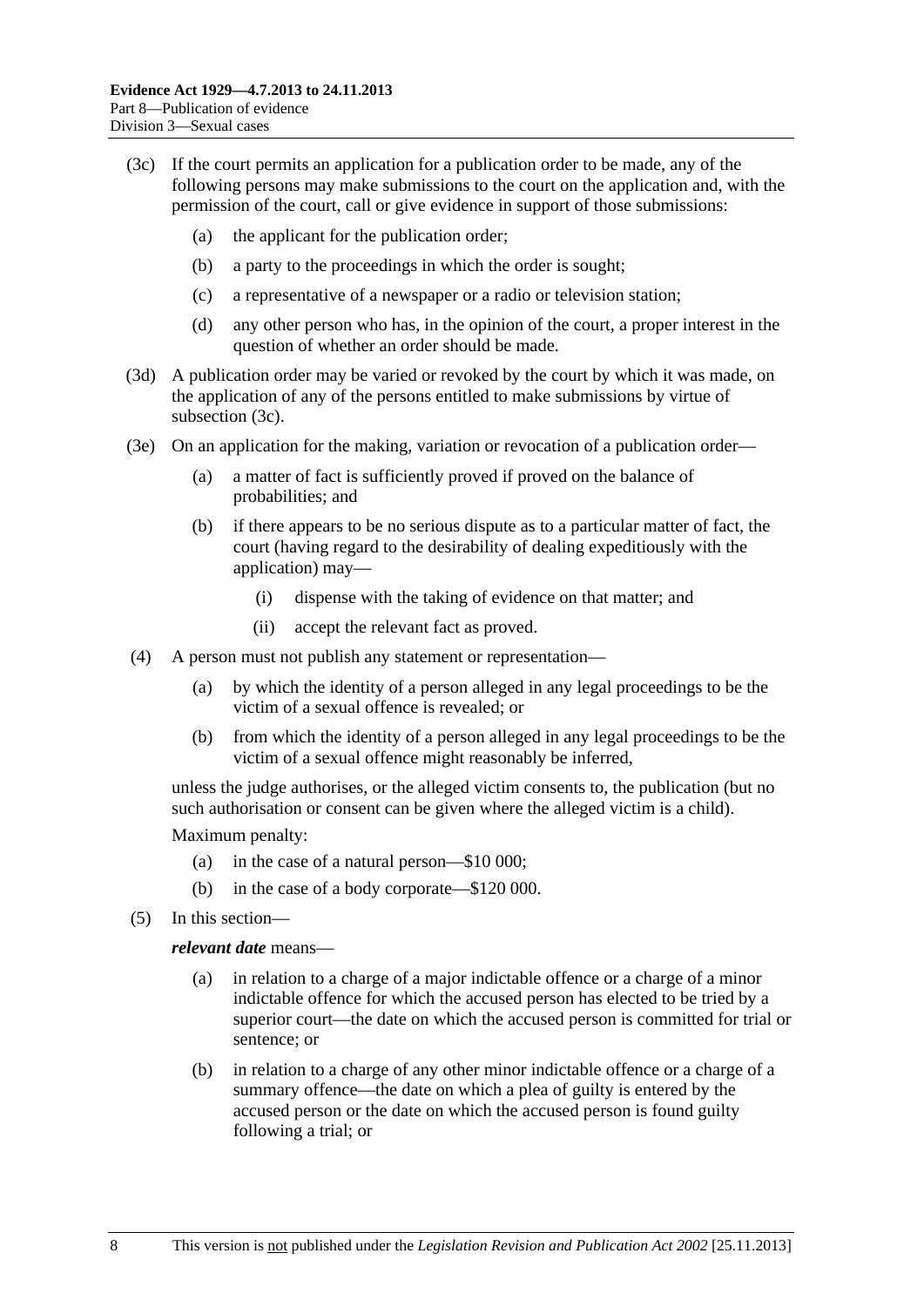- <span id="page-87-0"></span> (3c) If the court permits an application for a publication order to be made, any of the following persons may make submissions to the court on the application and, with the permission of the court, call or give evidence in support of those submissions:
	- (a) the applicant for the publication order;
	- (b) a party to the proceedings in which the order is sought;
	- (c) a representative of a newspaper or a radio or television station;
	- (d) any other person who has, in the opinion of the court, a proper interest in the question of whether an order should be made.
- (3d) A publication order may be varied or revoked by the court by which it was made, on the application of any of the persons entitled to make submissions by virtue of [subsection \(3c\).](#page-87-0)
- (3e) On an application for the making, variation or revocation of a publication order—
	- (a) a matter of fact is sufficiently proved if proved on the balance of probabilities; and
	- (b) if there appears to be no serious dispute as to a particular matter of fact, the court (having regard to the desirability of dealing expeditiously with the application) may—
		- (i) dispense with the taking of evidence on that matter; and
		- (ii) accept the relevant fact as proved.
- (4) A person must not publish any statement or representation—
	- (a) by which the identity of a person alleged in any legal proceedings to be the victim of a sexual offence is revealed; or
	- (b) from which the identity of a person alleged in any legal proceedings to be the victim of a sexual offence might reasonably be inferred,

unless the judge authorises, or the alleged victim consents to, the publication (but no such authorisation or consent can be given where the alleged victim is a child).

Maximum penalty:

- (a) in the case of a natural person—\$10 000;
- (b) in the case of a body corporate—\$120 000.
- (5) In this section—

### *relevant date* means—

- (a) in relation to a charge of a major indictable offence or a charge of a minor indictable offence for which the accused person has elected to be tried by a superior court—the date on which the accused person is committed for trial or sentence; or
- (b) in relation to a charge of any other minor indictable offence or a charge of a summary offence—the date on which a plea of guilty is entered by the accused person or the date on which the accused person is found guilty following a trial; or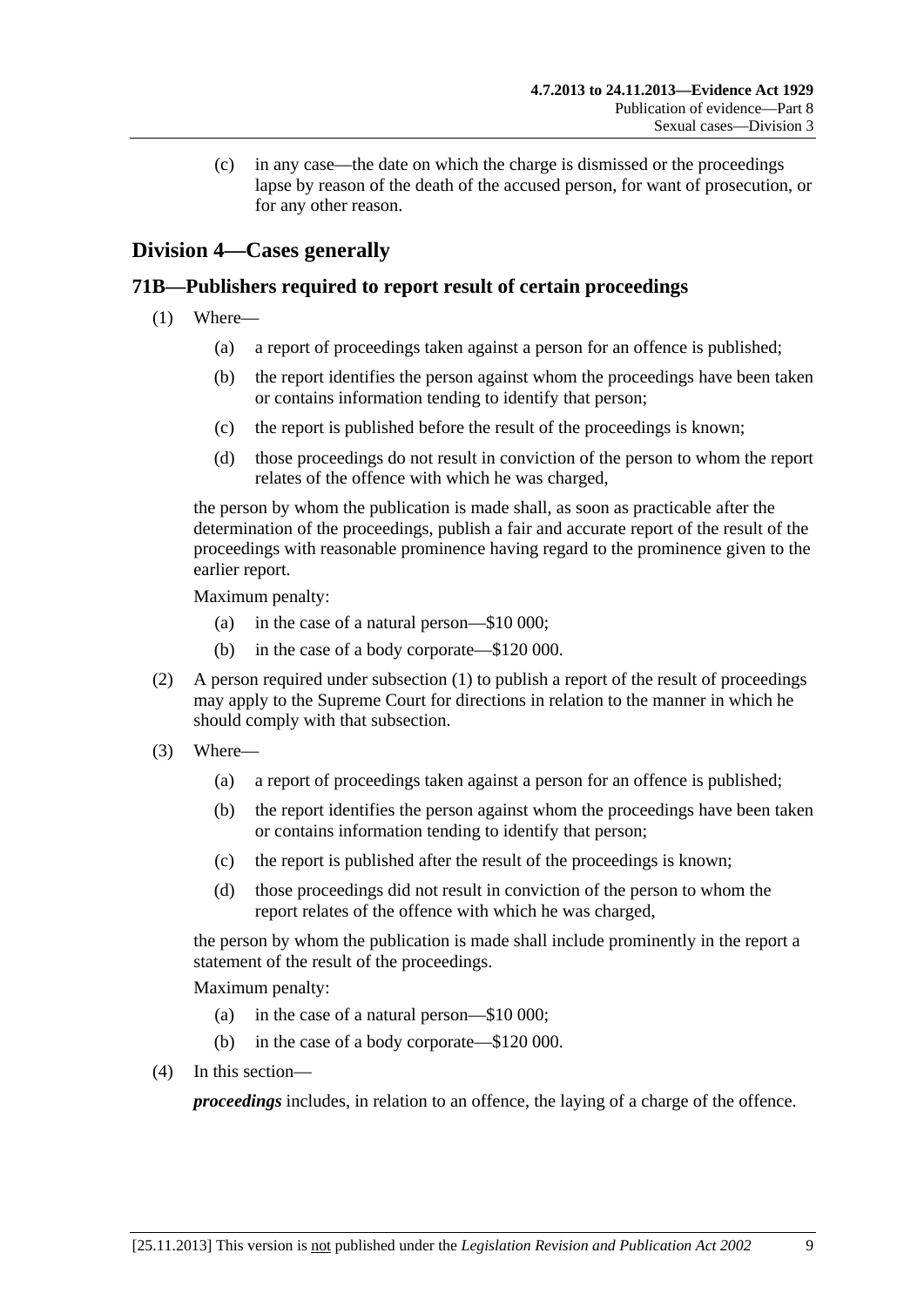<span id="page-88-0"></span> (c) in any case—the date on which the charge is dismissed or the proceedings lapse by reason of the death of the accused person, for want of prosecution, or for any other reason.

# **Division 4—Cases generally**

# **71B—Publishers required to report result of certain proceedings**

- (1) Where—
	- (a) a report of proceedings taken against a person for an offence is published;
	- (b) the report identifies the person against whom the proceedings have been taken or contains information tending to identify that person;
	- (c) the report is published before the result of the proceedings is known;
	- (d) those proceedings do not result in conviction of the person to whom the report relates of the offence with which he was charged,

the person by whom the publication is made shall, as soon as practicable after the determination of the proceedings, publish a fair and accurate report of the result of the proceedings with reasonable prominence having regard to the prominence given to the earlier report.

Maximum penalty:

- (a) in the case of a natural person—\$10 000;
- (b) in the case of a body corporate—\$120 000.
- (2) A person required under [subsection \(1\)](#page-88-0) to publish a report of the result of proceedings may apply to the Supreme Court for directions in relation to the manner in which he should comply with that subsection.
- (3) Where—
	- (a) a report of proceedings taken against a person for an offence is published;
	- (b) the report identifies the person against whom the proceedings have been taken or contains information tending to identify that person;
	- (c) the report is published after the result of the proceedings is known;
	- (d) those proceedings did not result in conviction of the person to whom the report relates of the offence with which he was charged,

the person by whom the publication is made shall include prominently in the report a statement of the result of the proceedings.

Maximum penalty:

- (a) in the case of a natural person—\$10 000;
- (b) in the case of a body corporate—\$120 000.
- (4) In this section—

*proceedings* includes, in relation to an offence, the laying of a charge of the offence.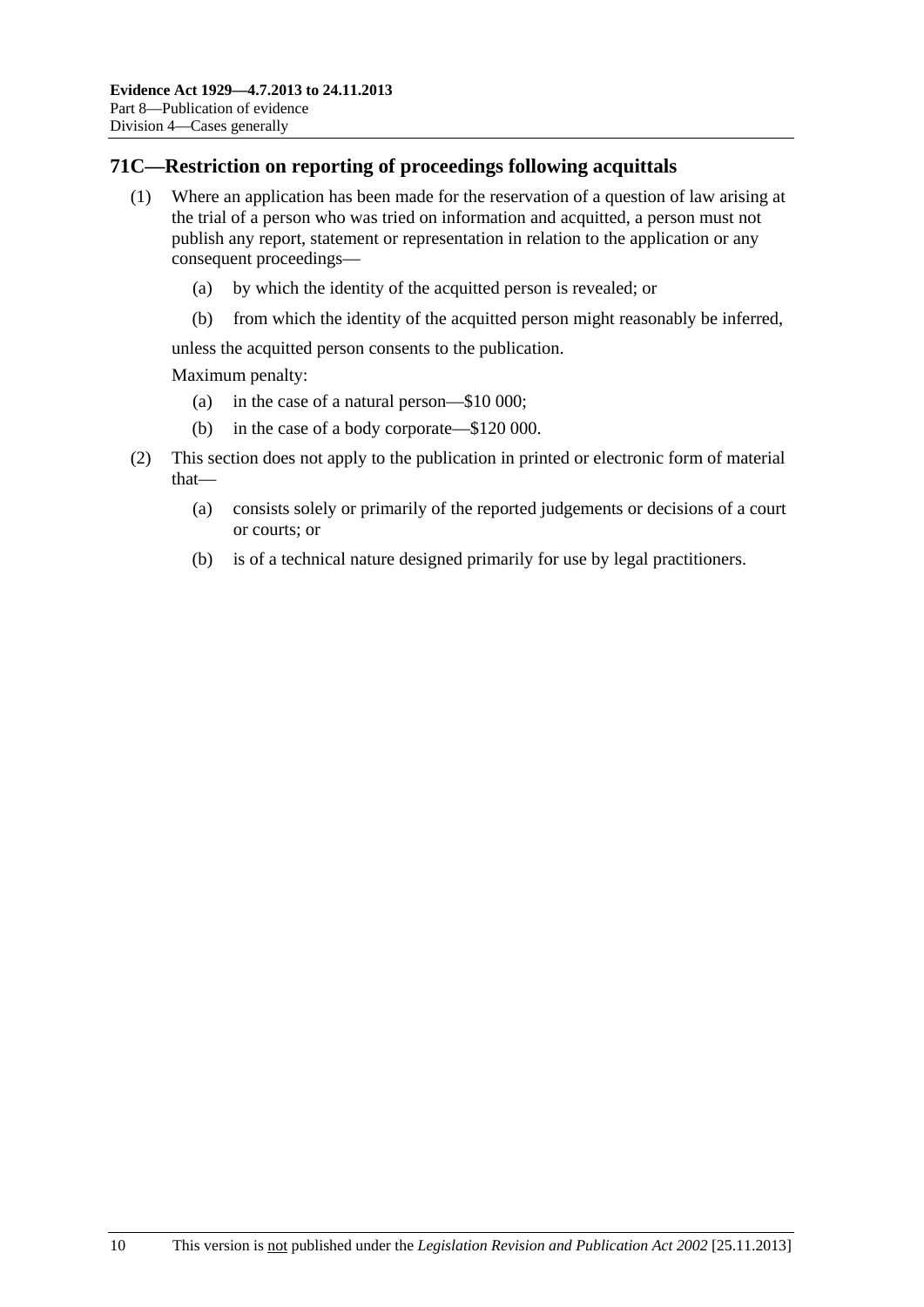## **71C—Restriction on reporting of proceedings following acquittals**

- (1) Where an application has been made for the reservation of a question of law arising at the trial of a person who was tried on information and acquitted, a person must not publish any report, statement or representation in relation to the application or any consequent proceedings—
	- (a) by which the identity of the acquitted person is revealed; or
	- (b) from which the identity of the acquitted person might reasonably be inferred,

unless the acquitted person consents to the publication.

Maximum penalty:

- (a) in the case of a natural person—\$10 000;
- (b) in the case of a body corporate—\$120 000.
- (2) This section does not apply to the publication in printed or electronic form of material that—
	- (a) consists solely or primarily of the reported judgements or decisions of a court or courts; or
	- (b) is of a technical nature designed primarily for use by legal practitioners.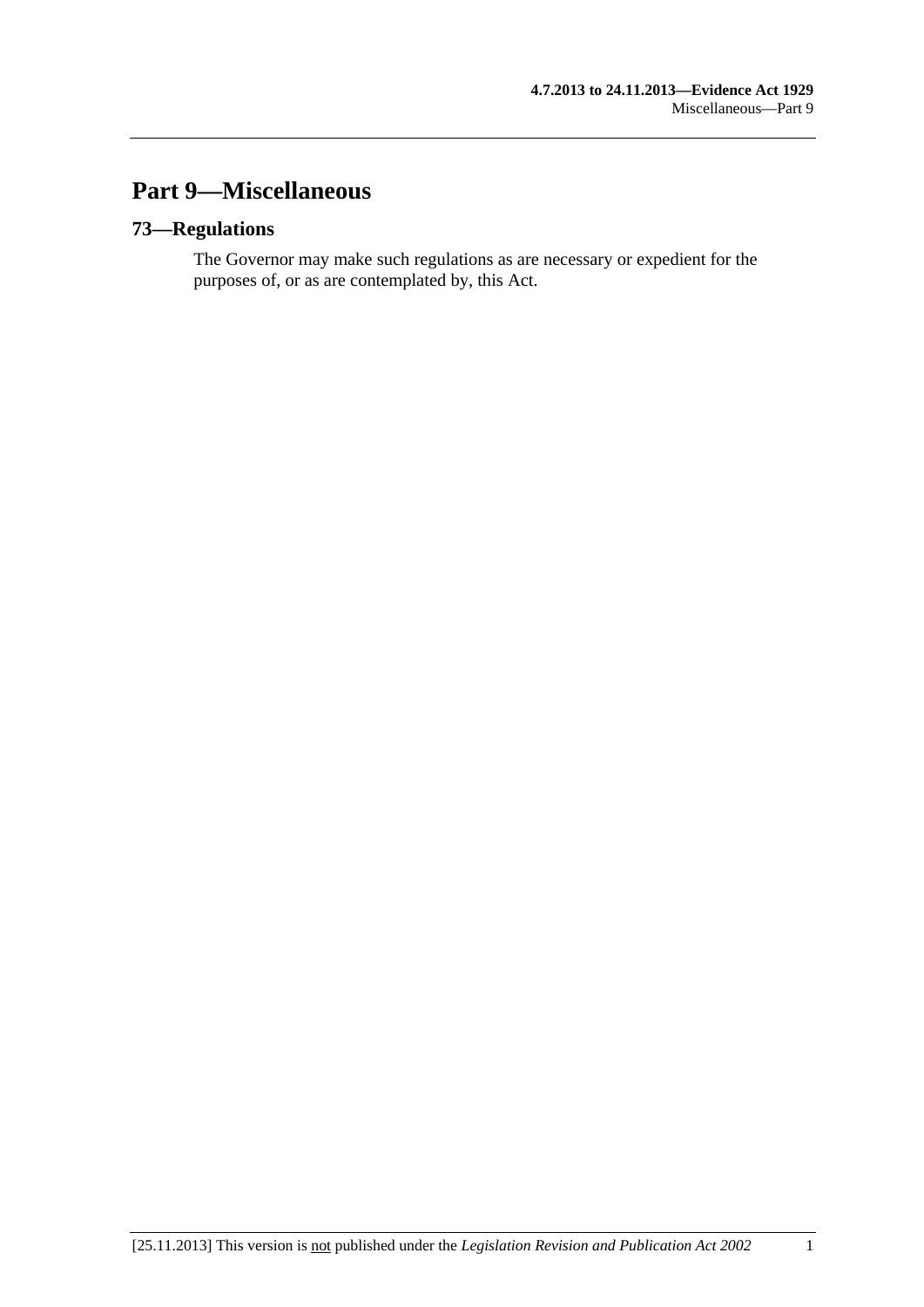# **Part 9—Miscellaneous**

# **73—Regulations**

The Governor may make such regulations as are necessary or expedient for the purposes of, or as are contemplated by, this Act.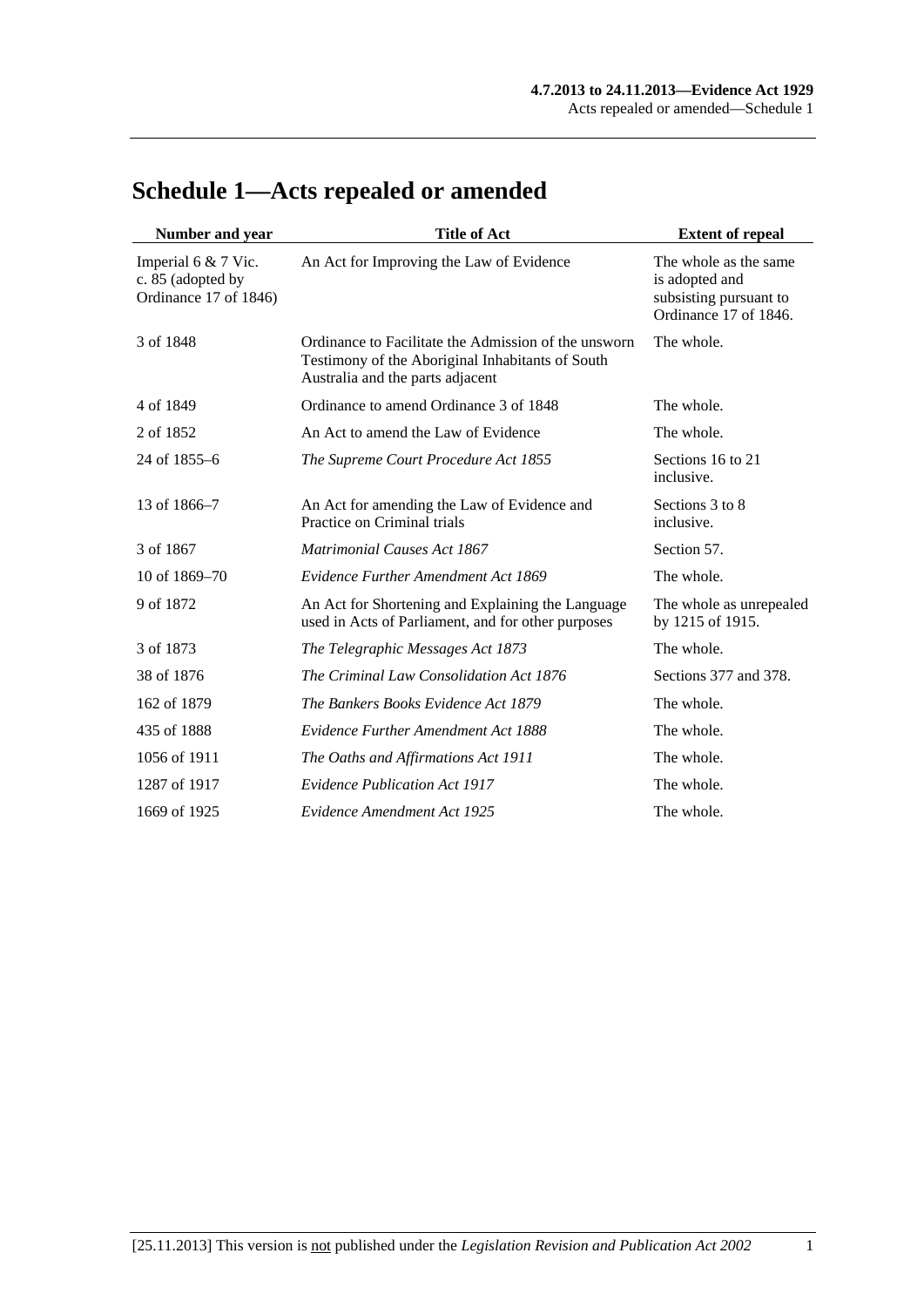| Number and year                                                   | <b>Title of Act</b>                                                                                                                          | <b>Extent of repeal</b>                                                                    |
|-------------------------------------------------------------------|----------------------------------------------------------------------------------------------------------------------------------------------|--------------------------------------------------------------------------------------------|
| Imperial 6 & 7 Vic.<br>c. 85 (adopted by<br>Ordinance 17 of 1846) | An Act for Improving the Law of Evidence                                                                                                     | The whole as the same<br>is adopted and<br>subsisting pursuant to<br>Ordinance 17 of 1846. |
| 3 of 1848                                                         | Ordinance to Facilitate the Admission of the unsworn<br>Testimony of the Aboriginal Inhabitants of South<br>Australia and the parts adjacent | The whole.                                                                                 |
| 4 of 1849                                                         | Ordinance to amend Ordinance 3 of 1848                                                                                                       | The whole.                                                                                 |
| 2 of 1852                                                         | An Act to amend the Law of Evidence                                                                                                          | The whole.                                                                                 |
| 24 of 1855–6                                                      | The Supreme Court Procedure Act 1855                                                                                                         | Sections 16 to 21<br>inclusive.                                                            |
| 13 of 1866–7                                                      | An Act for amending the Law of Evidence and<br>Practice on Criminal trials                                                                   | Sections 3 to 8<br>inclusive.                                                              |
| 3 of 1867                                                         | <b>Matrimonial Causes Act 1867</b>                                                                                                           | Section 57.                                                                                |
| 10 of 1869-70                                                     | Evidence Further Amendment Act 1869                                                                                                          | The whole.                                                                                 |
| 9 of 1872                                                         | An Act for Shortening and Explaining the Language<br>used in Acts of Parliament, and for other purposes                                      | The whole as unrepealed<br>by 1215 of 1915.                                                |
| 3 of 1873                                                         | The Telegraphic Messages Act 1873                                                                                                            | The whole.                                                                                 |
| 38 of 1876                                                        | The Criminal Law Consolidation Act 1876                                                                                                      | Sections 377 and 378.                                                                      |
| 162 of 1879                                                       | The Bankers Books Evidence Act 1879                                                                                                          | The whole.                                                                                 |
| 435 of 1888                                                       | <b>Evidence Further Amendment Act 1888</b>                                                                                                   | The whole.                                                                                 |
| 1056 of 1911                                                      | The Oaths and Affirmations Act 1911                                                                                                          | The whole.                                                                                 |
| 1287 of 1917                                                      | <b>Evidence Publication Act 1917</b>                                                                                                         | The whole.                                                                                 |
| 1669 of 1925                                                      | Evidence Amendment Act 1925                                                                                                                  | The whole.                                                                                 |

# **Schedule 1—Acts repealed or amended**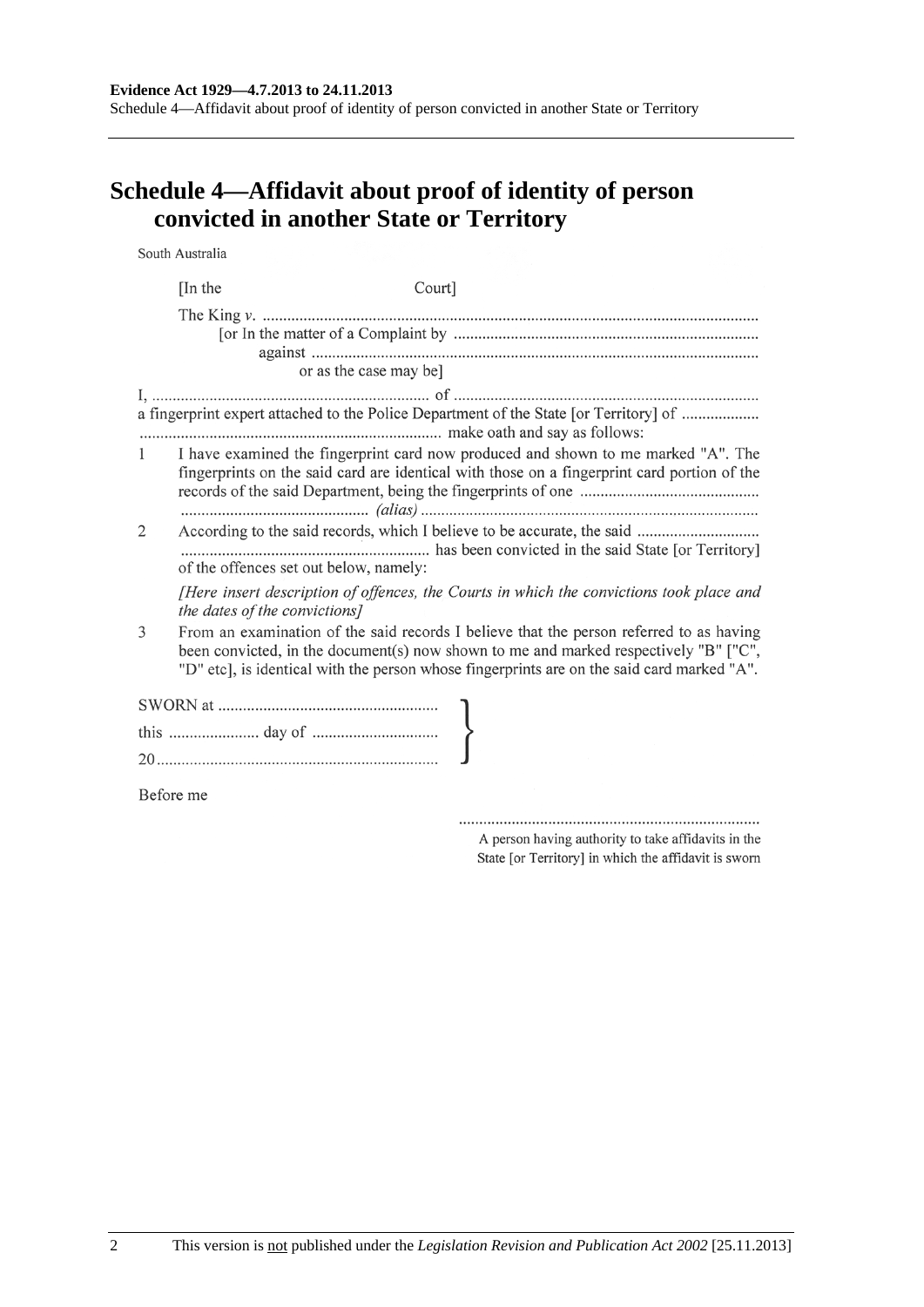#### **Evidence Act 1929—4.7.2013 to 24.11.2013**

Schedule 4—Affidavit about proof of identity of person convicted in another State or Territory

# **Schedule 4—Affidavit about proof of identity of person convicted in another State or Territory**

South Australia

|                | [In the]<br>Court]                     |                                                                                                                                                                                                                                                                               |
|----------------|----------------------------------------|-------------------------------------------------------------------------------------------------------------------------------------------------------------------------------------------------------------------------------------------------------------------------------|
|                | or as the case may be]                 |                                                                                                                                                                                                                                                                               |
|                |                                        | a fingerprint expert attached to the Police Department of the State [or Territory] of                                                                                                                                                                                         |
| $\mathbf{1}$   |                                        | I have examined the fingerprint card now produced and shown to me marked "A". The<br>fingerprints on the said card are identical with those on a fingerprint card portion of the                                                                                              |
| $\overline{2}$ | of the offences set out below, namely: |                                                                                                                                                                                                                                                                               |
|                | the dates of the convictions]          | [Here insert description of offences, the Courts in which the convictions took place and                                                                                                                                                                                      |
| 3              |                                        | From an examination of the said records I believe that the person referred to as having<br>been convicted, in the document(s) now shown to me and marked respectively "B" ["C",<br>"D" etc], is identical with the person whose fingerprints are on the said card marked "A". |
|                |                                        |                                                                                                                                                                                                                                                                               |
|                |                                        |                                                                                                                                                                                                                                                                               |
|                |                                        |                                                                                                                                                                                                                                                                               |
| Before me      |                                        |                                                                                                                                                                                                                                                                               |

A person having authority to take affidavits in the State [or Territory] in which the affidavit is sworn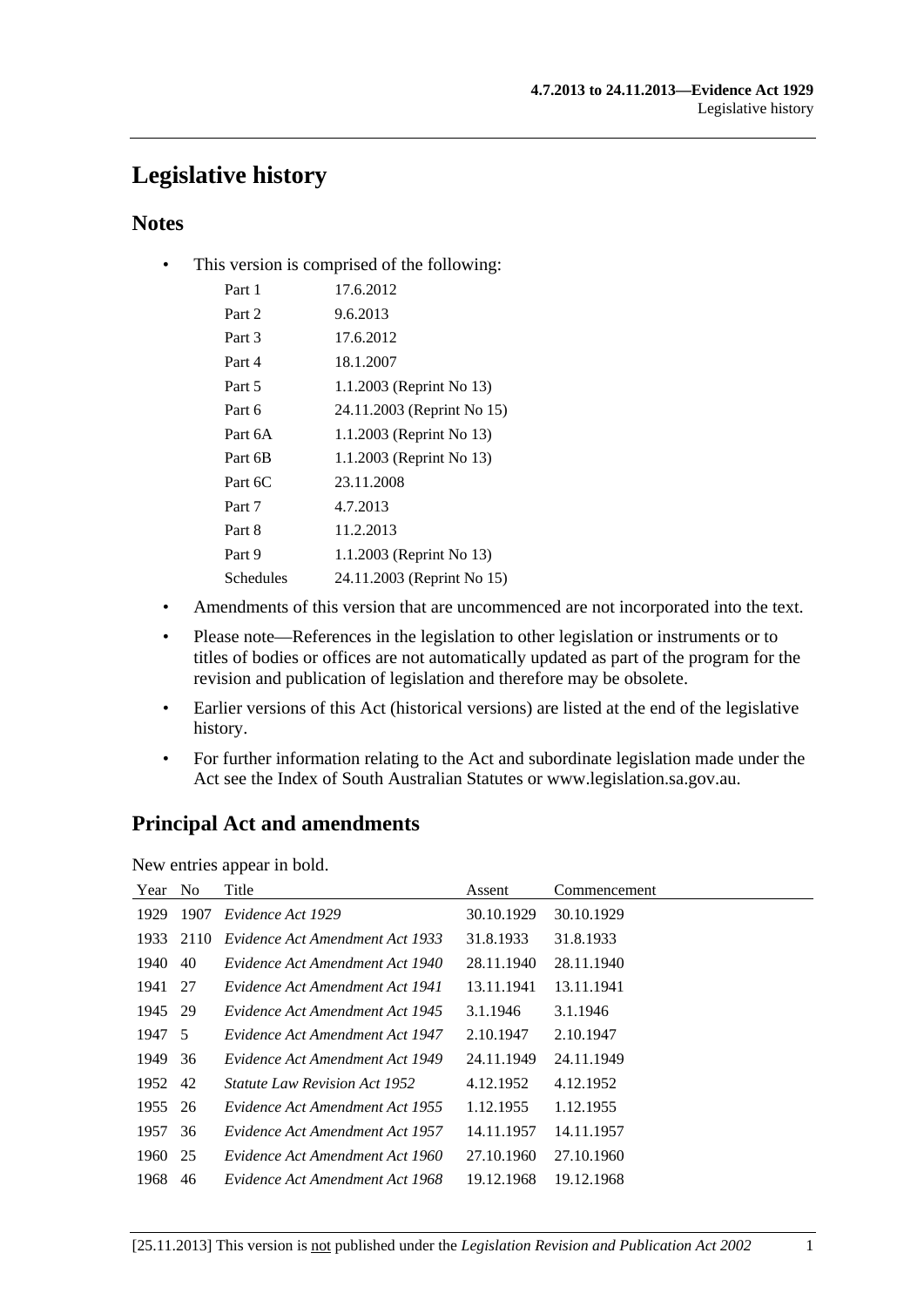# **Legislative history**

# **Notes**

• This version is comprised of the following:

| Part 1    | 17.6.2012                  |
|-----------|----------------------------|
| Part 2    | 9.6.2013                   |
| Part 3    | 17.6.2012                  |
| Part 4    | 18.1.2007                  |
| Part 5    | 1.1.2003 (Reprint No 13)   |
| Part 6    | 24.11.2003 (Reprint No 15) |
| Part 6A   | 1.1.2003 (Reprint No 13)   |
| Part 6B   | 1.1.2003 (Reprint No 13)   |
| Part 6C   | 23.11.2008                 |
| Part 7    | 4.7.2013                   |
| Part 8    | 11.2.2013                  |
| Part 9    | 1.1.2003 (Reprint No 13)   |
| Schedules | 24.11.2003 (Reprint No 15) |
|           |                            |

- Amendments of this version that are uncommenced are not incorporated into the text.
- Please note—References in the legislation to other legislation or instruments or to titles of bodies or offices are not automatically updated as part of the program for the revision and publication of legislation and therefore may be obsolete.
- Earlier versions of this Act (historical versions) are listed at the end of the legislative history.
- For further information relating to the Act and subordinate legislation made under the Act see the Index of South Australian Statutes or www.legislation.sa.gov.au.

# **Principal Act and amendments**

New entries appear in bold.

| Year    | N <sub>0</sub> | Title                                | Assent     | Commencement |
|---------|----------------|--------------------------------------|------------|--------------|
| 1929    | 1907           | Evidence Act 1929                    | 30.10.1929 | 30.10.1929   |
| 1933    | 2110           | Evidence Act Amendment Act 1933      | 31.8.1933  | 31.8.1933    |
| 1940    | 40             | Evidence Act Amendment Act 1940      | 28.11.1940 | 28.11.1940   |
| 1941 27 |                | Evidence Act Amendment Act 1941      | 13.11.1941 | 13.11.1941   |
| 1945 29 |                | Evidence Act Amendment Act 1945      | 3.1.1946   | 3.1.1946     |
| 1947 5  |                | Evidence Act Amendment Act 1947      | 2.10.1947  | 2.10.1947    |
| 1949    | 36             | Evidence Act Amendment Act 1949      | 24.11.1949 | 24.11.1949   |
| 1952 42 |                | <i>Statute Law Revision Act 1952</i> | 4.12.1952  | 4.12.1952    |
| 1955    | 26             | Evidence Act Amendment Act 1955      | 1.12.1955  | 1.12.1955    |
| 1957    | 36             | Evidence Act Amendment Act 1957      | 14.11.1957 | 14.11.1957   |
| 1960    | 25             | Evidence Act Amendment Act 1960      | 27.10.1960 | 27.10.1960   |
| 1968    | 46             | Evidence Act Amendment Act 1968      | 19.12.1968 | 19.12.1968   |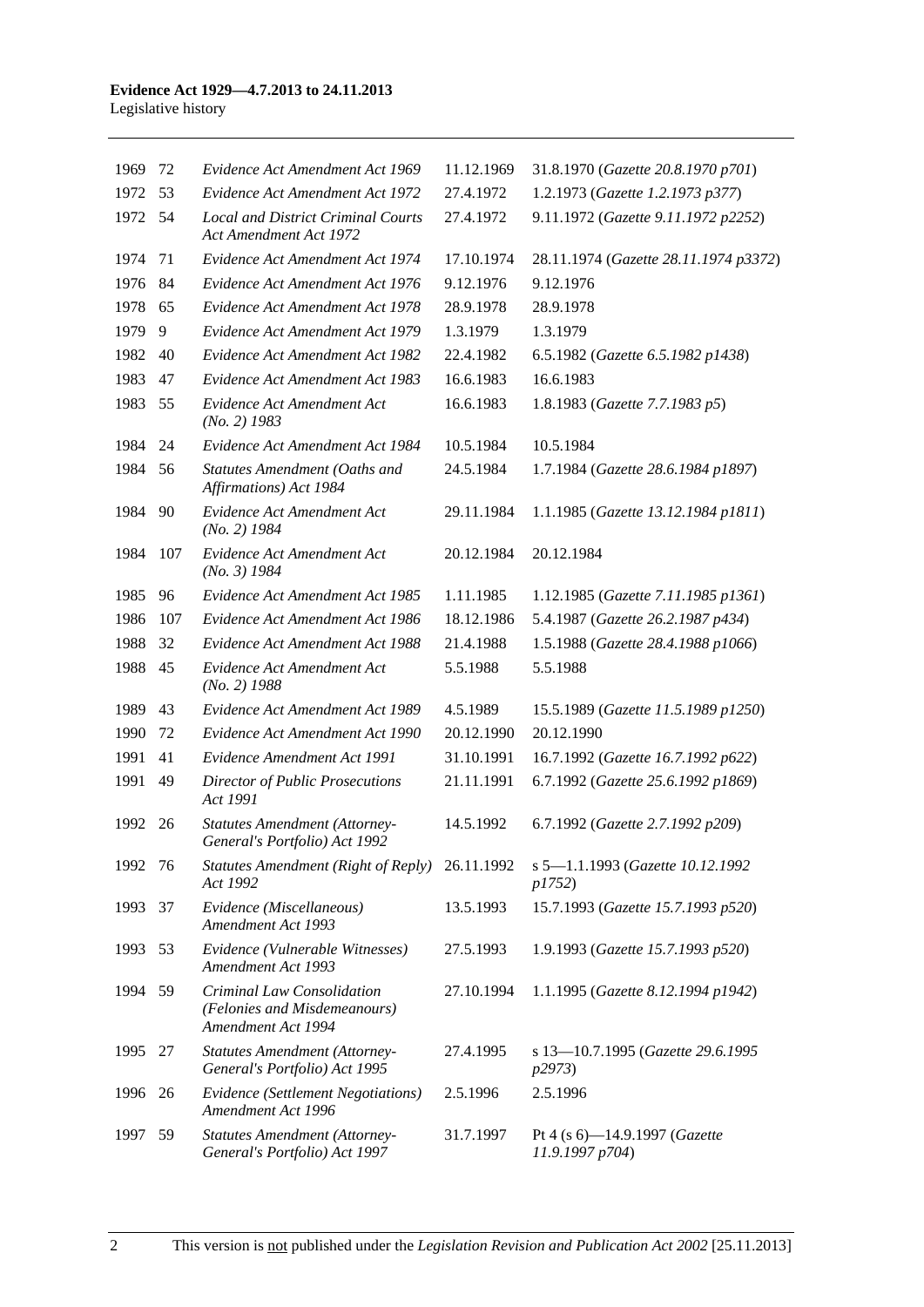| 1969    | 72  | Evidence Act Amendment Act 1969                                                  | 11.12.1969 | 31.8.1970 (Gazette 20.8.1970 p701)                  |
|---------|-----|----------------------------------------------------------------------------------|------------|-----------------------------------------------------|
| 1972    | 53  | Evidence Act Amendment Act 1972                                                  | 27.4.1972  | 1.2.1973 (Gazette 1.2.1973 p377)                    |
| 1972    | 54  | <b>Local and District Criminal Courts</b><br><b>Act Amendment Act 1972</b>       | 27.4.1972  | 9.11.1972 (Gazette 9.11.1972 p2252)                 |
| 1974    | 71  | Evidence Act Amendment Act 1974                                                  | 17.10.1974 | 28.11.1974 (Gazette 28.11.1974 p3372)               |
| 1976    | 84  | Evidence Act Amendment Act 1976                                                  | 9.12.1976  | 9.12.1976                                           |
| 1978    | 65  | Evidence Act Amendment Act 1978                                                  | 28.9.1978  | 28.9.1978                                           |
| 1979    | 9   | Evidence Act Amendment Act 1979                                                  | 1.3.1979   | 1.3.1979                                            |
| 1982    | 40  | Evidence Act Amendment Act 1982                                                  | 22.4.1982  | 6.5.1982 (Gazette 6.5.1982 p1438)                   |
| 1983    | 47  | Evidence Act Amendment Act 1983                                                  | 16.6.1983  | 16.6.1983                                           |
| 1983    | 55  | Evidence Act Amendment Act<br>$(No. 2)$ 1983                                     | 16.6.1983  | 1.8.1983 (Gazette 7.7.1983 p5)                      |
| 1984    | 24  | Evidence Act Amendment Act 1984                                                  | 10.5.1984  | 10.5.1984                                           |
| 1984    | 56  | Statutes Amendment (Oaths and<br>Affirmations) Act 1984                          | 24.5.1984  | 1.7.1984 (Gazette 28.6.1984 p1897)                  |
| 1984    | 90  | Evidence Act Amendment Act<br>$(No. 2)$ 1984                                     | 29.11.1984 | 1.1.1985 (Gazette 13.12.1984 p1811)                 |
| 1984    | 107 | Evidence Act Amendment Act<br>$(No. 3)$ 1984                                     | 20.12.1984 | 20.12.1984                                          |
| 1985    | 96  | Evidence Act Amendment Act 1985                                                  | 1.11.1985  | 1.12.1985 (Gazette 7.11.1985 p1361)                 |
| 1986    | 107 | Evidence Act Amendment Act 1986                                                  | 18.12.1986 | 5.4.1987 (Gazette 26.2.1987 p434)                   |
| 1988    | 32  | Evidence Act Amendment Act 1988                                                  | 21.4.1988  | 1.5.1988 (Gazette 28.4.1988 p1066)                  |
| 1988    | 45  | Evidence Act Amendment Act<br>$(No. 2)$ 1988                                     | 5.5.1988   | 5.5.1988                                            |
| 1989    | 43  | Evidence Act Amendment Act 1989                                                  | 4.5.1989   | 15.5.1989 (Gazette 11.5.1989 p1250)                 |
| 1990    | 72  | Evidence Act Amendment Act 1990                                                  | 20.12.1990 | 20.12.1990                                          |
| 1991    | 41  | Evidence Amendment Act 1991                                                      | 31.10.1991 | 16.7.1992 (Gazette 16.7.1992 p622)                  |
| 1991    | 49  | <b>Director of Public Prosecutions</b><br>Act 1991                               | 21.11.1991 | 6.7.1992 (Gazette 25.6.1992 p1869)                  |
| 1992    | 26  | <b>Statutes Amendment (Attorney-</b><br>General's Portfolio) Act 1992            | 14.5.1992  | 6.7.1992 (Gazette 2.7.1992 p209)                    |
| 1992 76 |     | <b>Statutes Amendment (Right of Reply)</b><br>Act 1992                           | 26.11.1992 | s 5-1.1.1993 (Gazette 10.12.1992<br><i>p1752</i> )  |
| 1993    | 37  | Evidence (Miscellaneous)<br>Amendment Act 1993                                   | 13.5.1993  | 15.7.1993 (Gazette 15.7.1993 p520)                  |
| 1993    | 53  | Evidence (Vulnerable Witnesses)<br>Amendment Act 1993                            | 27.5.1993  | 1.9.1993 (Gazette 15.7.1993 p520)                   |
| 1994    | 59  | Criminal Law Consolidation<br>(Felonies and Misdemeanours)<br>Amendment Act 1994 | 27.10.1994 | 1.1.1995 (Gazette 8.12.1994 p1942)                  |
| 1995    | 27  | <b>Statutes Amendment (Attorney-</b><br>General's Portfolio) Act 1995            | 27.4.1995  | s 13-10.7.1995 (Gazette 29.6.1995<br><i>p</i> 2973) |
| 1996    | 26  | Evidence (Settlement Negotiations)<br>Amendment Act 1996                         | 2.5.1996   | 2.5.1996                                            |
| 1997    | 59  | <b>Statutes Amendment (Attorney-</b><br>General's Portfolio) Act 1997            | 31.7.1997  | Pt 4 (s 6)-14.9.1997 (Gazette<br>11.9.1997 p704)    |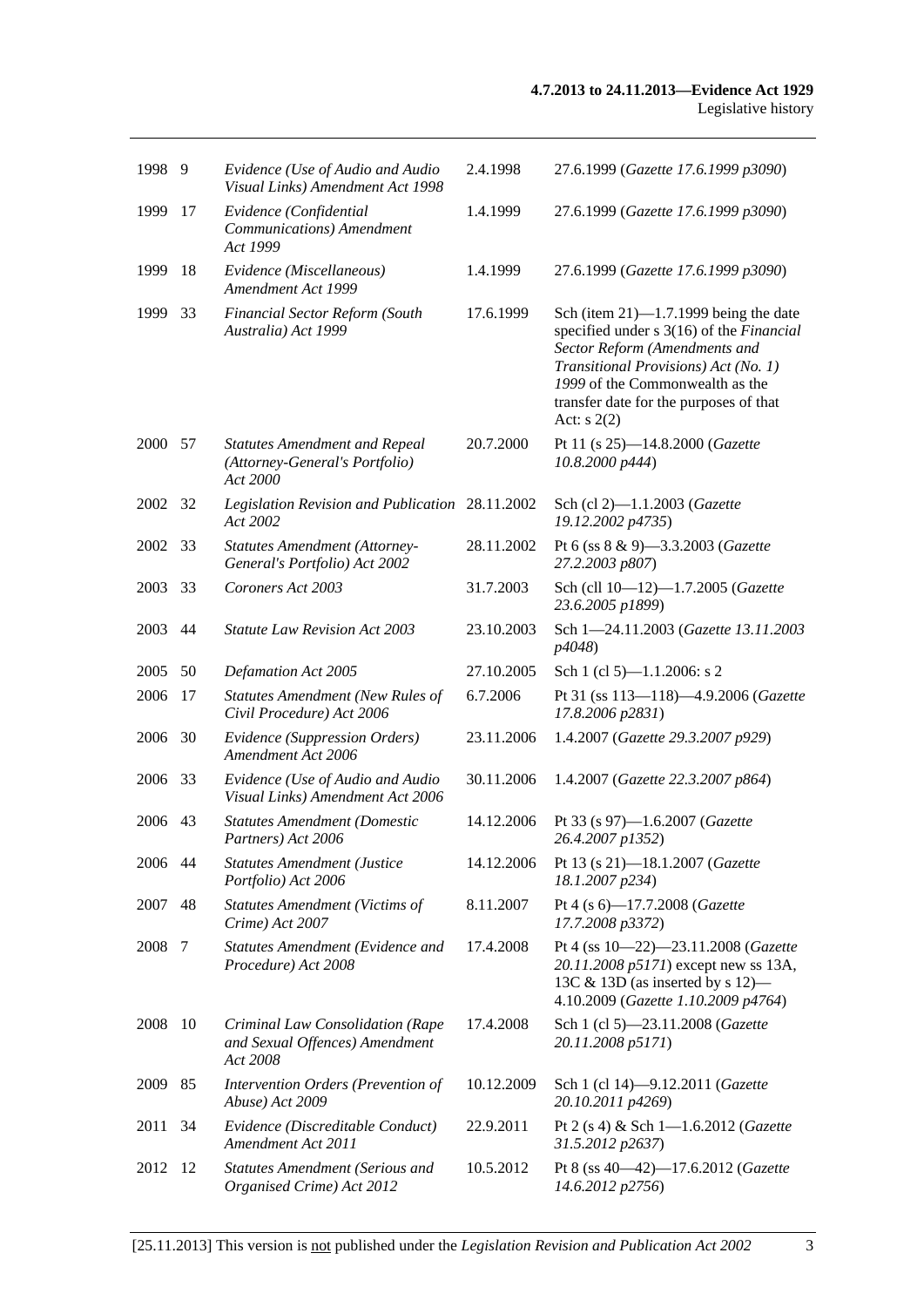| 1998 9  |    | Evidence (Use of Audio and Audio<br>Visual Links) Amendment Act 1998               | 2.4.1998   | 27.6.1999 (Gazette 17.6.1999 p3090)                                                                                                                                                                                                                       |
|---------|----|------------------------------------------------------------------------------------|------------|-----------------------------------------------------------------------------------------------------------------------------------------------------------------------------------------------------------------------------------------------------------|
| 1999    | 17 | Evidence (Confidential<br>Communications) Amendment<br>Act 1999                    | 1.4.1999   | 27.6.1999 (Gazette 17.6.1999 p3090)                                                                                                                                                                                                                       |
| 1999    | 18 | Evidence (Miscellaneous)<br>Amendment Act 1999                                     | 1.4.1999   | 27.6.1999 (Gazette 17.6.1999 p3090)                                                                                                                                                                                                                       |
| 1999    | 33 | Financial Sector Reform (South<br>Australia) Act 1999                              | 17.6.1999  | Sch (item $21$ )—1.7.1999 being the date<br>specified under s 3(16) of the Financial<br>Sector Reform (Amendments and<br>Transitional Provisions) Act (No. 1)<br>1999 of the Commonwealth as the<br>transfer date for the purposes of that<br>Act: $s(2)$ |
| 2000 57 |    | <b>Statutes Amendment and Repeal</b><br>(Attorney-General's Portfolio)<br>Act 2000 | 20.7.2000  | Pt 11 (s 25)-14.8.2000 (Gazette<br>10.8.2000 p444)                                                                                                                                                                                                        |
| 2002    | 32 | Legislation Revision and Publication 28.11.2002<br>Act 2002                        |            | Sch (cl 2)-1.1.2003 (Gazette<br>19.12.2002 p4735)                                                                                                                                                                                                         |
| 2002    | 33 | <b>Statutes Amendment (Attorney-</b><br>General's Portfolio) Act 2002              | 28.11.2002 | Pt 6 (ss 8 & 9)-3.3.2003 (Gazette<br>27.2.2003 p807)                                                                                                                                                                                                      |
| 2003    | 33 | Coroners Act 2003                                                                  | 31.7.2003  | Sch (cll 10-12)-1.7.2005 (Gazette<br>23.6.2005 p1899)                                                                                                                                                                                                     |
| 2003    | 44 | <b>Statute Law Revision Act 2003</b>                                               | 23.10.2003 | Sch 1-24.11.2003 (Gazette 13.11.2003)<br>p4048)                                                                                                                                                                                                           |
| 2005    | 50 | Defamation Act 2005                                                                | 27.10.2005 | Sch 1 (cl 5)-1.1.2006: s 2                                                                                                                                                                                                                                |
| 2006    | 17 | <b>Statutes Amendment (New Rules of</b><br>Civil Procedure) Act 2006               | 6.7.2006   | Pt 31 (ss 113-118)-4.9.2006 (Gazette<br>17.8.2006 p2831)                                                                                                                                                                                                  |
| 2006    | 30 | Evidence (Suppression Orders)<br>Amendment Act 2006                                | 23.11.2006 | 1.4.2007 (Gazette 29.3.2007 p929)                                                                                                                                                                                                                         |
| 2006    | 33 | Evidence (Use of Audio and Audio<br>Visual Links) Amendment Act 2006               | 30.11.2006 | 1.4.2007 (Gazette 22.3.2007 p864)                                                                                                                                                                                                                         |
| 2006    | 43 | <b>Statutes Amendment (Domestic</b><br>Partners) Act 2006                          | 14.12.2006 | Pt 33 (s 97)-1.6.2007 (Gazette<br>26.4.2007 p1352)                                                                                                                                                                                                        |
| 2006    | 44 | <b>Statutes Amendment (Justice</b><br>Portfolio) Act 2006                          | 14.12.2006 | Pt 13 (s 21)-18.1.2007 (Gazette<br>18.1.2007 p234)                                                                                                                                                                                                        |
| 2007    | 48 | <b>Statutes Amendment (Victims of</b><br>Crime) Act 2007                           | 8.11.2007  | Pt 4 (s 6)-17.7.2008 (Gazette<br>17.7.2008 p3372)                                                                                                                                                                                                         |
| 2008    | 7  | Statutes Amendment (Evidence and<br>Procedure) Act 2008                            | 17.4.2008  | Pt 4 (ss 10-22)-23.11.2008 (Gazette<br>20.11.2008 p5171) except new ss 13A,<br>13C & 13D (as inserted by s 12)—<br>4.10.2009 (Gazette 1.10.2009 p4764)                                                                                                    |
| 2008    | 10 | Criminal Law Consolidation (Rape<br>and Sexual Offences) Amendment<br>Act 2008     | 17.4.2008  | Sch 1 (cl 5)-23.11.2008 (Gazette<br>20.11.2008 p5171)                                                                                                                                                                                                     |
| 2009    | 85 | Intervention Orders (Prevention of<br>Abuse) Act 2009                              | 10.12.2009 | Sch 1 (cl 14)-9.12.2011 (Gazette<br>20.10.2011 p4269)                                                                                                                                                                                                     |
| 2011    | 34 | Evidence (Discreditable Conduct)<br>Amendment Act 2011                             | 22.9.2011  | Pt 2 (s 4) & Sch 1-1.6.2012 (Gazette<br>31.5.2012 p2637)                                                                                                                                                                                                  |
| 2012    | 12 | <b>Statutes Amendment (Serious and</b><br>Organised Crime) Act 2012                | 10.5.2012  | Pt 8 (ss 40-42)-17.6.2012 (Gazette<br>14.6.2012 p2756)                                                                                                                                                                                                    |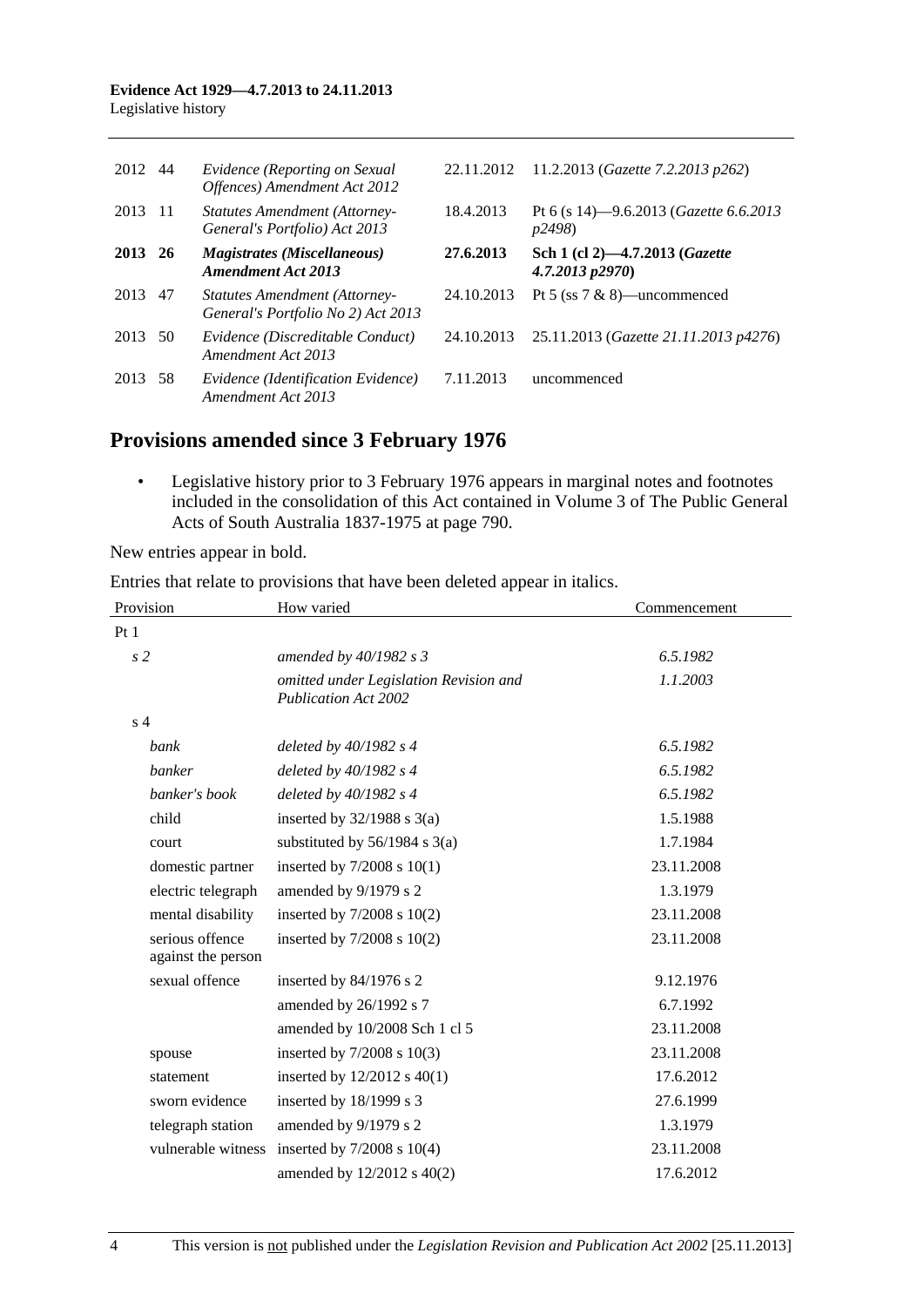| 2012 44 |     | Evidence (Reporting on Sexual<br>Offences) Amendment Act 2012              | 22.11.2012 | 11.2.2013 ( <i>Gazette 7.2.2013 p262</i> )                       |
|---------|-----|----------------------------------------------------------------------------|------------|------------------------------------------------------------------|
| 2013    | -11 | <b>Statutes Amendment (Attorney-</b><br>General's Portfolio) Act 2013      | 18.4.2013  | Pt 6 (s 14)–9.6.2013 ( <i>Gazette</i> 6.6.2013<br><i>p</i> 2498) |
| 2013 26 |     | <i>Magistrates (Miscellaneous)</i><br><b>Amendment Act 2013</b>            | 27.6.2013  | Sch 1 (cl 2)-4.7.2013 (Gazette<br>$4.7.2013$ $p2970$ )           |
| 2013    | 47  | <b>Statutes Amendment (Attorney-</b><br>General's Portfolio No 2) Act 2013 | 24.10.2013 | Pt 5 (ss $7 & 8$ )—uncommenced                                   |
| 2013    | 50  | Evidence (Discreditable Conduct)<br>Amendment Act 2013                     | 24.10.2013 | 25.11.2013 (Gazette 21.11.2013 p4276)                            |
| 2013    | 58  | Evidence (Identification Evidence)<br>Amendment Act 2013                   | 7.11.2013  | uncommenced                                                      |

# **Provisions amended since 3 February 1976**

 • Legislative history prior to 3 February 1976 appears in marginal notes and footnotes included in the consolidation of this Act contained in Volume 3 of The Public General Acts of South Australia 1837-1975 at page 790.

New entries appear in bold.

Entries that relate to provisions that have been deleted appear in italics.

| Provision                             | How varied                                                            | Commencement |
|---------------------------------------|-----------------------------------------------------------------------|--------------|
| Pt1                                   |                                                                       |              |
| s <sub>2</sub>                        | amended by $40/1982 s3$                                               | 6.5.1982     |
|                                       | omitted under Legislation Revision and<br><b>Publication Act 2002</b> | 1.1.2003     |
| s <sub>4</sub>                        |                                                                       |              |
| bank                                  | deleted by $40/1982$ s 4                                              | 6.5.1982     |
| banker                                | deleted by $40/1982$ s 4                                              | 6.5.1982     |
| banker's book                         | deleted by $40/1982$ s 4                                              | 6.5.1982     |
| child                                 | inserted by $32/1988$ s $3(a)$                                        | 1.5.1988     |
| court                                 | substituted by $56/1984$ s $3(a)$                                     | 1.7.1984     |
| domestic partner                      | inserted by $7/2008$ s $10(1)$                                        | 23.11.2008   |
| electric telegraph                    | amended by 9/1979 s 2                                                 | 1.3.1979     |
| mental disability                     | inserted by $7/2008$ s $10(2)$                                        | 23.11.2008   |
| serious offence<br>against the person | inserted by $7/2008$ s $10(2)$                                        | 23.11.2008   |
| sexual offence                        | inserted by 84/1976 s 2                                               | 9.12.1976    |
|                                       | amended by 26/1992 s 7                                                | 6.7.1992     |
|                                       | amended by 10/2008 Sch 1 cl 5                                         | 23.11.2008   |
| spouse                                | inserted by $7/2008$ s $10(3)$                                        | 23.11.2008   |
| statement                             | inserted by $12/2012$ s $40(1)$                                       | 17.6.2012    |
| sworn evidence                        | inserted by 18/1999 s 3                                               | 27.6.1999    |
| telegraph station                     | amended by 9/1979 s 2                                                 | 1.3.1979     |
| vulnerable witness                    | inserted by $7/2008$ s $10(4)$                                        | 23.11.2008   |
|                                       | amended by 12/2012 s 40(2)                                            | 17.6.2012    |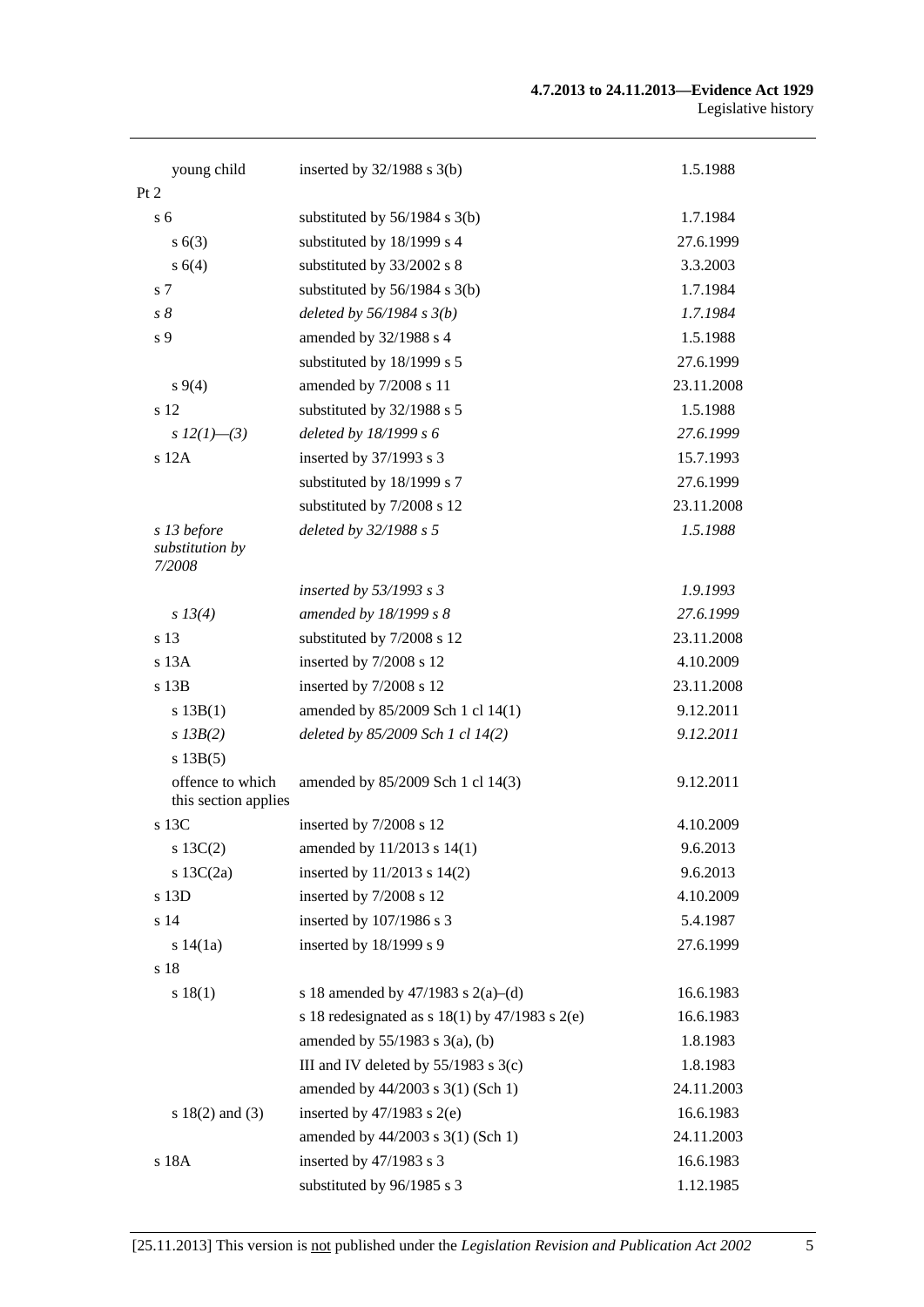#### **4.7.2013 to 24.11.2013—Evidence Act 1929**  Legislative history

| young child                              | inserted by $32/1988$ s $3(b)$                       | 1.5.1988   |
|------------------------------------------|------------------------------------------------------|------------|
| Pt 2                                     |                                                      |            |
| s <sub>6</sub>                           | substituted by $56/1984$ s $3(b)$                    | 1.7.1984   |
| s(6(3))                                  | substituted by 18/1999 s 4                           | 27.6.1999  |
| s(6(4)                                   | substituted by 33/2002 s 8                           | 3.3.2003   |
| s 7                                      | substituted by $56/1984$ s 3(b)                      | 1.7.1984   |
| $s\delta$                                | deleted by $56/1984 s 3(b)$                          | 1.7.1984   |
| s 9                                      | amended by 32/1988 s 4                               | 1.5.1988   |
|                                          | substituted by 18/1999 s 5                           | 27.6.1999  |
| $s\,9(4)$                                | amended by 7/2008 s 11                               | 23.11.2008 |
| s 12                                     | substituted by 32/1988 s 5                           | 1.5.1988   |
| s $12(1)$ —(3)                           | deleted by $18/1999 s 6$                             | 27.6.1999  |
| $s$ 12A                                  | inserted by 37/1993 s 3                              | 15.7.1993  |
|                                          | substituted by 18/1999 s 7                           | 27.6.1999  |
|                                          | substituted by 7/2008 s 12                           | 23.11.2008 |
| s 13 before<br>substitution by<br>7/2008 | deleted by 32/1988 s 5                               | 1.5.1988   |
|                                          | inserted by $53/1993$ s 3                            | 1.9.1993   |
| s 13(4)                                  | amended by 18/1999 s 8                               | 27.6.1999  |
| s 13                                     | substituted by 7/2008 s 12                           | 23.11.2008 |
| s 13A                                    | inserted by 7/2008 s 12                              | 4.10.2009  |
| s 13B                                    | inserted by 7/2008 s 12                              | 23.11.2008 |
| s 13B(1)                                 | amended by 85/2009 Sch 1 cl 14(1)                    | 9.12.2011  |
| $s$ 13B(2)                               | deleted by 85/2009 Sch 1 cl 14(2)                    | 9.12.2011  |
| s 13B(5)                                 |                                                      |            |
| offence to which<br>this section applies | amended by 85/2009 Sch 1 cl 14(3)                    | 9.12.2011  |
| s 13C                                    | inserted by 7/2008 s 12                              | 4.10.2009  |
| s $13C(2)$                               | amended by 11/2013 s 14(1)                           | 9.6.2013   |
| s $13C(2a)$                              | inserted by $11/2013$ s $14(2)$                      | 9.6.2013   |
| s 13D                                    | inserted by 7/2008 s 12                              | 4.10.2009  |
| s 14                                     | inserted by 107/1986 s 3                             | 5.4.1987   |
| s 14(1a)                                 | inserted by 18/1999 s 9                              | 27.6.1999  |
| s 18                                     |                                                      |            |
| s 18(1)                                  | s 18 amended by 47/1983 s 2(a)–(d)                   | 16.6.1983  |
|                                          | s 18 redesignated as s $18(1)$ by $47/1983$ s $2(e)$ | 16.6.1983  |
|                                          | amended by $55/1983$ s $3(a)$ , (b)                  | 1.8.1983   |
|                                          | III and IV deleted by $55/1983$ s $3(c)$             | 1.8.1983   |
|                                          | amended by 44/2003 s 3(1) (Sch 1)                    | 24.11.2003 |
| s $18(2)$ and $(3)$                      | inserted by $47/1983$ s $2(e)$                       | 16.6.1983  |
|                                          | amended by 44/2003 s 3(1) (Sch 1)                    | 24.11.2003 |
| s 18A                                    | inserted by 47/1983 s 3                              | 16.6.1983  |
|                                          | substituted by 96/1985 s 3                           | 1.12.1985  |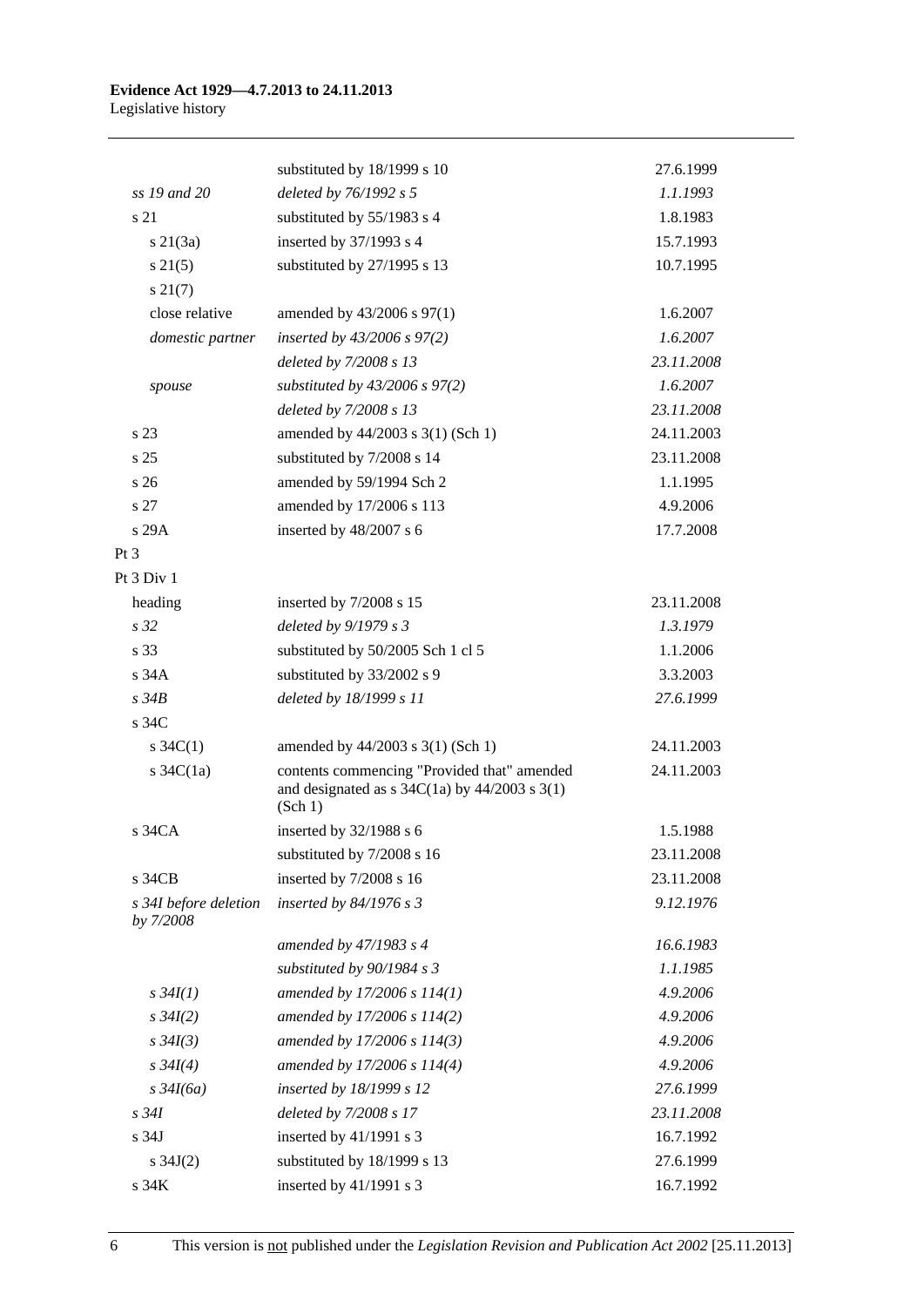|                                    | substituted by 18/1999 s 10                                                                                                                   | 27.6.1999  |
|------------------------------------|-----------------------------------------------------------------------------------------------------------------------------------------------|------------|
| ss 19 and 20                       | deleted by 76/1992 s 5                                                                                                                        | 1.1.1993   |
| s 21                               | substituted by 55/1983 s 4                                                                                                                    | 1.8.1983   |
| s21(3a)                            | inserted by 37/1993 s 4                                                                                                                       | 15.7.1993  |
| $s \, 21(5)$                       | substituted by 27/1995 s 13                                                                                                                   | 10.7.1995  |
| $s\ 21(7)$                         |                                                                                                                                               |            |
| close relative                     | amended by 43/2006 s 97(1)                                                                                                                    | 1.6.2007   |
| domestic partner                   | inserted by $43/2006$ s $97(2)$                                                                                                               | 1.6.2007   |
|                                    | deleted by 7/2008 s 13                                                                                                                        | 23.11.2008 |
| spouse                             | substituted by $43/2006$ s $97(2)$                                                                                                            | 1.6.2007   |
|                                    | deleted by 7/2008 s 13                                                                                                                        | 23.11.2008 |
| s <sub>23</sub>                    | amended by 44/2003 s 3(1) (Sch 1)                                                                                                             | 24.11.2003 |
| s <sub>25</sub>                    | substituted by 7/2008 s 14                                                                                                                    | 23.11.2008 |
| s <sub>26</sub>                    | amended by 59/1994 Sch 2                                                                                                                      | 1.1.1995   |
| s 27                               | amended by 17/2006 s 113                                                                                                                      | 4.9.2006   |
| s 29A                              | inserted by 48/2007 s 6                                                                                                                       | 17.7.2008  |
| Pt 3                               |                                                                                                                                               |            |
| Pt 3 Div 1                         |                                                                                                                                               |            |
| heading                            | inserted by 7/2008 s 15                                                                                                                       | 23.11.2008 |
| s <sub>32</sub>                    | deleted by $9/1979 s 3$                                                                                                                       | 1.3.1979   |
| s 33                               | substituted by 50/2005 Sch 1 cl 5                                                                                                             | 1.1.2006   |
| s 34A                              | substituted by 33/2002 s 9                                                                                                                    | 3.3.2003   |
| $s\,34B$                           | deleted by 18/1999 s 11                                                                                                                       | 27.6.1999  |
| s 34C                              |                                                                                                                                               |            |
| s $34C(1)$                         | amended by 44/2003 s 3(1) (Sch 1)                                                                                                             | 24.11.2003 |
| s $34C(1a)$                        | contents commencing "Provided that" amended<br>and designated as $s \frac{34C(1a)}{y}$ by $\frac{44}{2003} \frac{s \cdot 3(1)}{y}$<br>(Sch 1) | 24.11.2003 |
| s 34CA                             | inserted by 32/1988 s 6                                                                                                                       | 1.5.1988   |
|                                    | substituted by 7/2008 s 16                                                                                                                    | 23.11.2008 |
| s 34CB                             | inserted by 7/2008 s 16                                                                                                                       | 23.11.2008 |
| s 34I before deletion<br>by 7/2008 | inserted by $84/1976 s3$                                                                                                                      | 9.12.1976  |
|                                    | amended by 47/1983 s 4                                                                                                                        | 16.6.1983  |
|                                    | substituted by $90/1984 s 3$                                                                                                                  | 1.1.1985   |
| $s \, 34I(1)$                      | amended by 17/2006 s 114(1)                                                                                                                   | 4.9.2006   |
| $s \, 34I(2)$                      | amended by 17/2006 s 114(2)                                                                                                                   | 4.9.2006   |
| $s \, 34I(3)$                      | amended by 17/2006 s 114(3)                                                                                                                   | 4.9.2006   |
| $s \, 34I(4)$                      | amended by 17/2006 s 114(4)                                                                                                                   | 4.9.2006   |
| $s \frac{34I(6a)}{2}$              | inserted by 18/1999 s 12                                                                                                                      | 27.6.1999  |
| $s\,34I$                           | deleted by 7/2008 s 17                                                                                                                        | 23.11.2008 |
| s 34J                              | inserted by 41/1991 s 3                                                                                                                       | 16.7.1992  |
| s $34J(2)$                         | substituted by 18/1999 s 13                                                                                                                   | 27.6.1999  |
| s 34K                              | inserted by 41/1991 s 3                                                                                                                       | 16.7.1992  |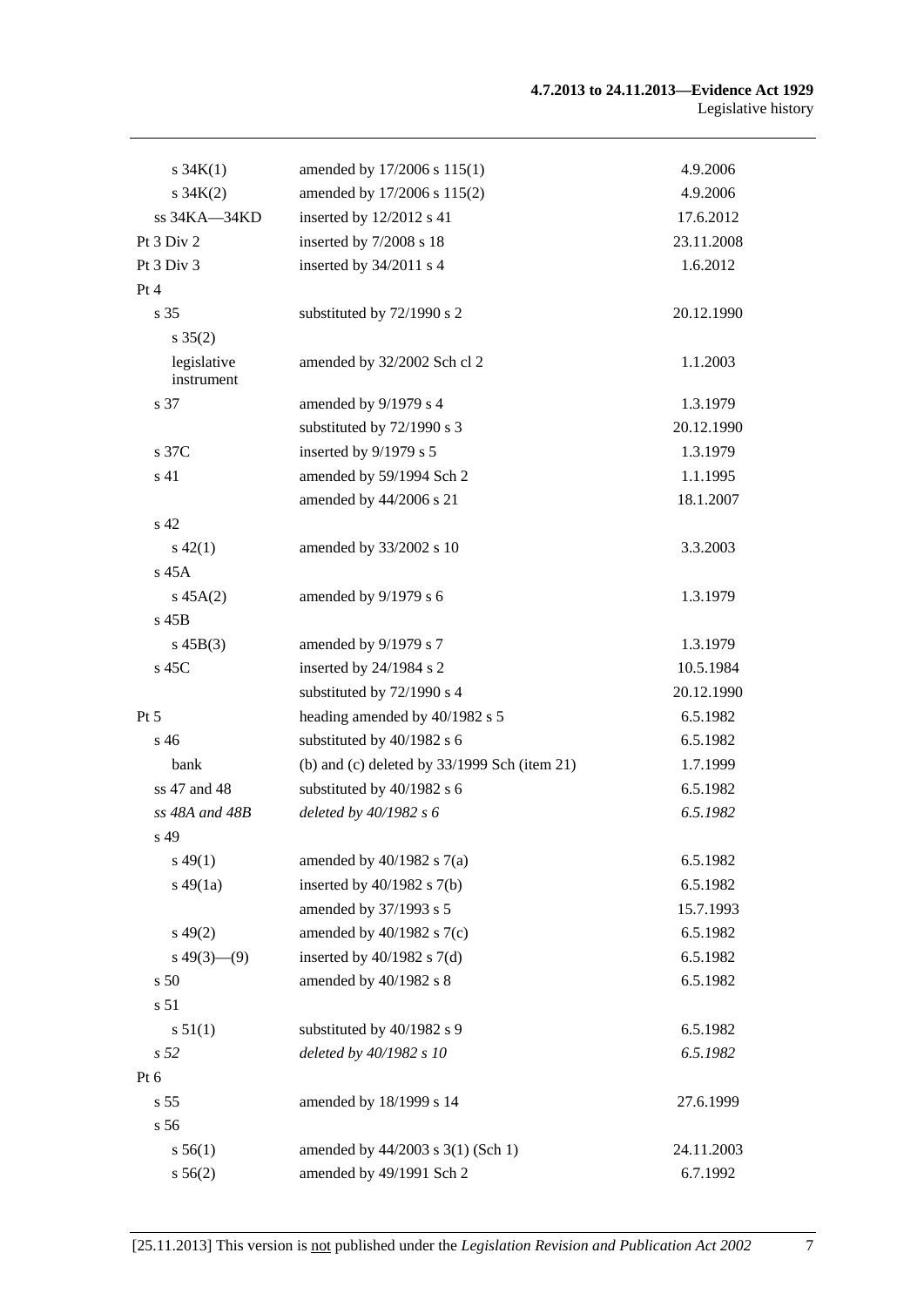#### **4.7.2013 to 24.11.2013—Evidence Act 1929**  Legislative history

| s $34K(1)$                | amended by 17/2006 s 115(1)                    | 4.9.2006   |
|---------------------------|------------------------------------------------|------------|
| $s \, 34K(2)$             | amended by 17/2006 s 115(2)                    | 4.9.2006   |
| ss 34KA-34KD              | inserted by 12/2012 s 41                       | 17.6.2012  |
| Pt $3$ Div $2$            | inserted by 7/2008 s 18                        | 23.11.2008 |
| Pt 3 Div 3                | inserted by 34/2011 s 4                        | 1.6.2012   |
| Pt 4                      |                                                |            |
| s <sub>35</sub>           | substituted by 72/1990 s 2                     | 20.12.1990 |
| $s \, 35(2)$              |                                                |            |
| legislative<br>instrument | amended by 32/2002 Sch cl 2                    | 1.1.2003   |
| s 37                      | amended by 9/1979 s 4                          | 1.3.1979   |
|                           | substituted by 72/1990 s 3                     | 20.12.1990 |
| s 37C                     | inserted by 9/1979 s 5                         | 1.3.1979   |
| s 41                      | amended by 59/1994 Sch 2                       | 1.1.1995   |
|                           | amended by 44/2006 s 21                        | 18.1.2007  |
| s 42                      |                                                |            |
| $s\ 42(1)$                | amended by 33/2002 s 10                        | 3.3.2003   |
| s 45A                     |                                                |            |
| s 45A(2)                  | amended by 9/1979 s 6                          | 1.3.1979   |
| s 45B                     |                                                |            |
| $s\,45B(3)$               | amended by 9/1979 s 7                          | 1.3.1979   |
| s 45C                     | inserted by 24/1984 s 2                        | 10.5.1984  |
|                           | substituted by 72/1990 s 4                     | 20.12.1990 |
| $Pt\,5$                   | heading amended by 40/1982 s 5                 | 6.5.1982   |
| $s\,46$                   | substituted by 40/1982 s 6                     | 6.5.1982   |
| bank                      | (b) and (c) deleted by $33/1999$ Sch (item 21) | 1.7.1999   |
| ss 47 and 48              | substituted by 40/1982 s 6                     | 6.5.1982   |
| ss 48A and 48B            | deleted by 40/1982 s 6                         | 6.5.1982   |
| s 49                      |                                                |            |
| $s\,49(1)$                | amended by $40/1982$ s $7(a)$                  | 6.5.1982   |
| $s\,49(1a)$               | inserted by $40/1982$ s $7(b)$                 | 6.5.1982   |
|                           | amended by 37/1993 s 5                         | 15.7.1993  |
| $s\,49(2)$                | amended by $40/1982$ s $7(c)$                  | 6.5.1982   |
| $s\ 49(3)$ (9)            | inserted by $40/1982$ s $7(d)$                 | 6.5.1982   |
| s 50                      | amended by 40/1982 s 8                         | 6.5.1982   |
| s 51                      |                                                |            |
| s 51(1)                   | substituted by 40/1982 s 9                     | 6.5.1982   |
| s <sub>52</sub>           | deleted by 40/1982 s 10                        | 6.5.1982   |
| Pt 6                      |                                                |            |
| s 55                      | amended by 18/1999 s 14                        | 27.6.1999  |
| s 56                      |                                                |            |
| s 56(1)                   | amended by 44/2003 s 3(1) (Sch 1)              | 24.11.2003 |
| s 56(2)                   | amended by 49/1991 Sch 2                       | 6.7.1992   |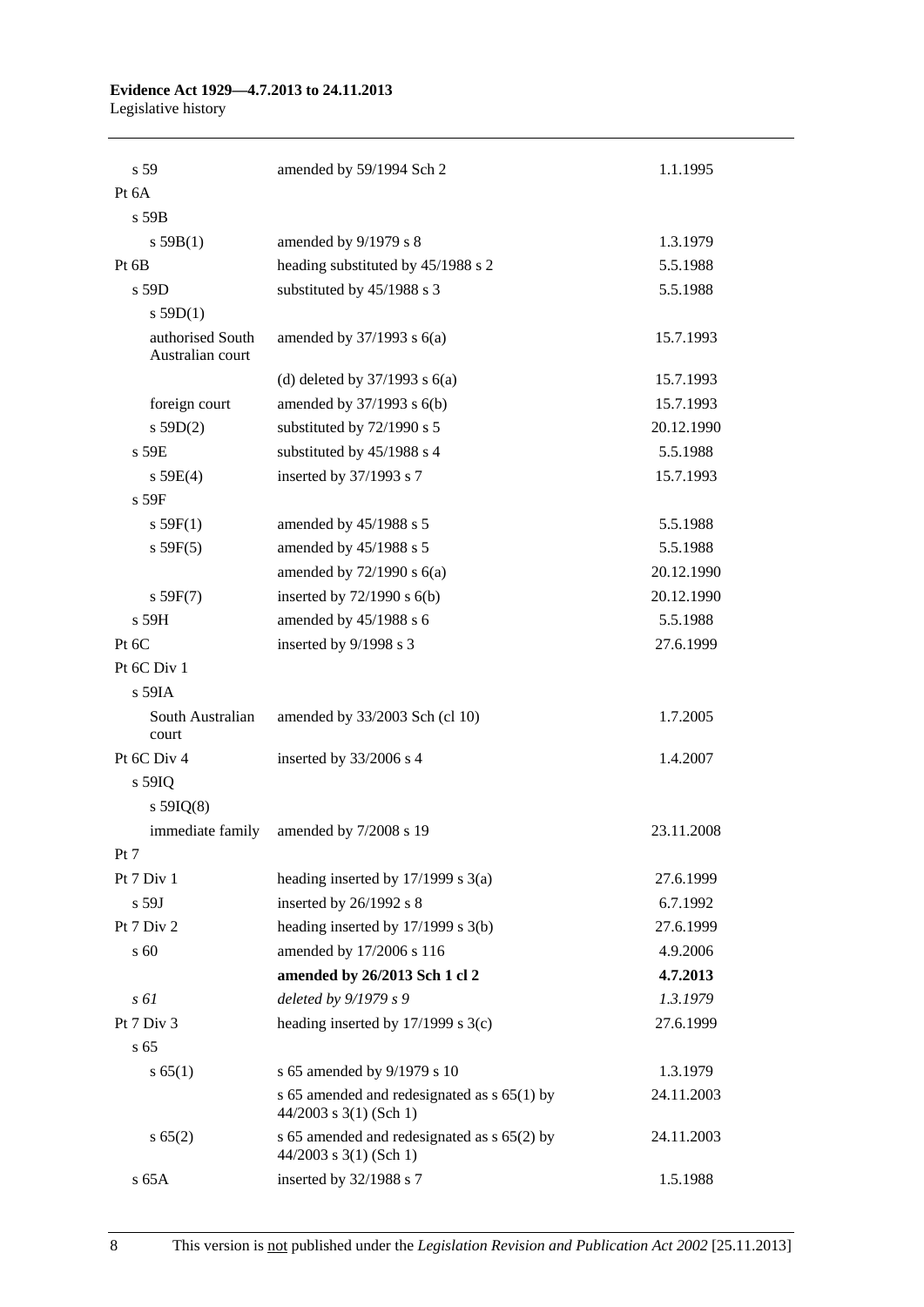### **Evidence Act 1929—4.7.2013 to 24.11.2013**

Legislative history

| s 59                                 | amended by 59/1994 Sch 2                                                  | 1.1.1995   |
|--------------------------------------|---------------------------------------------------------------------------|------------|
| Pt 6A                                |                                                                           |            |
| $s$ 59B                              |                                                                           |            |
| s 59B(1)                             | amended by 9/1979 s 8                                                     | 1.3.1979   |
| Pt 6B                                | heading substituted by 45/1988 s 2                                        | 5.5.1988   |
| $s$ 59D                              | substituted by 45/1988 s 3                                                | 5.5.1988   |
| $s$ 59D(1)                           |                                                                           |            |
| authorised South<br>Australian court | amended by $37/1993$ s $6(a)$                                             | 15.7.1993  |
|                                      | (d) deleted by $37/1993$ s $6(a)$                                         | 15.7.1993  |
| foreign court                        | amended by 37/1993 s 6(b)                                                 | 15.7.1993  |
| s 59D(2)                             | substituted by 72/1990 s 5                                                | 20.12.1990 |
| s 59E                                | substituted by 45/1988 s 4                                                | 5.5.1988   |
| s 59E(4)                             | inserted by 37/1993 s 7                                                   | 15.7.1993  |
| s 59F                                |                                                                           |            |
| $s$ 59 $F(1)$                        | amended by 45/1988 s 5                                                    | 5.5.1988   |
| s 59F(5)                             | amended by 45/1988 s 5                                                    | 5.5.1988   |
|                                      | amended by $72/1990$ s $6(a)$                                             | 20.12.1990 |
| s 59F(7)                             | inserted by $72/1990$ s $6(b)$                                            | 20.12.1990 |
| s 59H                                | amended by 45/1988 s 6                                                    | 5.5.1988   |
| Pt 6C                                | inserted by 9/1998 s 3                                                    | 27.6.1999  |
| Pt 6C Div 1                          |                                                                           |            |
| s 59IA                               |                                                                           |            |
| South Australian<br>court            | amended by 33/2003 Sch (cl 10)                                            | 1.7.2005   |
| Pt 6C Div 4                          | inserted by 33/2006 s 4                                                   | 1.4.2007   |
| s 59IQ                               |                                                                           |            |
| $s$ 59IQ(8)                          |                                                                           |            |
| immediate family                     | amended by 7/2008 s 19                                                    | 23.11.2008 |
| Pt 7                                 |                                                                           |            |
| Pt 7 Div 1                           | heading inserted by $17/1999$ s $3(a)$                                    | 27.6.1999  |
| s 59J                                | inserted by 26/1992 s 8                                                   | 6.7.1992   |
| Pt 7 Div 2                           | heading inserted by $17/1999$ s $3(b)$                                    | 27.6.1999  |
| s 60                                 | amended by 17/2006 s 116                                                  | 4.9.2006   |
|                                      | amended by 26/2013 Sch 1 cl 2                                             | 4.7.2013   |
| s 61                                 | deleted by $9/1979 s 9$                                                   | 1.3.1979   |
| Pt 7 Div 3                           | heading inserted by $17/1999$ s $3(c)$                                    | 27.6.1999  |
| s 65                                 |                                                                           |            |
| s 65(1)                              | s 65 amended by 9/1979 s 10                                               | 1.3.1979   |
|                                      | s 65 amended and redesignated as $s$ 65(1) by<br>$44/2003$ s 3(1) (Sch 1) | 24.11.2003 |
| s 65(2)                              | s 65 amended and redesignated as s 65(2) by<br>$44/2003$ s 3(1) (Sch 1)   | 24.11.2003 |
| s 65A                                | inserted by 32/1988 s 7                                                   | 1.5.1988   |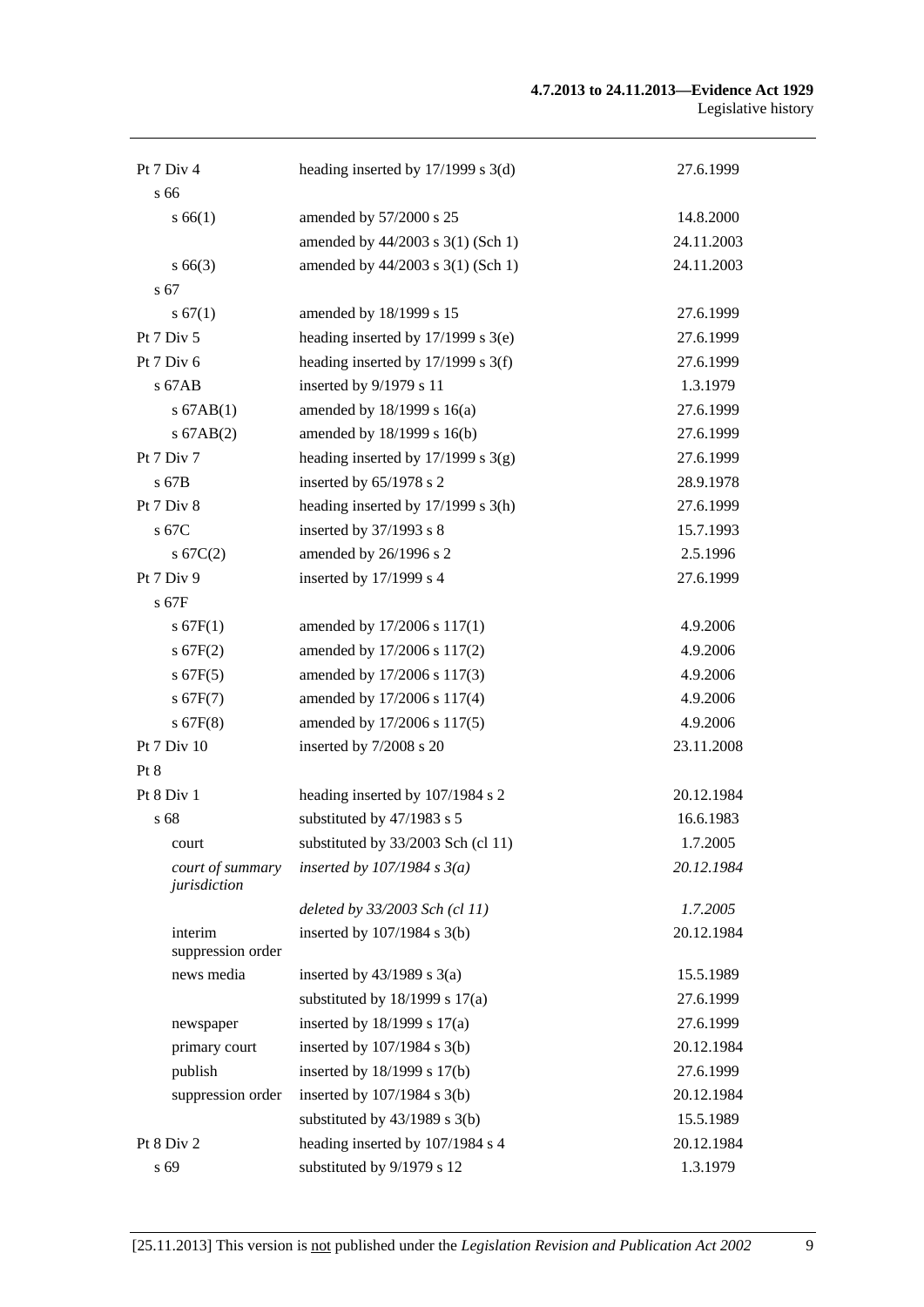#### **4.7.2013 to 24.11.2013—Evidence Act 1929**  Legislative history

| Pt 7 Div 4<br>$\sqrt{66}$        | heading inserted by $17/1999$ s $3(d)$ | 27.6.1999  |
|----------------------------------|----------------------------------------|------------|
| s 66(1)                          | amended by 57/2000 s 25                | 14.8.2000  |
|                                  | amended by 44/2003 s 3(1) (Sch 1)      | 24.11.2003 |
| $s\,66(3)$                       | amended by 44/2003 s 3(1) (Sch 1)      | 24.11.2003 |
| s 67                             |                                        |            |
| s 67(1)                          | amended by 18/1999 s 15                | 27.6.1999  |
| Pt 7 Div 5                       | heading inserted by $17/1999$ s $3(e)$ | 27.6.1999  |
| Pt 7 Div 6                       | heading inserted by 17/1999 s 3(f)     | 27.6.1999  |
| $s$ 67AB                         | inserted by 9/1979 s 11                | 1.3.1979   |
|                                  |                                        | 27.6.1999  |
| $s$ 67AB $(1)$                   | amended by 18/1999 s 16(a)             |            |
| $s$ 67AB $(2)$                   | amended by 18/1999 s 16(b)             | 27.6.1999  |
| Pt 7 Div 7                       | heading inserted by $17/1999$ s $3(g)$ | 27.6.1999  |
| s 67B                            | inserted by 65/1978 s 2                | 28.9.1978  |
| Pt 7 Div 8                       | heading inserted by $17/1999$ s $3(h)$ | 27.6.1999  |
| s 67C                            | inserted by 37/1993 s 8                | 15.7.1993  |
| $s \, 67C(2)$                    | amended by 26/1996 s 2                 | 2.5.1996   |
| Pt 7 Div 9                       | inserted by 17/1999 s 4                | 27.6.1999  |
| $s$ 67F                          |                                        |            |
| s 67F(1)                         | amended by 17/2006 s 117(1)            | 4.9.2006   |
| s 67F(2)                         | amended by 17/2006 s 117(2)            | 4.9.2006   |
| $s$ 67F(5)                       | amended by 17/2006 s 117(3)            | 4.9.2006   |
| s 67F(7)                         | amended by 17/2006 s 117(4)            | 4.9.2006   |
| $s$ 67F(8)                       | amended by 17/2006 s 117(5)            | 4.9.2006   |
| Pt 7 Div 10                      | inserted by 7/2008 s 20                | 23.11.2008 |
| Pt 8                             |                                        |            |
| Pt 8 Div 1                       | heading inserted by 107/1984 s 2       | 20.12.1984 |
| s 68                             | substituted by 47/1983 s 5             | 16.6.1983  |
| court                            | substituted by 33/2003 Sch (cl 11)     | 1.7.2005   |
| court of summary<br>jurisdiction | inserted by $107/1984$ s $3(a)$        | 20.12.1984 |
|                                  | deleted by 33/2003 Sch (cl 11)         | 1.7.2005   |
| interim<br>suppression order     | inserted by 107/1984 s 3(b)            | 20.12.1984 |
| news media                       | inserted by $43/1989$ s $3(a)$         | 15.5.1989  |
|                                  | substituted by $18/1999$ s $17(a)$     | 27.6.1999  |
| newspaper                        | inserted by $18/1999$ s $17(a)$        | 27.6.1999  |
| primary court                    | inserted by $107/1984$ s $3(b)$        | 20.12.1984 |
| publish                          | inserted by 18/1999 s 17(b)            | 27.6.1999  |
| suppression order                | inserted by $107/1984$ s $3(b)$        | 20.12.1984 |
|                                  | substituted by $43/1989$ s $3(b)$      | 15.5.1989  |
| Pt 8 Div 2                       | heading inserted by 107/1984 s 4       | 20.12.1984 |
| s 69                             | substituted by 9/1979 s 12             | 1.3.1979   |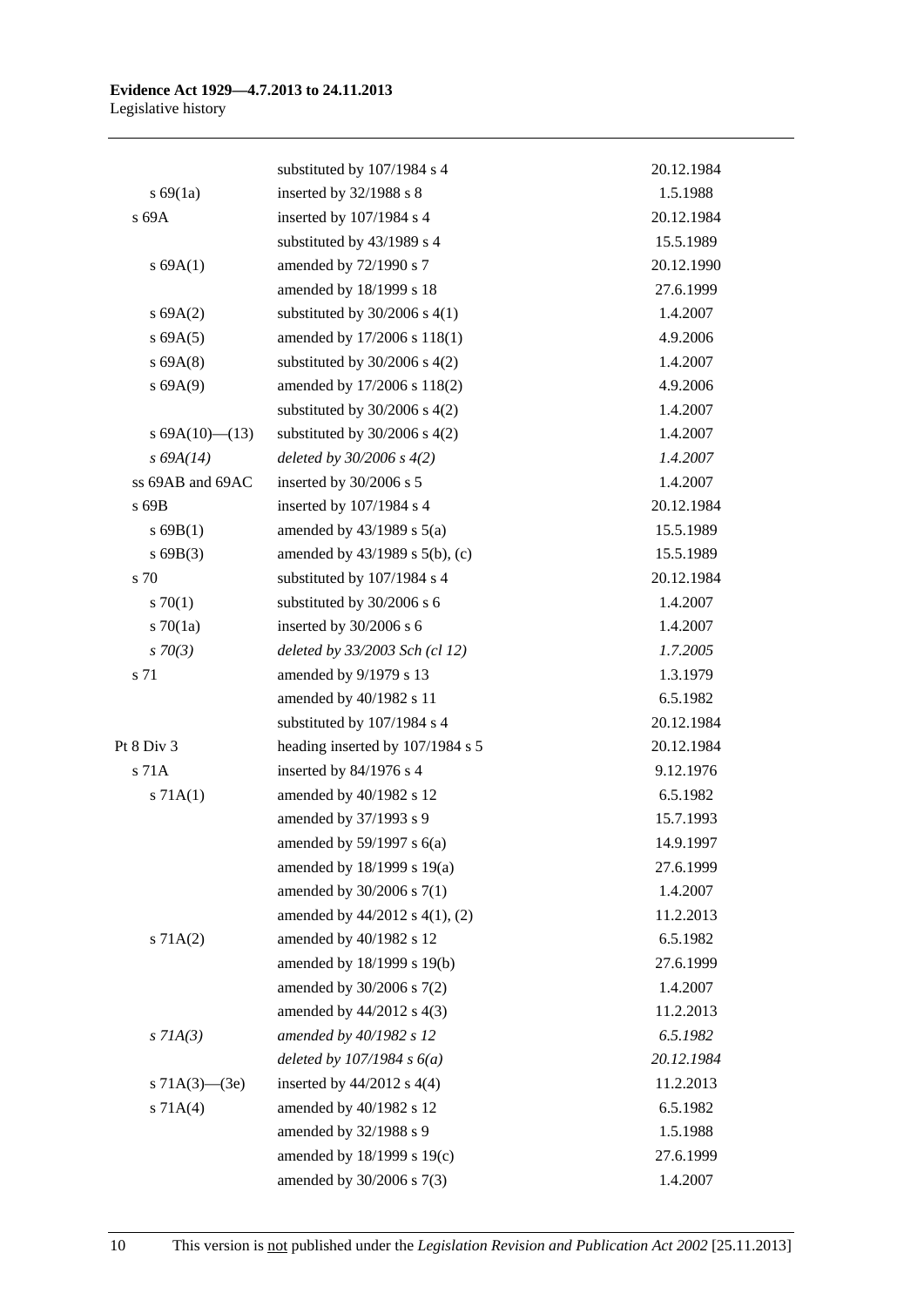|                     | substituted by 107/1984 s 4         | 20.12.1984 |
|---------------------|-------------------------------------|------------|
| s 69(1a)            | inserted by 32/1988 s 8             | 1.5.1988   |
| s 69A               | inserted by 107/1984 s 4            | 20.12.1984 |
|                     | substituted by 43/1989 s 4          | 15.5.1989  |
| s 69A(1)            | amended by 72/1990 s 7              | 20.12.1990 |
|                     | amended by 18/1999 s 18             | 27.6.1999  |
| s 69A(2)            | substituted by $30/2006$ s 4(1)     | 1.4.2007   |
| s 69A(5)            | amended by 17/2006 s 118(1)         | 4.9.2006   |
| s 69A(8)            | substituted by $30/2006$ s $4(2)$   | 1.4.2007   |
| s 69A(9)            | amended by 17/2006 s 118(2)         | 4.9.2006   |
|                     | substituted by $30/2006$ s $4(2)$   | 1.4.2007   |
| s $69A(10)$ (13)    | substituted by $30/2006$ s $4(2)$   | 1.4.2007   |
| $s\,69A(14)$        | deleted by $30/2006$ s $4(2)$       | 1.4.2007   |
| ss 69AB and 69AC    | inserted by 30/2006 s 5             | 1.4.2007   |
| s 69B               | inserted by 107/1984 s 4            | 20.12.1984 |
| $s$ 69B(1)          | amended by $43/1989$ s $5(a)$       | 15.5.1989  |
| $s$ 69B(3)          | amended by $43/1989$ s $5(b)$ , (c) | 15.5.1989  |
| s 70                | substituted by 107/1984 s 4         | 20.12.1984 |
| 570(1)              | substituted by 30/2006 s 6          | 1.4.2007   |
| $s \, 70(1a)$       | inserted by 30/2006 s 6             | 1.4.2007   |
| $s \, 70(3)$        | deleted by 33/2003 Sch (cl 12)      | 1.7.2005   |
| s 71                | amended by 9/1979 s 13              | 1.3.1979   |
|                     | amended by 40/1982 s 11             | 6.5.1982   |
|                     | substituted by 107/1984 s 4         | 20.12.1984 |
| Pt 8 Div 3          | heading inserted by 107/1984 s 5    | 20.12.1984 |
| s 71A               | inserted by 84/1976 s 4             | 9.12.1976  |
| s 71A(1)            | amended by 40/1982 s 12             | 6.5.1982   |
|                     | amended by 37/1993 s 9              | 15.7.1993  |
|                     | amended by $59/1997$ s $6(a)$       | 14.9.1997  |
|                     | amended by 18/1999 s 19(a)          | 27.6.1999  |
|                     | amended by 30/2006 s 7(1)           | 1.4.2007   |
|                     | amended by 44/2012 s 4(1), (2)      | 11.2.2013  |
| s 71A(2)            | amended by 40/1982 s 12             | 6.5.1982   |
|                     | amended by 18/1999 s 19(b)          | 27.6.1999  |
|                     | amended by 30/2006 s 7(2)           | 1.4.2007   |
|                     | amended by 44/2012 s 4(3)           | 11.2.2013  |
| $s$ 71A(3)          | amended by 40/1982 s 12             | 6.5.1982   |
|                     | deleted by $107/1984 s 6(a)$        | 20.12.1984 |
| s $71A(3)$ — $(3e)$ | inserted by $44/2012$ s $4(4)$      | 11.2.2013  |
| s 71A(4)            | amended by 40/1982 s 12             | 6.5.1982   |
|                     | amended by 32/1988 s 9              | 1.5.1988   |
|                     | amended by 18/1999 s 19(c)          | 27.6.1999  |
|                     | amended by 30/2006 s 7(3)           | 1.4.2007   |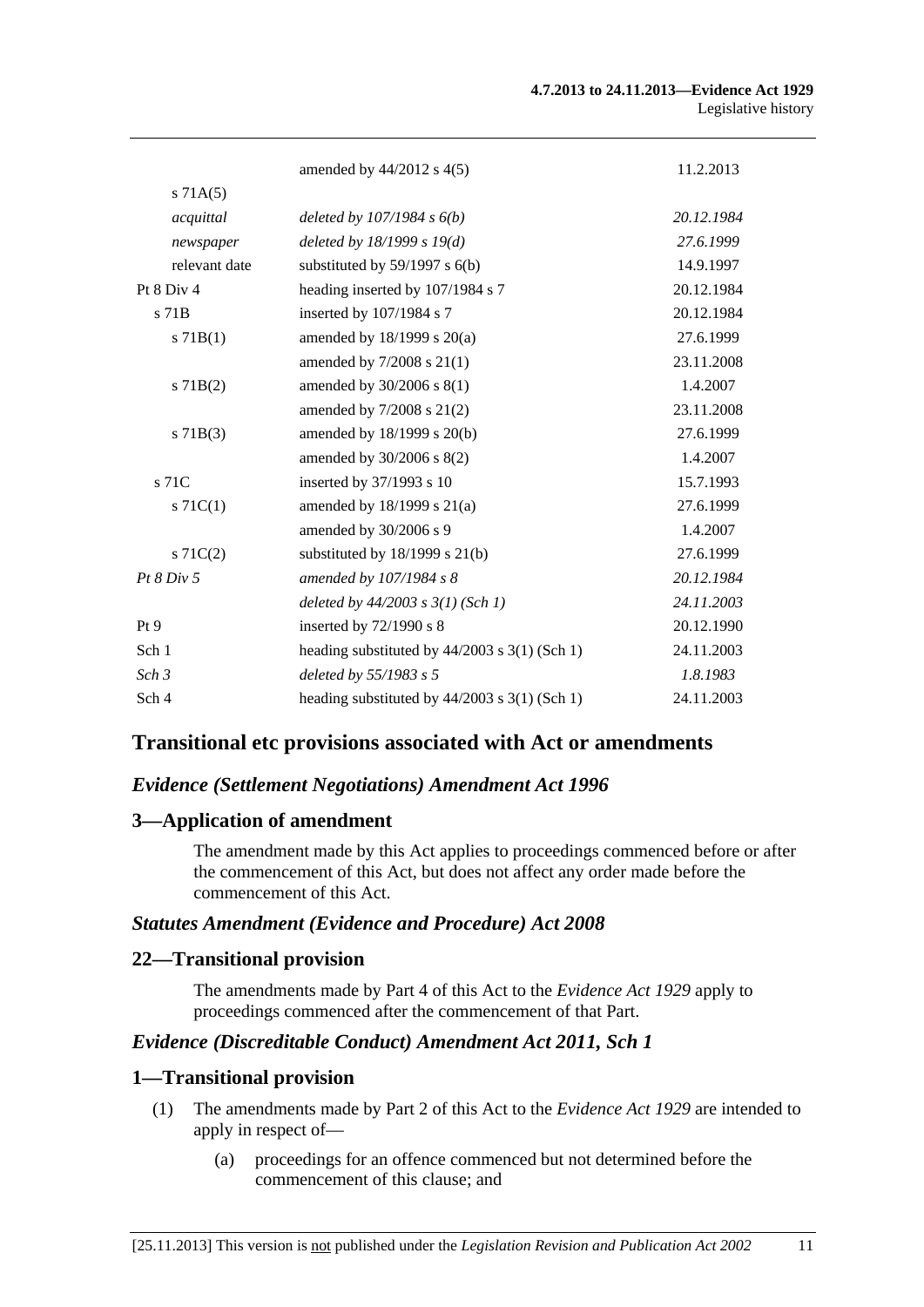|                  | amended by $44/2012$ s $4(5)$                   | 11.2.2013  |
|------------------|-------------------------------------------------|------------|
| s 71A(5)         |                                                 |            |
| acquittal        | deleted by $107/1984 s 6(b)$                    | 20.12.1984 |
| newspaper        | deleted by $18/1999 s 19(d)$                    | 27.6.1999  |
| relevant date    | substituted by 59/1997 s 6(b)                   | 14.9.1997  |
| Pt 8 Div 4       | heading inserted by 107/1984 s 7                | 20.12.1984 |
| $s$ 71 $B$       | inserted by 107/1984 s 7                        | 20.12.1984 |
| $s$ 71B(1)       | amended by $18/1999$ s $20(a)$                  | 27.6.1999  |
|                  | amended by 7/2008 s 21(1)                       | 23.11.2008 |
| $s$ 71B(2)       | amended by $30/2006$ s $8(1)$                   | 1.4.2007   |
|                  | amended by $7/2008$ s $21(2)$                   | 23.11.2008 |
| $s \, 71B(3)$    | amended by 18/1999 s 20(b)                      | 27.6.1999  |
|                  | amended by $30/2006$ s $8(2)$                   | 1.4.2007   |
| $s$ 71 $C$       | inserted by 37/1993 s 10                        | 15.7.1993  |
| $s \, 71C(1)$    | amended by 18/1999 s 21(a)                      | 27.6.1999  |
|                  | amended by 30/2006 s 9                          | 1.4.2007   |
| $s \, 71C(2)$    | substituted by $18/1999$ s $21(b)$              | 27.6.1999  |
| Pt 8 Div 5       | amended by 107/1984 s 8                         | 20.12.1984 |
|                  | deleted by $44/2003$ s $3(1)$ (Sch 1)           | 24.11.2003 |
| Pt 9             | inserted by 72/1990 s 8                         | 20.12.1990 |
| Sch 1            | heading substituted by $44/2003$ s 3(1) (Sch 1) | 24.11.2003 |
| Sch <sub>3</sub> | deleted by 55/1983 s 5                          | 1.8.1983   |
| Sch 4            | heading substituted by $44/2003$ s 3(1) (Sch 1) | 24.11.2003 |

# **Transitional etc provisions associated with Act or amendments**

### *Evidence (Settlement Negotiations) Amendment Act 1996*

### **3—Application of amendment**

The amendment made by this Act applies to proceedings commenced before or after the commencement of this Act, but does not affect any order made before the commencement of this Act.

### *Statutes Amendment (Evidence and Procedure) Act 2008*

### **22—Transitional provision**

The amendments made by [Part 4](#page-0-0) of this Act to the *[Evidence Act 1929](http://www.legislation.sa.gov.au/index.aspx?action=legref&type=act&legtitle=Evidence%20Act%201929)* apply to proceedings commenced after the commencement of that Part.

### *Evidence (Discreditable Conduct) Amendment Act 2011, Sch 1*

### **1—Transitional provision**

- (1) The amendments made by [Part 2](#page-0-0) of this Act to the *[Evidence Act 1929](http://www.legislation.sa.gov.au/index.aspx?action=legref&type=act&legtitle=Evidence%20Act%201929)* are intended to apply in respect of—
	- (a) proceedings for an offence commenced but not determined before the commencement of this clause; and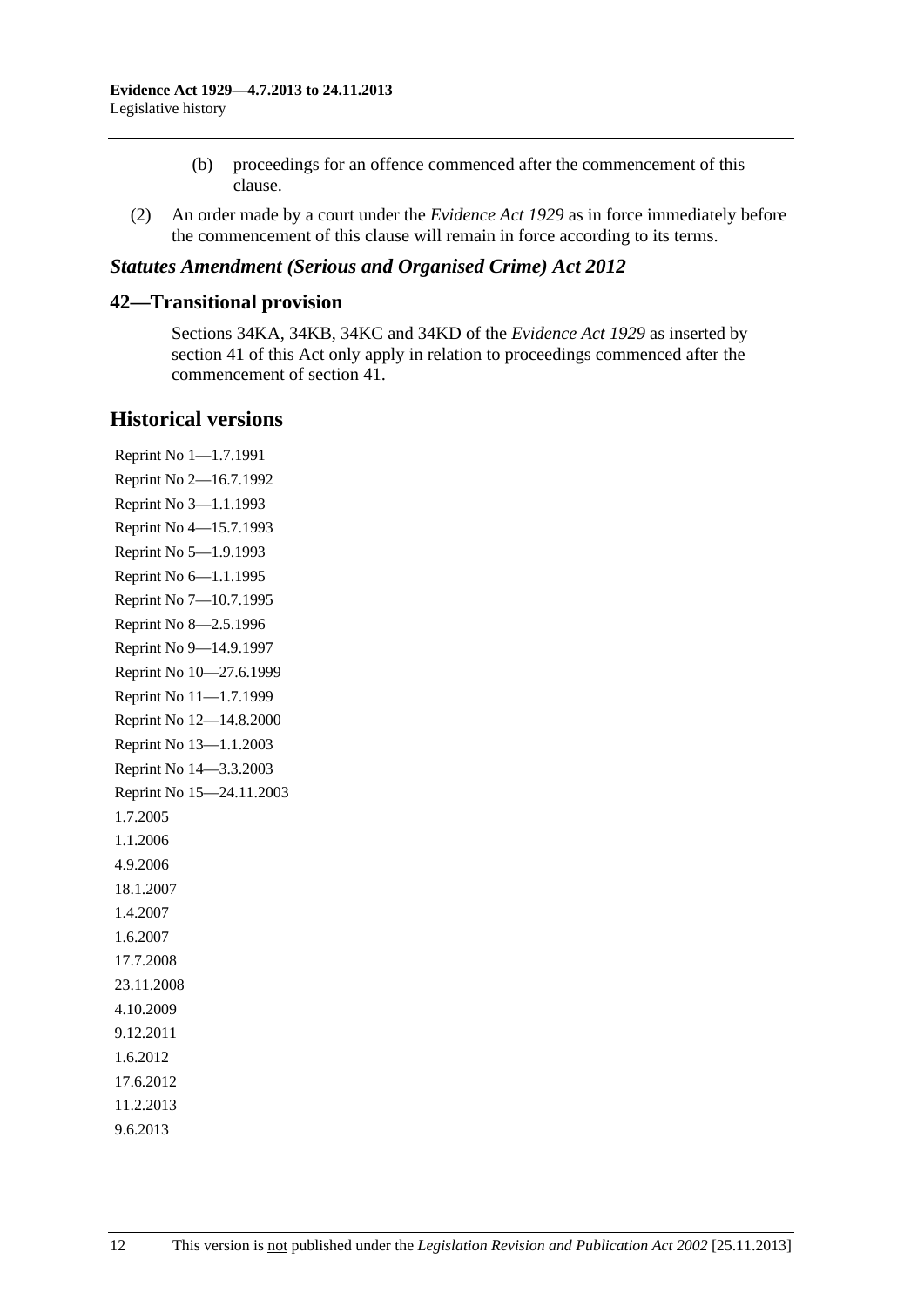- (b) proceedings for an offence commenced after the commencement of this clause.
- (2) An order made by a court under the *[Evidence Act 1929](http://www.legislation.sa.gov.au/index.aspx?action=legref&type=act&legtitle=Evidence%20Act%201929)* as in force immediately before the commencement of this clause will remain in force according to its terms.

### *Statutes Amendment (Serious and Organised Crime) Act 2012*

### **42—Transitional provision**

Sections 34KA, 34KB, 34KC and 34KD of the *[Evidence Act 1929](http://www.legislation.sa.gov.au/index.aspx?action=legref&type=act&legtitle=Evidence%20Act%201929)* as inserted by [section 41](#page-0-0) of this Act only apply in relation to proceedings commenced after the commencement of [section 41.](#page-0-0)

# **Historical versions**

Reprint No 1—1.7.1991 Reprint No 2—16.7.1992 Reprint No 3—1.1.1993 Reprint No 4—15.7.1993 Reprint No 5—1.9.1993 Reprint No 6—1.1.1995 Reprint No 7—10.7.1995 Reprint No 8—2.5.1996 Reprint No 9—14.9.1997 Reprint No 10—27.6.1999 Reprint No 11—1.7.1999 Reprint No 12—14.8.2000 Reprint No 13—1.1.2003 Reprint No 14—3.3.2003 Reprint No 15—24.11.2003 1.7.2005 1.1.2006 4.9.2006 18.1.2007 1.4.2007 1.6.2007 17.7.2008 23.11.2008 4.10.2009 9.12.2011 1.6.2012 17.6.2012 11.2.2013 9.6.2013